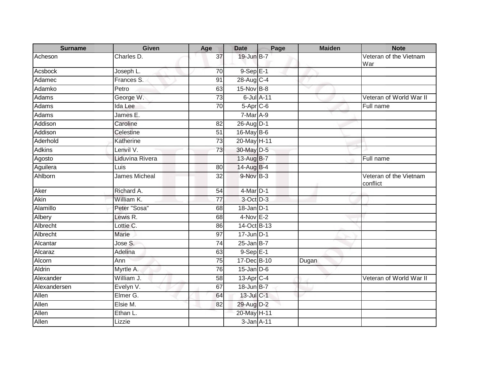| <b>Surname</b> | <b>Given</b>         | Age             | <b>Date</b>       | Page | <b>Maiden</b> | <b>Note</b>                        |
|----------------|----------------------|-----------------|-------------------|------|---------------|------------------------------------|
| Acheson        | Charles D.           | 37              | 19-Jun B-7        |      |               | Veteran of the Vietnam<br>War      |
| Acsbock        | Joseph L.            | 70              | $9-Sep$ $E-1$     |      |               |                                    |
| Adamec         | Frances S.           | 91              | 28-Aug C-4        |      |               |                                    |
| Adamko         | Petro                | 63              | 15-Nov B-8        |      |               |                                    |
| Adams          | George W.            | 73              | 6-Jul A-11        |      |               | Veteran of World War II            |
| Adams          | Ida Lee              | 70              | $5-Apr$ $C-6$     |      |               | Full name                          |
| Adams          | James E.             |                 | $7-Mar A-9$       |      |               |                                    |
| Addison        | Caroline             | 82              | 26-Aug D-1        |      |               |                                    |
| Addison        | Celestine            | 51              | 16-May B-6        |      |               |                                    |
| Aderhold       | Katherine            | $\overline{73}$ | 20-May H-11       |      |               |                                    |
| <b>Adkins</b>  | Lenvil V.            | 73              | 30-May D-5        |      |               |                                    |
| Agosto         | Liduvina Rivera      |                 | 13-Aug B-7        |      |               | Full name                          |
| Aguilera       | Luis                 | 80              | 14-Aug B-4        |      |               |                                    |
| Ahlborn        | <b>James Micheal</b> | 32              | $9-Nov$ B-3       |      |               | Veteran of the Vietnam<br>conflict |
| Aker           | Richard A.           | 54              | $4$ -Mar $D-1$    |      |               |                                    |
| Akin           | William K.           | $\overline{77}$ | 3-Oct D-3         |      |               |                                    |
| Alamillo       | Peter "Sosa"         | 68              | $18$ -Jan $D-1$   |      |               |                                    |
| Albery         | Lewis R.             | 68              | $4-Nov E-2$       |      |               |                                    |
| Albrecht       | Lottie C.            | 86              | 14-Oct B-13       |      |               |                                    |
| Albrecht       | Marie                | 97              | $17$ -Jun $ D-1 $ |      |               |                                    |
| Alcantar       | Jose S.              | $\overline{74}$ | $25$ -Jan B-7     |      |               |                                    |
| Alcaraz        | Adelina              | 63              | $9-$ Sep $E-1$    |      |               |                                    |
| Alcorn         | Ann                  | 75              | 17-Dec B-10       |      | Dugan         |                                    |
| Aldrin         | Myrtle A.            | 76              | $15$ -Jan $D-6$   |      |               |                                    |
| Alexander      | William J.           | 58              | $13-Apr$ C-4      |      |               | Veteran of World War II            |
| Alexandersen   | Evelyn V.            | 67              | 18-Jun B-7        |      |               |                                    |
| Allen          | Elmer G.             | 64              | 13-Jul C-1        |      |               |                                    |
| Allen          | Elsie M.             | 82              | 29-Aug D-2        |      |               |                                    |
| Allen          | Ethan L.             |                 | 20-May H-11       |      |               |                                    |
| Allen          | Lizzie               |                 | $3$ -Jan $A-11$   |      |               |                                    |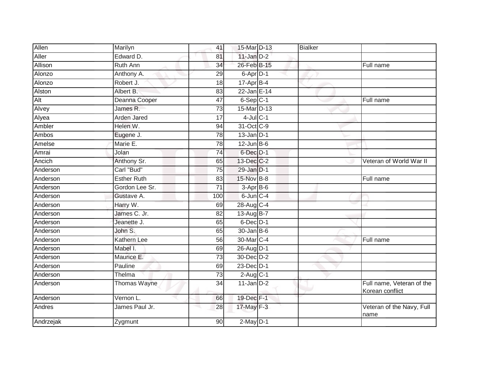| Allen     | Marilyn            | 41              | 15-Mar D-13      | <b>Bialker</b> |                                              |
|-----------|--------------------|-----------------|------------------|----------------|----------------------------------------------|
| Aller     | Edward D.          | 81              | $11$ -Jan $D-2$  |                |                                              |
| Allison   | <b>Ruth Ann</b>    | $\overline{34}$ | 26-Feb B-15      |                | Full name                                    |
| Alonzo    | Anthony A.         | 29              | $6$ -Apr $D-1$   |                |                                              |
| Alonzo    | Robert J.          | $\overline{18}$ | $17$ -Apr $B-4$  |                |                                              |
| Alston    | Albert B.          | 83              | 22-Jan E-14      |                |                                              |
| Alt       | Deanna Cooper      | 47              | $6-$ Sep $ C-1 $ |                | Full name                                    |
| Alvey     | James R.           | 73              | 15-Mar D-13      |                |                                              |
| Alyea     | Arden Jared        | 17              | $4$ -Jul $C-1$   |                |                                              |
| Ambler    | Helen W.           | 94              | 31-Oct C-9       |                |                                              |
| Ambos     | Eugene J.          | 78              | $13$ -Jan D-1    |                |                                              |
| Amelse    | Marie E.           | 78              | $12$ -Jun $B$ -6 |                |                                              |
| Amrai     | Jolan              | $\overline{74}$ | 6-Dec D-1        |                |                                              |
| Ancich    | Anthony Sr.        | 65              | 13-Dec C-2       |                | Veteran of World War II                      |
| Anderson  | Carl "Bud"         | $\overline{75}$ | 29-Jan D-1       |                |                                              |
| Anderson  | <b>Esther Ruth</b> | 83              | $15$ -Nov $B-8$  |                | Full name                                    |
| Anderson  | Gordon Lee Sr.     | 71              | $3-AprB-6$       |                |                                              |
| Anderson  | Gustave A.         | 100             | $6$ -Jun $C-4$   |                |                                              |
| Anderson  | Harry W.           | 69              | 28-Aug C-4       |                |                                              |
| Anderson  | James C. Jr.       | 82              | 13-Aug B-7       |                |                                              |
| Anderson  | Jeanette J.        | 65              | $6$ -Dec $D-1$   |                |                                              |
| Anderson  | John S.            | 65              | $30 - Jan$ $B-6$ |                |                                              |
| Anderson  | Kathern Lee        | 56              | 30-Mar C-4       |                | Full name                                    |
| Anderson  | Mabel I.           | 69              | 26-Aug D-1       |                |                                              |
| Anderson  | Maurice E.         | 73              | 30-Dec D-2       |                |                                              |
| Anderson  | Pauline            | 69              | 23-Dec D-1       |                |                                              |
| Anderson  | Thelma             | $\overline{73}$ | $2-Aug$ C-1      |                |                                              |
| Anderson  | Thomas Wayne       | 34              | $11$ -Jan $D-2$  |                | Full name, Veteran of the<br>Korean conflict |
| Anderson  | Vernon L.          | 66              | 19-Dec F-1       |                |                                              |
| Andres    | James Paul Jr.     | 28              | 17-May F-3       |                | Veteran of the Navy, Full<br>name            |
| Andrzejak | Zygmunt            | 90              | $2$ -May $D-1$   |                |                                              |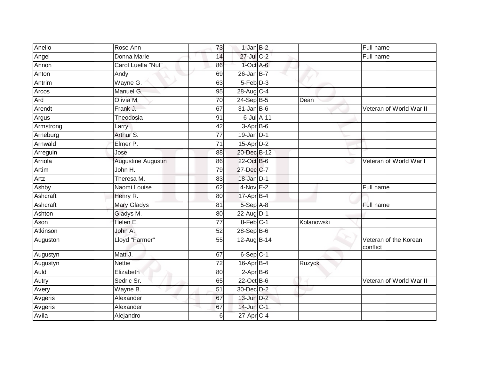| Anello    | Rose Ann                  | 73              | $1$ -Jan $B-2$   |            | Full name                         |
|-----------|---------------------------|-----------------|------------------|------------|-----------------------------------|
| Angel     | Donna Marie               | 14              | 27-Jul C-2       |            | Full name                         |
| Annon     | Carol Luella "Nut"        | 86              | $1$ -Oct $A$ -6  |            |                                   |
| Anton     | Andy                      | 69              | $26$ -Jan B-7    |            |                                   |
| Antrim    | Wayne G.                  | 63              | $5-Feb$ $D-3$    |            |                                   |
| Arcos     | Manuel G.                 | 95              | 28-Aug C-4       |            |                                   |
| Ard       | Olivia M.                 | 70              | 24-Sep B-5       | Dean       |                                   |
| Arendt    | Frank J.                  | 67              | $31$ -Jan B-6    |            | Veteran of World War II           |
| Argus     | Theodosia                 | 91              | 6-Jul A-11       |            |                                   |
| Armstrong | Larry                     | 42              | $3-AprB-6$       |            |                                   |
| Arneburg  | Arthur S.                 | $\overline{77}$ | $19$ -Jan $D-1$  |            |                                   |
| Arnwald   | Elmer P.                  | 71              | $15$ -Apr $D-2$  |            |                                   |
| Arreguin  | Jose                      | 88              | 20-Dec B-12      |            |                                   |
| Arriola   | <b>Augustine Augustin</b> | 86              | 22-Oct B-6       |            | Veteran of World War I            |
| Artim     | John H.                   | 79              | 27-Dec C-7       |            |                                   |
| Artz      | Theresa M.                | 83              | $18$ -Jan $D-1$  |            |                                   |
| Ashby     | Naomi Louise              | 62              | $4-Nov$ E-2      |            | Full name                         |
| Ashcraft  | Henry R.                  | 80              | 17-Apr B-4       |            |                                   |
| Ashcraft  | <b>Mary Gladys</b>        | 81              | 5-Sep A-8        |            | Full name                         |
| Ashton    | Gladys M.                 | 80              | 22-Aug D-1       |            |                                   |
| Ason      | Helen E.                  | 77              | 8-Feb C-1        | Kolanowski |                                   |
| Atkinson  | John A.                   | 52              | $28-Sep$ B-6     |            |                                   |
| Auguston  | Lloyd "Farmer"            | 55              | 12-Aug B-14      |            | Veteran of the Korean<br>conflict |
| Augustyn  | Matt J.                   | 67              | $6-Sep$ $C-1$    |            |                                   |
| Augustyn  | <b>Nettie</b>             | $\overline{72}$ | $16$ -Apr $B$ -4 | Ruzycki    |                                   |
| Auld      | Elizabeth                 | 80              | $2-Apr$ B-6      |            |                                   |
| Autry     | Sedric Sr.                | 65              | 22-Oct B-6       |            | Veteran of World War II           |
| Avery     | Wayne B.                  | 51              | 30-Dec D-2       |            |                                   |
| Avgeris   | Alexander                 | 67              | 13-Jun D-2       |            |                                   |
| Avgeris   | Alexander                 | 67              | 14-Jun C-1       |            |                                   |
| Avila     | Alejandro                 | 6               | 27-Apr C-4       |            |                                   |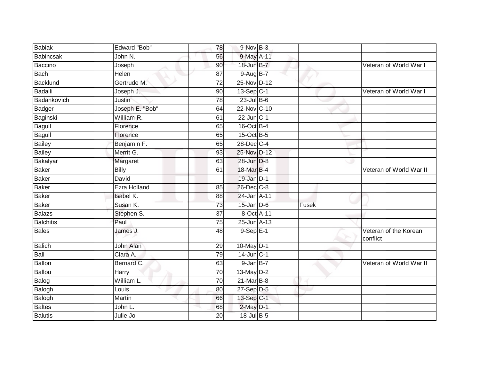| <b>Babiak</b>    | Edward "Bob"        | 78              | $9-Nov$ B-3      |       |                                   |
|------------------|---------------------|-----------------|------------------|-------|-----------------------------------|
| Babincsak        | John N.             | 56              | 9-May A-11       |       |                                   |
| Baccino          | Joseph              | 90              | 18-Jun B-7       |       | Veteran of World War I            |
| <b>Bach</b>      | Helen               | 87              | $9-AugB-7$       |       |                                   |
| <b>Backlund</b>  | Gertrude M.         | $\overline{72}$ | 25-Nov D-12      |       |                                   |
| Badalli          | Joseph J.           | 90              | $13-Sep$ C-1     |       | Veteran of World War I            |
| Badankovich      | Justin              | 78              | $23$ -Jul $B-6$  |       |                                   |
| Badger           | Joseph E. "Bob"     | 64              | 22-Nov C-10      |       |                                   |
| Baginski         | William R.          | 61              | $22$ -Jun $C-1$  |       |                                   |
| <b>Bagull</b>    | Florence            | 65              | 16-Oct B-4       |       |                                   |
| Bagull           | Florence            | 65              | 15-Oct B-5       |       |                                   |
| Bailey           | Benjamin F.         | 65              | 28-Dec C-4       |       |                                   |
| <b>Bailey</b>    | Merrit G.           | 93              | 25-Nov D-12      |       |                                   |
| Bakalyar         | Margaret            | 63              | 28-Jun D-8       |       |                                   |
| <b>Baker</b>     | <b>Billy</b>        | 61              | 18-Mar B-4       |       | Veteran of World War II           |
| Baker            | David               |                 | $19$ -Jan $D-1$  |       |                                   |
| Baker            | <b>Ezra Holland</b> | 85              | 26-Dec C-8       |       |                                   |
| <b>Baker</b>     | Isabel K.           | 88              | 24-Jan A-11      |       |                                   |
| Baker            | Susan K.            | 73              | $15$ -Jan $D$ -6 | Fusek |                                   |
| Balazs           | Stephen S.          | 37              | 8-Oct A-11       |       |                                   |
| <b>Balchitis</b> | Paul                | 75              | $25$ -Jun $A-13$ |       |                                   |
| <b>Bales</b>     | James J.            | 48              | $9-$ Sep $E-1$   |       | Veteran of the Korean<br>conflict |
| <b>Balich</b>    | John Alan           | 29              | 10-May D-1       |       |                                   |
| Ball             | Clara A.            | 79              | $14$ -Jun $C-1$  |       |                                   |
| <b>Ballon</b>    | Bernard C.          | 63              | $9$ -Jan $B-7$   |       | Veteran of World War II           |
| Ballou           | <b>Harry</b>        | 70              | 13-May D-2       |       |                                   |
| Balog            | William L.          | 70              | $21$ -Mar $B-8$  |       |                                   |
| Balogh           | Louis               | 80              | $27-Sep$ D-5     |       |                                   |
| Balogh           | Martin              | 66              | 13-Sep C-1       |       |                                   |
| <b>Baltes</b>    | John L.             | 68              | $2$ -May $D-1$   |       |                                   |
| <b>Balutis</b>   | Julie Jo            | 20              | 18-Jul B-5       |       |                                   |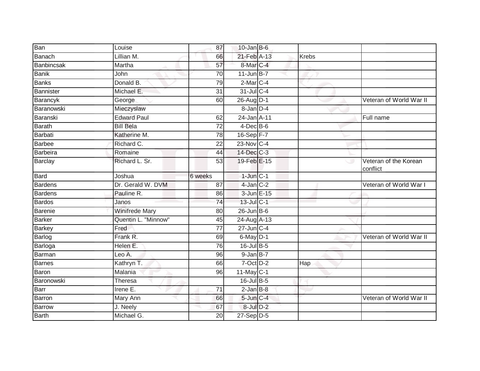| Ban            | Louise                | 87              | $10$ -Jan B-6             |       |                                   |
|----------------|-----------------------|-----------------|---------------------------|-------|-----------------------------------|
| Banach         | Lillian M.            | 66              | 21-Feb A-13               | Krebs |                                   |
| Banbincsak     | Martha                | $\overline{57}$ | 8-Mar C-4                 |       |                                   |
| <b>Banik</b>   | John                  | 70              | $11$ -Jun B-7             |       |                                   |
| <b>Banks</b>   | Donald B.             | 79              | $2$ -Mar $C-4$            |       |                                   |
| Bannister      | Michael E.            | 31              | 31-Jul C-4                |       |                                   |
| Barancyk       | George                | 60              | 26-Aug D-1                |       | Veteran of World War II           |
| Baranowski     | Mieczyslaw            |                 | 8-Jan D-4                 |       |                                   |
| Baranski       | <b>Edward Paul</b>    | 62              | 24-Jan A-11               |       | Full name                         |
| <b>Barath</b>  | <b>Bill Bela</b>      | $\overline{72}$ | $4$ -Dec B-6              |       |                                   |
| Barbati        | Katherine M.          | 78              | $16-Sep$ F-7              |       |                                   |
| Barbee         | Richard C.            | 22              | 23-Nov C-4                |       |                                   |
| Barbeira       | Romaine               | 44              | 14-Dec C-3                |       |                                   |
| Barclay        | Richard L. Sr.        | 53              | 19-Feb E-15               | ی     | Veteran of the Korean<br>conflict |
| Bard           | Joshua                | 6 weeks         | $1$ -Jun $C-1$            |       |                                   |
| <b>Bardens</b> | Dr. Gerald W. DVM     | 87              | $4$ -Jan $C-2$            |       | Veteran of World War I            |
| <b>Bardens</b> | Pauline R.            | 86              | 3-Jun E-15                |       |                                   |
| Bardos         | Janos                 | 74              | $13$ -Jul C-1             |       |                                   |
| Barenie        | <b>Winifrede Mary</b> | 80              | $26$ -Jun $B$ -6          |       |                                   |
| <b>Barker</b>  | Quentin L. "Minnow"   | 45              | 24-Aug A-13               |       |                                   |
| <b>Barkey</b>  | Fred                  | 77              | $27 - Jun$ <sub>C-4</sub> |       |                                   |
| Barlog         | Frank R.              | 69              | $6$ -May $D-1$            |       | Veteran of World War II           |
| Barloga        | Helen E.              | 76              | 16-Jul B-5                |       |                                   |
| Barman         | Leo A.                | 96              | 9-Jan B-7                 |       |                                   |
| <b>Barnes</b>  | Kathryn T.            | 66              | $7-Oct$ $D-2$             | Hap   |                                   |
| Baron          | Malania               | 96              | $11$ -May C-1             |       |                                   |
| Baronowski     | Theresa               |                 | 16-Jul B-5                |       |                                   |
| Barr           | Irene E.              | 71              | $2$ -Jan $B-8$            |       |                                   |
| Barron         | Mary Ann              | 66              | 5-Jun C-4                 |       | Veteran of World War II           |
| Barrow         | J. Neely              | 67              | $8$ -Jul $D-2$            |       |                                   |
| Barth          | Michael G.            | 20              | $27-Sep$ D-5              |       |                                   |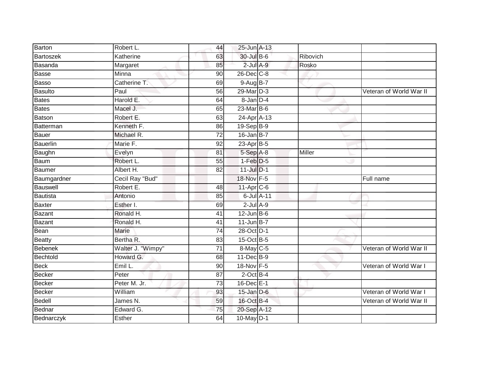| Barton           | Robert L.         | 44              | 25-Jun A-13      |          |                         |
|------------------|-------------------|-----------------|------------------|----------|-------------------------|
| Bartoszek        | Katherine         | 63              | 30-Jul B-6       | Ribovich |                         |
| Basanda          | Margaret          | 85              | $2$ -Jul $A-9$   | Rosko    |                         |
| <b>Basse</b>     | Minna             | 90              | 26-Dec C-8       |          |                         |
| Basso            | Catherine T.      | 69              | 9-Aug B-7        |          |                         |
| <b>Basulto</b>   | Paul              | 56              | 29-Mar D-3       |          | Veteran of World War II |
| <b>Bates</b>     | Harold E.         | 64              | 8-Jan D-4        |          |                         |
| <b>Bates</b>     | Macel J.          | 65              | $23$ -Mar $B-6$  |          |                         |
| <b>Batson</b>    | Robert E.         | 63              | 24-Apr A-13      |          |                         |
| <b>Batterman</b> | Kenneth F.        | 86              | 19-Sep B-9       |          |                         |
| Bauer            | Michael R.        | 72              | $16$ -Jan B-7    |          |                         |
| Bauerlin         | Marie F.          | 92              | $23$ -Apr $B$ -5 |          |                         |
| Baughn           | Evelyn            | 81              | 5-Sep A-8        | Miller   |                         |
| Baum             | Robert L.         | 55              | $1-Feb$ $D-5$    |          |                         |
| Baumer           | Albert H.         | 82              | $11$ -Jul $D-1$  |          |                         |
| Baumgardner      | Cecil Ray "Bud"   |                 | 18-Nov F-5       |          | Full name               |
| Bauswell         | Robert E.         | 48              | 11-Apr C-6       |          |                         |
| Bautista         | Antonio           | 85              | 6-Jul A-11       |          |                         |
| <b>Baxter</b>    | Esther I.         | 69              | $2$ -Jul $A-9$   |          |                         |
| <b>Bazant</b>    | Ronald H.         | $\overline{41}$ | $12$ -Jun B-6    |          |                         |
| <b>Bazant</b>    | Ronald H.         | 41              | $11$ -Jun B-7    |          |                         |
| Bean             | Marie             | $\overline{74}$ | 28-Oct D-1       |          |                         |
| <b>Beatty</b>    | Bertha R.         | 83              | 15-Oct B-5       |          |                         |
| <b>Bebenek</b>   | Walter J. "Wimpy" | 71              | 8-May C-5        |          | Veteran of World War II |
| Bechtold         | Howard G.         | 68              | $11$ -Dec $B-9$  |          |                         |
| <b>Beck</b>      | Emil L.           | 90              | 18-Nov F-5       |          | Veteran of World War I  |
| Becker           | Peter             | $\overline{87}$ | $2$ -Oct B-4     |          |                         |
| <b>Becker</b>    | Peter M. Jr.      | 73              | 16-Dec E-1       |          |                         |
| <b>Becker</b>    | William           | 93              | $15$ -Jan $D-6$  |          | Veteran of World War I  |
| <b>Bedell</b>    | James N.          | 59              | 16-Oct B-4       |          | Veteran of World War II |
| Bednar           | Edward G.         | $\overline{75}$ | 20-Sep A-12      |          |                         |
| Bednarczyk       | <b>Esther</b>     | 64              | 10-May D-1       |          |                         |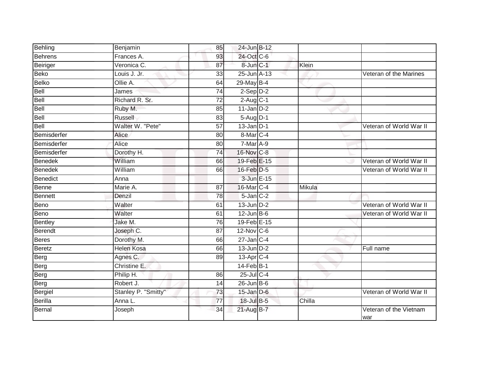| Behling         | Benjamin            | 85              | 24-Jun B-12      |        |                               |
|-----------------|---------------------|-----------------|------------------|--------|-------------------------------|
| <b>Behrens</b>  | Frances A.          | 93              | 24-Oct C-6       |        |                               |
| Beiriger        | Veronica C.         | 87              | 8-Jun C-1        | Klein  |                               |
| <b>Beko</b>     | Louis J. Jr.        | 33              | 25-Jun A-13      |        | Veteran of the Marines        |
| <b>Belko</b>    | Ollie A.            | 64              | 29-May B-4       |        |                               |
| <b>Bell</b>     | James               | 74              | $2-Sep$ $D-2$    |        |                               |
| Bell            | Richard R. Sr.      | 72              | $2$ -Aug $C-1$   |        |                               |
| Bell            | Ruby M.             | 85              | $11$ -Jan $D-2$  |        |                               |
| Bell            | Russell             | 83              | $5-Aug$ D-1      |        |                               |
| Bell            | Walter W. "Pete"    | $\overline{57}$ | $13$ -Jan $D-1$  |        | Veteran of World War II       |
| Bemisderfer     | Alice               | 80              | 8-Mar C-4        |        |                               |
| Bemisderfer     | Alice               | 80              | $7-MarA-9$       |        |                               |
| Bemisderfer     | Dorothy H.          | 74              | 16-Nov C-8       |        |                               |
| <b>Benedek</b>  | William             | 66              | 19-Feb E-15      |        | Veteran of World War II       |
| <b>Benedek</b>  | William             | 66              | 16-Feb D-5       |        | Veteran of World War II       |
| <b>Benedict</b> | Anna                |                 | 3-Jun E-15       |        |                               |
| Benne           | Marie A.            | $\overline{87}$ | 16-Mar C-4       | Mikula |                               |
| <b>Bennett</b>  | Denzil              | 78              | $5$ -Jan $C-2$   |        |                               |
| Beno            | Walter              | 61              | $13$ -Jun $D-2$  |        | Veteran of World War II       |
| Beno            | Walter              | 61              | $12$ -Jun $B$ -6 |        | Veteran of World War II       |
| <b>Bentley</b>  | Jake M.             | 76              | 19-Feb E-15      |        |                               |
| Berendt         | Joseph C.           | $\overline{87}$ | 12-Nov C-6       |        |                               |
| <b>Beres</b>    | Dorothy M.          | 66              | $27$ -Jan C-4    |        |                               |
| <b>Beretz</b>   | <b>Helen Kosa</b>   | 66              | $13$ -Jun $D-2$  |        | Full name                     |
| Berg            | Agnes C.            | 89              | 13-Apr C-4       |        |                               |
| Berg            | Christine E.        |                 | 14-Feb B-1       |        |                               |
| Berg            | Philip H.           | 86              | $25$ -Jul $C-4$  |        |                               |
| Berg            | Robert J.           | 14              | $26$ -Jun $B$ -6 |        |                               |
| Bergiel         | Stanley P. "Smitty" | 73              | $15$ -Jan $D$ -6 |        | Veteran of World War II       |
| <b>Berilla</b>  | Anna L.             | 77              | 18-Jul B-5       | Chilla |                               |
| Bernal          | Joseph              | 34              | 21-Aug B-7       |        | Veteran of the Vietnam<br>war |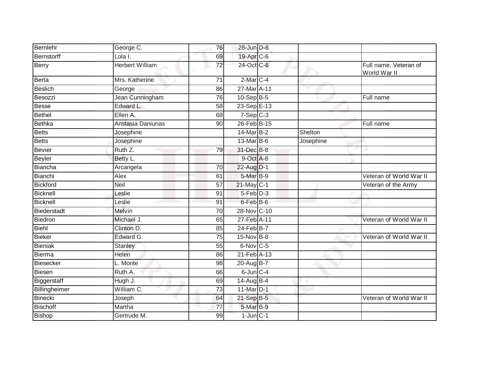| Bernlehr           | George C.              | 76              | 28-Jun D-8     |           |                                       |
|--------------------|------------------------|-----------------|----------------|-----------|---------------------------------------|
| Bernstorff         | Lola I.                | 69              | 19-Apr C-6     |           |                                       |
| Berry              | <b>Herbert William</b> | 72              | 24-Oct C-6     |           | Full name, Veteran of<br>World War II |
| <b>Berta</b>       | Mrs. Katherine         | 71              | $2-MarC-4$     |           |                                       |
| <b>Beslich</b>     | George                 | 86              | 27-Mar A-11    |           |                                       |
| Besozzi            | Jean Cunningham        | 76              | 10-Sep B-5     |           | Full name                             |
| <b>Besse</b>       | Edward L.              | 58              | 23-Sep E-13    |           |                                       |
| <b>Bethel</b>      | Ellen A.               | 68              | $7-Sep$ $C-3$  |           |                                       |
| <b>Bethka</b>      | Anstasia Daniunas      | 90              | 26-Feb B-15    |           | Full name                             |
| <b>Betts</b>       | Josephine              |                 | 14-Mar B-2     | Shelton   |                                       |
| <b>Betts</b>       | Josephine              |                 | 13-Mar B-6     | Josephine |                                       |
| <b>Bevier</b>      | Ruth Z.                | 79              | 31-Dec B-8     |           |                                       |
| <b>Beyler</b>      | Betty L.               |                 | 9-Oct A-8      |           |                                       |
| <b>Biancha</b>     | Arcangela              | 70              | 22-Aug D-1     |           |                                       |
| Bianchi            | Alex                   | 61              | 5-Mar B-9      |           | Veteran of World War II               |
| <b>Bickford</b>    | Neil                   | $\overline{57}$ | 21-May C-1     |           | Veteran of the Army                   |
| Bicknell           | Leslie                 | 91              | $5-Feb$ $D-3$  |           |                                       |
| <b>Bicknell</b>    | Leslie                 | 91              | 6-Feb B-6      |           |                                       |
| <b>Biederstadt</b> | Melvin                 | 70              | 28-Nov C-10    |           |                                       |
| Biedron            | Michael J.             | 65              | 27-Feb A-11    |           | Veteran of World War II               |
| Biehl              | Clinton D.             | 85              | 24-Feb B-7     |           |                                       |
| <b>Bieker</b>      | Edward G.              | 75              | 15-Nov B-8     |           | Veteran of World War II               |
| <b>Bieniak</b>     | Stanley                | 55              | 6-Nov C-5      |           |                                       |
| Bierma             | Helen                  | 86              | 21-Feb A-13    |           |                                       |
| <b>Biesecker</b>   | L. Monte               | 98              | 20-Aug B-7     |           |                                       |
| <b>Biesen</b>      | Ruth A.                | 66              | $6$ -Jun $C-4$ |           |                                       |
| Biggerstaff        | Hugh J.                | 69              | 14-Aug B-4     |           |                                       |
| Billingheimer      | William C.             | $\overline{73}$ | 11-Mar D-1     |           |                                       |
| <b>Binecki</b>     | Joseph                 | 64              | 21-Sep B-5     |           | Veteran of World War II               |
| <b>Bischoff</b>    | Martha                 | 77              | 5-Mar B-9      |           |                                       |
| <b>Bishop</b>      | Gertrude M.            | 99              | $1$ -Jun $C-1$ |           |                                       |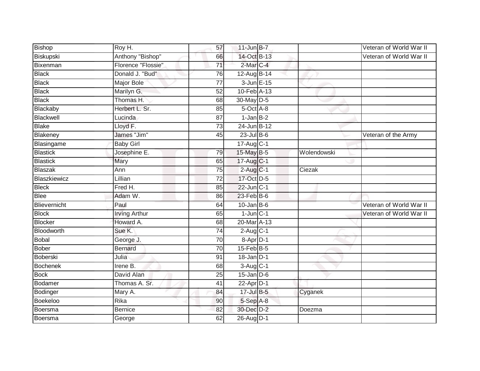| Bishop          | $\overline{R}$ oy H. | 57              | $11$ -Jun $B - 7$ |             | Veteran of World War II |
|-----------------|----------------------|-----------------|-------------------|-------------|-------------------------|
| Biskupski       | Anthony "Bishop"     | 66              | 14-Oct B-13       |             | Veteran of World War II |
| Bixenman        | Florence "Flossie"   | $\overline{71}$ | 2-Mar C-4         |             |                         |
| <b>Black</b>    | Donald J. "Bud"      | 76              | 12-Aug B-14       |             |                         |
| <b>Black</b>    | <b>Major Bole</b>    | $\overline{77}$ | 3-Jun E-15        |             |                         |
| <b>Black</b>    | Marilyn G.           | 52              | 10-Feb A-13       |             |                         |
| <b>Black</b>    | Thomas H.            | 68              | 30-May D-5        |             |                         |
| Blackaby        | Herbert L. Sr.       | 85              | 5-Oct A-8         |             |                         |
| Blackwell       | Lucinda              | 87              | $1$ -Jan $B-2$    |             |                         |
| <b>Blake</b>    | Lloyd F.             | 73              | 24-Jun B-12       |             |                         |
| Blakeney        | James "Jim"          | 45              | $23$ -Jul B-6     |             | Veteran of the Army     |
| Blasingame      | <b>Baby Girl</b>     |                 | 17-Aug C-1        |             |                         |
| <b>Blastick</b> | Josephine E.         | 79              | 15-May B-5        | Wolendowski |                         |
| <b>Blastick</b> | Mary                 | 65              | 17-Aug C-1        |             |                         |
| <b>Blaszak</b>  | Ann                  | 75              | $2$ -Aug C-1      | Ciezak      |                         |
| Blaszkiewicz    | Lillian              | $\overline{72}$ | 17-Oct D-5        |             |                         |
| <b>Bleck</b>    | Fred H.              | 85              | 22-Jun C-1        |             |                         |
| <b>Blee</b>     | Adam W.              | 86              | $23$ -Feb $B$ -6  |             |                         |
| Blievernicht    | Paul                 | 64              | $10$ -Jan B-6     |             | Veteran of World War II |
| <b>Block</b>    | <b>Irving Arthur</b> | 65              | $1$ -Jun $C-1$    |             | Veteran of World War II |
| <b>Blocker</b>  | Howard A.            | 68              | 20-Mar A-13       |             |                         |
| Bloodworth      | Sue K.               | $\overline{74}$ | $2-Aug$ $C-1$     |             |                         |
| <b>Bobal</b>    | George J.            | 70              | 8-Apr D-1         |             |                         |
| <b>Bober</b>    | <b>Bernard</b>       | 70              | $15$ -Feb $B$ -5  |             |                         |
| Boberski        | Julia                | 91              | $18$ -Jan $D-1$   |             |                         |
| <b>Bochenek</b> | Irene B.             | 68              | 3-Aug C-1         |             |                         |
| <b>Bock</b>     | David Alan           | $\overline{25}$ | $15$ -Jan $D-6$   |             |                         |
| Bodamer         | Thomas A. Sr.        | 41              | $22$ -Apr $D-1$   |             |                         |
| Bodinger        | Mary A.              | 84              | 17-Jul B-5        | Cyganek     |                         |
| Boekeloo        | Rika                 | 90              | 5-Sep A-8         |             |                         |
| Boersma         | <b>Bernice</b>       | 82              | 30-Dec D-2        | Doezma      |                         |
| Boersma         | George               | 62              | 26-Aug D-1        |             |                         |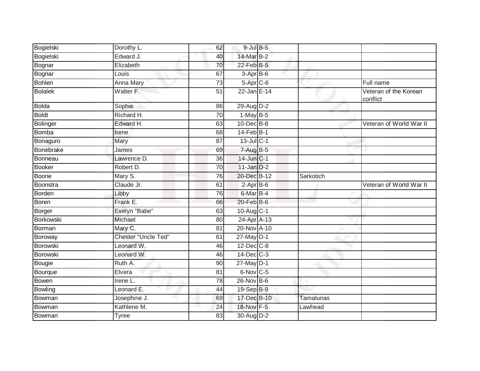| Edward J.                  |                 |          |                                                                                                                                                                                                                                                                                                                                                                                                                                                                                          |                                   |
|----------------------------|-----------------|----------|------------------------------------------------------------------------------------------------------------------------------------------------------------------------------------------------------------------------------------------------------------------------------------------------------------------------------------------------------------------------------------------------------------------------------------------------------------------------------------------|-----------------------------------|
| Elizabeth                  | 70              |          |                                                                                                                                                                                                                                                                                                                                                                                                                                                                                          |                                   |
| Louis                      | 67              |          |                                                                                                                                                                                                                                                                                                                                                                                                                                                                                          |                                   |
| Anna Mary                  | $\overline{73}$ |          |                                                                                                                                                                                                                                                                                                                                                                                                                                                                                          | Full name                         |
| Walter F.                  | 51              |          |                                                                                                                                                                                                                                                                                                                                                                                                                                                                                          | Veteran of the Korean<br>conflict |
| Sophie                     | 86              |          |                                                                                                                                                                                                                                                                                                                                                                                                                                                                                          |                                   |
| Richard H.                 | $\overline{70}$ |          |                                                                                                                                                                                                                                                                                                                                                                                                                                                                                          |                                   |
| Edward H.                  | 63              |          |                                                                                                                                                                                                                                                                                                                                                                                                                                                                                          | Veteran of World War II           |
| Irene                      | 68              |          |                                                                                                                                                                                                                                                                                                                                                                                                                                                                                          |                                   |
| Mary                       | 87              |          |                                                                                                                                                                                                                                                                                                                                                                                                                                                                                          |                                   |
| James                      | 69              |          |                                                                                                                                                                                                                                                                                                                                                                                                                                                                                          |                                   |
| Lawrence D.                | $\overline{36}$ |          |                                                                                                                                                                                                                                                                                                                                                                                                                                                                                          |                                   |
| Robert D.                  | 70              |          |                                                                                                                                                                                                                                                                                                                                                                                                                                                                                          |                                   |
| Mary S.                    | 76              |          | Sarkotich                                                                                                                                                                                                                                                                                                                                                                                                                                                                                |                                   |
| Claude Jr.                 | 61              |          |                                                                                                                                                                                                                                                                                                                                                                                                                                                                                          | Veteran of World War II           |
| Libby                      | 76              |          |                                                                                                                                                                                                                                                                                                                                                                                                                                                                                          |                                   |
| Frank E.                   | 66              |          |                                                                                                                                                                                                                                                                                                                                                                                                                                                                                          |                                   |
| Evelyn "Babe"              | 63              |          |                                                                                                                                                                                                                                                                                                                                                                                                                                                                                          |                                   |
| Michael                    | 80              |          |                                                                                                                                                                                                                                                                                                                                                                                                                                                                                          |                                   |
| Mary C.                    | 81              |          |                                                                                                                                                                                                                                                                                                                                                                                                                                                                                          |                                   |
| <b>Chester "Uncle Ted"</b> | 61              |          |                                                                                                                                                                                                                                                                                                                                                                                                                                                                                          |                                   |
| Leonard W.                 | 46              |          |                                                                                                                                                                                                                                                                                                                                                                                                                                                                                          |                                   |
| Leonard W.                 | 46              |          |                                                                                                                                                                                                                                                                                                                                                                                                                                                                                          |                                   |
| Ruth A.                    | 90              |          |                                                                                                                                                                                                                                                                                                                                                                                                                                                                                          |                                   |
| Elvera                     | 81              |          |                                                                                                                                                                                                                                                                                                                                                                                                                                                                                          |                                   |
| Irene L.                   | 78              |          |                                                                                                                                                                                                                                                                                                                                                                                                                                                                                          |                                   |
| Leonard E.                 | 44              |          |                                                                                                                                                                                                                                                                                                                                                                                                                                                                                          |                                   |
| Josephine J.               | 69              |          | <b>Tamalunas</b>                                                                                                                                                                                                                                                                                                                                                                                                                                                                         |                                   |
| Kathlene M.                | 24              |          | Lawhead                                                                                                                                                                                                                                                                                                                                                                                                                                                                                  |                                   |
| <b>Tyree</b>               | 83              |          |                                                                                                                                                                                                                                                                                                                                                                                                                                                                                          |                                   |
|                            | Dorothy L.      | 62<br>40 | $9$ -Jul $B$ -5<br>14-Mar B-2<br>22-Feb B-5<br>3-Apr B-6<br>$5-Apr$ $C-6$<br>22-Jan E-14<br>29-Aug D-2<br>$1-May$ B-5<br>$10$ -Dec $B-8$<br>$14$ -Feb $B-1$<br>$13$ -Jul C-1<br>$7 - Aug$ B-5<br>14-Jun C-1<br>$11$ -Jan $D-2$<br>20-Dec B-12<br>$2-AprB-6$<br>6-Mar B-4<br>20-Feb B-6<br>10-Aug C-1<br>24-Apr A-13<br>20-Nov A-10<br>27-May D-1<br>$12$ -Dec $C-8$<br>$14$ -Dec $C-3$<br>27-May D-1<br>6-Nov C-5<br>26-Nov B-6<br>19-Sep B-9<br>17-Dec B-10<br>18-Nov F-5<br>30-Aug D-2 |                                   |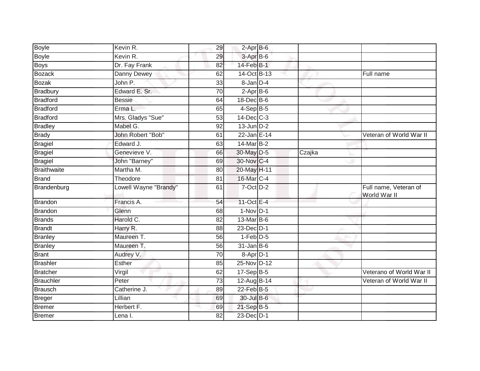| Boyle              | Kevin R.              | 29              | $2-Apr$ B-6           |        |                                       |
|--------------------|-----------------------|-----------------|-----------------------|--------|---------------------------------------|
| <b>Boyle</b>       | Kevin R.              | 29              | 3-Apr B-6             |        |                                       |
| <b>Boys</b>        | Dr. Fay Frank         | 82              | 14-Feb B-1            |        |                                       |
| <b>Bozack</b>      | Danny Dewey           | 62              | 14-Oct B-13           |        | Full name                             |
| <b>Bozak</b>       | John P.               | 33              | $8 - Jan$ $D-4$       |        |                                       |
| Bradbury           | Edward E. Sr.         | 70              | $2-Apr\overline{B-6}$ |        |                                       |
| <b>Bradford</b>    | <b>Bessie</b>         | 64              | $18$ -Dec $B$ -6      |        |                                       |
| <b>Bradford</b>    | Erma L.               | 65              | $4-SepB-5$            |        |                                       |
| Bradford           | Mrs. Gladys "Sue"     | 53              | 14-Dec C-3            |        |                                       |
| <b>Bradley</b>     | Mabel G.              | $\overline{92}$ | $13$ -Jun $D-2$       |        |                                       |
| <b>Brady</b>       | John Robert "Bob"     | 61              | 22-Jan E-14           |        | Veteran of World War II               |
| <b>Bragiel</b>     | Edward J.             | 63              | 14-Mar B-2            |        |                                       |
| <b>Bragiel</b>     | Genevieve V.          | 66              | 30-May D-5            | Czajka |                                       |
| Bragiel            | John "Barney"         | 69              | 30-Nov C-4            |        |                                       |
| <b>Braithwaite</b> | Martha M.             | 80              | 20-May H-11           |        |                                       |
| <b>Brand</b>       | Theodore              | 81              | 16-Mar C-4            |        |                                       |
| Brandenburg        | Lowell Wayne "Brandy" | 61              | $7-Oct$ $D-2$         |        | Full name, Veteran of<br>World War II |
| <b>Brandon</b>     | Francis A.            | 54              | 11-Oct E-4            |        |                                       |
| Brandon            | Glenn                 | 68              | $1-Nov$ D-1           |        |                                       |
| <b>Brands</b>      | Harold C.             | 82              | 13-Mar B-6            |        |                                       |
| <b>Brandt</b>      | Harry R.              | 88              | 23-Dec D-1            |        |                                       |
| <b>Branley</b>     | Maureen T.            | 56              | $1-Feb$ $D-5$         |        |                                       |
| <b>Branley</b>     | Maureen T.            | 56              | $31$ -Jan $B$ -6      |        |                                       |
| <b>Brant</b>       | Audrey V.             | 70              | $8-Apr$ D-1           |        |                                       |
| <b>Brashler</b>    | Esther                | 85              | 25-Nov D-12           |        |                                       |
| <b>Bratcher</b>    | Virgil                | 62              | 17-Sep B-5            |        | Veterano of World War II              |
| Brauchler          | Peter                 | 73              | 12-Aug B-14           |        | Veteran of World War II               |
| <b>Brausch</b>     | Catherine J.          | 89              | $22$ -Feb B-5         |        |                                       |
| Breger             | Lillian               | 69              | 30-Jul B-6            |        |                                       |
| Bremer             | Herbert F.            | 69              | 21-Sep B-5            |        |                                       |
| Bremer             | Lena I.               | 82              | 23-Dec D-1            |        |                                       |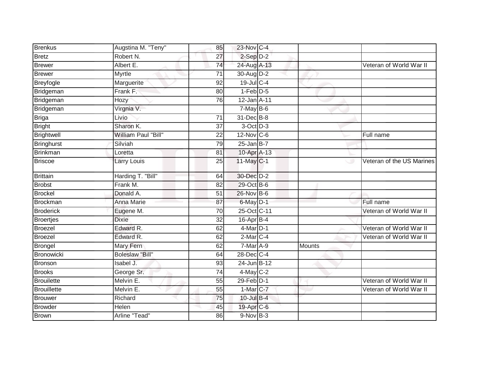| <b>Brenkus</b>     | Augstina M. "Teny"         | 85              | 23-Nov C-4        |        |                           |
|--------------------|----------------------------|-----------------|-------------------|--------|---------------------------|
| <b>Bretz</b>       | Robert N.                  | $\overline{27}$ | $2-Sep$ $D-2$     |        |                           |
| <b>Brewer</b>      | Albert E.                  | 74              | 24-Aug A-13       |        | Veteran of World War II   |
| <b>Brewer</b>      | Myrtle                     | 71              | 30-Aug D-2        |        |                           |
| <b>Breyfogle</b>   | Marguerite                 | $\overline{92}$ | $19$ -Jul C-4     |        |                           |
| Bridgeman          | Frank F.                   | 80              | $1-Feb$ $D-5$     |        |                           |
| Bridgeman          | Hozy                       | 76              | 12-Jan A-11       |        |                           |
| Bridgeman          | Virgnia V.                 |                 | $7-May$ B-6       |        |                           |
| <b>Briga</b>       | Livio                      | 71              | 31-Dec B-8        |        |                           |
| <b>Bright</b>      | Sharon K.                  | $\overline{37}$ | 3-Oct D-3         |        |                           |
| <b>Brightwell</b>  | <b>William Paul "Bill"</b> | 22              | $12$ -Nov $ C-6 $ |        | Full name                 |
| <b>Bringhurst</b>  | Silviah                    | 79              | $25$ -Jan B-7     |        |                           |
| <b>Brinkman</b>    | Loretta                    | 81              | 10-Apr A-13       |        |                           |
| <b>Briscoe</b>     | Larry Louis                | 25              | 11-May C-1        | ت      | Veteran of the US Marines |
| <b>Brittain</b>    | Harding T. "Bill"          | 64              | 30-Dec D-2        |        |                           |
| <b>Brobst</b>      | Frank M.                   | 82              | 29-Oct B-6        |        |                           |
| <b>Brockel</b>     | Donald A.                  | 51              | 26-Nov B-6        |        |                           |
| <b>Brockman</b>    | Anna Marie                 | 87              | 6-May D-1         |        | Full name                 |
| <b>Broderick</b>   | Eugene M.                  | 70              | 25-Oct C-11       |        | Veteran of World War II   |
| <b>Broertjes</b>   | <b>Dixie</b>               | 32              | 16-Apr B-4        |        |                           |
| <b>Broezel</b>     | Edward R.                  | 62              | $4$ -Mar $D-1$    |        | Veteran of World War II   |
| <b>Broezel</b>     | Edward R.                  | 62              | 2-Mar C-4         |        | Veteran of World War II   |
| Brongel            | Mary Fern                  | 62              | 7-Mar A-9         | Mounts |                           |
| <b>Bronowicki</b>  | <b>Boleslaw "Bill"</b>     | 64              | 28-Dec C-4        |        |                           |
| <b>Bronson</b>     | Isabel J.                  | 93              | 24-Jun B-12       |        |                           |
| <b>Brooks</b>      | George Sr.                 | 74              | 4-May C-2         |        |                           |
| <b>Brouilette</b>  | Melvin E.                  | 55              | $29$ -Feb $D-1$   |        | Veteran of World War II   |
| <b>Brouillette</b> | Melvin E.                  | 55              | 1-Mar C-7         |        | Veteran of World War II   |
| <b>Brouwer</b>     | Richard                    | 75              | 10-Jul B-4        |        |                           |
| <b>Browder</b>     | Helen                      | 45              | 19-Apr C-6        |        |                           |
| <b>Brown</b>       | Arline "Tead"              | 86              | 9-Nov B-3         |        |                           |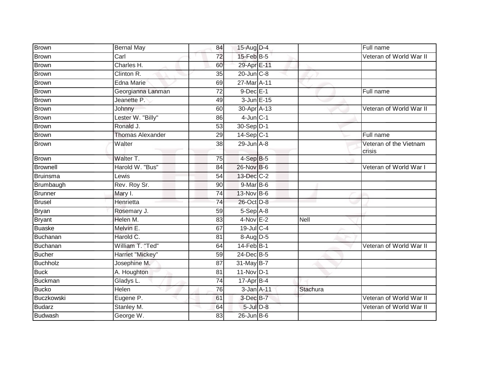| <b>Brown</b>      | <b>Bernal May</b>       | 84              | 15-Aug D-4       |             | Full name                        |
|-------------------|-------------------------|-----------------|------------------|-------------|----------------------------------|
| <b>Brown</b>      | Carl                    | 72              | 15-Feb B-5       |             | Veteran of World War II          |
| <b>Brown</b>      | Charles H.              | 60              | 29-Apr E-11      |             |                                  |
| Brown             | Clinton R.              | 35              | 20-Jun C-8       |             |                                  |
| <b>Brown</b>      | <b>Edna Marie</b>       | 69              | 27-Mar A-11      |             |                                  |
| <b>Brown</b>      | Georgianna Lanman       | 72              | $9$ -Dec $E-1$   |             | Full name                        |
| <b>Brown</b>      | Jeanette P.             | 49              | $3$ -Jun $E-15$  |             |                                  |
| <b>Brown</b>      | Johnny                  | 60              | 30-Apr A-13      |             | Veteran of World War II          |
| Brown             | Lester W. "Billy"       | 86              | $4$ -Jun $C-1$   |             |                                  |
| <b>Brown</b>      | Ronald J.               | 53              | 30-Sep D-1       |             |                                  |
| <b>Brown</b>      | <b>Thomas Alexander</b> | 29              | 14-Sep C-1       |             | Full name                        |
| <b>Brown</b>      | Walter                  | 38              | $29$ -Jun $A-8$  |             | Veteran of the Vietnam<br>crisis |
| <b>Brown</b>      | Walter T.               | 75              | $4-SepB-5$       |             |                                  |
| <b>Brownell</b>   | Harold W. "Bus"         | 84              | 26-Nov B-6       |             | Veteran of World War I           |
| <b>Bruinsma</b>   | Lewis                   | 54              | 13-Dec C-2       |             |                                  |
| Brumbaugh         | Rev. Roy Sr.            | 90              | 9-Mar B-6        |             |                                  |
| <b>Brunner</b>    | Mary I.                 | 74              | 13-Nov B-6       |             |                                  |
| <b>Brusel</b>     | Henrietta               | 74              | 26-Oct D-8       |             |                                  |
| <b>Bryan</b>      | Rosemary J.             | 59              | 5-Sep A-8        |             |                                  |
| <b>Bryant</b>     | Helen M.                | 83              | $4-Nov E-2$      | <b>Nell</b> |                                  |
| <b>Buaske</b>     | Melvin E.               | 67              | 19-Jul C-4       |             |                                  |
| Buchanan          | Harold C.               | 81              | 8-Aug D-5        |             |                                  |
| Buchanan          | William T. "Ted"        | 64              | $14$ -Feb $B-1$  |             | Veteran of World War II          |
| <b>Bucher</b>     | Harriet "Mickey"        | 59              | 24-Dec B-5       |             |                                  |
| <b>Buchholz</b>   | Josephine M.            | $\overline{87}$ | 31-May B-7       |             |                                  |
| <b>Buck</b>       | A. Houghton             | 81              | 11-Nov D-1       |             |                                  |
| <b>Buckman</b>    | Gladys L.               | $\overline{74}$ | $17-AprB-4$      |             |                                  |
| <b>Bucko</b>      | Helen                   | 76              | 3-Jan A-11       | Stachura    |                                  |
| <b>Buczkowski</b> | Eugene P.               | 61              | 3-Dec B-7        |             | Veteran of World War II          |
| <b>Budarz</b>     | Stanley M.              | 64              | $5$ -Jul $D-8$   |             | Veteran of World War II          |
| <b>Budwash</b>    | George W.               | 83              | $26$ -Jun $B$ -6 |             |                                  |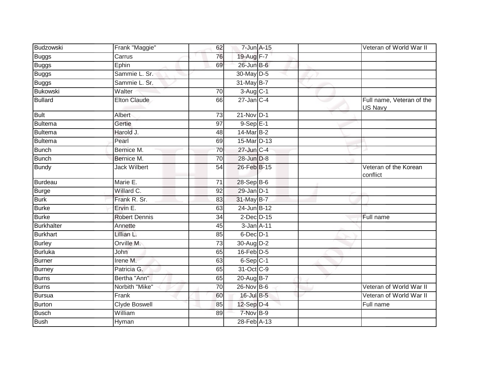| Budzowski       | Frank "Maggie"       | 62              | 7-Jun A-15                 |  | Veteran of World War II              |
|-----------------|----------------------|-----------------|----------------------------|--|--------------------------------------|
| <b>Buggs</b>    | Carrus               | 76              | 19-Aug F-7                 |  |                                      |
| Buggs           | Ephin                | 69              | 26-Jun B-6                 |  |                                      |
| <b>Buggs</b>    | Sammie L. Sr.        |                 | 30-May D-5                 |  |                                      |
| <b>Buggs</b>    | Sammie L. Sr.        |                 | 31-May B-7                 |  |                                      |
| Bukowski        | Walter               | 70              | 3-Aug C-1                  |  |                                      |
| <b>Bullard</b>  | <b>Elton Claude</b>  | 66              | $27$ -Jan $C-4$            |  | Full name, Veteran of the<br>US Navy |
| <b>Bult</b>     | Albert               | 73              | $21-Nov$ D-1               |  |                                      |
| Bultema         | Gertie               | 97              | $9-SepE-1$                 |  |                                      |
| Bultema         | Harold J.            | 48              | 14-Mar B-2                 |  |                                      |
| Bultema         | Pearl                | 69              | 15-Mar D-13                |  |                                      |
| <b>Bunch</b>    | Bernice M.           | 70              | 27-Jun C-4                 |  |                                      |
| <b>Bunch</b>    | Bernice M.           | $\overline{70}$ | 28-Jun D-8                 |  |                                      |
| <b>Bundy</b>    | <b>Jack Wilbert</b>  | 54              | 26-Feb B-15                |  | Veteran of the Korean<br>conflict    |
| Burdeau         | Marie E.             | 71              | 28-Sep B-6                 |  |                                      |
| <b>Burge</b>    | Willard C.           | 92              | 29-Jan D-1                 |  |                                      |
| <b>Burk</b>     | Frank R. Sr.         | 83              | 31-May B-7                 |  |                                      |
| <b>Burke</b>    | Ervin E.             | 63              | 24-Jun B-12                |  |                                      |
| <b>Burke</b>    | <b>Robert Dennis</b> | 34              | $2$ -Dec $D-15$            |  | Full name                            |
| Burkhalter      | Annette              | 45              | 3-Jan A-11                 |  |                                      |
| <b>Burkhart</b> | Lillian L.           | 85              | $6$ -Dec $D-1$             |  |                                      |
| <b>Burley</b>   | Orville M.           | 73              | 30-Aug D-2                 |  |                                      |
| Burluka         | John                 | 65              | $16$ -Feb $D-5$            |  |                                      |
| <b>Burner</b>   | Irene M.             | 63              | $6-Sep$ C-1                |  |                                      |
| <b>Burney</b>   | Patricia G.          | 65              | 31-Oct C-9                 |  |                                      |
| <b>Burns</b>    | Bertha "Ann"         | 65              | $20 - \overline{AugB - 7}$ |  |                                      |
| Burns           | Norbith "Mike"       | 70              | 26-Nov B-6                 |  | Veteran of World War II              |
| Bursua          | Frank                | 60              | 16-Jul B-5                 |  | Veteran of World War II              |
| <b>Burton</b>   | Clyde Boswell        | 85              | $12$ -Sep $D-4$            |  | Full name                            |
| <b>Busch</b>    | William              | 89              | 7-Nov B-9                  |  |                                      |
| <b>Bush</b>     | Hyman                |                 | 28-Feb A-13                |  |                                      |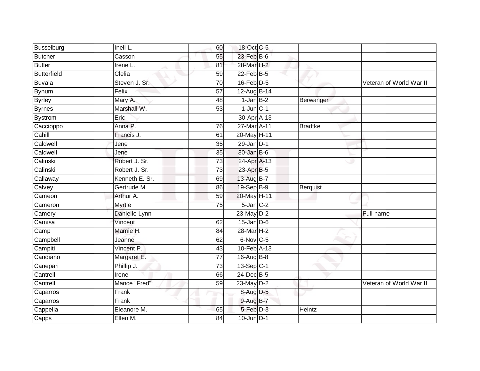| <b>Busselburg</b>  | Inell L.       | 60              | 18-Oct C-5            |                |                         |
|--------------------|----------------|-----------------|-----------------------|----------------|-------------------------|
| Butcher            | Casson         | 55              | $23$ -Feb $B$ -6      |                |                         |
| <b>Butler</b>      | Irene L.       | 81              | 28-Mar <sub>H-2</sub> |                |                         |
| <b>Butterfield</b> | Clelia         | 59              | $22$ -Feb $B-5$       |                |                         |
| <b>Buvala</b>      | Steven J. Sr.  | $\overline{70}$ | $16$ -Feb $D-5$       |                | Veteran of World War II |
| <b>Bynum</b>       | Felix          | 57              | 12-Aug B-14           |                |                         |
| <b>Byrley</b>      | Mary A.        | 48              | $1-Jan$ B-2           | Berwanger      |                         |
| <b>Byrnes</b>      | Marshall W.    | 53              | $1$ -Jun $C-1$        |                |                         |
| <b>Bystrom</b>     | Eric           |                 | 30-Apr A-13           |                |                         |
| Caccioppo          | Anna P.        | 76              | 27-Mar A-11           | <b>Bradtke</b> |                         |
| Cahill             | Francis J.     | 61              | 20-May H-11           |                |                         |
| Caldwell           | Jene           | $\overline{35}$ | $29$ -Jan $D-1$       |                |                         |
| Caldwell           | Jene           | 35              | $30 - Jan$ $B-6$      |                |                         |
| Calinski           | Robert J. Sr.  | 73              | 24-Apr A-13           |                |                         |
| Calinski           | Robert J. Sr.  | 73              | 23-Apr B-5            |                |                         |
| Callaway           | Kenneth E. Sr. | 69              | 13-Aug B-7            |                |                         |
| Calvey             | Gertrude M.    | 86              | 19-Sep B-9            | Berquist       |                         |
| Cameon             | Arthur A.      | 59              | 20-May H-11           |                |                         |
| Cameron            | Myrtle         | 75              | $5$ -Jan $C-2$        |                |                         |
| Camery             | Danielle Lynn  |                 | $23$ -May $D-2$       |                | Full name               |
| Camisa             | Vincent        | 62              | $15$ -Jan $D-6$       |                |                         |
| Camp               | Mamie H.       | 84              | 28-Mar H-2            |                |                         |
| Campbell           | Jeanne         | 62              | $6$ -Nov $C$ -5       |                |                         |
| Campiti            | Vincent P.     | 43              | 10-Feb A-13           |                |                         |
| Candiano           | Margaret E.    | $\overline{77}$ | 16-Aug B-8            |                |                         |
| Canepari           | Phillip J.     | 73              | $13-Sep C-1$          |                |                         |
| Cantrell           | Irene          | 66              | 24-Dec B-5            |                |                         |
| Cantrell           | Mance "Fred"   | 59              | 23-May D-2            |                | Veteran of World War II |
| Caparros           | Frank          |                 | 8-Aug D-5             |                |                         |
| Caparros           | Frank          |                 | 9-Aug B-7             |                |                         |
| Cappella           | Eleanore M.    | 65              | 5-Feb D-3             | Heintz         |                         |
| Capps              | Ellen M.       | $\overline{84}$ | $10$ -Jun $D-1$       |                |                         |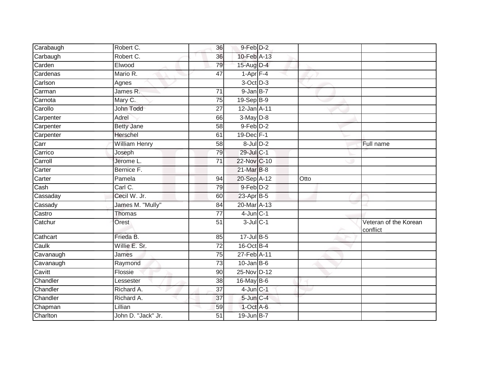| Carabaugh | Robert C.            | 36              | $9-Feb$ D-2     |      |                                   |
|-----------|----------------------|-----------------|-----------------|------|-----------------------------------|
| Carbaugh  | Robert C.            | 36              | 10-Feb A-13     |      |                                   |
| Carden    | Elwood               | 79              | 15-Aug D-4      |      |                                   |
| Cardenas  | Mario R.             | 47              | $1-Apr$ F-4     |      |                                   |
| Carlson   | Agnes                |                 | 3-Oct D-3       |      |                                   |
| Carman    | James R.             | $\overline{71}$ | $9 - JanB - 7$  |      |                                   |
| Carnota   | Mary C.              | 75              | 19-Sep B-9      |      |                                   |
| Carollo   | John Todd            | 27              | 12-Jan A-11     |      |                                   |
| Carpenter | Adrel                | 66              | $3-May$ D-8     |      |                                   |
| Carpenter | <b>Betty Jane</b>    | $\overline{58}$ | 9-Feb D-2       |      |                                   |
| Carpenter | Herschel             | 61              | 19-Dec F-1      |      |                                   |
| Carr      | <b>William Henry</b> | 58              | $8$ -Jul $D-2$  |      | Full name                         |
| Carrico   | Joseph               | 79              | 29-Jul C-1      |      |                                   |
| Carroll   | Jerome L.            | $\overline{71}$ | 22-Nov C-10     |      |                                   |
| Carter    | Bernice F.           |                 | 21-Mar B-8      |      |                                   |
| Carter    | Pamela               | 94              | 20-Sep A-12     | Otto |                                   |
| Cash      | Carl C.              | 79              | $9-Feb$ D-2     |      |                                   |
| Cassaday  | Cecil W. Jr.         | 60              | $23$ -Apr $B-5$ |      |                                   |
| Cassady   | James M. "Mully"     | 84              | 20-Mar A-13     |      |                                   |
| Castro    | <b>Thomas</b>        | $\overline{77}$ | $4$ -Jun $C-1$  |      |                                   |
| Catchur   | Orest                | 51              | $3$ -Jul $C-1$  |      | Veteran of the Korean<br>conflict |
| Cathcart  | Frieda B.            | 85              | $17 -$ Jul B-5  |      |                                   |
| Caulk     | Willie E. Sr.        | 72              | 16-Oct B-4      |      |                                   |
| Cavanaugh | James                | 75              | 27-Feb A-11     |      |                                   |
| Cavanaugh | Raymond              | $\overline{73}$ | $10$ -Jan B-6   |      |                                   |
| Cavitt    | Flossie              | 90              | 25-Nov D-12     |      |                                   |
| Chandler  | Lessester            | 38              | 16-May B-6      |      |                                   |
| Chandler  | Richard A.           | 37              | $4$ -Jun $C-1$  |      |                                   |
| Chandler  | Richard A.           | 37              | $5$ -Jun $C-4$  |      |                                   |
| Chapman   | Lillian              | 59              | $1$ -Oct $A$ -6 |      |                                   |
| Charlton  | John D. "Jack" Jr.   | 51              | 19-Jun B-7      |      |                                   |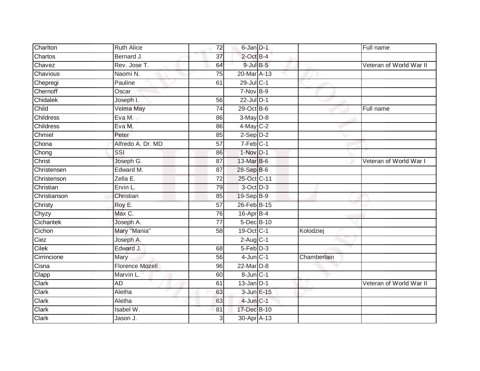| Charlton         | <b>Ruth Alice</b>      | 72              | 6-Jan D-1              |             | Full name               |
|------------------|------------------------|-----------------|------------------------|-------------|-------------------------|
| Chartos          | Bernard J.             | 37              | $2$ -Oct B-4           |             |                         |
| Chavez           | Rev. Jose T.           | 64              | $9$ -Jul $B$ -5        |             | Veteran of World War II |
| Chavious         | Naomi N.               | 75              | 20-Mar A-13            |             |                         |
| Chepregi         | Pauline                | 61              | 29-Jul C-1             |             |                         |
| Chernoff         | Oscar                  |                 | $7-Nov$ B-9            |             |                         |
| Chidalek         | Joseph I.              | 56              | $22$ -Jul $D-1$        |             |                         |
| Child            | Velma May              | 74              | $29$ -Oct B-6          |             | Full name               |
| <b>Childress</b> | Eva M.                 | 86              | $3-May$ $D-8$          |             |                         |
| Childress        | Eva M.                 | 86              | $4$ -May C-2           |             |                         |
| Chmiel           | Peter                  | 85              | $2-Sep$ $D-2$          |             |                         |
| Chona            | Alfredo A. Dr. MD      | $\overline{57}$ | $7-Feb$ C-1            |             |                         |
| Chong            | SSI                    | 86              | $1-Nov$ D-1            |             |                         |
| Christ           | Joseph G.              | 87              | 13-Mar B-6             |             | Veteran of World War I  |
| Christensen      | Edward M.              | 87              | 28-Sep B-6             |             |                         |
| Christenson      | Zella E.               | 72              | 25-Oct C-11            |             |                         |
| Christian        | Ervin L.               | 79              | 3-Oct D-3              |             |                         |
| Christianson     | Christian              | 85              | 19-Sep B-9             |             |                         |
| Christy          | Roy E.                 | 57              | 26-Feb B-15            |             |                         |
| Chyzy            | Max C.                 | 76              | 16-Apr B-4             |             |                         |
| Cichantek        | Joseph A.              | $\overline{77}$ | 5-Dec B-10             |             |                         |
| Cichon           | Mary "Mania"           | $\overline{58}$ | 19-Oct C-1             | Kolodziej   |                         |
| Ciez             | Joseph A.              |                 | $2-Aug$ <sub>C-1</sub> |             |                         |
| Cilek            | Edward J.              | 68              | $5-Feb$ $D-3$          |             |                         |
| Cirrincione      | Mary                   | 56              | $4$ -Jun $C-1$         | Chamberlain |                         |
| Cisna            | <b>Florence Mozell</b> | 96              | 22-Mar D-8             |             |                         |
| Clapp            | Marvin L.              | 60              | $8$ -Jun $C-1$         |             |                         |
| Clark            | AD                     | 61              | $13$ -Jan D-1          |             | Veteran of World War II |
| Clark            | Aletha                 | 63              | 3-Jun E-15             |             |                         |
| Clark            | Aletha                 | 63              | $4$ -Jun $C-1$         |             |                         |
| Clark            | Isabel W.              | 81              | 17-Dec B-10            |             |                         |
| Clark            | Jason J.               | 3               | 30-Apr A-13            |             |                         |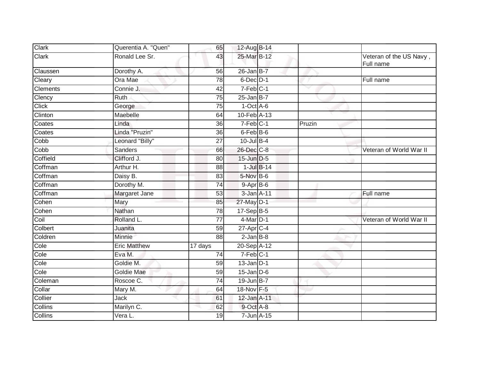| Clark           | Querentia A. "Quen" | 65              | 12-Aug B-14     |        |                                      |
|-----------------|---------------------|-----------------|-----------------|--------|--------------------------------------|
| <b>Clark</b>    | Ronald Lee Sr.      | 43              | 25-Mar B-12     |        | Veteran of the US Navy,<br>Full name |
| Claussen        | Dorothy A.          | 56              | $26$ -Jan B-7   |        |                                      |
| Cleary          | Ora Mae             | 78              | 6-Dec D-1       |        | Full name                            |
| <b>Clements</b> | Connie J.           | 42              | $7-Feb$ $C-1$   |        |                                      |
| Clency          | <b>Ruth</b>         | $\overline{75}$ | $25$ -Jan B-7   |        |                                      |
| <b>Click</b>    | George              | 75              | $1-Oct$ A-6     |        |                                      |
| Clinton         | Maebelle            | 64              | 10-Feb A-13     |        |                                      |
| Coates          | Linda               | 36              | 7-Feb C-1       | Pruzin |                                      |
| Coates          | Linda "Pruzin"      | 36              | 6-Feb B-6       |        |                                      |
| Cobb            | Leonard "Billy"     | 27              | $10$ -Jul B-4   |        |                                      |
| Copp            | <b>Sanders</b>      | 66              | 26-Dec C-8      |        | Veteran of World War II              |
| Coffield        | Clifford J.         | 80              | 15-Jun D-5      |        |                                      |
| Coffman         | Arthur H.           | 88              | $1$ -Jul $B-14$ |        |                                      |
| Coffman         | Daisy B.            | 83              | 5-Nov B-6       |        |                                      |
| Coffman         | Dorothy M.          | $\overline{74}$ | $9-AprB-6$      |        |                                      |
| Coffman         | Margaret Jane       | 53              | 3-Jan A-11      |        | Full name                            |
| Cohen           | Mary                | 85              | 27-May D-1      |        |                                      |
| Cohen           | <b>Nathan</b>       | 78              | $17-SepB-5$     |        |                                      |
| Coil            | Rolland L.          | 77              | $4$ -Mar $D-1$  |        | Veteran of World War II              |
| Colbert         | Juanita             | 59              | $27$ -Apr $C-4$ |        |                                      |
| Coldren         | Minnie              | 88              | $2$ -Jan $B-8$  |        |                                      |
| Cole            | <b>Eric Matthew</b> | 17 days         | 20-Sep A-12     |        |                                      |
| Cole            | Eva M.              | 74              | $7-Feb$ C-1     |        |                                      |
| Cole            | Goldie M.           | 59              | $13$ -Jan $D-1$ |        |                                      |
| Cole            | <b>Goldie Mae</b>   | 59              | $15$ -Jan $D-6$ |        |                                      |
| Coleman         | Roscoe C.           | $\overline{74}$ | 19-Jun B-7      |        |                                      |
| Collar          | Mary M.             | 64              | 18-Nov F-5      |        |                                      |
| Collier         | Jack                | 61              | 12-Jan A-11     |        |                                      |
| Collins         | Marilyn C.          | 62              | $9$ -Oct $A$ -8 |        |                                      |
| Collins         | Vera L.             | 19              | 7-Jun A-15      |        |                                      |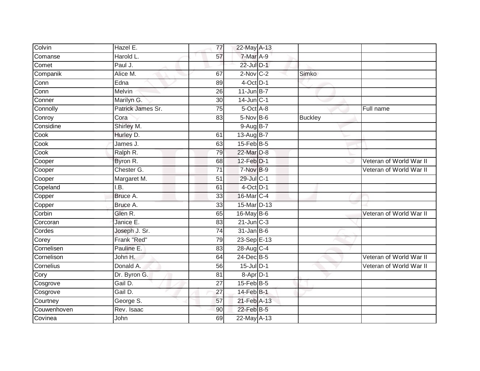| Hazel E.          | 77              |  |                                                                                                                                                                                                                                                                                                                                                                                                                                                                                                        |                         |
|-------------------|-----------------|--|--------------------------------------------------------------------------------------------------------------------------------------------------------------------------------------------------------------------------------------------------------------------------------------------------------------------------------------------------------------------------------------------------------------------------------------------------------------------------------------------------------|-------------------------|
| Harold L.         | 57              |  |                                                                                                                                                                                                                                                                                                                                                                                                                                                                                                        |                         |
| Paul J.           |                 |  |                                                                                                                                                                                                                                                                                                                                                                                                                                                                                                        |                         |
| Alice M.          | 67              |  | Simko                                                                                                                                                                                                                                                                                                                                                                                                                                                                                                  |                         |
| Edna              | 89              |  |                                                                                                                                                                                                                                                                                                                                                                                                                                                                                                        |                         |
| Melvin            | 26              |  |                                                                                                                                                                                                                                                                                                                                                                                                                                                                                                        |                         |
| Marilyn G.        | 30              |  |                                                                                                                                                                                                                                                                                                                                                                                                                                                                                                        |                         |
| Patrick James Sr. | 75              |  |                                                                                                                                                                                                                                                                                                                                                                                                                                                                                                        | Full name               |
| Cora              | 83              |  | <b>Buckley</b>                                                                                                                                                                                                                                                                                                                                                                                                                                                                                         |                         |
| Shirley M.        |                 |  |                                                                                                                                                                                                                                                                                                                                                                                                                                                                                                        |                         |
| Hurley D.         | 61              |  |                                                                                                                                                                                                                                                                                                                                                                                                                                                                                                        |                         |
| James J.          | 63              |  |                                                                                                                                                                                                                                                                                                                                                                                                                                                                                                        |                         |
| Ralph R.          | 79              |  |                                                                                                                                                                                                                                                                                                                                                                                                                                                                                                        |                         |
| Byron R.          | 68              |  |                                                                                                                                                                                                                                                                                                                                                                                                                                                                                                        | Veteran of World War II |
| Chester G.        | $\overline{71}$ |  |                                                                                                                                                                                                                                                                                                                                                                                                                                                                                                        | Veteran of World War II |
| Margaret M.       | 51              |  |                                                                                                                                                                                                                                                                                                                                                                                                                                                                                                        |                         |
| I.B.              | 61              |  |                                                                                                                                                                                                                                                                                                                                                                                                                                                                                                        |                         |
| Bruce A.          | 33              |  |                                                                                                                                                                                                                                                                                                                                                                                                                                                                                                        |                         |
| Bruce A.          | 33              |  |                                                                                                                                                                                                                                                                                                                                                                                                                                                                                                        |                         |
| Glen R.           | 65              |  |                                                                                                                                                                                                                                                                                                                                                                                                                                                                                                        | Veteran of World War II |
| Janice E.         | 83              |  |                                                                                                                                                                                                                                                                                                                                                                                                                                                                                                        |                         |
| Joseph J. Sr.     | $\overline{74}$ |  |                                                                                                                                                                                                                                                                                                                                                                                                                                                                                                        |                         |
| Frank "Red"       | 79              |  |                                                                                                                                                                                                                                                                                                                                                                                                                                                                                                        |                         |
| Pauline E.        | 83              |  |                                                                                                                                                                                                                                                                                                                                                                                                                                                                                                        |                         |
| John H.           | 64              |  |                                                                                                                                                                                                                                                                                                                                                                                                                                                                                                        | Veteran of World War II |
| Donald A.         | 56              |  |                                                                                                                                                                                                                                                                                                                                                                                                                                                                                                        | Veteran of World War II |
| Dr. Byron G.      | 81              |  |                                                                                                                                                                                                                                                                                                                                                                                                                                                                                                        |                         |
| Gail D.           | 27              |  |                                                                                                                                                                                                                                                                                                                                                                                                                                                                                                        |                         |
| Gail D.           | 27              |  |                                                                                                                                                                                                                                                                                                                                                                                                                                                                                                        |                         |
|                   | 57              |  |                                                                                                                                                                                                                                                                                                                                                                                                                                                                                                        |                         |
| Rev. Isaac        | 90              |  |                                                                                                                                                                                                                                                                                                                                                                                                                                                                                                        |                         |
| John              | 69              |  |                                                                                                                                                                                                                                                                                                                                                                                                                                                                                                        |                         |
|                   | George S.       |  | 22-May A-13<br>$7-Mar A-9$<br>22-Jul D-1<br>$2-Nov$ C-2<br>$4$ -Oct D-1<br>$11$ -Jun B-7<br>$14$ -Jun $C-1$<br>5-Oct A-8<br>5-Nov B-6<br>$9-AugB-7$<br>13-Aug B-7<br>$15$ -Feb $B$ -5<br>22-Mar D-8<br>12-Feb D-1<br>7-Nov B-9<br>29-Jul C-1<br>$4$ -Oct $D-1$<br>16-Mar C-4<br>15-Mar D-13<br>16-May B-6<br>$21$ -Jun $C-3$<br>$31$ -Jan B-6<br>23-Sep E-13<br>28-Aug C-4<br>$24$ -Dec $B-5$<br>15-Jul D-1<br>8-Apr D-1<br>$15$ -Feb $ B-5$<br>14-Feb B-1<br>21-Feb A-13<br>22-Feb B-5<br>22-May A-13 |                         |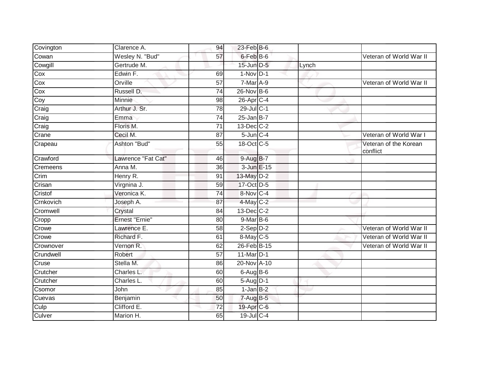| Covington       | Clarence A.        | 94              | 23-Feb B-6               |       |                                   |
|-----------------|--------------------|-----------------|--------------------------|-------|-----------------------------------|
| Cowan           | Wesley N. "Bud"    | 57              | $6$ -Feb $B$ -6          |       | Veteran of World War II           |
| Cowgill         | Gertrude M.        |                 | 15-Jun D-5               | Lynch |                                   |
| Cox             | Edwin F.           | 69              | $1-Nov$ D-1              |       |                                   |
| Cox             | Orville            | $\overline{57}$ | $7-Mar A-9$              |       | Veteran of World War II           |
| Cox             | Russell D.         | 74              | 26-Nov B-6               |       |                                   |
| Coy             | Minnie             | 98              | 26-Apr C-4               |       |                                   |
| Craig           | Arthur J. Sr.      | 78              | 29-Jul C-1               |       |                                   |
| Craig           | Emma               | $\overline{74}$ | $25$ -Jan B-7            |       |                                   |
| Craig           | Floris M.          | 71              | $13$ -Dec $C-2$          |       |                                   |
| Crane           | Cecil M.           | 87              | $5 - Jun$ <sub>C-4</sub> |       | Veteran of World War I            |
| Crapeau         | Ashton "Bud"       | 55              | 18-Oct C-5               |       | Veteran of the Korean<br>conflict |
| Crawford        | Lawrence "Fat Cat" | 46              | $9-AugB-7$               |       |                                   |
| <b>Cremeens</b> | Anna M.            | 36              | 3-Jun E-15               |       |                                   |
| Crim            | Henry R.           | 91              | 13-May D-2               |       |                                   |
| Crisan          | Virgnina J.        | 59              | 17-Oct D-5               |       |                                   |
| Cristof         | Veronica K.        | 74              | 8-Nov C-4                |       |                                   |
| Crnkovich       | Joseph A.          | 87              | 4-May C-2                |       |                                   |
| Cromwell        | Crystal            | 84              | $13$ -Dec $C-2$          |       |                                   |
| Cropp           | Ernest "Ernie"     | 80              | $9-MarB-6$               |       |                                   |
| Crowe           | Lawrence E.        | 58              | $2-Sep$ $D-2$            |       | Veteran of World War II           |
| Crowe           | Richard F.         | 61              | $8$ -May C-5             |       | Veteran of World War II           |
| Crownover       | Vernon R.          | 62              | 26-Feb B-15              |       | Veteran of World War II           |
| Crundwell       | Robert             | 57              | 11-Mar D-1               |       |                                   |
| Cruse           | Stella M.          | 86              | 20-Nov A-10              |       |                                   |
| Crutcher        | Charles L.         | 60              | $6-AugB-6$               |       |                                   |
| Crutcher        | Charles L.         | 60              | $5-Aug$ D-1              |       |                                   |
| Csomor          | John               | 85              | 1-Jan B-2                |       |                                   |
| Cuevas          | Benjamin           | 50              | $7 - Aug$ B-5            |       |                                   |
| Culp            | Clifford E.        | 72              | 19-Apr C-6               |       |                                   |
| Culver          | Marion H.          | 65              | $19$ -Jul C-4            |       |                                   |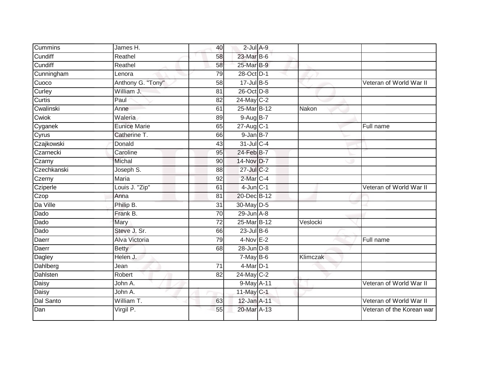| Cummins     | James H.            | 40              | $2$ -Jul $A-9$  |          |                           |
|-------------|---------------------|-----------------|-----------------|----------|---------------------------|
| Cundiff     | Reathel             | 58              | 23-Mar B-6      |          |                           |
| Cundiff     | Reathel             | 58              | 25-Mar B-9      |          |                           |
| Cunningham  | Lenora              | 79              | 28-Oct D-1      |          |                           |
| Cuoco       | Anthony G. "Tony"   | $\overline{58}$ | 17-Jul B-5      |          | Veteran of World War II   |
| Curley      | William J.          | 81              | 26-Oct D-8      |          |                           |
| Curtis      | Paul                | 82              | 24-May C-2      |          |                           |
| Cwalinski   | Anne                | 61              | 25-Mar B-12     | Nakon    |                           |
| Cwiok       | Waleria             | 89              | 9-Aug B-7       |          |                           |
| Cyganek     | <b>Eunice Marie</b> | 65              | 27-Aug C-1      |          | Full name                 |
| Cyrus       | Catherine T.        | 66              | $9$ -Jan $B-7$  |          |                           |
| Czajkowski  | Donald              | 43              | 31-Jul C-4      |          |                           |
| Czarnecki   | Caroline            | 95              | 24-Feb B-7      |          |                           |
| Czarny      | Michal              | 90              | 14-Nov D-7      |          |                           |
| Czechkanski | Joseph S.           | 88              | 27-Jul C-2      |          |                           |
| Czerny      | Maria               | 92              | 2-Mar C-4       |          |                           |
| Cziperle    | Louis J. "Zip"      | 61              | $4$ -Jun $C-1$  |          | Veteran of World War II   |
| Czop        | Anna                | 81              | 20-Dec B-12     |          |                           |
| Da Ville    | Philip B.           | 31              | 30-May D-5      |          |                           |
| Dado        | Frank B.            | 70              | $29$ -Jun $A-8$ |          |                           |
| Dado        | Mary                | $\overline{72}$ | 25-Mar B-12     | Veslocki |                           |
| Dado        | Steve J. Sr.        | 66              | $23$ -Jul B-6   |          |                           |
| Daerr       | Alva Victoria       | 79              | $4-Nov$ E-2     |          | Full name                 |
| Daerr       | <b>Betty</b>        | 68              | $28$ -Jun $D-8$ |          |                           |
| Dagley      | Helen J.            |                 | $7-May$ B-6     | Klimczak |                           |
| Dahlberg    | Jean                | 71              | $4$ -Mar $D-1$  |          |                           |
| Dahlsten    | Robert              | 82              | 24-May C-2      |          |                           |
| Daisy       | John A.             |                 | 9-May A-11      |          | Veteran of World War II   |
| Daisy       | John A.             |                 | 11-May C-1      |          |                           |
| Dal Santo   | William T.          | 63              | 12-Jan A-11     |          | Veteran of World War II   |
| Dan         | Virgil P.           | 55              | 20-Mar A-13     |          | Veteran of the Korean war |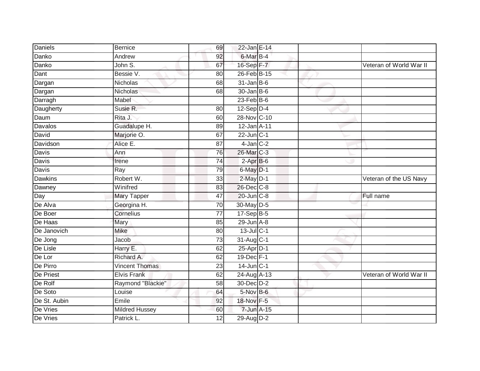| <b>Daniels</b> | <b>Bernice</b>        | 69              | 22-Jan E-14          |  |                         |
|----------------|-----------------------|-----------------|----------------------|--|-------------------------|
| Danko          | Andrew                | 92              | 6-Mar <sub>B-4</sub> |  |                         |
| Danko          | John S.               | 67              | 16-Sep F-7           |  | Veteran of World War II |
| Dant           | Bessie V.             | 80              | 26-Feb B-15          |  |                         |
| Dargan         | Nicholas              | 68              | $31$ -Jan B-6        |  |                         |
| Dargan         | <b>Nicholas</b>       | 68              | $30 - Jan$ $B-6$     |  |                         |
| Darragh        | Mabel                 |                 | $23$ -Feb $ B-6 $    |  |                         |
| Daugherty      | Susie R.              | 80              | $12-Sep$ D-4         |  |                         |
| Daum           | Rita J.               | 60              | 28-Nov C-10          |  |                         |
| <b>Davalos</b> | Guadalupe H.          | 89              | 12-Jan A-11          |  |                         |
| David          | Marjorie O.           | 67              | $22$ -Jun $C-1$      |  |                         |
| Davidson       | Alice E.              | 87              | $4$ -Jan $C-2$       |  |                         |
| Davis          | Ann                   | 76              | 26-Mar C-3           |  |                         |
| <b>Davis</b>   | Irene                 | 74              | $2-AprB-6$           |  |                         |
| <b>Davis</b>   | Ray                   | 79              | 6-May D-1            |  |                         |
| <b>Dawkins</b> | Robert W.             | 33              | $2$ -May $D-1$       |  | Veteran of the US Navy  |
| Dawney         | Winifred              | 83              | 26-Dec C-8           |  |                         |
| Day            | Mary Tapper           | 47              | 20-Jun C-8           |  | Full name               |
| De Alva        | Georgina H.           | 70              | 30-May D-5           |  |                         |
| De Boer        | Cornelius             | 77              | 17-Sep B-5           |  |                         |
| De Haas        | Mary                  | 85              | $29$ -Jun $A-8$      |  |                         |
| De Janovich    | <b>Mike</b>           | 80              | $13$ -Jul C-1        |  |                         |
| De Jong        | Jacob                 | $\overline{73}$ | 31-Aug C-1           |  |                         |
| De Lisle       | Harry E.              | 62              | 25-Apr D-1           |  |                         |
| De Lor         | Richard A.            | 62              | $19$ -Dec $F-1$      |  |                         |
| De Pirro       | <b>Vincent Thomas</b> | 23              | $14$ -Jun $C-1$      |  |                         |
| De Priest      | <b>Elvis Frank</b>    | 62              | 24-Aug A-13          |  | Veteran of World War II |
| De Rolf        | Raymond "Blackie"     | 58              | 30-Dec D-2           |  |                         |
| De Soto        | Louise                | 64              | 5-Nov B-6            |  |                         |
| De St. Aubin   | Emile                 | 92              | 18-Nov F-5           |  |                         |
| De Vries       | <b>Mildred Hussey</b> | 60              | 7-Jun A-15           |  |                         |
| De Vries       | Patrick L.            | $\overline{12}$ | 29-Aug D-2           |  |                         |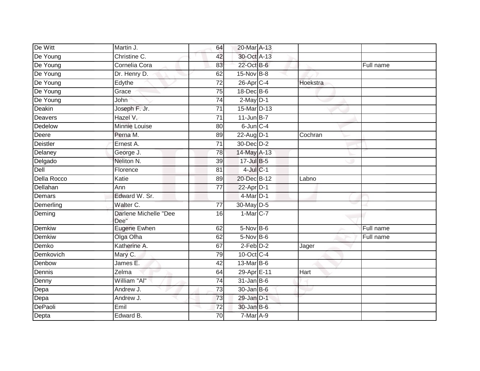| De Witt       | Martin J.                     | 64              | 20-Mar A-13       |          |           |
|---------------|-------------------------------|-----------------|-------------------|----------|-----------|
| De Young      | Christine C.                  | 42              | 30-Oct A-13       |          |           |
| De Young      | Cornelia Cora                 | 83              | 22-Oct B-6        |          | Full name |
| De Young      | Dr. Henry D.                  | 62              | 15-Nov B-8        |          |           |
| De Young      | Edythe                        | $\overline{72}$ | $26$ -Apr $C-4$   | Hoekstra |           |
| De Young      | Grace                         | 75              | 18-Dec B-6        |          |           |
| De Young      | John                          | 74              | $2$ -May $D-1$    |          |           |
| Deakin        | Joseph F. Jr.                 | 71              | 15-Mar D-13       |          |           |
| Deavers       | Hazel V.                      | 71              | $11$ -Jun $B - 7$ |          |           |
| Dedelow       | Minnie Louise                 | 80              | $6$ -Jun $C-4$    |          |           |
| Deere         | Perna M.                      | 89              | 22-Aug D-1        | Cochran  |           |
| Deistler      | Ernest A.                     | 71              | $30 - Dec$ $D-2$  |          |           |
| Delaney       | George J.                     | 78              | 14-May A-13       |          |           |
| Delgado       | Neliton N.                    | 39              | 17-Jul B-5        |          |           |
| Dell          | Florence                      | 81              | $4$ -Jul $C-1$    |          |           |
| Della Rocco   | Katie                         | 89              | 20-Dec B-12       | Labno    |           |
| Dellahan      | Ann                           | 77              | $22$ -Apr $D-1$   |          |           |
| <b>Demars</b> | Edward W. Sr.                 |                 | $4$ -Mar $D-1$    |          |           |
| Demerling     | Walter C.                     | $\overline{77}$ | 30-May D-5        |          |           |
| Deming        | Darlene Michelle "Dee<br>Dee" | 16              | 1-Mar C-7         |          |           |
| Demkiw        | Eugene Ewhen                  | 62              | $5-Nov$ B-6       |          | Full name |
| Demkiw        | Olga Olha                     | 62              | $5-Nov$ B-6       |          | Full name |
| Demko         | Katherine A.                  | 67              | $2$ -Feb $D-2$    | Jager    |           |
| Demkovich     | Mary C.                       | 79              | 10-Oct C-4        |          |           |
| Denbow        | James E.                      | 42              | 13-Mar B-6        |          |           |
| Dennis        | Zelma                         | 64              | 29-Apr E-11       | Hart     |           |
| Denny         | William "Al"                  | 74              | $31$ -Jan B-6     |          |           |
| Depa          | Andrew J.                     | 73              | $30$ -Jan B-6     |          |           |
| Depa          | Andrew J.                     | 73              | 29-Jan D-1        |          |           |
| DePaoli       | Emil                          | 72              | 30-Jan B-6        |          |           |
| Depta         | Edward B.                     | 70              | $7-Mar$ A-9       |          |           |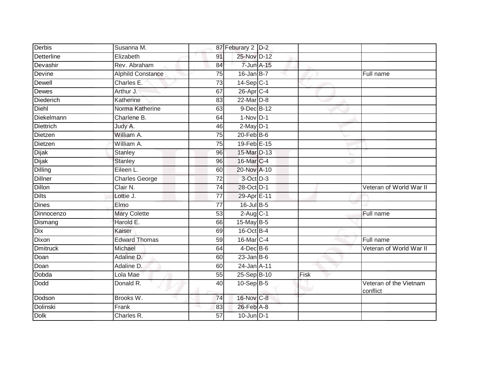| Derbis           | Susanna M.                  | 87 Feburary 2 D-2      |            |      |                                    |
|------------------|-----------------------------|------------------------|------------|------|------------------------------------|
| Detterline       | Elizabeth<br>91             | 25-Nov D-12            |            |      |                                    |
| Devashir         | Rev. Abraham                | 84                     | 7-Jun A-15 |      |                                    |
| Devine           | <b>Alphild Constance</b>    | $16$ -Jan B-7<br>75    |            |      | Full name                          |
| Dewell           | Charles E.                  | 73<br>$14-Sep$ C-1     |            |      |                                    |
| Dewes            | Arthur J.<br>67             | 26-Apr C-4             |            |      |                                    |
| Diederich        | Katherine<br>83             | 22-Mar D-8             |            |      |                                    |
| Diehl            | Norma Katherine             | 9-Dec B-12<br>63       |            |      |                                    |
| Diekelmann       | 64<br>Charlene B.           | $1-Nov$ D-1            |            |      |                                    |
| <b>Diettrich</b> | Judy A.                     | $2$ -May $D-1$<br>46   |            |      |                                    |
| Dietzen          | William A.                  | $20$ -Feb $B$ -6<br>75 |            |      |                                    |
| Dietzen          | William A.                  | 19-Feb E-15<br>75      |            |      |                                    |
| <b>Dijak</b>     | <b>Stanley</b>              | 15-Mar D-13<br>96      |            |      |                                    |
| Dijak            | <b>Stanley</b>              | 16-Mar C-4<br>96       |            |      |                                    |
| Dilling          | Eileen L.                   | 20-Nov A-10<br>60      |            |      |                                    |
| <b>Dillner</b>   | 72<br><b>Charles George</b> | 3-Oct D-3              |            |      |                                    |
| <b>Dillon</b>    | Clair N.                    | 28-Oct D-1<br>74       |            |      | Veteran of World War II            |
| <b>Dilts</b>     | Lottie J.<br>77             | 29-Apr E-11            |            |      |                                    |
| <b>Dines</b>     | Elmo<br>77                  | 16-Jul B-5             |            |      |                                    |
| Dinnocenzo       | <b>Mary Colette</b>         | $2$ -Aug C-1<br>53     |            |      | Full name                          |
| Dismang          | Harold E.                   | 15-May B-5<br>66       |            |      |                                    |
| Dix              | Kaiser<br>69                | 16-Oct B-4             |            |      |                                    |
| Dixon            | <b>Edward Thomas</b>        | 16-Mar C-4<br>59       |            |      | Full name                          |
| <b>Dmitruck</b>  | Michael<br>64               | $4$ -Dec $B$ -6        |            |      | Veteran of World War II            |
| Doan             | Adaline D.                  | $23$ -Jan B-6<br>60    |            |      |                                    |
| Doan             | Adaline D.                  | 24-Jan A-11<br>60      |            |      |                                    |
| Dobda            | Lola Mae                    | 25-Sep B-10<br>55      |            | Fisk |                                    |
| Dodd             | Donald R.                   | $10-Sep$ B-5<br>40     |            |      | Veteran of the Vietnam<br>conflict |
| Dodson           | Brooks W.                   | 16-Nov C-8<br>74       |            |      |                                    |
| Dolinski         | Frank                       | 26-Feb A-8<br>83       |            |      |                                    |
| Dolk             | 57<br>Charles R.            | $10$ -Jun $D-1$        |            |      |                                    |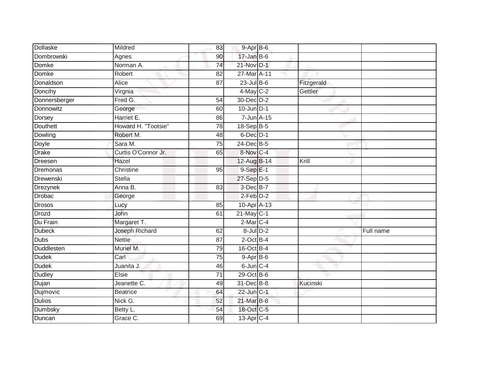| Dollaske        | Mildred             | 83              | $9 - Apr$ B-6                |            |           |
|-----------------|---------------------|-----------------|------------------------------|------------|-----------|
| Dombrowski      | Agnes               | 90              | $17 - Jan$ $B-6$             |            |           |
| Domke           | Norman A.           | $\overline{74}$ | 21-Nov D-1                   |            |           |
| Domke           | Robert              | 82              | $27$ -Mar $\overline{A}$ -11 |            |           |
| Donaldson       | <b>Alice</b>        | $\overline{87}$ | $23$ -Jul B-6                | Fitzgerald |           |
| Doncihy         | Virgnia             |                 | $4$ -May C-2                 | Gettler    |           |
| Donnersberger   | Fred G.             | 54              | 30-Dec D-2                   |            |           |
| Donnowitz       | George              | 60              | $10$ -Jun $D-1$              |            |           |
| Dorsey          | Harriet E.          | 86              | 7-Jun A-15                   |            |           |
| <b>Douthett</b> | Howard H. "Tootsie" | $\overline{78}$ | 18-Sep B-5                   |            |           |
| Dowling         | Robert M.           | 48              | $6$ -Dec $D-1$               |            |           |
| Doyle           | Sara M.             | $\overline{75}$ | 24-Dec B-5                   |            |           |
| <b>Drake</b>    | Curtis O'Connor Jr. | 65              | 8-Nov C-4                    |            |           |
| Dreesen         | Hazel               |                 | 12-Aug B-14                  | Krill      |           |
| Dremonas        | Christine           | 95              | $9-SepE-1$                   |            |           |
| Drewenski       | <b>Stella</b>       |                 | 27-Sep D-5                   |            |           |
| <b>Drezynek</b> | Anna B.             | $\overline{83}$ | $3$ -Dec $B-7$               |            |           |
| <b>Drobac</b>   | George              |                 | $2$ -Feb $D-2$               |            |           |
| <b>Drosos</b>   | Lucy                | 85              | 10-Apr A-13                  |            |           |
| <b>Drozd</b>    | John                | 61              | $21$ -May C-1                |            |           |
| Du Frain        | Margaret T.         |                 | $2$ -Mar $C-4$               |            |           |
| <b>Dubeck</b>   | Joseph Richard      | 62              | $8$ -Jul $D-2$               |            | Full name |
| <b>Dubs</b>     | <b>Nettie</b>       | 87              | $2$ -Oct B-4                 |            |           |
| Duddlesten      | Muriel M.           | 79              | 16-Oct B-4                   |            |           |
| <b>Dudek</b>    | Carl                | $\overline{75}$ | $9-AprB-6$                   |            |           |
| <b>Dudek</b>    | Juanita J.          | 46              | $6$ -Jun $C - 4$             |            |           |
| <b>Dudley</b>   | Elsie               | $\overline{71}$ | $29$ -Oct B-6                |            |           |
| Dujan           | Jeanette C.         | 49              | 31-Dec B-8                   | Kucinski   |           |
| Dujmovic        | <b>Beatrice</b>     | 64              | 22-Jun C-1                   |            |           |
| <b>Dulios</b>   | Nick G.             | 52              | 21-Mar B-8                   |            |           |
| Dumbsky         | Betty L.            | 54              | 18-Oct C-5                   |            |           |
| Duncan          | Grace C.            | 69              | 13-Apr C-4                   |            |           |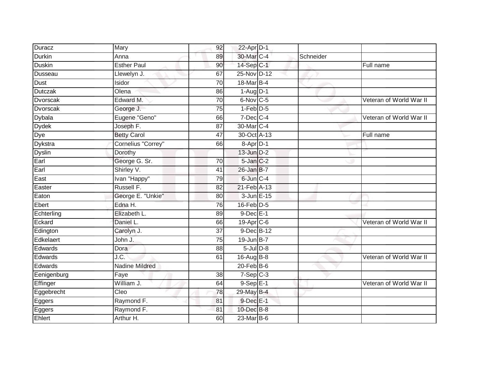| Duracz        | Mary                  | 92              | 22-Apr D-1                   |           |                         |
|---------------|-----------------------|-----------------|------------------------------|-----------|-------------------------|
| <b>Durkin</b> | Anna                  | 89              | 30-Mar C-4                   | Schneider |                         |
| <b>Duskin</b> | <b>Esther Paul</b>    | 90              | 14-Sep C-1                   |           | Full name               |
| Dusseau       | Llewelyn J.           | 67              | 25-Nov D-12                  |           |                         |
| Dust          | Isidor                | $\overline{70}$ | 18-Mar B-4                   |           |                         |
| Dutczak       | Olena                 | 86              | $1-Aug$ D-1                  |           |                         |
| Dvorscak      | Edward M.             | $\overline{70}$ | 6-Nov C-5                    |           | Veteran of World War II |
| Dvorscak      | George J.             | 75              | $1-Feb$ $D-5$                |           |                         |
| Dybala        | Eugene "Geno"         | 66              | $7$ -Dec $C$ -4              |           | Veteran of World War II |
| <b>Dydek</b>  | Joseph F.             | 87              | 30-Mar C-4                   |           |                         |
| Dye           | <b>Betty Carol</b>    | 47              | 30-Oct A-13                  |           | Full name               |
| Dykstra       | Cornelius "Correy"    | 66              | $8-$ Apr $D-1$               |           |                         |
| Dyslin        | Dorothy               |                 | $13$ -Jun $D-2$              |           |                         |
| Earl          | George G. Sr.         | 70              | $5 - Jan$ $C-2$              |           |                         |
| Earl          | Shirley V.            | 41              | 26-Jan B-7                   |           |                         |
| East          | Ivan "Happy"          | 79              | 6-Jun C-4                    |           |                         |
| Easter        | Russell F.            | $\overline{82}$ | $21$ -Feb $\overline{A}$ -13 |           |                         |
| Eaton         | George E. "Unkie"     | 80              | 3-Jun E-15                   |           |                         |
| Ebert         | Edna H.               | 76              | 16-Feb D-5                   |           |                         |
| Echterling    | Elizabeth L.          | 89              | $9$ -Dec $E-1$               |           |                         |
| Eckard        | Daniel L.             | 66              | 19-Apr C-6                   |           | Veteran of World War II |
| Edington      | Carolyn J.            | 37              | 9-Dec B-12                   |           |                         |
| Edkelaert     | John J.               | 75              | $19$ -Jun $B - 7$            |           |                         |
| Edwards       | Dora                  | 88              | $5$ -Jul $D-8$               |           |                         |
| Edwards       | J.C.                  | 61              | 16-Aug $B-8$                 |           | Veteran of World War II |
| Edwards       | <b>Nadine Mildred</b> |                 | $20$ -Feb $B$ -6             |           |                         |
| Eenigenburg   | Faye                  | $\overline{38}$ | $7-SepC-3$                   |           |                         |
| Effinger      | William J.            | 64              | $9-$ Sep $E-1$               |           | Veteran of World War II |
| Eggebrecht    | Cleo                  | 78              | 29-May B-4                   |           |                         |
| Eggers        | Raymond F.            | 81              | 9-Dec E-1                    |           |                         |
| Eggers        | Raymond F.            | 81              | 10-Dec B-8                   |           |                         |
| Ehlert        | Arthur H.             | 60              | 23-Mar B-6                   |           |                         |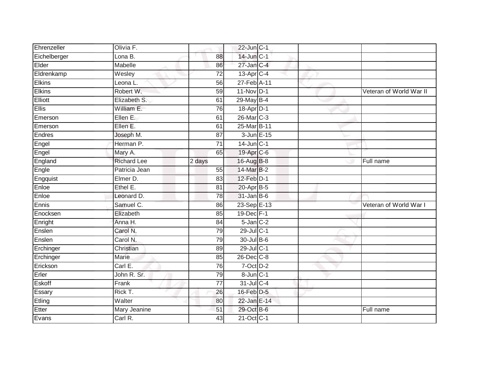| Ehrenzeller   | Olivia F.          |                 | $22$ -Jun $C-1$ |  |                         |
|---------------|--------------------|-----------------|-----------------|--|-------------------------|
| Eichelberger  | Lona B.            | 88              | 14-Jun C-1      |  |                         |
| Elder         | Mabelle            | 86              | $27$ -Jan $C-4$ |  |                         |
| Eldrenkamp    | Wesley             | $\overline{72}$ | 13-Apr C-4      |  |                         |
| <b>Elkins</b> | Leona L.           | 56              | 27-Feb A-11     |  |                         |
| <b>Elkins</b> | Robert W.          | 59              | $11-Nov$ D-1    |  | Veteran of World War II |
| Elliott       | Elizabeth S.       | 61              | 29-May B-4      |  |                         |
| <b>Ellis</b>  | William E.         | 76              | 18-Apr D-1      |  |                         |
| Emerson       | Ellen E.           | 61              | 26-Mar C-3      |  |                         |
| Emerson       | Ellen E.           | 61              | 25-Mar B-11     |  |                         |
| Endres        | Joseph M.          | 87              | 3-Jun E-15      |  |                         |
| Engel         | Herman P.          | 71              | $14$ -Jun $C-1$ |  |                         |
| Engel         | Mary A.            | 65              | 19-Apr C-6      |  |                         |
| England       | <b>Richard Lee</b> | 2 days          | 16-Aug B-8      |  | Full name               |
| Engle         | Patricia Jean      | 55              | 14-Mar B-2      |  |                         |
| Engquist      | Elmer D.           | 83              | $12$ -Feb $D-1$ |  |                         |
| Enloe         | Ethel E.           | $\overline{81}$ | 20-Apr B-5      |  |                         |
| Enloe         | Leonard D.         | 78              | $31$ -Jan B-6   |  |                         |
| Ennis         | Samuel C.          | 86              | 23-Sep E-13     |  | Veteran of World War I  |
| Enocksen      | Elizabeth          | 85              | 19-Dec F-1      |  |                         |
| Enright       | Anna H.            | 84              | $5$ -Jan $C-2$  |  |                         |
| Enslen        | Carol N.           | 79              | 29-Jul C-1      |  |                         |
| Enslen        | Carol N.           | 79              | 30-Jul B-6      |  |                         |
| Erchinger     | Christian          | 89              | 29-Jul C-1      |  |                         |
| Erchinger     | Marie              | 85              | 26-Dec C-8      |  |                         |
| Erickson      | Carl E.            | 76              | $7-Oct$ $D-2$   |  |                         |
| Erler         | John R. Sr.        | 79              | 8-Jun C-1       |  |                         |
| Eskoff        | Frank              | 77              | 31-Jul C-4      |  |                         |
| Essary        | Rick T.            | 26              | 16-Feb D-5      |  |                         |
| Etling        | Walter             | 80              | 22-Jan E-14     |  |                         |
| Etter         | Mary Jeanine       | 51              | 29-Oct B-6      |  | Full name               |
| Evans         | Carl R.            | 43              | 21-Oct C-1      |  |                         |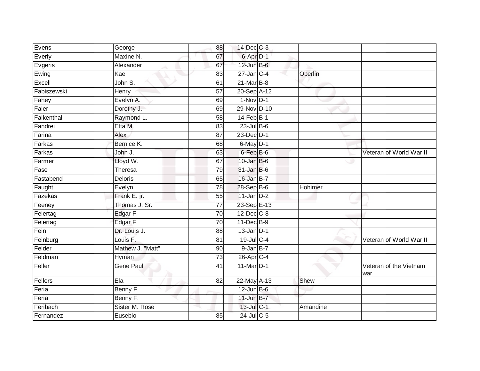| Evens       | George           | 88              | 14-Dec C-3      |          |                               |
|-------------|------------------|-----------------|-----------------|----------|-------------------------------|
| Everly      | Maxine N.        | 67              | 6-Apr D-1       |          |                               |
| Evgeris     | Alexander        | 67              | 12-Jun B-6      |          |                               |
| Ewing       | Kae              | 83              | $27$ -Jan C-4   | Oberlin  |                               |
| Excell      | John S.          | 61              | $21$ -Mar $B-8$ |          |                               |
| Fabiszewski | <b>Henry</b>     | 57              | 20-Sep A-12     |          |                               |
| Fahey       | Evelyn A.        | 69              | $1-Nov$ D-1     |          |                               |
| Faler       | Dorothy J.       | 69              | 29-Nov D-10     |          |                               |
| Falkenthal  | Raymond L.       | 58              | $14$ -Feb $B-1$ |          |                               |
| Fandrei     | Etta M.          | 83              | $23$ -Jul B-6   |          |                               |
| Farina      | Alex             | 87              | 23-Dec D-1      |          |                               |
| Farkas      | Bernice K.       | 68              | $6$ -May $D-1$  |          |                               |
| Farkas      | John J.          | 63              | 6-Feb B-6       |          | Veteran of World War II       |
| Farmer      | Lloyd W.         | 67              | $10$ -Jan B-6   |          |                               |
| Fase        | Theresa          | 79              | $31$ -Jan B-6   |          |                               |
| Fastabend   | Deloris          | 65              | $16$ -Jan B-7   |          |                               |
| Faught      | Evelyn           | 78              | 28-Sep B-6      | Hohimer  |                               |
| Fazekas     | Frank E. jr.     | 55              | $11$ -Jan $D-2$ |          |                               |
| Feeney      | Thomas J. Sr.    | 77              | 23-Sep E-13     |          |                               |
| Feiertag    | Edgar F.         | 70              | 12-Dec C-8      |          |                               |
| Feiertag    | Edgar F.         | $\overline{70}$ | 11-Dec B-9      |          |                               |
| Fein        | Dr. Louis J.     | 88              | $13$ -Jan $D-1$ |          |                               |
| Feinburg    | Louis F.         | 81              | 19-Jul C-4      |          | Veteran of World War II       |
| Felder      | Mathew J. "Matt" | 90              | $9$ -Jan $B-7$  |          |                               |
| Feldman     | Hyman            | 73              | 26-Apr C-4      |          |                               |
| Feller      | <b>Gene Paul</b> | 41              | 11-Mar D-1      |          | Veteran of the Vietnam<br>war |
| Fellers     | Ela              | 82              | 22-May A-13     | Shew     |                               |
| Feria       | Benny F.         |                 | $12$ -Jun B-6   |          |                               |
| Feria       | Benny F.         |                 | 11-Jun B-7      |          |                               |
| Feribach    | Sister M. Rose   |                 | 13-Jul C-1      | Amandine |                               |
| Fernandez   | Eusebio          | 85              | 24-Jul C-5      |          |                               |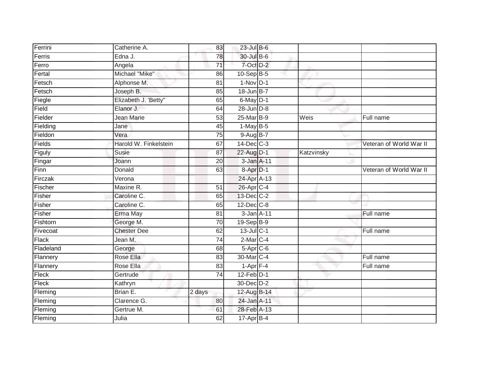| Ferrini      | Catherine A.          | 83              | $23$ -Jul B-6   |            |                         |
|--------------|-----------------------|-----------------|-----------------|------------|-------------------------|
| Ferris       | Edna J.               | 78              | 30-Jul B-6      |            |                         |
| Ferro        | Angela                | $\overline{71}$ | 7-Oct D-2       |            |                         |
| Fertal       | Michael "Mike"        | 86              | 10-Sep B-5      |            |                         |
| Fetsch       | Alphonse M.           | $\overline{81}$ | $1-Nov$ D-1     |            |                         |
| Fetsch       | Joseph B.             | 85              | 18-Jun B-7      |            |                         |
| Fiegle       | Elizabeth J. 'Betty"  | 65              | $6$ -May $D-1$  |            |                         |
| Field        | Elanor J.             | 64              | $28$ -Jun $D-8$ |            |                         |
| Fielder      | Jean Marie            | 53              | 25-Mar B-9      | Weis       | Full name               |
| Fielding     | Jane                  | 45              | $1-May$ B-5     |            |                         |
| Fieldon      | Vera                  | 75              | $9-AugB-7$      |            |                         |
| Fields       | Harold W. Finkelstein | 67              | $14$ -Dec $C-3$ |            | Veteran of World War II |
| Figuly       | Susie                 | 87              | 22-Aug D-1      | Katzvinsky |                         |
| Fingar       | Joann                 | 20              | 3-Jan A-11      |            |                         |
| Finn         | Donald                | 63              | 8-Apr D-1       |            | Veteran of World War II |
| Firczak      | Verona                |                 | 24-Apr A-13     |            |                         |
| Fischer      | Maxine R.             | $\overline{51}$ | 26-Apr C-4      |            |                         |
| Fisher       | Caroline C.           | 65              | 13-Dec C-2      |            |                         |
| Fisher       | Caroline C.           | 65              | 12-Dec C-8      |            |                         |
| Fisher       | Erma May              | 81              | 3-Jan A-11      |            | Full name               |
| Fishtorn     | George M.             | 70              | $19-Sep$ $B-9$  |            |                         |
| Fivecoat     | <b>Chester Dee</b>    | 62              | $13$ -Jul C-1   |            | Full name               |
| <b>Flack</b> | Jean M.               | 74              | $2$ -Mar $C-4$  |            |                         |
| Fladeland    | George                | 68              | $5-Apr$ $C-6$   |            |                         |
| Flannery     | Rose Ella             | 83              | 30-Mar C-4      |            | Full name               |
| Flannery     | Rose Ella             | 83              | $1-Apr$ F-4     |            | Full name               |
| Fleck        | Gertrude              | 74              | $12$ -Feb $D-1$ |            |                         |
| Fleck        | Kathryn               |                 | 30-Dec D-2      |            |                         |
| Fleming      | Brian E.              | 2 days          | 12-Aug B-14     |            |                         |
| Fleming      | Clarence G.           | 80              | 24-Jan A-11     |            |                         |
| Fleming      | Gertrue M.            | 61              | 28-Feb A-13     |            |                         |
| Fleming      | Julia                 | 62              | $17-Apr$ B-4    |            |                         |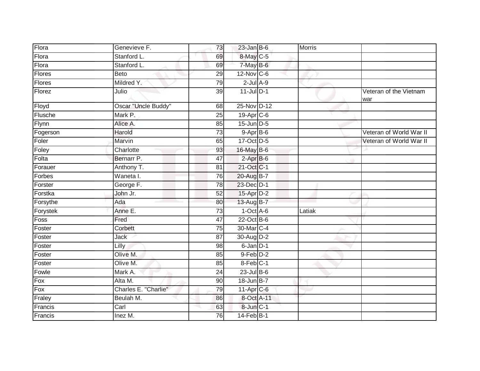| Flora         | Genevieve F.         | 73              | $23$ -Jan B-6     | Morris |                               |
|---------------|----------------------|-----------------|-------------------|--------|-------------------------------|
| Flora         | Stanford L.          | 69              | 8-May C-5         |        |                               |
| Flora         | Stanford L.          | 69              | 7-May B-6         |        |                               |
| Flores        | Beto                 | 29              | $12$ -Nov $ C-6 $ |        |                               |
| <b>Flores</b> | Mildred Y.           | 79              | $2$ -Jul $A-9$    |        |                               |
| Florez        | Julio                | 39              | $11$ -Jul $D-1$   |        | Veteran of the Vietnam<br>war |
| Floyd         | Oscar "Uncle Buddy"  | 68              | 25-Nov D-12       |        |                               |
| Flusche       | Mark P.              | $\overline{25}$ | 19-Apr C-6        |        |                               |
| Flynn         | Alice A.             | 85              | 15-Jun D-5        |        |                               |
| Fogerson      | Harold               | 73              | $9-AprB-6$        |        | Veteran of World War II       |
| Foler         | Marvin               | 65              | 17-Oct D-5        |        | Veteran of World War II       |
| Foley         | Charlotte            | 93              | 16-May B-6        |        |                               |
| Folta         | Bernarr P.           | 47              | $2-AprB-6$        |        |                               |
| Forauer       | Anthony T.           | 81              | 21-Oct C-1        |        |                               |
| Forbes        | Waneta I.            | 76              | 20-Aug B-7        |        |                               |
| Forster       | George F.            | 78              | 23-Dec D-1        |        |                               |
| Forstka       | John Jr.             | 52              | 15-Apr D-2        |        |                               |
| Forsythe      | Ada                  | 80              | 13-Aug B-7        |        |                               |
| Forystek      | Anne E.              | 73              | $1-Oct$ A-6       | Latiak |                               |
| Foss          | Fred                 | $\overline{47}$ | $22$ -Oct B-6     |        |                               |
| Foster        | Corbett              | 75              | 30-Mar C-4        |        |                               |
| Foster        | Jack                 | $\overline{87}$ | 30-Aug D-2        |        |                               |
| Foster        | Lilly                | 98              | $6$ -Jan $D-1$    |        |                               |
| Foster        | Olive M.             | 85              | 9-Feb D-2         |        |                               |
| Foster        | Olive M.             | 85              | 8-Feb C-1         |        |                               |
| Fowle         | Mark A.              | 24              | $23$ -Jul $B-6$   |        |                               |
| Fox           | Alta M.              | 90              | 18-Jun B-7        |        |                               |
| Fox           | Charles E. "Charlie" | 79              | 11-Apr C-6        |        |                               |
| Fraley        | Beulah M.            | 86              | 8-Oct A-11        |        |                               |
| Francis       | Carl                 | 63              | 8-Jun C-1         |        |                               |
| Francis       | Inez M.              | 76              | 14-Feb B-1        |        |                               |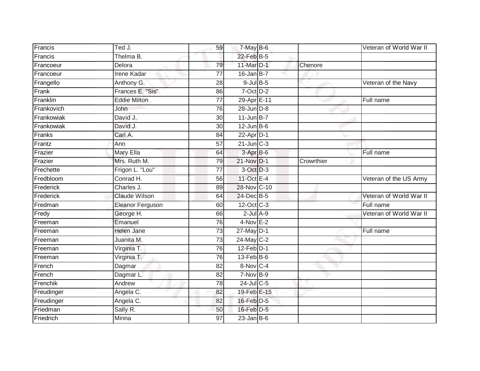| Francis    | Ted J.                  | 59              | $7-May$ B-6            |            | Veteran of World War II |
|------------|-------------------------|-----------------|------------------------|------------|-------------------------|
| Francis    | Thelma B.               |                 | 22-Feb B-5             |            |                         |
| Francoeur  | Delora                  | 79              | 11-Mar D-1             | Chenore    |                         |
| Francoeur  | Irene Kadar             | 77              | $16$ -Jan B-7          |            |                         |
| Frangello  | Anthony G.              | $\overline{28}$ | $9$ -Jul $B$ -5        |            | Veteran of the Navy     |
| Frank      | Frances E. "Sis"        | 86              | $7-Oct$ $D-2$          |            |                         |
| Franklin   | <b>Eddie Milton</b>     | $\overline{77}$ | 29-Apr <sub>E-11</sub> |            | Full name               |
| Frankovich | John                    | 76              | $28$ -Jun $D-8$        |            |                         |
| Frankowiak | David J.                | 30              | $11$ -Jun $B-7$        |            |                         |
| Frankowiak | David J.                | 30              | $12$ -Jun $B$ -6       |            |                         |
| Franks     | Carl A.                 | 84              | 22-Apr D-1             |            |                         |
| Frantz     | Ann                     | 57              | $21$ -Jun $C-3$        |            |                         |
| Frazier    | Mary Ella               | 64              | 3-Apr <sub>B-6</sub>   |            | Full name               |
| Frazier    | Mrs. Ruth M.            | 79              | 21-Nov D-1             | Crowrthier |                         |
| Frechette  | Frigon L. "Lou"         | $\overline{77}$ | 3-Oct D-3              |            |                         |
| Fredbloom  | Conrad H.               | 56              | 11-Oct E-4             |            | Veteran of the US Army  |
| Frederick  | Charles J.              | 89              | 28-Nov C-10            |            |                         |
| Frederick  | <b>Claude Wilson</b>    | 64              | 24-Dec B-5             |            | Veteran of World War II |
| Fredman    | <b>Eleanor Ferguson</b> | 60              | 12-Oct C-3             |            | Full name               |
| Fredy      | George H.               | 66              | $2$ -Jul $A-9$         |            | Veteran of World War II |
| Freeman    | Emanuel                 | 76              | 4-Nov E-2              |            |                         |
| Freeman    | <b>Helen Jane</b>       | $\overline{73}$ | $27$ -May $D-1$        |            | Full name               |
| Freeman    | Juanita M.              | 73              | 24-May C-2             |            |                         |
| Freeman    | Virginia T.             | 76              | $12$ -Feb $D-1$        |            |                         |
| Freeman    | Virginia T.             | 76              | $13$ -Feb $B$ -6       |            |                         |
| French     | Dagmar                  | 82              | 8-Nov C-4              |            |                         |
| French     | Dagmar L.               | 82              | 7-Nov B-9              |            |                         |
| Frenchik   | Andrew                  | 78              | $24$ -Jul C-5          |            |                         |
| Freudinger | Angela C.               | 82              | 19-Feb E-15            |            |                         |
| Freudinger | Angela C.               | 82              | 16-Feb D-5             |            |                         |
| Friedman   | Sally R.                | 50              | 16-Feb D-5             |            |                         |
| Friedrich  | <b>Minna</b>            | $\overline{97}$ | $23$ -Jan B-6          |            |                         |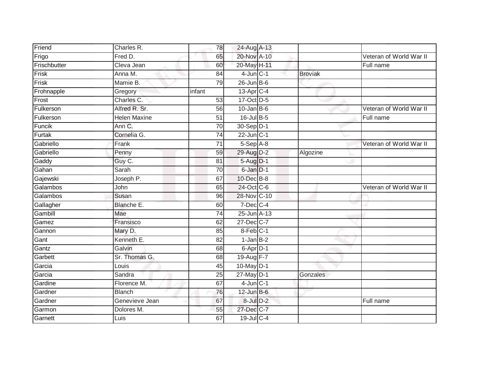| Friend       | Charles R.          | 78              | 24-Aug A-13              |                |                         |
|--------------|---------------------|-----------------|--------------------------|----------------|-------------------------|
| Frigo        | Fred D.             | 65              | 20-Nov A-10              |                | Veteran of World War II |
| Frischbutter | Cleva Jean          | 60              | 20-May H-11              |                | Full name               |
| Frisk        | Anna M.             | 84              | $4$ -Jun $C-1$           | <b>Broviak</b> |                         |
| Frisk        | Mamie B.            | 79              | $26$ -Jun $B$ -6         |                |                         |
| Frohnapple   | Gregory             | infant          | 13-Apr C-4               |                |                         |
| Frost        | Charles C.          | 53              | 17-Oct D-5               |                |                         |
| Fulkerson    | Alfred R. Sr.       | 56              | $10$ -Jan B-6            |                | Veteran of World War II |
| Fulkerson    | <b>Helen Maxine</b> | 51              | 16-Jul B-5               |                | Full name               |
| Funcik       | Ann C.              | 70              | 30-Sep D-1               |                |                         |
| Furtak       | Cornelia G.         | $\overline{74}$ | $22$ -Jun $C-1$          |                |                         |
| Gabriello    | Frank               | 71              | $5-Sep$ $A-8$            |                | Veteran of World War II |
| Gabriello    | Penny               | 59              | 29-Aug D-2               | Algozine       |                         |
| Gaddy        | Guy C.              | 81              | $5-Aug$ D-1              |                |                         |
| Gahan        | Sarah               | $\overline{70}$ | 6-Jan D-1                |                |                         |
| Gajewski     | Joseph P.           | 67              | 10-Dec B-8               |                |                         |
| Galambos     | John                | 65              | 24-Oct C-6               |                | Veteran of World War II |
| Galambos     | Susan               | 96              | 28-Nov C-10              |                |                         |
| Gallagher    | Blanche E.          | 60              | 7-Dec C-4                |                |                         |
| Gambill      | Mae                 | $\overline{74}$ | 25-Jun A-13              |                |                         |
| Gamez        | Fransisco           | 62              | 27-Dec C-7               |                |                         |
| Gannon       | Mary D.             | 85              | 8-Feb C-1                |                |                         |
| Gant         | Kenneth E.          | 82              | $1-Jan$ B-2              |                |                         |
| Gantz        | Galvin              | 68              | $6 - \overline{Apr}$ D-1 |                |                         |
| Garbett      | Sr. Thomas G.       | 68              | 19-Aug F-7               |                |                         |
| Garcia       | Louis               | 45              | 10-May D-1               |                |                         |
| Garcia       | Sandra              | $\overline{25}$ | 27-May D-1               | Gonzales       |                         |
| Gardine      | Florence M.         | 67              | $4$ -Jun $C-1$           |                |                         |
| Gardner      | <b>Blanch</b>       | 76              | $12$ -Jun B-6            |                |                         |
| Gardner      | Genevieve Jean      | 67              | 8-Jul D-2                |                | Full name               |
| Garmon       | Dolores M.          | 55              | 27-Dec C-7               |                |                         |
| Garnett      | Luis                | 67              | 19-Jul C-4               |                |                         |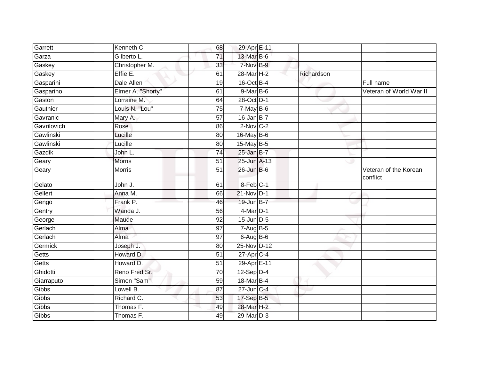| Garrett     | Kenneth C.        | 68              | 29-Apr E-11           |            |                                   |
|-------------|-------------------|-----------------|-----------------------|------------|-----------------------------------|
| Garza       | Gilberto L.       | 71              | 13-Mar B-6            |            |                                   |
| Gaskey      | Christopher M.    | 33              | 7-Nov B-9             |            |                                   |
| Gaskey      | Effie E.          | 61              | 28-Mar <sub>H-2</sub> | Richardson |                                   |
| Gasparini   | Dale Allen        | 19              | 16-Oct B-4            |            | Full name                         |
| Gasparino   | Elmer A. "Shorty" | 61              | $9$ -Mar $B$ -6       |            | Veteran of World War II           |
| Gaston      | Lorraine M.       | 64              | 28-Oct D-1            |            |                                   |
| Gauthier    | Louis N. "Lou"    | 75              | $7$ -May $B$ -6       |            |                                   |
| Gavranic    | Mary A.           | 57              | $16$ -Jan B-7         |            |                                   |
| Gavrilovich | Rose              | 86              | $2$ -Nov $C-2$        |            |                                   |
| Gawlinski   | Lucille           | 80              | 16-May B-6            |            |                                   |
| Gawlinski   | Lucille           | 80              | 15-May B-5            |            |                                   |
| Gazdik      | John L.           | 74              | $25$ -Jan B-7         |            |                                   |
| Geary       | <b>Morris</b>     | 51              | 25-Jun A-13           |            |                                   |
| Geary       | Morris            | 51              | $26$ -Jun $B$ -6      |            | Veteran of the Korean<br>conflict |
| Gelato      | John J.           | 61              | 8-Feb C-1             |            |                                   |
| Gellert     | Anna M.           | 66              | 21-Nov D-1            |            |                                   |
| Gengo       | Frank P.          | 46              | 19-Jun B-7            |            |                                   |
| Gentry      | Wanda J.          | 56              | $4$ -Mar $D-1$        |            |                                   |
| George      | Maude             | 92              | $15$ -Jun $D-5$       |            |                                   |
| Gerlach     | Alma              | 97              | $7-AugB-5$            |            |                                   |
| Gerlach     | Alma              | 97              | $6$ -Aug $B$ -6       |            |                                   |
| Germick     | Joseph J.         | 80              | 25-Nov D-12           |            |                                   |
| Getts       | Howard D.         | 51              | $27$ -Apr $C-4$       |            |                                   |
| Getts       | Howard D.         | $\overline{51}$ | 29-Apr E-11           |            |                                   |
| Ghidotti    | Reno Fred Sr.     | 70              | 12-Sep D-4            |            |                                   |
| Giarraputo  | Simon "Sam"       | 59              | 18-Mar B-4            |            |                                   |
| Gibbs       | Lowell B.         | 87              | $27$ -Jun $C-4$       |            |                                   |
| Gibbs       | Richard C.        | 53              | 17-Sep B-5            |            |                                   |
| Gibbs       | Thomas F.         | 49              | 28-Mar H-2            |            |                                   |
| Gibbs       | Thomas F.         | 49              | 29-Mar D-3            |            |                                   |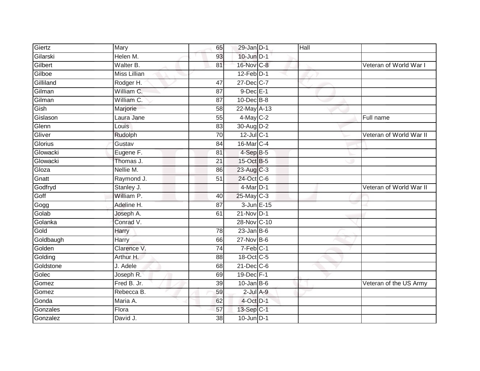| Giertz    | Mary                | 65              | $29$ -Jan $D-1$            | Hall |                         |
|-----------|---------------------|-----------------|----------------------------|------|-------------------------|
| Gilarski  | Helen M.            | 93              | $10$ -Jun $D-1$            |      |                         |
| Gilbert   | Walter B.           | 81              | 16-Nov C-8                 |      | Veteran of World War I  |
| Gilboe    | <b>Miss Lillian</b> |                 | $12$ -Feb $D-1$            |      |                         |
| Gilliland | Rodger H.           | 47              | 27-Dec C-7                 |      |                         |
| Gilman    | William C.          | 87              | $9$ -Dec $E-1$             |      |                         |
| Gilman    | William C.          | 87              | 10-Dec B-8                 |      |                         |
| Gish      | Marjorie            | 58              | 22-May A-13                |      |                         |
| Gislason  | Laura Jane          | 55              | 4-May C-2                  |      | Full name               |
| Glenn     | Louis               | 83              | 30-Aug D-2                 |      |                         |
| Gliver    | Rudolph             | 70              | 12-Jul C-1                 |      | Veteran of World War II |
| Glorius   | Gustav              | 84              | 16-Mar C-4                 |      |                         |
| Glowacki  | Eugene F.           | 81              | $4-SepB-5$                 |      |                         |
| Glowacki  | Thomas J.           | 21              | 15-Oct B-5                 |      |                         |
| Gloza     | Nellie M.           | 86              | 23-Aug C-3                 |      |                         |
| Gnatt     | Raymond J.          | 51              | 24-Oct C-6                 |      |                         |
| Godfryd   | Stanley J.          |                 | $4$ -Mar $\overline{D}$ -1 |      | Veteran of World War II |
| Goff      | William P.          | 40              | 25-May C-3                 |      |                         |
| Gogg      | Adeline H.          | 87              | 3-Jun E-15                 |      |                         |
| Golab     | Joseph A.           | 61              | 21-Nov D-1                 |      |                         |
| Golanka   | Conrad V.           |                 | 28-Nov C-10                |      |                         |
| Gold      | <b>Harry</b>        | 78              | $23$ -Jan B-6              |      |                         |
| Goldbaugh | Harry               | 66              | $27$ -Nov $B-6$            |      |                         |
| Golden    | Clarence V.         | 74              | $7-Feb$ C-1                |      |                         |
| Golding   | Arthur H.           | 88              | 18-Oct C-5                 |      |                         |
| Goldstone | J. Adele            | 68              | $21$ -Dec $C-6$            |      |                         |
| Golec     | Joseph R.           | 69              | 19-Dec F-1                 |      |                         |
| Gomez     | Fred B. Jr.         | 39              | $10$ -Jan $B$ -6           |      | Veteran of the US Army  |
| Gomez     | Rebecca B.          | 59              | $2$ -Jul $A-9$             |      |                         |
| Gonda     | Maria A.            | 62              | 4-Oct D-1                  |      |                         |
| Gonzales  | Flora               | 57              | 13-Sep C-1                 |      |                         |
| Gonzalez  | David J.            | $\overline{38}$ | $10$ -Jun $D-1$            |      |                         |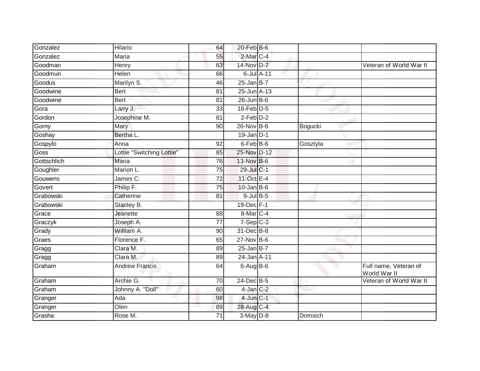| Gonzalez    | Hilario                   | 64              | $20$ -Feb $B$ -6 |          |                                       |
|-------------|---------------------------|-----------------|------------------|----------|---------------------------------------|
| Gonzalez    | Maria                     | 55              | 2-Mar C-4        |          |                                       |
| Goodman     | Henry                     | 63              | 14-Nov D-7       |          | Veteran of World War II               |
| Goodmun     | Helen                     | 66              | $6$ -Jul $A$ -11 |          |                                       |
| Goodus      | Marilyn S.                | 46              | $25$ -Jan B-7    |          |                                       |
| Goodwine    | <b>Bert</b>               | 81              | 25-Jun A-13      |          |                                       |
| Goodwine    | <b>Bert</b>               | 81              | $26$ -Jun $B$ -6 |          |                                       |
| Gora        | Larry J.                  | 33              | $16$ -Feb $D-5$  |          |                                       |
| Gordon      | Josephine M.              | 81              | $2-Feb$ $D-2$    |          |                                       |
| Gorny       | <b>Mary</b>               | 90              | 26-Nov B-6       | Bogucki  |                                       |
| Goshay      | Bertha L.                 |                 | $19$ -Jan D-1    |          |                                       |
| Gospylo     | Anna                      | 92              | $6$ -Feb $B$ -6  | Gosztyla |                                       |
| <b>Goss</b> | Lottie "Switching Lottie" | 85              | 25-Nov D-12      |          |                                       |
| Gottschlich | Maria                     | 76              | 13-Nov B-6       |          |                                       |
| Goughler    | Marion L.                 | $\overline{75}$ | 29-Jul C-1       |          |                                       |
| Gouwens     | James C.                  | 72              | 11-Oct E-4       |          |                                       |
| Govert      | Philip F.                 | 75              | $10$ -Jan B-6    |          |                                       |
| Grabowski   | Catherine                 | 81              | $9$ -Jul B-5     |          |                                       |
| Grabowski   | Stanley B.                |                 | 19-Dec F-1       |          |                                       |
| Grace       | Jeanette                  | 88              | 8-Mar C-4        |          |                                       |
| Graczyk     | Joseph A.                 | 77              | $7-Sep C-3$      |          |                                       |
| Grady       | William A.                | 90              | 31-Dec B-8       |          |                                       |
| Graes       | Florence F.               | 65              | $27$ -Nov $B-6$  |          |                                       |
| Gragg       | Clara M.                  | 89              | $25$ -Jan B-7    |          |                                       |
| Gragg       | Clara M.                  | 89              | 24-Jan A-11      |          |                                       |
| Graham      | <b>Andrew Francis</b>     | 64              | $6$ -Aug $B$ -6  |          | Full name, Veteran of<br>World War II |
| Graham      | Archie G.                 | 70              | 24-Dec B-5       |          | Veteran of World War II               |
| Graham      | Johnny A. "Doll"          | 60              | $4$ -Jan $C-2$   |          |                                       |
| Granger     | Ada                       | 98              | $4$ -Jun $C-1$   |          |                                       |
| Granger     | Olen                      | 89              | 28-Aug C-4       |          |                                       |
| Grasha      | Rose M.                   | 71              | 3-May D-8        | Domsich  |                                       |
|             |                           |                 |                  |          |                                       |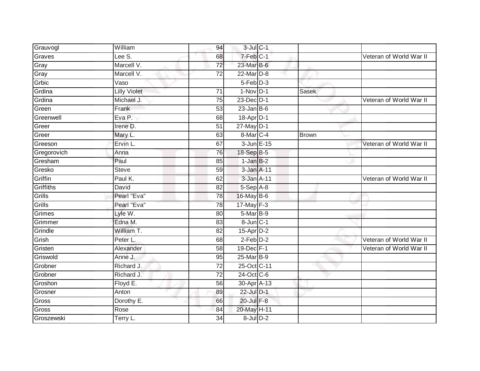| Grauvogl    | William             | 94              | $3$ -Jul $C-1$       |              |                         |
|-------------|---------------------|-----------------|----------------------|--------------|-------------------------|
| Graves      | Lee S.              | 68              | 7-Feb C-1            |              | Veteran of World War II |
| Gray        | Marcell V.          | $\overline{72}$ | 23-Mar B-6           |              |                         |
| Gray        | Marcell V.          | 72              | 22-Mar D-8           |              |                         |
| Grbic       | Vaso                |                 | $5-Feb$ $D-3$        |              |                         |
| Grdina      | <b>Lilly Violet</b> | 71              | $1-Nov$ D-1          | Sasek        |                         |
| Grdina      | Michael J.          | 75              | 23-Dec D-1           |              | Veteran of World War II |
| Green       | Frank               | 53              | $23$ -Jan B-6        |              |                         |
| Greenwell   | Eva P.              | 68              | 18-Apr D-1           |              |                         |
| Greer       | Irene D.            | 51              | $27$ -May $D-1$      |              |                         |
| Greer       | Mary L.             | 63              | 8-Mar <sub>C-4</sub> | <b>Brown</b> |                         |
| Greeson     | Ervin L             | 67              | 3-Jun E-15           |              | Veteran of World War II |
| Gregorovich | Anna                | 76              | 18-Sep B-5           |              |                         |
| Gresham     | Paul                | 85              | $1$ -Jan $B-2$       |              |                         |
| Gresko      | <b>Steve</b>        | 59              | 3-Jan A-11           |              |                         |
| Griffin     | Paul K.             | 62              | 3-Jan A-11           |              | Veteran of World War II |
| Griffiths   | David               | $\overline{82}$ | $5-$ Sep $A-8$       |              |                         |
| Grills      | Pearl "Eva"         | 78              | 16-May B-6           |              |                         |
| Grills      | Pearl "Eva"         | 78              | 17-May F-3           |              |                         |
| Grimes      | Lyle W.             | 80              | 5-Mar B-9            |              |                         |
| Grimmer     | Edna M.             | 83              | 8-Jun C-1            |              |                         |
| Grindle     | William T.          | $\overline{82}$ | 15-Apr D-2           |              |                         |
| Grish       | Peter L.            | 68              | $2$ -Feb $D-2$       |              | Veteran of World War II |
| Gristen     | Alexander           | 58              | 19-Dec F-1           |              | Veteran of World War II |
| Griswold    | Anne J.             | 95              | 25-Mar B-9           |              |                         |
| Grobner     | Richard J.          | 72              | 25-Oct C-11          |              |                         |
| Grobner     | Richard J.          | $\overline{72}$ | 24-Oct C-6           |              |                         |
| Groshon     | Floyd E.            | 56              | 30-Apr A-13          |              |                         |
| Grosner     | Anton               | 89              | 22-Jul D-1           |              |                         |
| Gross       | Dorothy E.          | 66              | 20-Jul F-8           |              |                         |
| Gross       | Rose                | 84              | 20-May H-11          |              |                         |
| Groszewski  | Terry L.            | $\overline{34}$ | $8$ -Jul $D-2$       |              |                         |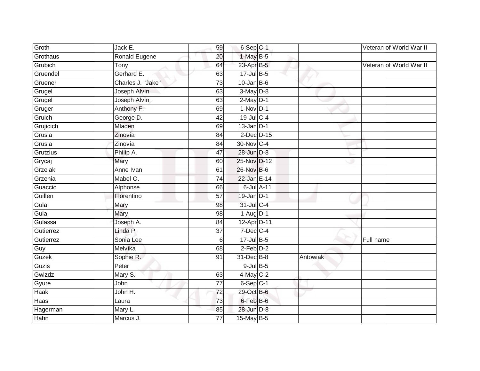| Groth       | Jack E.              | 59              | 6-Sep C-1        |          | Veteran of World War II |
|-------------|----------------------|-----------------|------------------|----------|-------------------------|
| Grothaus    | <b>Ronald Eugene</b> | 20              | $1-MayB-5$       |          |                         |
| Grubich     | Tony                 | 64              | 23-Apr B-5       |          | Veteran of World War II |
| Gruendel    | Gerhard E.           | 63              | 17-Jul B-5       |          |                         |
| Gruener     | Charles J. "Jake"    | $\overline{73}$ | $10$ -Jan B-6    |          |                         |
| Grugel      | Joseph Alvin         | 63              | $3-May$ $D-8$    |          |                         |
| Grugel      | Joseph Alvin         | 63              | $2-May$ D-1      |          |                         |
| Gruger      | Anthony F.           | 69              | $1-Nov$ D-1      |          |                         |
| Gruich      | George D.            | 42              | 19-Jul C-4       |          |                         |
| Grujicich   | Mladen               | 69              | $13$ -Jan $D-1$  |          |                         |
| Grusia      | Zinovia              | 84              | $2$ -Dec D-15    |          |                         |
| Grusia      | Zinovia              | 84              | 30-Nov C-4       |          |                         |
| Grutzius    | Philip A.            | 47              | 28-Jun D-8       |          |                         |
| Grycaj      | Mary                 | 60              | 25-Nov D-12      |          |                         |
| Grzelak     | Anne Ivan            | 61              | 26-Nov B-6       |          |                         |
| Grzenia     | Mabel O.             | 74              | 22-Jan E-14      |          |                         |
| Guaccio     | Alphonse             | 66              | 6-Jul A-11       |          |                         |
| Guillen     | Florentino           | 57              | $19$ -Jan $D-1$  |          |                         |
| Gula        | Mary                 | 98              | 31-Jul C-4       |          |                         |
| Gula        | Mary                 | 98              | $1-Aug$ D-1      |          |                         |
| Gulassa     | Joseph A.            | 84              | 12-Apr D-11      |          |                         |
| Gutierrez   | Linda P.             | $\overline{37}$ | $7$ -Dec $ C-4 $ |          |                         |
| Gutierrez   | Sonia Lee            | 6               | $17$ -Jul B-5    |          | Full name               |
| Guy         | Melvika              | 68              | $2$ -Feb $D-2$   |          |                         |
| Guzek       | Sophie R.            | 91              | 31-Dec B-8       | Antowiak |                         |
| Guzis       | Peter                |                 | $9$ -Jul $B$ -5  |          |                         |
| Gwizdz      | Mary S.              | 63              | 4-May C-2        |          |                         |
| Gyure       | John                 | 77              | $6-Sep$ C-1      |          |                         |
| <b>Haak</b> | John H.              | 72              | 29-Oct B-6       |          |                         |
| Haas        | Laura                | 73              | 6-Feb B-6        |          |                         |
| Hagerman    | Mary L.              | 85              | 28-Jun D-8       |          |                         |
| Hahn        | Marcus J.            | $\overline{77}$ | 15-May B-5       |          |                         |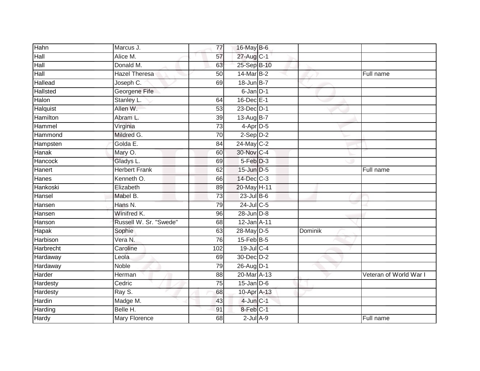| Hahn            | Marcus J.              | 77  | 16-May B-6             |         |                        |
|-----------------|------------------------|-----|------------------------|---------|------------------------|
| Hall            | Alice M.               | 57  | 27-Aug C-1             |         |                        |
| Hall            | Donald M.              | 63  | 25-Sep B-10            |         |                        |
| Hall            | <b>Hazel Theresa</b>   | 50  | 14-Mar B-2             |         | Full name              |
| Hallead         | Joseph C.              | 69  | 18-Jun B-7             |         |                        |
| <b>Hallsted</b> | Georgene Fife          |     | 6-Jan D-1              |         |                        |
| Halon           | Stanley L.             | 64  | 16-Dec E-1             |         |                        |
| Halquist        | Allen W.               | 53  | 23-Dec D-1             |         |                        |
| Hamilton        | Abram L.               | 39  | 13-Aug B-7             |         |                        |
| Hammel          | Virginia               | 73  | $4-Apr$ D-5            |         |                        |
| Hammond         | Mildred G.             | 70  | $2-Sep$ $D-2$          |         |                        |
| Hampsten        | Golda E.               | 84  | 24-May C-2             |         |                        |
| Hanak           | Mary O.                | 60  | 30-Nov C-4             |         |                        |
| Hancock         | Gladys L.              | 69  | $5-Feb$ $D-3$          |         |                        |
| Hanert          | <b>Herbert Frank</b>   | 62  | 15-Jun D-5             |         | Full name              |
| Hanes           | Kenneth O.             | 66  | 14-Dec C-3             |         |                        |
| Hankoski        | Elizabeth              | 89  | 20-May H-11            |         |                        |
| Hansel          | Mabel B.               | 73  | 23-Jul B-6             |         |                        |
| Hansen          | Hans N.                | 79  | 24-Jul C-5             |         |                        |
| Hansen          | Winifred K.            | 96  | $28$ -Jun $D-8$        |         |                        |
| Hanson          | Russell W. Sr. "Swede" | 68  | 12-Jan A-11            |         |                        |
| <b>Hapak</b>    | Sophie                 | 63  | 28-May D-5             | Dominik |                        |
| Harbison        | Vera N.                | 76  | 15-Feb B-5             |         |                        |
| Harbrecht       | Caroline               | 102 | 19-Jul C-4             |         |                        |
| Hardaway        | Leola                  | 69  | 30-Dec D-2             |         |                        |
| Hardaway        | <b>Noble</b>           | 79  | 26-Aug D-1             |         |                        |
| Harder          | Herman                 | 88  | 20-Mar A-13            |         | Veteran of World War I |
| Hardesty        | Cedric                 | 75  | $15$ -Jan D-6          |         |                        |
| Hardesty        | Ray S.                 | 68  | 10-Apr <sub>A-13</sub> |         |                        |
| Hardin          | Madge M.               | 43  | $4$ -Jun $C-1$         |         |                        |
| Harding         | Belle H.               | 91  | 8-Feb C-1              |         |                        |
| <b>Hardy</b>    | Mary Florence          | 68  | $2$ -Jul $A-9$         |         | Full name              |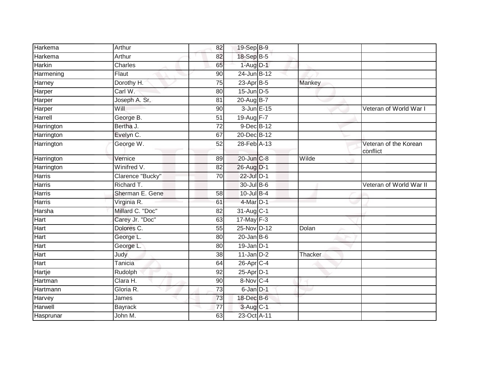| Harkema       | Arthur           | 82              | 19-Sep B-9       |         |                                   |
|---------------|------------------|-----------------|------------------|---------|-----------------------------------|
| Harkema       | Arthur           | 82              | 18-Sep B-5       |         |                                   |
| <b>Harkin</b> | <b>Charles</b>   | 65              | 1-Aug D-1        |         |                                   |
| Harmening     | Flaut            | 90              | 24-Jun B-12      |         |                                   |
| Harney        | Dorothy H.       | $\overline{75}$ | $23$ -Apr $B-5$  | Mankey  |                                   |
| Harper        | Carl W.          | 80              | 15-Jun D-5       |         |                                   |
| Harper        | Joseph A. Sr.    | 81              | $20$ -Aug $B$ -7 |         |                                   |
| Harper        | Will             | 90              | 3-Jun E-15       |         | Veteran of World War I            |
| Harrell       | George B.        | 51              | $19-Aug$ F-7     |         |                                   |
| Harrington    | Bertha J.        | $\overline{72}$ | 9-Dec B-12       |         |                                   |
| Harrington    | Evelyn C.        | 67              | 20-Dec B-12      |         |                                   |
| Harrington    | George W.        | 52              | 28-Feb A-13      |         | Veteran of the Korean<br>conflict |
| Harrington    | Vernice          | 89              | 20-Jun C-8       | Wilde   |                                   |
| Harrington    | Winifred V.      | 82              | 26-Aug D-1       |         |                                   |
| <b>Harris</b> | Clarence "Bucky" | 70              | 22-Jul D-1       |         |                                   |
| <b>Harris</b> | Richard T.       |                 | 30-Jul B-6       |         | Veteran of World War II           |
| <b>Harris</b> | Sherman E. Gene  | 58              | 10-Jul B-4       |         |                                   |
| Harris        | Virginia R.      | 61              | 4-Mar D-1        |         |                                   |
| Harsha        | Millard C. "Doc" | 82              | $31-Aug$ $C-1$   |         |                                   |
| <b>Hart</b>   | Carey Jr. "Doc"  | 63              | 17-May F-3       |         |                                   |
| Hart          | Dolores C.       | 55              | 25-Nov D-12      | Dolan   |                                   |
| Hart          | George L.        | 80              | $20$ -Jan B-6    |         |                                   |
| Hart          | George L.        | 80              | $19$ -Jan $D-1$  |         |                                   |
| Hart          | Judy             | 38              | $11$ -Jan $D-2$  | Thacker |                                   |
| <b>Hart</b>   | <b>Tanicia</b>   | 64              | 26-Apr C-4       |         |                                   |
| Hartje        | <b>Rudolph</b>   | 92              | 25-Apr D-1       |         |                                   |
| Hartman       | Clara H.         | $\overline{90}$ | 8-Nov C-4        |         |                                   |
| Hartmann      | Gloria R.        | 73              | 6-Jan D-1        |         |                                   |
| Harvey        | James            | 73              | 18-Dec B-6       |         |                                   |
| Harwell       | <b>Bayrack</b>   | 77              | $3-AugC-1$       |         |                                   |
| Hasprunar     | John M.          | 63              | 23-Oct A-11      |         |                                   |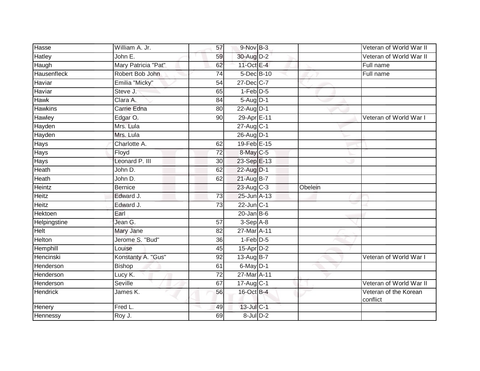| Hasse              | William A. Jr.      | 57              | $9-Nov$ B-3       |         | Veteran of World War II           |
|--------------------|---------------------|-----------------|-------------------|---------|-----------------------------------|
| Hatley             | John E.             | 59              | 30-Aug D-2        |         | Veteran of World War II           |
| Haugh              | Mary Patricia "Pat" | 62              | 11-Oct E-4        |         | Full name                         |
| <b>Hausenfleck</b> | Robert Bob John     | 74              | 5-Dec B-10        |         | Full name                         |
| Haviar             | Emilia "Micky"      | 54              | 27-Dec C-7        |         |                                   |
| Haviar             | Steve J.            | 65              | $1-Feb$ $D-5$     |         |                                   |
| Hawk               | Clara A.            | 84              | 5-Aug D-1         |         |                                   |
| <b>Hawkins</b>     | Carrie Edna         | 80              | 22-Aug D-1        |         |                                   |
| Hawley             | Edgar O.            | 90              | 29-Apr E-11       |         | Veteran of World War I            |
| Hayden             | Mrs. Lula           |                 | 27-Aug C-1        |         |                                   |
| Hayden             | Mrs. Lula           |                 | 26-Aug D-1        |         |                                   |
| Hays               | Charlotte A.        | 62              | 19-Feb E-15       |         |                                   |
| Hays               | Floyd               | 72              | 8-May C-5         |         |                                   |
| Hays               | Leonard P. III      | 30              | 23-Sep E-13       |         |                                   |
| Heath              | John D.             | 62              | 22-Aug D-1        |         |                                   |
| Heath              | John D.             | 62              | 21-Aug B-7        |         |                                   |
| Heintz             | <b>Bernice</b>      |                 | 23-Aug C-3        | Obelein |                                   |
| Heitz              | Edward J.           | 73              | 25-Jun A-13       |         |                                   |
| Heitz              | Edward J.           | 73              | $22$ -Jun $ C-1 $ |         |                                   |
| <b>Hektoen</b>     | Earl                |                 | $20$ -Jan B-6     |         |                                   |
| Helpingstine       | Jean G.             | 57              | $3-Sep$ A-8       |         |                                   |
| <b>Helt</b>        | Mary Jane           | $\overline{82}$ | 27-Mar A-11       |         |                                   |
| <b>Helton</b>      | Jerome S. "Bud"     | 36              | $1-Feb$ $D-5$     |         |                                   |
| Hemphill           | Louise              | 45              | 15-Apr D-2        |         |                                   |
| Hencinski          | Konstanty A. "Gus"  | 92              | 13-Aug B-7        |         | Veteran of World War I            |
| Henderson          | <b>Bishop</b>       | 61              | $6$ -May $D-1$    |         |                                   |
| Henderson          | Lucy K.             | $\overline{72}$ | 27-Mar A-11       |         |                                   |
| Henderson          | Seville             | 67              | 17-Aug C-1        |         | Veteran of World War II           |
| Hendrick           | James K.            | 56              | 16-Oct B-4        |         | Veteran of the Korean<br>conflict |
| Henery             | Fred L.             | 49              | 13-Jul C-1        |         |                                   |
| Hennessy           | Roy J.              | 69              | $8$ -Jul $D-2$    |         |                                   |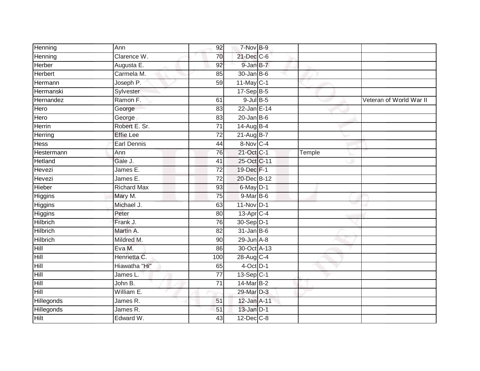| Henning         | Ann                | 92              | 7-Nov B-9               |        |                         |
|-----------------|--------------------|-----------------|-------------------------|--------|-------------------------|
| Henning         | Clarence W.        | 70              | 21-Dec C-6              |        |                         |
| <b>Herber</b>   | Augusta E.         | 92              | 9-Jan B-7               |        |                         |
| <b>Herbert</b>  | Carmela M.         | 85              | $30 - Jan$ $B-6$        |        |                         |
| Hermann         | Joseph P.          | 59              | $11$ -May C-1           |        |                         |
| Hermanski       | Sylvester          |                 | 17-Sep B-5              |        |                         |
| Hernandez       | Ramon F.           | 61              | $9$ -Jul $B$ -5         |        | Veteran of World War II |
| Hero            | George             | 83              | 22-Jan E-14             |        |                         |
| Hero            | George             | 83              | $20$ -Jan B-6           |        |                         |
| <b>Herrin</b>   | Robert E. Sr.      | $\overline{71}$ | 14-Aug B-4              |        |                         |
| Herring         | <b>Effie Lee</b>   | $\overline{72}$ | 21-Aug B-7              |        |                         |
| <b>Hess</b>     | Earl Dennis        | $\overline{44}$ | 8-Nov C-4               |        |                         |
| Hestermann      | Ann                | 76              | 21-Oct C-1              | Temple |                         |
| Hetland         | Gale J.            | 41              | 25-Oct C-11             |        |                         |
| Hevezi          | James E.           | $\overline{72}$ | 19-Dec F-1              |        |                         |
| Hevezi          | James E.           | $\overline{72}$ | 20-Dec B-12             |        |                         |
| Hieber          | <b>Richard Max</b> | 93              | 6-May D-1               |        |                         |
| Higgins         | Mary M.            | 75              | 9-Mar B-6               |        |                         |
| Higgins         | Michael J.         | 63              | 11-Nov D-1              |        |                         |
| <b>Higgins</b>  | Peter              | 80              | $13-Apr$ <sub>C-4</sub> |        |                         |
| Hilbrich        | Frank J.           | 76              | 30-Sep D-1              |        |                         |
| <b>Hilbrich</b> | Martin A.          | $\overline{82}$ | $31$ -Jan B-6           |        |                         |
| <b>Hilbrich</b> | Mildred M.         | 90              | $29$ -Jun $A-8$         |        |                         |
| Hill            | Eva M.             | 86              | 30-Oct A-13             |        |                         |
| Hill            | Henrietta C.       | 100             | 28-Aug C-4              |        |                         |
| Hill            | Hiawatha "Hi"      | 65              | $4$ -Oct $D-1$          |        |                         |
| Hill            | James L.           | $\overline{77}$ | 13-Sep C-1              |        |                         |
| Hill            | John B.            | 71              | 14-Mar B-2              |        |                         |
| Hill            | William E.         |                 | 29-Mar D-3              |        |                         |
| Hillegonds      | James R.           | 51              | 12-Jan A-11             |        |                         |
| Hillegonds      | James R.           | 51              | $13$ -Jan $D-1$         |        |                         |
| <b>Hilt</b>     | Edward W.          | 43              | $12$ -Dec $C-8$         |        |                         |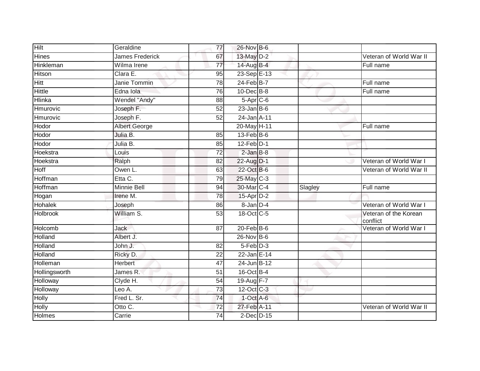| <b>Hilt</b>      | Geraldine              | 77              | 26-Nov B-6       |         |                                   |
|------------------|------------------------|-----------------|------------------|---------|-----------------------------------|
| Hines            | <b>James Frederick</b> | 67              | 13-May D-2       |         | Veteran of World War II           |
| <b>Hinkleman</b> | Wilma Irene            | 77              | 14-Aug B-4       |         | Full name                         |
| Hitson           | Clara E.               | 95              | 23-Sep E-13      |         |                                   |
| Hitt             | Janie Tommin           | $\overline{78}$ | 24-Feb B-7       |         | Full name                         |
| Hittle           | Edna Iola              | 76              | $10$ -Dec $B$ -8 |         | Full name                         |
| Hlinka           | Wendel "Andy"          | 88              | $5-Apr$ $C-6$    |         |                                   |
| Hmurovic         | Joseph F.              | 52              | $23$ -Jan B-6    |         |                                   |
| Hmurovic         | Joseph F.              | 52              | 24-Jan A-11      |         |                                   |
| Hodor            | <b>Albert George</b>   |                 | 20-May H-11      |         | Full name                         |
| Hodor            | Julia B.               | 85              | $13$ -Feb $B$ -6 |         |                                   |
| Hodor            | Julia B.               | 85              | $12$ -Feb $D-1$  |         |                                   |
| Hoekstra         | Louis                  | $\overline{72}$ | $2$ -Jan $B-8$   |         |                                   |
| Hoekstra         | Ralph                  | 82              | 22-Aug D-1       |         | Veteran of World War I            |
| Hoff             | Owen L.                | 63              | 22-Oct B-6       |         | Veteran of World War II           |
| Hoffman          | Etta C.                | 79              | 25-May C-3       |         |                                   |
| Hoffman          | <b>Minnie Bell</b>     | 94              | 30-Mar C-4       | Slagley | Full name                         |
| Hogan            | Irene M.               | $\overline{78}$ | 15-Apr D-2       |         |                                   |
| Hohalek          | Joseph                 | 86              | 8-Jan D-4        |         | Veteran of World War I            |
| <b>Holbrook</b>  | William S.             | 53              | 18-Oct C-5       |         | Veteran of the Korean<br>conflict |
| Holcomb          | <b>Jack</b>            | 87              | $20$ -Feb $B$ -6 |         | Veteran of World War I            |
| Holland          | Albert J.              |                 | 26-Nov B-6       |         |                                   |
| Holland          | John J.                | 82              | $5-Feb$ D-3      |         |                                   |
| Holland          | Ricky D.               | 22              | 22-Jan E-14      |         |                                   |
| <b>Holleman</b>  | <b>Herbert</b>         | 47              | 24-Jun B-12      |         |                                   |
| Hollingsworth    | James R.               | 51              | 16-Oct B-4       |         |                                   |
| Holloway         | Clyde H.               | 54              | 19-Aug F-7       |         |                                   |
| Holloway         | Leo A.                 | 73              | 12-Oct C-3       |         |                                   |
| Holly            | Fred L. Sr.            | 74              | $1$ -Oct $A$ -6  |         |                                   |
|                  |                        |                 |                  |         |                                   |
| Holly            | Otto C.                | 72              | 27-Feb A-11      |         | Veteran of World War II           |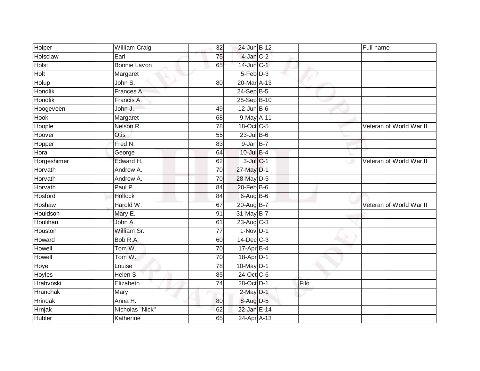| Holper         | William Craig       | 32              | 24-Jun B-12     |      | Full name               |
|----------------|---------------------|-----------------|-----------------|------|-------------------------|
| Holsclaw       | Earl                | 75              | $4$ -Jan $C-2$  |      |                         |
| <b>Holst</b>   | <b>Bonnie Lavon</b> | 65              | $14$ -Jun $C-1$ |      |                         |
| Holt           | Margaret            |                 | 5-Feb D-3       |      |                         |
| Holup          | John S.             | 80              | 20-Mar A-13     |      |                         |
| <b>Hondlik</b> | Frances A.          |                 | $24-Sep$ B-5    |      |                         |
| Hondlik        | Francis A.          |                 | 25-Sep B-10     |      |                         |
| Hoogeveen      | John J.             | 49              | $12$ -Jun $B-6$ |      |                         |
| <b>Hook</b>    | Margaret            | 68              | 9-May A-11      |      |                         |
| Hoople         | Nelson R.           | 78              | 18-Oct C-5      |      | Veteran of World War II |
| Hoover         | Otis                | 55              | $23$ -Jul B-6   |      |                         |
| Hopper         | Fred N.             | 83              | $9$ -Jan $B-7$  |      |                         |
| Hora           | George              | 64              | 10-Jul B-4      |      |                         |
| Horgeshimer    | Edward H.           | 62              | $3$ -Jul $C-1$  |      | Veteran of World War II |
| Horvath        | Andrew A.           | 70              | 27-May D-1      |      |                         |
| Horvath        | Andrew A.           | 70              | 28-May D-5      |      |                         |
| Horvath        | Paul P.             | 84              | 20-Feb B-6      |      |                         |
| Hosford        | <b>Hollock</b>      | 84              | $6$ -Aug $B$ -6 |      |                         |
| Hoshaw         | Harold W.           | 67              | 20-Aug B-7      |      | Veteran of World War II |
| Houldson       | Mary E.             | 91              | 31-May B-7      |      |                         |
| Houlihan       | John A.             | 61              | 23-Aug C-3      |      |                         |
| Houston        | William Sr.         | $\overline{77}$ | $1-Nov$ D-1     |      |                         |
| Howard         | Bob R.A.            | 60              | 14-Dec C-3      |      |                         |
| Howell         | Tom W.              | 70              | $17$ -Apr $B-4$ |      |                         |
| Howell         | Tom W.              | 70              | 18-Apr D-1      |      |                         |
| Hoye           | Louise              | 78              | 10-May D-1      |      |                         |
| <b>Hoyles</b>  | Helen S.            | 85              | 24-Oct C-6      |      |                         |
| Hrabvoski      | Elizabeth           | 74              | 28-Oct D-1      | Filo |                         |
| Hranchak       | Mary                |                 | $2$ -May $D-1$  |      |                         |
| <b>Hrindak</b> | Anna H.             | 80              | 8-Aug D-5       |      |                         |
| Hrnjak         | Nicholas "Nick"     | 62              | 22-Jan E-14     |      |                         |
| <b>Hubler</b>  | Katherine           | 65              | 24-Apr A-13     |      |                         |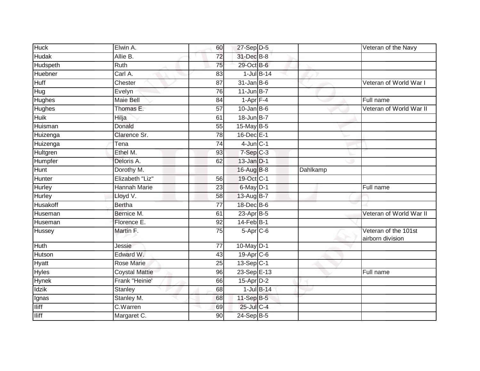| <b>Huck</b>     | Elwin A.              | 60              | $27-Sep$ D-5    |                 | Veteran of the Navy                      |
|-----------------|-----------------------|-----------------|-----------------|-----------------|------------------------------------------|
| <b>Hudak</b>    | Allie B.              | $\overline{72}$ | 31-Dec B-8      |                 |                                          |
| Hudspeth        | Ruth                  | 75              | 29-Oct B-6      |                 |                                          |
| Huebner         | Carl A.               | 83              | $1$ -Jul $B-14$ |                 |                                          |
| <b>Huff</b>     | Chester               | $\overline{87}$ | $31$ -Jan B-6   |                 | Veteran of World War I                   |
| Hug             | Evelyn                | 76              | $11$ -Jun $B-7$ |                 |                                          |
| Hughes          | Maie Bell             | 84              | $1-Apr$ F-4     |                 | Full name                                |
| Hughes          | Thomas E.             | 57              | $10$ -Jan B-6   |                 | Veteran of World War II                  |
| Huik            | Hilja                 | 61              | 18-Jun B-7      |                 |                                          |
| Huisman         | Donald                | 55              | $15$ -May B-5   |                 |                                          |
| Huizenga        | Clarence Sr.          | 78              | 16-Dec E-1      |                 |                                          |
| Huizenga        | Tena                  | 74              | $4$ -Jun $C-1$  |                 |                                          |
| Hultgren        | Ethel M.              | 93              | $7-Sep$ $C-3$   |                 |                                          |
| Humpfer         | Deloris A.            | 62              | $13$ -Jan $D-1$ |                 |                                          |
| <b>Hunt</b>     | Dorothy M.            |                 | 16-Aug B-8      | <b>Dahlkamp</b> |                                          |
| <b>Hunter</b>   | Elizabeth "Liz"       | 56              | 19-Oct C-1      |                 |                                          |
| Hurley          | <b>Hannah Marie</b>   | 23              | 6-May D-1       |                 | Full name                                |
| Hurley          | Lloyd V.              | 58              | 13-Aug B-7      |                 |                                          |
| <b>Husakoff</b> | <b>Bertha</b>         | 77              | 18-Dec B-6      |                 |                                          |
| Huseman         | Bernice M.            | 61              | $23$ -Apr $B-5$ |                 | Veteran of World War II                  |
| Huseman         | Florence E.           | 92              | $14$ -Feb $B-1$ |                 |                                          |
| Hussey          | Martin F.             | $\overline{75}$ | $5-Apr$ $C-6$   |                 | Veteran of the 101st<br>airborn division |
| <b>Huth</b>     | Jessie                | $\overline{77}$ | 10-May D-1      |                 |                                          |
| Hutson          | Edward W.             | 43              | 19-Apr C-6      |                 |                                          |
| Hyatt           | <b>Rose Marie</b>     | $\overline{25}$ | $13-Sep C-1$    |                 |                                          |
| <b>Hyles</b>    | <b>Coystal Mattie</b> | 96              | 23-Sep E-13     |                 | Full name                                |
| <b>Hynek</b>    | Frank "Heinie'        | 66              | $15$ -Apr $D-2$ |                 |                                          |
| <b>Idzik</b>    | Stanley               | 68              | $1$ -Jul $B-14$ |                 |                                          |
| Ignas           | Stanley M.            | 68              | 11-Sep B-5      |                 |                                          |
| <b>Iliff</b>    | C.Warren              | 69              | 25-Jul C-4      |                 |                                          |
| <b>Iliff</b>    | Margaret C.           | 90              | 24-Sep B-5      |                 |                                          |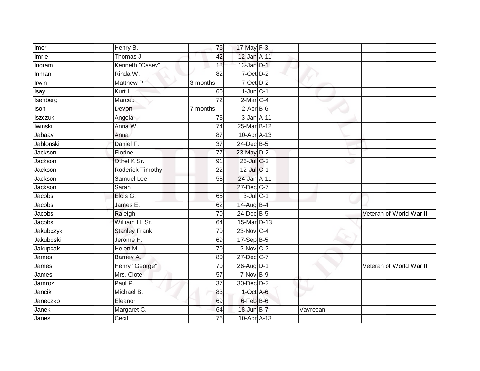| Imer           | Henry B.                | 76              | 17-May $F-3$    |          |                         |
|----------------|-------------------------|-----------------|-----------------|----------|-------------------------|
| Imrie          | Thomas J.               | 42              | 12-Jan A-11     |          |                         |
| Ingram         | Kenneth "Casey"         | 18              | $13$ -Jan $D-1$ |          |                         |
| Inman          | Rinda W.                | 82              | 7-Oct D-2       |          |                         |
| Irwin          | Matthew P.              | 3 months        | $7-Oct$ $D-2$   |          |                         |
| Isay           | Kurt I.                 | 60              | $1$ -Jun $C-1$  |          |                         |
| Isenberg       | Marced                  | $\overline{72}$ | 2-Mar C-4       |          |                         |
| Ison           | Devon                   | 7 months        | $2-AprB-6$      |          |                         |
| <b>Iszczuk</b> | Angela                  | 73              | 3-Jan A-11      |          |                         |
| Iwinski        | Anna W.                 | 74              | 25-Mar B-12     |          |                         |
| Jabaay         | Anna                    | 87              | 10-Apr A-13     |          |                         |
| Jablonski      | Daniel F.               | 37              | 24-Dec B-5      |          |                         |
| Jackson        | Florine                 | 77              | 23-May D-2      |          |                         |
| Jackson        | Othel K Sr.             | 91              | 26-Jul C-3      |          |                         |
| Jackson        | <b>Roderick Timothy</b> | $\overline{22}$ | 12-Jul C-1      |          |                         |
| Jackson        | Samuel Lee              | 58              | 24-Jan A-11     |          |                         |
| Jackson        | Sarah                   |                 | 27-Dec C-7      |          |                         |
| Jacobs         | Elois G.                | 65              | $3$ -Jul $C-1$  |          |                         |
| Jacobs         | James E.                | 62              | 14-Aug B-4      |          |                         |
| Jacobs         | Raleigh                 | $\overline{70}$ | 24-Dec B-5      |          | Veteran of World War II |
| Jacobs         | William H. Sr.          | 64              | 15-Mar D-13     |          |                         |
| Jakubczyk      | <b>Stanley Frank</b>    | $\overline{70}$ | 23-Nov C-4      |          |                         |
| Jakuboski      | Jerome H.               | 69              | 17-Sep B-5      |          |                         |
| Jakupcak       | Helen M.                | 70              | $2-Nov$ C-2     |          |                         |
| James          | Barney A.               | 80              | 27-Dec C-7      |          |                         |
| James          | Henry "George"          | 70              | 26-Aug D-1      |          | Veteran of World War II |
| James          | Mrs. Clote              | $\overline{57}$ | $7-Nov$ B-9     |          |                         |
| Jamroz         | Paul P.                 | 37              | 30-Dec D-2      |          |                         |
| Jancik         | Michael B.              | 83              | $1$ -Oct $A$ -6 |          |                         |
| Janeczko       | Eleanor                 | 69              | 6-Feb B-6       |          |                         |
| Janek          | Margaret C.             | 64              | 18-Jun B-7      | Vavrecan |                         |
| Janes          | Cecil                   | 76              | 10-Apr A-13     |          |                         |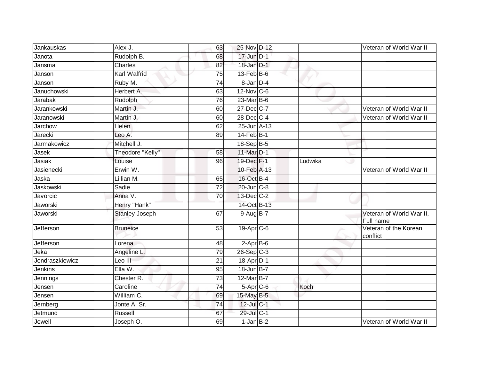| Jankauskas      | Alex J.               | 63              | 25-Nov D-12           |         | Veteran of World War II               |
|-----------------|-----------------------|-----------------|-----------------------|---------|---------------------------------------|
| Janota          | Rudolph B.            | 68              | 17-Jun D-1            |         |                                       |
| Jansma          | <b>Charles</b>        | 82              | 18-Jan D-1            |         |                                       |
| Janson          | Karl Walfrid          | 75              | 13-Feb B-6            |         |                                       |
| Janson          | Ruby M.               | $\overline{74}$ | 8-Jan D-4             |         |                                       |
| Januchowski     | Herbert A.            | 63              | $12$ -Nov $ C-6 $     |         |                                       |
| Jarabak         | Rudolph               | 76              | 23-Mar B-6            |         |                                       |
| Jarankowski     | Martin J.             | 60              | 27-Dec C-7            |         | Veteran of World War II               |
| Jaranowski      | Martin J.             | 60              | 28-Dec C-4            |         | Veteran of World War II               |
| Jarchow         | <b>Helen</b>          | 62              | 25-Jun A-13           |         |                                       |
| Jarecki         | Leo A.                | 89              | $14$ -Feb $B-1$       |         |                                       |
| Jarmakowicz     | Mitchell J.           |                 | 18-Sep B-5            |         |                                       |
| Jasek           | Theodore "Kelly"      | 58              | 11-Mar D-1            |         |                                       |
| Jasiak          | Louise                | 96              | 19-Dec F-1            | Ludwika |                                       |
| Jasienecki      | Erwin W.              |                 | 10-Feb A-13           |         | Veteran of World War II               |
| Jaska           | Lillian M.            | 65              | 16-Oct B-4            |         |                                       |
| Jaskowski       | Sadie                 | 72              | 20-Jun C-8            |         |                                       |
| Javorcic        | Anna V.               | 70              | 13-Dec C-2            |         |                                       |
| Jaworski        | Henry "Hank"          |                 | 14-Oct B-13           |         |                                       |
| Jaworski        | <b>Stanley Joseph</b> | 67              | 9-Aug B-7             |         | Veteran of World War II,<br>Full name |
| Jefferson       | <b>Bruneice</b>       | 53              | 19-Apr <sub>C-6</sub> |         | Veteran of the Korean<br>conflict     |
| Jefferson       | Lorena                | 48              | $2$ -Apr $B$ -6       |         |                                       |
| Jeka            | Angeline L.           | 79              | $26-Sep$ C-3          |         |                                       |
| Jendraszkiewicz | Leo III               | $\overline{21}$ | 18-Apr D-1            |         |                                       |
| Jenkins         | Ella W.               | $\overline{95}$ | 18-Jun B-7            |         |                                       |
| Jennings        | Chester <sub>R.</sub> | 73              | 12-Mar B-7            |         |                                       |
| Jensen          | Caroline              | $\overline{74}$ | $5-Apr$ $C-6$         | Koch    |                                       |
| Jensen          | William C.            | 69              | 15-May B-5            |         |                                       |
| Jernberg        | Jonte A. Sr.          | 74              | 12-Jul C-1            |         |                                       |
| Jetmund         | <b>Russell</b>        | 67              | 29-Jul C-1            |         |                                       |
| Jewell          | Joseph O.             | 69              | $1-Jan$ B-2           |         | Veteran of World War II               |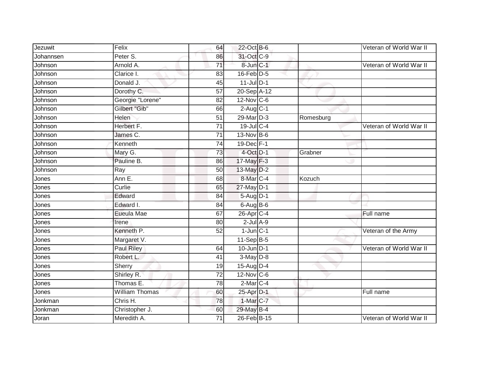| Jezuwit   | Felix                 | 64              | 22-Oct B-6             |           | Veteran of World War II |
|-----------|-----------------------|-----------------|------------------------|-----------|-------------------------|
| Johannsen | Peter S.              | 86              | 31-Oct C-9             |           |                         |
| Johnson   | Arnold A.             | $\overline{71}$ | 8-Jun C-1              |           | Veteran of World War II |
| Johnson   | Clarice I.            | 83              | $16$ -Feb $D-5$        |           |                         |
| Johnson   | Donald J.             | 45              | $11$ -Jul $D-1$        |           |                         |
| Johnson   | Dorothy C.            | 57              | 20-Sep A-12            |           |                         |
| Johnson   | Georgie "Lorene"      | 82              | $12$ -Nov C-6          |           |                         |
| Johnson   | Gilbert "Gib"         | 66              | $2-Aug$ <sub>C-1</sub> |           |                         |
| Johnson   | Helen                 | 51              | 29-Mar D-3             | Romesburg |                         |
| Johnson   | Herbert F.            | $\overline{71}$ | $19$ -Jul C-4          |           | Veteran of World War II |
| Johnson   | James C.              | 71              | 13-Nov B-6             |           |                         |
| Johnson   | Kenneth               | $\overline{74}$ | 19-Dec F-1             |           |                         |
| Johnson   | Mary G.               | 73              | 4-Oct D-1              | Grabner   |                         |
| Johnson   | Pauline B.            | 86              | 17-May F-3             |           |                         |
| Johnson   | Ray                   | 50              | 13-May D-2             |           |                         |
| Jones     | Ann E.                | 68              | 8-Mar <sub>IC-4</sub>  | Kozuch    |                         |
| Jones     | Curlie                | 65              | 27-May D-1             |           |                         |
| Jones     | Edward                | 84              | 5-Aug D-1              |           |                         |
| Jones     | Edward I.             | 84              | 6-Aug B-6              |           |                         |
| Jones     | Eueula Mae            | 67              | 26-Apr <sub>C-4</sub>  |           | Full name               |
| Jones     | Irene                 | 80              | $2$ -Jul $A-9$         |           |                         |
| Jones     | Kenneth P.            | 52              | $1$ -Jun $C-1$         |           | Veteran of the Army     |
| Jones     | Margaret V.           |                 | 11-Sep B-5             |           |                         |
| Jones     | Paul Riley            | 64              | $10$ -Jun $D-1$        |           | Veteran of World War II |
| Jones     | Robert L.             | 41              | $3-May$ $D-8$          |           |                         |
| Jones     | Sherry                | 19              | 15-Aug D-4             |           |                         |
| Jones     | Shirley R.            | $\overline{72}$ | 12-Nov C-6             |           |                         |
| Jones     | Thomas E.             | 78              | 2-Mar C-4              |           |                         |
| Jones     | <b>William Thomas</b> | 60              | 25-Apr D-1             |           | Full name               |
| Jonkman   | Chris H.              | 78              | 1-Mar C-7              |           |                         |
| Jonkman   | Christopher J.        | 60              | 29-May B-4             |           |                         |
| Joran     | Meredith A.           | 71              | 26-Feb B-15            |           | Veteran of World War II |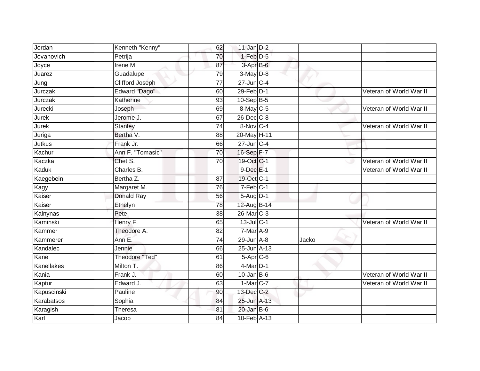| Jordan              | Kenneth "Kenny"        | 62              | $11$ -Jan $D-2$        |       |                         |
|---------------------|------------------------|-----------------|------------------------|-------|-------------------------|
| Jovanovich          | Petrija                | 70              | 1-Feb D-5              |       |                         |
| Joyce               | Irene M.               | 87              | 3-Apr B-6              |       |                         |
| Juarez              | Guadalupe              | 79              | $3-May$ $D-8$          |       |                         |
| Jung                | <b>Clifford Joseph</b> | $\overline{77}$ | $27$ -Jun $C-4$        |       |                         |
| Jurczak             | Edward "Dago"          | 60              | $29$ -Feb $D-1$        |       | Veteran of World War II |
| Jurczak             | Katherine              | 93              | 10-Sep B-5             |       |                         |
| Jurecki             | Joseph                 | 69              | 8-May C-5              |       | Veteran of World War II |
| Jure $\overline{k}$ | Jerome J.              | 67              | 26-Dec C-8             |       |                         |
| Jurek               | <b>Stanley</b>         | $\overline{74}$ | 8-Nov C-4              |       | Veteran of World War II |
| Juriga              | Bertha V.              | 88              | 20-May H-11            |       |                         |
| Jutkus              | Frank Jr.              | 66              | $27$ -Jun $C-4$        |       |                         |
| Kachur              | Ann F. "Tomasic"       | 70              | 16-Sep F-7             |       |                         |
| Kaczka              | Chet S.                | 70              | 19-Oct C-1             |       | Veteran of World War II |
| Kaduk               | Charles B.             |                 | $9$ -Dec $E-1$         |       | Veteran of World War II |
| Kaegebein           | Bertha Z.              | 87              | 19-Oct C-1             |       |                         |
| Kagy                | Margaret M.            | $\overline{76}$ | $7-Feb$ C-1            |       |                         |
| Kaiser              | <b>Donald Ray</b>      | 56              | $5-Aug$ D-1            |       |                         |
| Kaiser              | Ethelyn                | 78              | 12-Aug B-14            |       |                         |
| Kalnynas            | Pete                   | 38              | 26-Mar <sub>IC-3</sub> |       |                         |
| Kaminski            | Henry F.               | 65              | $13$ -Jul C-1          |       | Veteran of World War II |
| Kammer              | Theodore A.            | $\overline{82}$ | 7-Mar A-9              |       |                         |
| Kammerer            | Ann E.                 | 74              | $29$ -Jun $A-8$        | Jacko |                         |
| Kandalec            | Jennie                 | 66              | 25-Jun A-13            |       |                         |
| Kane                | <b>Theodore "Ted"</b>  | 61              | $5-Apr$ $C-6$          |       |                         |
| Kanellakes          | Milton T.              | 86              | $4$ -Mar $D-1$         |       |                         |
| Kania               | Frank J.               | 60              | $10$ -Jan B-6          |       | Veteran of World War II |
| Kaptur              | Edward J.              | 63              | $1-Mar$ $C-7$          |       | Veteran of World War II |
| Kapuscinski         | Pauline                | 90              | 13-Dec C-2             |       |                         |
| Karabatsos          | Sophia                 | 84              | 25-Jun A-13            |       |                         |
| Karagish            | Theresa                | 81              | $20$ -Jan B-6          |       |                         |
| Karl                | Jacob                  | 84              | 10-Feb A-13            |       |                         |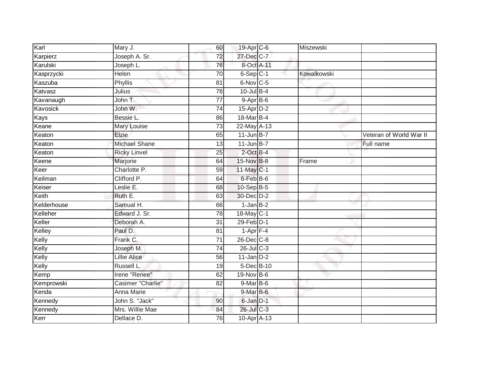| Karl        | Mary J.              | 60              | 19-Apr C-6      | Miszewski   |                         |
|-------------|----------------------|-----------------|-----------------|-------------|-------------------------|
| Karpierz    | Joseph A. Sr.        | $\overline{72}$ | 27-Dec C-7      |             |                         |
| Karulski    | Joseph L.            | 76              | 8-Oct A-11      |             |                         |
| Kasprzycki  | <b>Helen</b>         | 70              | $6-Sep$ $C-1$   | Kowalkowski |                         |
| Kaszuba     | <b>Phyllis</b>       | $\overline{81}$ | 6-Nov C-5       |             |                         |
| Katvasz     | Julius               | 78              | $10$ -Jul $B-4$ |             |                         |
| Kavanaugh   | John T.              | $\overline{77}$ | $9 - AprB - 6$  |             |                         |
| Kavosick    | John W.              | 74              | 15-Apr D-2      |             |                         |
| Kays        | Bessie L.            | 86              | 18-Mar B-4      |             |                         |
| Keane       | <b>Mary Louise</b>   | 73              | 22-May A-13     |             |                         |
| Keaton      | Elzie                | 65              | $11$ -Jun B-7   |             | Veteran of World War II |
| Keaton      | <b>Michael Shane</b> | 13              | $11$ -Jun $B-7$ |             | Full name               |
| Keaton      | <b>Ricky Linvel</b>  | 25              | $2$ -Oct $B-4$  |             |                         |
| Keene       | Marjorie             | 64              | 15-Nov B-8      | Frame       |                         |
| Keer        | Charlotte P.         | 59              | 11-May C-1      |             |                         |
| Keilman     | Clifford P.          | 64              | 6-Feb B-6       |             |                         |
| Keiser      | Leslie E.            | 68              | 10-Sep B-5      |             |                         |
| Keith       | Ruth E.              | 63              | 30-Dec D-2      |             |                         |
| Kelderhouse | Samual H.            | 66              | $1$ -Jan $B-2$  |             |                         |
| Kelleher    | Edward J. Sr.        | 78              | 18-May C-1      |             |                         |
| Keller      | Deborah A.           | 31              | 29-Feb D-1      |             |                         |
| Kelley      | Paul D.              | 81              | $1-Apr$ F-4     |             |                         |
| Kelly       | Frank C.             | 71              | 26-Dec C-8      |             |                         |
| Kelly       | Joseph M.            | $\overline{74}$ | 26-Jul C-3      |             |                         |
| Kelly       | <b>Lillie Alice</b>  | 56              | $11$ -Jan D-2   |             |                         |
| Kelly       | <b>Russell L</b>     | 19              | 5-Dec B-10      |             |                         |
| Kemp        | Irene "Renee"        | 62              | 19-Nov B-6      |             |                         |
| Kemprowski  | Casimer "Charlie"    | 82              | $9-MarB-6$      |             |                         |
| Kenda       | Anna Marie           |                 | $9$ -Mar $B$ -6 |             |                         |
| Kennedy     | John S. "Jack"       | 90              | 6-Jan D-1       |             |                         |
| Kennedy     | Mrs. Willie Mae      | 84              | $26$ -Jul $C-3$ |             |                         |
| Kerr        | Dellace D.           | 76              | 10-Apr A-13     |             |                         |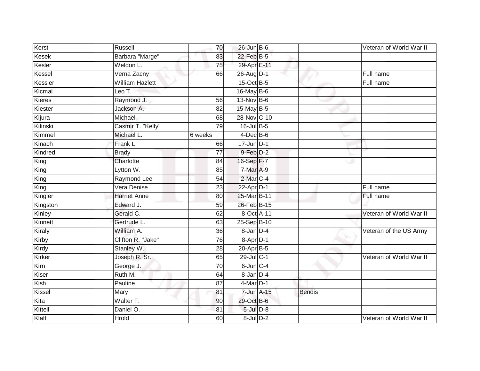| Kerst         | Russell                       | 70              | $26$ -Jun B-6   |        | Veteran of World War II |
|---------------|-------------------------------|-----------------|-----------------|--------|-------------------------|
| Kesek         | Barbara "Marge"               | 83              | 22-Feb B-5      |        |                         |
| Kesler        | Weldon L.                     | 75              | 29-Apr E-11     |        |                         |
| Kessel        | Verna Zacny                   | 66              | 26-Aug D-1      |        | Full name               |
| Kessler       | <b>William Hazlett</b>        |                 | 15-Oct B-5      |        | Full name               |
| Kicmal        | Leo T.                        |                 | 16-May B-6      |        |                         |
| Kieres        | Raymond J.                    | 56              | 13-Nov B-6      |        |                         |
| Kiester       | Jackson A.                    | 82              | 15-May B-5      |        |                         |
| Kijura        | Michael                       | 68              | 28-Nov C-10     |        |                         |
| Kilinski      | Casmir T. "Kelly"             | 79              | 16-Jul B-5      |        |                         |
| Kimmel        | Michael L.                    | 6 weeks         | $4$ -Dec $B$ -6 |        |                         |
| Kinach        | Frank L.                      | 66              | $17$ -Jun D-1   |        |                         |
| Kindred       | <b>Brady</b>                  | 77              | 9-Feb D-2       |        |                         |
| King          | Charlotte                     | 84              | 16-Sep F-7      |        |                         |
| King          | Lytton W.                     | 85              | 7-Mar A-9       |        |                         |
| King          | Raymond Lee                   | 54              | 2-Mar C-4       |        |                         |
| King          | Vera Denise                   | $\overline{23}$ | $22$ -Apr $D-1$ |        | Full name               |
| Kingler       | <b>Harriet Anne</b>           | 80              | 25-Mar B-11     |        | Full name               |
| Kingston      | Edward J.                     | 59              | 26-Feb B-15     |        |                         |
| Kinley        | Gerald C.                     | 62              | 8-Oct A-11      |        | Veteran of World War II |
| Kinnett       | Gertrude L.                   | 63              | 25-Sep B-10     |        |                         |
| Kiraly        | William A.                    | $\overline{36}$ | 8-Jan D-4       |        | Veteran of the US Army  |
| Kirby         | Clifton R. "Jake"             | 76              | $8-$ Apr $D-1$  |        |                         |
| Kirdy         | Stanley W.                    | 28              | 20-Apr B-5      |        |                         |
| Kirker        | Joseph R. Sr.                 | 65              | 29-Jul C-1      |        | Veteran of World War II |
| Kirn          | George J.                     | 70              | $6$ -Jun $C-4$  |        |                         |
| Kiser         | Ruth M.                       | 64              | 8-Jan D-4       |        |                         |
| Kish          | Pauline                       | 87              | 4-Mar D-1       |        |                         |
| <b>Kissel</b> | Mary                          | 81              | 7-Jun A-15      | Bendis |                         |
| Kita          | $\overline{\text{Walter F.}}$ | 90              | 29-Oct B-6      |        |                         |
| Kittell       | Daniel O.                     | 81              | 5-Jul D-8       |        |                         |
| Klaff         | <b>Hrold</b>                  | 60              | 8-Jul D-2       |        | Veteran of World War II |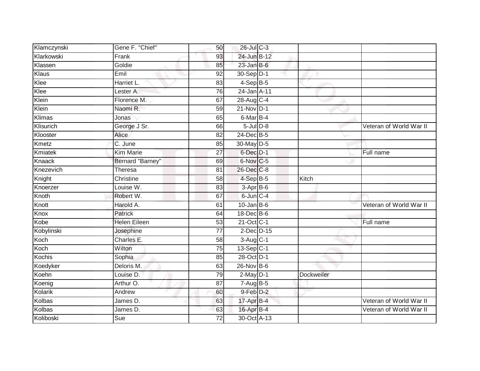| Klamczynski | Gene F. "Chief"     | 50              | $26$ -Jul $C-3$  |            |                         |
|-------------|---------------------|-----------------|------------------|------------|-------------------------|
| Klarkowski  | Frank               | 93              | 24-Jun B-12      |            |                         |
| Klassen     | Goldie              | 85              | $23$ -Jan B-6    |            |                         |
| Klaus       | Emil                | 92              | 30-Sep D-1       |            |                         |
| Klee        | Harriet L.          | 83              | $4-SepB-5$       |            |                         |
| Klee        | Lester A.           | 76              | 24-Jan A-11      |            |                         |
| Klein       | Florence M.         | 67              | 28-Aug C-4       |            |                         |
| Klein       | Naomi R.            | 59              | $21-Nov$ D-1     |            |                         |
| Klimas      | Jonas               | 65              | 6-Mar B-4        |            |                         |
| Klisurich   | George J Sr.        | 66              | $5$ -Jul $D-8$   |            | Veteran of World War II |
| Klooster    | Alice               | 82              | 24-Dec B-5       |            |                         |
| Kmetz       | C. June             | 85              | 30-May D-5       |            |                         |
| Kmiatek     | <b>Kim Marie</b>    | 27              | 6-Dec D-1        |            | Full name               |
| Knaack      | Bernard "Barney"    | 69              | 6-Nov C-5        |            |                         |
| Knezevich   | <b>Theresa</b>      | 81              | 26-Dec C-8       |            |                         |
| Knight      | Christine           | 58              | 4-Sep B-5        | Kitch      |                         |
| Knoerzer    | Louise W.           | $\overline{83}$ | 3-Apr B-6        |            |                         |
| Knoth       | Robert W.           | 67              | $6$ -Jun $C-4$   |            |                         |
| Knott       | Harold A.           | 61              | $10$ -Jan $B$ -6 |            | Veteran of World War II |
| Knox        | <b>Patrick</b>      | 64              | 18-Dec B-6       |            |                         |
| Kobe        | <b>Helen Eileen</b> | 53              | 21-Oct C-1       |            | Full name               |
| Kobylinski  | Josephine           | $\overline{77}$ | 2-Dec D-15       |            |                         |
| Koch        | Charles E.          | 58              | 3-Aug C-1        |            |                         |
| Koch        | Wilton              | 75              | 13-Sep C-1       |            |                         |
| Kochis      | Sophia              | 85              | 28-Oct D-1       |            |                         |
| Koedyker    | Deloris M.          | 63              | 26-Nov B-6       |            |                         |
| Koehn       | Louise D.           | 79              | $2$ -May $D-1$   | Dockweiler |                         |
| Koenig      | Arthur O.           | 87              | $7 - Aug$ B-5    |            |                         |
| Kolarik     | Andrew              | 60              | $9$ -Feb $D-2$   |            |                         |
| Kolbas      | James D.            | 63              | 17-Apr B-4       |            | Veteran of World War II |
| Kolbas      | James D.            | 63              | 16-Apr B-4       |            | Veteran of World War II |
| Koliboski   | Sue                 | $\overline{72}$ | 30-Oct A-13      |            |                         |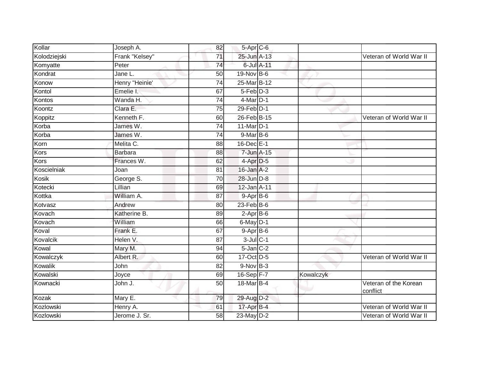| Kollar       | Joseph A.      | 82              | 5-Apr C-6        |           |                                   |
|--------------|----------------|-----------------|------------------|-----------|-----------------------------------|
| Kolodziejski | Frank "Kelsey" | 71              | 25-Jun A-13      |           | Veteran of World War II           |
| Komyatte     | Peter          | $\overline{74}$ | 6-Jul A-11       |           |                                   |
| Kondrat      | Jane L.        | 50              | 19-Nov B-6       |           |                                   |
| Konow        | Henry "Heinie' | $\overline{74}$ | 25-Mar B-12      |           |                                   |
| Kontol       | Emelie I.      | 67              | $5-Feb$ $D-3$    |           |                                   |
| Kontos       | Wanda H.       | 74              | 4-Mar D-1        |           |                                   |
| Koontz       | Clara E.       | 75              | $29$ -Feb $D-1$  |           |                                   |
| Koppitz      | Kenneth F.     | 60              | 26-Feb B-15      |           | Veteran of World War II           |
| Korba        | James W.       | 74              | 11-Mar D-1       |           |                                   |
| Korba        | James W.       | 74              | 9-Mar B-6        |           |                                   |
| Korn         | Melita C.      | 88              | 16-Dec E-1       |           |                                   |
| Kors         | <b>Barbara</b> | 88              | 7-Jun A-15       |           |                                   |
| Kors         | Frances W.     | 62              | $4$ -Apr $D-5$   |           |                                   |
| Koscielniak  | Joan           | 81              | $16$ -Jan $A-2$  |           |                                   |
| Kosik        | George S.      | $\overline{70}$ | 28-Jun D-8       |           |                                   |
| Kotecki      | Lillian        | 69              | 12-Jan A-11      |           |                                   |
| Kottka       | William A.     | 87              | $9-AprB-6$       |           |                                   |
| Kotvasz      | Andrew         | 80              | $23$ -Feb $B$ -6 |           |                                   |
| Kovach       | Katherine B.   | 89              | $2-AprB-6$       |           |                                   |
| Kovach       | William        | 66              | $6$ -May $D-1$   |           |                                   |
| Koval        | Frank E.       | 67              | $9-$ Apr $B-6$   |           |                                   |
| Kovalcik     | Helen V.       | 87              | $3$ -Jul $C-1$   |           |                                   |
| Kowal        | Mary M.        | 94              | $5$ -Jan $C-2$   |           |                                   |
| Kowalczyk    | Albert R.      | 60              | 17-Oct D-5       |           | Veteran of World War II           |
| Kowalik      | John           | 82              | $9-Nov$ B-3      |           |                                   |
| Kowalski     | Joyce          | 69              | $16-Sep$ F-7     | Kowalczyk |                                   |
| Kownacki     | John J.        | 50              | 18-Mar B-4       |           | Veteran of the Korean<br>conflict |
| Kozak        | Mary E.        | 79              | 29-Aug D-2       |           |                                   |
| Kozlowski    | Henry A.       | 61              | 17-Apr B-4       |           | Veteran of World War II           |
| Kozlowski    | Jerome J. Sr.  | 58              | 23-May D-2       |           | Veteran of World War II           |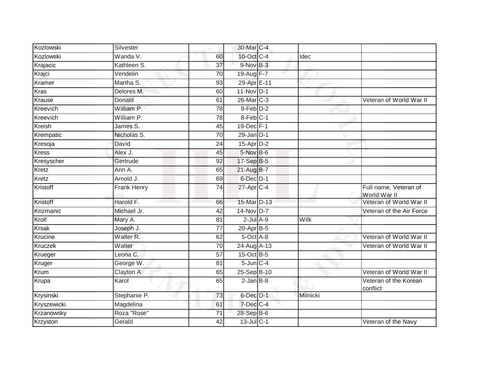| Kozlowski     | Silvester          |                 | 30-Mar C-4      |          |                                       |
|---------------|--------------------|-----------------|-----------------|----------|---------------------------------------|
| Kozlowski     | Wanda V.           | 60              | 10-Oct C-4      | Idec     |                                       |
| Krajacic      | Kathleen S.        | $\overline{37}$ | 9-Nov B-3       |          |                                       |
| Krajci        | Vendelin           | 70              | 19-Aug F-7      |          |                                       |
| Kramer        | Martha S.          | 93              | 29-Apr E-11     |          |                                       |
| <b>Kras</b>   | Delores M.         | 60              | 11-Nov D-1      |          |                                       |
| Krause        | Donald             | 61              | 26-Mar C-3      |          | Veteran of World War II               |
| Kreevich      | William P.         | 78              | 9-Feb D-2       |          |                                       |
| Kreevich      | William P.         | 78              | 8-Feb C-1       |          |                                       |
| <b>Kreish</b> | James S.           | 45              | 19-Dec F-1      |          |                                       |
| Krempatic     | Nicholas S.        | $\overline{70}$ | $29$ -Jan $D-1$ |          |                                       |
| Kresoja       | David              | 24              | $15$ -Apr $D-2$ |          |                                       |
| <b>Kress</b>  | Alex J.            | 45              | 5-Nov B-6       |          |                                       |
| Kresyscher    | Gertrude           | 92              | 17-Sep B-5      |          |                                       |
| Kretz         | Ann A.             | 65              | 21-Aug B-7      |          |                                       |
| Kretz         | Arnold J.          | 69              | $6$ -Dec $D-1$  |          |                                       |
| Kristoff      | <b>Frank Henry</b> | 74              | 27-Apr C-4      |          | Full name, Veteran of<br>World War II |
| Kristoff      | Harold F.          | 66              | 15-Mar D-13     |          | Veteran of World War II               |
| Krizmanic     | Michael Jr.        | 42              | 14-Nov D-7      |          | Veteran of the Air Force              |
| Kroll         | Mary A.            | $\overline{81}$ | $2$ -Jul $A-9$  | Wilk     |                                       |
| <b>Krsak</b>  | Joseph J.          | 77              | $20$ -Apr $B-5$ |          |                                       |
| Krucine       | Walter R.          | 62              | 5-Oct A-8       |          | Veteran of World War II               |
| Kruczek       | Walter             | 70              | 24-Aug A-13     |          | Veteran of World War II               |
| Krueger       | Leona C.           | 57              | 15-Oct B-5      |          |                                       |
| Kruger        | George W.          | 81              | $5$ -Jun $C-4$  |          |                                       |
| Krum          | Clayton A.         | 65              | 25-Sep B-10     |          | Veteran of World War II               |
| Krupa         | Karol              | 65              | $2$ -Jan $B-8$  |          | Veteran of the Korean<br>conflict     |
| Krysinski     | Stephanie P.       | 73              | 6-Dec D-1       | Milnicki |                                       |
| Kryszewicki   | Magdelina          | 61              | 7-Dec C-4       |          |                                       |
| Krzanowsky    | Roza "Rose"        | $\overline{71}$ | 28-Sep B-6      |          |                                       |
| Krzyston      | Gerald             | 42              | 13-Jul C-1      |          | Veteran of the Navy                   |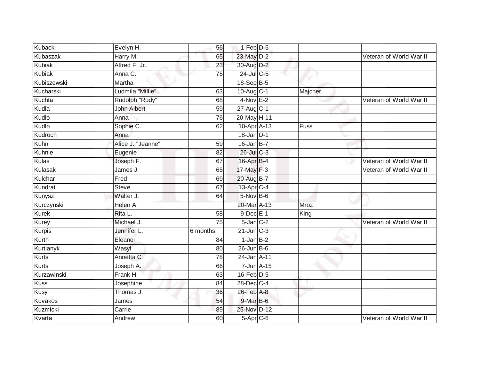| Kubacki       | Evelyn H.          | 56       | 1-Feb D-5             |             |                         |
|---------------|--------------------|----------|-----------------------|-------------|-------------------------|
| Kubaszak      | Harry M.           | 65       | 23-May D-2            |             | Veteran of World War II |
| <b>Kubiak</b> | Alfred F. Jr.      | 23       | 30-Aug D-2            |             |                         |
| <b>Kubiak</b> | Anna C.            | 75       | 24-Jul C-5            |             |                         |
| Kubiszewski   | Martha             |          | 18-Sep B-5            |             |                         |
| Kucharski     | Ludmila "Millie"   | 63       | 10-Aug C-1            | Majcher     |                         |
| Kuchta        | Rudolph "Rudy"     | 68       | $4-Nov$ E-2           |             | Veteran of World War II |
| Kudla         | <b>John Albert</b> | 59       | 27-Aug C-1            |             |                         |
| Kudlo         | Anna               | 76       | 20-May H-11           |             |                         |
| Kudlo         | Sophie C.          | 62       | 10-Apr A-13           | <b>Fuss</b> |                         |
| Kudroch       | Anna               |          | $18$ -Jan $D-1$       |             |                         |
| Kuhn          | Alice J. "Jeanne"  | 59       | $16$ -Jan B-7         |             |                         |
| Kuhnle        | Eugenie            | 82       | 26-Jul C-3            |             |                         |
| Kulas         | Joseph F.          | 67       | 16-Apr B-4            |             | Veteran of World War II |
| Kulasak       | James J.           | 65       | $17$ -May $F-3$       |             | Veteran of World War II |
| Kulchar       | Fred               | 69       | 20-Aug B-7            |             |                         |
| Kundrat       | Steve              | 67       | 13-Apr <sub>C-4</sub> |             |                         |
| Kunysz        | Walter J.          | 64       | 5-Nov B-6             |             |                         |
| Kurczynski    | Helen A.           |          | 20-Mar A-13           | Mroz        |                         |
| <b>Kurek</b>  | Rita L.            | 58       | $9$ -Dec $E-1$        | King        |                         |
| Kurey         | Michael J.         | 75       | $5$ -Jan $C-2$        |             | Veteran of World War II |
| <b>Kurpis</b> | Jennifer L.        | 6 months | $21$ -Jun $C-3$       |             |                         |
| Kurth         | Eleanor            | 84       | $1-JanB-2$            |             |                         |
| Kurtianyk     | Wasyl              | 80       | $26$ -Jun $B$ -6      |             |                         |
| <b>Kurts</b>  | Annetta C          | 78       | 24-Jan A-11           |             |                         |
| <b>Kurts</b>  | Joseph A.          | 66       | 7-Jun A-15            |             |                         |
| Kurzawinski   | Frank H.           | 63       | 16-Feb D-5            |             |                         |
| <b>Kuss</b>   | Josephine          | 84       | 28-Dec C-4            |             |                         |
| <b>Kusy</b>   | Thomas J.          | 36       | $26$ -Feb $A-8$       |             |                         |
| Kuvakos       | James              | 54       | 9-Mar B-6             |             |                         |
| Kuzmicki      | Carrie             | 89       | 25-Nov D-12           |             |                         |
| Kvarta        | Andrew             | 60       | $5-Apr$ C-6           |             | Veteran of World War II |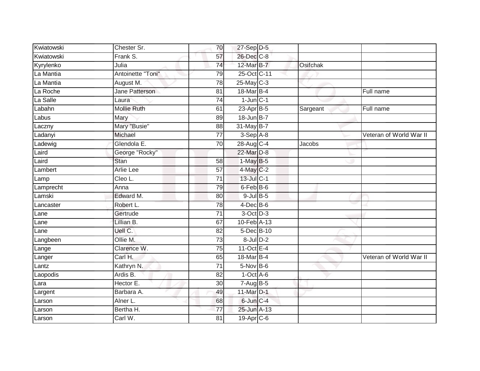| Kwiatowski | Chester Sr.        | 70              | 27-Sep D-5      |          |                         |
|------------|--------------------|-----------------|-----------------|----------|-------------------------|
| Kwiatowski | Frank S.           | 57              | 26-Dec C-8      |          |                         |
| Kyrylenko  | Julia              | 74              | 12-Mar B-7      | Osifchak |                         |
| La Mantia  | Antoinette "Toni"  | 79              | 25-Oct C-11     |          |                         |
| La Mantia  | August M.          | $\overline{78}$ | $25$ -May C-3   |          |                         |
| La Roche   | Jane Patterson     | 81              | 18-Mar B-4      |          | Full name               |
| La Salle   | Laura              | 74              | $1$ -Jun $C-1$  |          |                         |
| Labahn     | <b>Mollie Ruth</b> | 61              | 23-Apr B-5      | Sargeant | Full name               |
| Labus      | Mary               | 89              | 18-Jun B-7      |          |                         |
| Laczny     | Mary "Busie"       | 88              | 31-May B-7      |          |                         |
| Ladanyi    | Michael            | 77              | $3-Sep$ A-8     |          | Veteran of World War II |
| Ladewig    | Glendola E.        | 70              | 28-Aug C-4      | Jacobs   |                         |
| Laird      | George "Rocky"     |                 | 22-Mar D-8      |          |                         |
| Laird      | Stan               | 58              | $1-MayB-5$      |          |                         |
| Lambert    | <b>Arlie Lee</b>   | $\overline{57}$ | 4-May C-2       |          |                         |
| Lamp       | Cleo L.            | $\overline{71}$ | 13-Jul C-1      |          |                         |
| Lamprecht  | Anna               | 79              | 6-Feb B-6       |          |                         |
| Lamski     | Edward M.          | 80              | $9$ -Jul $B$ -5 |          |                         |
| Lancaster  | Robert L.          | 78              | 4-Dec B-6       |          |                         |
| Lane       | Gertrude           | 71              | 3-Oct D-3       |          |                         |
| Lane       | Lillian B.         | 67              | 10-Feb A-13     |          |                         |
| Lane       | Uell C.            | 82              | 5-Dec B-10      |          |                         |
| Langbeen   | Ollie M.           | 73              | $8$ -Jul $D-2$  |          |                         |
| Lange      | Clarence W.        | 75              | 11-Oct $E-4$    |          |                         |
| Langer     | Carl H.            | 65              | 18-Mar B-4      |          | Veteran of World War II |
| Lantz      | Kathryn N.         | 71              | $5-Nov$ B-6     |          |                         |
| Laopodis   | Ardis B.           | 82              | $1-Oct$ A-6     |          |                         |
| Lara       | Hector E.          | 30              | $7-Aug$ B-5     |          |                         |
| Largent    | Barbara A.         | 49              | 11-Mar D-1      |          |                         |
| Larson     | Alner L.           | 68              | 6-Jun C-4       |          |                         |
| Larson     | Bertha H.          | 77              | 25-Jun A-13     |          |                         |
| Larson     | Carl W.            | $\overline{81}$ | 19-Apr C-6      |          |                         |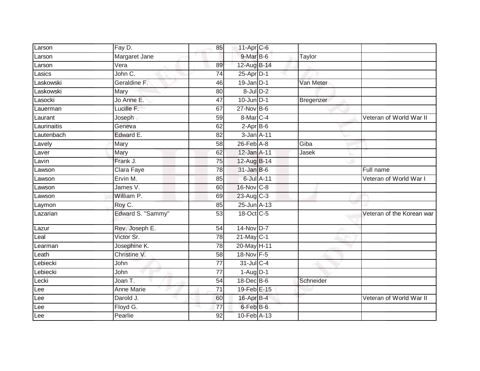| Larson        | Fay D.            | 85              | $11-Apr$ <sub>C-6</sub> |           |                           |
|---------------|-------------------|-----------------|-------------------------|-----------|---------------------------|
| Larson        | Margaret Jane     |                 | 9-Mar B-6               | Taylor    |                           |
| Larson        | Vera              | 89              | 12-Aug B-14             |           |                           |
| Lasics        | John C.           | 74              | $25$ -Apr $D-1$         |           |                           |
| Laskowski     | Geraldine F.      | 46              | $19$ -Jan D-1           | Van Meter |                           |
| _askowski     | Mary              | 80              | $8$ -Jul $D-2$          |           |                           |
| Lasocki       | Jo Anne E.        | 47              | $10$ -Jun $D-1$         | Bregenzer |                           |
| Lauerman      | Lucille F.        | 67              | $27$ -Nov $B-6$         |           |                           |
| Laurant       | Joseph            | 59              | 8-Mar C-4               |           | Veteran of World War II   |
| Laurinaitis   | Geneva            | 62              | $2-AprB-6$              |           |                           |
| Lautenbach    | Edward E.         | 82              | 3-Jan A-11              |           |                           |
| Lavely        | Mary              | 58              | $26$ -Feb $A$ -8        | Giba      |                           |
| Laver         | Mary              | 62              | 12-Jan A-11             | Jasek     |                           |
| Lavin         | Frank J.          | 75              | 12-Aug B-14             |           |                           |
| _awson        | Clara Faye        | $\overline{78}$ | $31$ -Jan B-6           |           | Full name                 |
| Lawson        | Ervin M.          | 85              | 6-Jul A-11              |           | Veteran of World War I    |
| Lawson        | James V.          | 60              | 16-Nov C-8              |           |                           |
| _awson        | William P.        | 69              | 23-Aug C-3              |           |                           |
| Laymon        | Roy C.            | 85              | 25-Jun A-13             |           |                           |
| Lazarian      | Edward S. "Sammy" | 53              | 18-Oct C-5              |           | Veteran of the Korean war |
| Lazur         | Rev. Joseph E.    | 54              | 14-Nov D-7              |           |                           |
| Leal          | Victor Sr.        | 78              | $21$ -May C-1           |           |                           |
| Learman       | Josephine K.      | 78              | 20-May H-11             |           |                           |
| Leath         | Christine V.      | 58              | 18-Nov F-5              |           |                           |
| Lebiecki      | John              | $\overline{77}$ | $31$ -Jul C-4           |           |                           |
| Lebiecki      | John              | 77              | $1 - \text{Aug}$ D-1    |           |                           |
| $Leck\bar{i}$ | Joan T.           | 54              | 18-Dec B-6              | Schneider |                           |
| Lee           | Anne Marie        | 71              | 19-Feb E-15             |           |                           |
| Lee           | Darold J.         | 60              | 16-Apr B-4              |           | Veteran of World War II   |
| Lee           | Floyd G.          | 77              | 6-Feb B-6               |           |                           |
| Lee           | Pearlie           | 92              | $10-Feb$ A-13           |           |                           |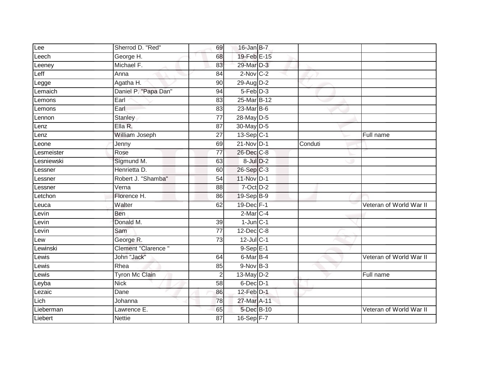| Lee        | Sherrod D. "Red"      | 69              | $16$ -Jan B-7    |         |                         |
|------------|-----------------------|-----------------|------------------|---------|-------------------------|
| Leech      | George H.             | 68              | 19-Feb E-15      |         |                         |
| Leeney     | Michael F.            | 83              | 29-Mar D-3       |         |                         |
| Leff       | Anna                  | 84              | $2$ -Nov $C-2$   |         |                         |
| Legge      | Agatha H.             | $\overline{90}$ | 29-Aug D-2       |         |                         |
| Lemaich    | Daniel P. "Papa Dan"  | 94              | $5-Feb$ $D-3$    |         |                         |
| _emons     | Earl                  | 83              | 25-Mar B-12      |         |                         |
| Lemons     | Earl                  | 83              | 23-Mar B-6       |         |                         |
| Lennon     | Stanley               | 77              | 28-May D-5       |         |                         |
| Lenz       | Ella R.               | $\overline{87}$ | 30-May D-5       |         |                         |
| Lenz       | William Joseph        | 27              | 13-Sep C-1       |         | Full name               |
| Leone      | Jenny                 | 69              | $21-Nov$ D-1     | Conduti |                         |
| Lesmeister | Rose                  | 77              | 26-Dec C-8       |         |                         |
| Lesniewski | Sigmund M.            | 63              | $8$ -Jul $D-2$   |         |                         |
| _essner    | Henrietta D.          | 60              | 26-Sep C-3       |         |                         |
| _essner    | Robert J. "Shamba"    | 54              | 11-Nov D-1       |         |                         |
| Lessner    | Verna                 | 88              | $7$ -Oct $D-2$   |         |                         |
| Letchon    | Florence H.           | 86              | 19-Sep B-9       |         |                         |
| Leuca      | Walter                | 62              | 19-Dec F-1       |         | Veteran of World War II |
| Levin      | Ben                   |                 | $2$ -Mar $C-4$   |         |                         |
| Levin      | Donald M.             | 39              | $1$ -Jun $C-1$   |         |                         |
| Levin      | Sam                   | $\overline{77}$ | $12$ -Dec $C$ -8 |         |                         |
| Lew        | George R.             | 73              | $12$ -Jul C-1    |         |                         |
| Lewinski   | Clement "Clarence"    |                 | $9-SepE-1$       |         |                         |
| Lewis      | John "Jack"           | 64              | 6-Mar B-4        |         | Veteran of World War II |
| Lewis      | Rhea                  | 85              | $9-Nov$ B-3      |         |                         |
| Lewis      | <b>Tyron Mc Clain</b> | $\overline{2}$  | $13$ -May $D-2$  |         | Full name               |
| Leyba      | <b>Nick</b>           | 58              | $6$ -Dec $D-1$   |         |                         |
| Lezaic     | Dane                  | 86              | 12-Feb D-1       |         |                         |
| Lich       | Johanna               | 78              | 27-Mar A-11      |         |                         |
| Lieberman  | Lawrence E.           | 65              | 5-Dec B-10       |         | Veteran of World War II |
| Liebert    | <b>Nettie</b>         | $\overline{87}$ | $16-Sep$ F-7     |         |                         |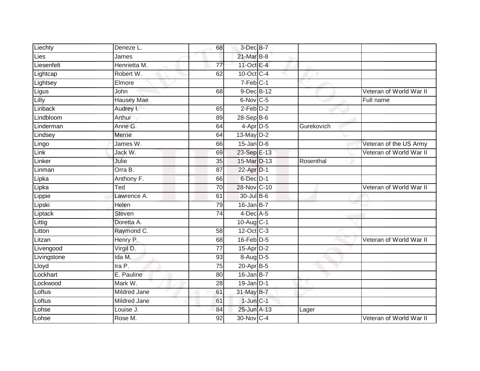| Liechty     | Deneze L.                 | 68              | 3-Dec B-7               |            |                         |
|-------------|---------------------------|-----------------|-------------------------|------------|-------------------------|
| <b>Lies</b> | James                     |                 | $21$ -Mar $B-8$         |            |                         |
| Liesenfelt  | Henrietta M.              | $\overline{77}$ | 11-Oct E-4              |            |                         |
| Lightcap    | Robert W.                 | 62              | 10-Oct C-4              |            |                         |
| Lightsey    | Elmore                    |                 | $7-Feb$ C-1             |            |                         |
| Ligus       | John                      | 68              | 9-Dec B-12              |            | Veteran of World War II |
| Lilly       | <b>Hausey Mae</b>         |                 | 6-Nov C-5               |            | Full name               |
| Linback     | Audrey I.                 | 65              | $2$ -Feb $D-2$          |            |                         |
| Lindbloom   | Arthur                    | 89              | 28-Sep B-6              |            |                         |
| Linderman   | Anne G.                   | 64              | 4-Apr D-5               | Gurekovich |                         |
| Lindsey     | Merrie                    | 64              | 13-May D-2              |            |                         |
| Lingo       | James W.                  | 66              | $15$ -Jan $D-6$         |            | Veteran of the US Army  |
| Link        | Jack W.                   | 69              | 23-Sep E-13             |            | Veteran of World War II |
| Linker      | Julie                     | 35              | 15-Mar D-13             | Rosenthal  |                         |
| Linman      | Orra B.                   | 87              | 22-Apr D-1              |            |                         |
| Lipka       | Anthony F.                | 66              | $6$ -Dec $D-1$          |            |                         |
| Lipka       | $\overline{\mathsf{Red}}$ | 70              | 28-Nov C-10             |            | Veteran of World War II |
| Lippie      | Lawrence A.               | 61              | 30-Jul B-6              |            |                         |
| Lipski      | Helen                     | 79              | $16$ -Jan $B-7$         |            |                         |
| Liptack     | Steven                    | 74              | $4$ -Dec $A$ -5         |            |                         |
| Littig      | Doretta A.                |                 | $10-Aug$ <sub>C-1</sub> |            |                         |
| Litton      | Raymond C.                | 58              | 12-Oct C-3              |            |                         |
| Litzan      | Henry P.                  | 68              | $16$ -Feb $D-5$         |            | Veteran of World War II |
| Livengood   | Virgil D.                 | 77              | $15-Apr\overline{D-2}$  |            |                         |
| Livingstone | Ida M.                    | 93              | $8-Aug$ D-5             |            |                         |
| Lloyd       | Ira P.                    | 75              | 20-Apr B-5              |            |                         |
| Lockhart    | E. Pauline                | 80              | $16$ -Jan B-7           |            |                         |
| Lockwood    | Mark W.                   | 28              | $19$ -Jan D-1           |            |                         |
| Loftus      | <b>Mildred Jane</b>       | 61              | 31-May B-7              |            |                         |
| Loftus      | <b>Mildred Jane</b>       | 61              | $1$ -Jun $C-1$          |            |                         |
| Lohse       | Louise J.                 | 84              | 25-Jun A-13             | Lager      |                         |
| Lohse       | Rose M.                   | 92              | 30-Nov C-4              |            | Veteran of World War II |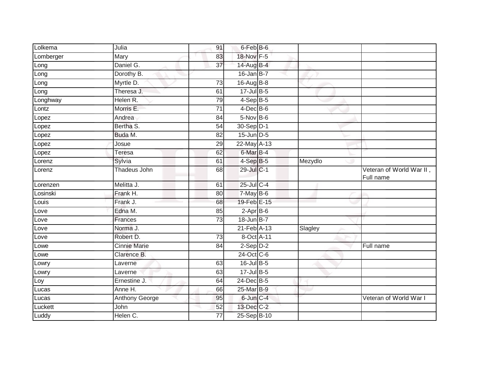| Lolkema   | Julia               | 91              | 6-Feb B-6       |         |                                       |
|-----------|---------------------|-----------------|-----------------|---------|---------------------------------------|
| Lomberger | Mary                | 83              | 18-Nov F-5      |         |                                       |
| Long      | Daniel G.           | $\overline{37}$ | 14-Aug B-4      |         |                                       |
| Long      | Dorothy B.          |                 | $16$ -Jan B-7   |         |                                       |
| Long      | Myrtle D.           | 73              | 16-Aug B-8      |         |                                       |
| Long      | Theresa J.          | 61              | 17-Jul B-5      |         |                                       |
| Longhway  | Helen R.            | 79              | $4-Sep$ B-5     |         |                                       |
| Lontz     | Morris E.           | 71              | $4$ -Dec B-6    |         |                                       |
| Lopez     | Andrea              | 84              | $5-Nov$ B-6     |         |                                       |
| Lopez     | Bertha S.           | 54              | 30-Sep D-1      |         |                                       |
| Lopez     | Buda M.             | 82              | $15$ -Jun $D-5$ |         |                                       |
| Lopez     | Josue               | 29              | 22-May A-13     |         |                                       |
| Lopez     | <b>Teresa</b>       | 62              | 6-Mar B-4       |         |                                       |
| Lorenz    | Sylvia              | 61              | $4-SepB-5$      | Mezydlo |                                       |
| Lorenz    | Thadeus John        | 68              | 29-Jul C-1      |         | Veteran of World War II,<br>Full name |
| Lorenzen  | Melitta J.          | 61              | $25$ -Jul C-4   |         |                                       |
| Losinski  | Frank H.            | 80              | $7$ -May $B$ -6 |         |                                       |
| Louis     | Frank J.            | 68              | 19-Feb E-15     |         |                                       |
| Love      | Edna M.             | 85              | $2-AprB-6$      |         |                                       |
| Love      | Frances             | $\overline{73}$ | 18-Jun B-7      |         |                                       |
| Love      | Norma J.            |                 | 21-Feb A-13     | Slagley |                                       |
| Love      | Robert D.           | 73              | 8-Oct A-11      |         |                                       |
| Lowe      | <b>Cinnie Marie</b> | 84              | $2-Sep$ $D-2$   |         | Full name                             |
| Lowe      | Clarence B.         |                 | 24-Oct C-6      |         |                                       |
| Lowry     | Laverne             | 63              | $16$ -Jul $B-5$ |         |                                       |
| Lowry     | Laverne             | 63              | 17-Jul B-5      |         |                                       |
| Loy       | Ernestine J.        | 64              | 24-Dec B-5      |         |                                       |
| Lucas     | Anne H.             | 66              | 25-Mar B-9      |         |                                       |
| Lucas     | Anthony George      | 95              | 6-Jun C-4       |         | Veteran of World War I                |
| Luckett   | John                | 52              | 13-Dec C-2      |         |                                       |
| Luddy     | Helen C.            | 77              | 25-Sep B-10     |         |                                       |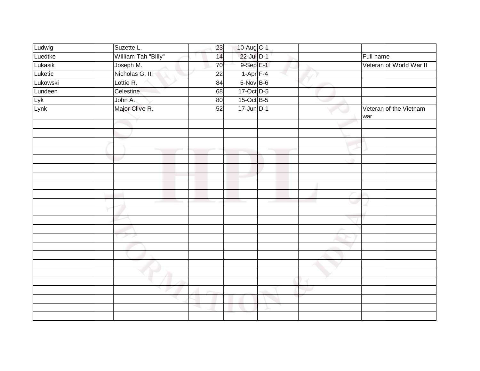| Ludwig   | Suzette L.          | 23              | 10-Aug C-1      |  |                               |
|----------|---------------------|-----------------|-----------------|--|-------------------------------|
| Luedtke  | William Tah "Billy" | 14              | 22-Jul D-1      |  | Full name                     |
| Lukasik  | Joseph M.           | 70              | 9-Sep E-1       |  | Veteran of World War II       |
| Luketic  | Nicholas G. III     | $\overline{22}$ | $1-Apr$ F-4     |  |                               |
| Lukowski | Lottie R.           | 84              | $5-Nov$ B-6     |  |                               |
| Lundeen  | Celestine           | 68              | 17-Oct D-5      |  |                               |
| Lyk      | John A.             | 80              | 15-Oct B-5      |  |                               |
| Lynk     | Major Clive R.      | 52              | $17$ -Jun $D-1$ |  | Veteran of the Vietnam<br>war |
|          |                     |                 |                 |  |                               |
|          |                     |                 |                 |  |                               |
|          |                     |                 |                 |  |                               |
|          |                     |                 |                 |  |                               |
|          |                     |                 |                 |  |                               |
|          |                     |                 |                 |  |                               |
|          |                     |                 |                 |  |                               |
|          |                     |                 |                 |  |                               |
|          |                     |                 |                 |  |                               |
|          |                     |                 |                 |  |                               |
|          |                     |                 |                 |  |                               |
|          |                     |                 |                 |  |                               |
|          |                     |                 |                 |  |                               |
|          | メア                  |                 |                 |  |                               |
|          |                     |                 |                 |  |                               |
|          |                     |                 |                 |  |                               |
|          |                     |                 |                 |  |                               |
|          |                     |                 |                 |  |                               |
|          |                     |                 |                 |  |                               |
|          |                     |                 |                 |  |                               |
|          |                     |                 |                 |  |                               |
|          |                     | s.              |                 |  |                               |
|          |                     |                 |                 |  |                               |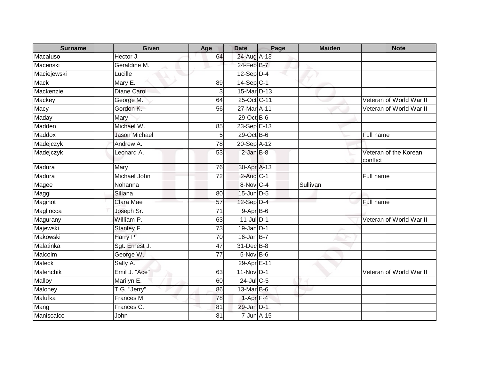| <b>Surname</b> | <b>Given</b>         | Age             | <b>Date</b>            | Page | <b>Maiden</b> | <b>Note</b>                       |
|----------------|----------------------|-----------------|------------------------|------|---------------|-----------------------------------|
| Macaluso       | Hector J.            | 64              | 24-Aug A-13            |      |               |                                   |
| Macenski       | Geraldine M.         |                 | 24-Feb B-7             |      |               |                                   |
| Maciejewski    | Lucille              |                 | $12-Sep$ D-4           |      |               |                                   |
| <b>Mack</b>    | Mary E.              | 89              | $14-Sep C-1$           |      |               |                                   |
| Mackenzie      | <b>Diane Carol</b>   | 3               | 15-Mar D-13            |      |               |                                   |
| Mackey         | George M.            | 64              | 25-Oct C-11            |      |               | Veteran of World War II           |
| Macy           | Gordon K.            | 56              | 27-Mar A-11            |      |               | Veteran of World War II           |
| Maday          | Mary                 |                 | 29-Oct B-6             |      |               |                                   |
| Madden         | Michael W.           | 85              | 23-Sep E-13            |      |               |                                   |
| Maddox         | <b>Jason Michael</b> | 5               | 29-Oct B-6             |      |               | Full name                         |
| Madejczyk      | Andrew A.            | 78              | 20-Sep A-12            |      |               |                                   |
| Madejczyk      | Leonard A.           | 53              | $2$ -Jan $B-8$         |      |               | Veteran of the Korean<br>conflict |
| Madura         | Mary                 | 76              | 30-Apr A-13            |      |               |                                   |
| Madura         | Michael John         | $\overline{72}$ | $2$ -Aug C-1           |      |               | Full name                         |
| Magee          | Nohanna              |                 | 8-Nov C-4              |      | Sullivan      |                                   |
| Maggi          | Siliana              | 80              | 15-Jun D-5             |      |               |                                   |
| Maginot        | Clara Mae            | 57              | 12-Sep D-4             |      |               | Full name                         |
| Magliocca      | Joseph Sr.           | 71              | $9-Apr$ B-6            |      |               |                                   |
| Magurany       | William P.           | 63              | $11$ -Jul $D-1$        |      |               | Veteran of World War II           |
| Majewski       | Stanley F.           | 73              | $19$ -Jan D-1          |      |               |                                   |
| Makowski       | Harry P.             | 70              | $16$ -Jan $B$ -7       |      |               |                                   |
| Malatinka      | Sgt. Ernest J.       | 47              | 31-Dec B-8             |      |               |                                   |
| Malcolm        | George W.            | 77              | $5-Nov$ B-6            |      |               |                                   |
| <b>Maleck</b>  | Sally A.             |                 | 29-Apr <sub>E-11</sub> |      |               |                                   |
| Malenchik      | Emil J. "Ace"        | 63              | 11-Nov D-1             |      |               | Veteran of World War II           |
| Malloy         | Marilyn E.           | 60              | 24-Jul C-5             |      |               |                                   |
| Maloney        | T.G. "Jerry"         | 86              | 13-Mar B-6             |      |               |                                   |
| Malufka        | Frances M.           | 78              | $1-Apr$ F-4            |      |               |                                   |
| Mang           | Frances C.           | 81              | 29-Jan D-1             |      |               |                                   |
| Maniscalco     | John                 | 81              | 7-Jun A-15             |      |               |                                   |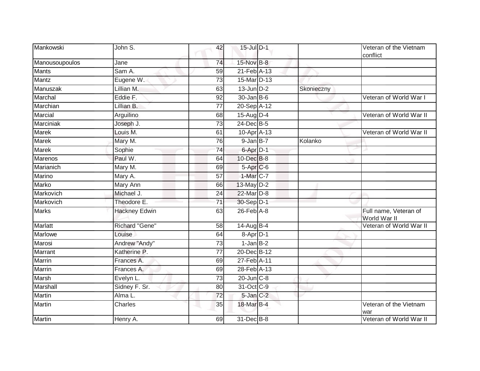| Mankowski      | John S.              | 42              | 15-Jul D-1           |            | Veteran of the Vietnam<br>conflict    |
|----------------|----------------------|-----------------|----------------------|------------|---------------------------------------|
| Manousoupoulos | Jane                 | 74              | 15-Nov B-8           |            |                                       |
| <b>Mants</b>   | Sam A.               | 59              | 21-Feb A-13          |            |                                       |
| <b>Mantz</b>   | Eugene W.            | 73              | 15-Mar D-13          |            |                                       |
| Manuszak       | Lillian M.           | 63              | $13$ -Jun $D-2$      | Skonieczny |                                       |
| Marchal        | Eddie F.             | 92              | $30 - Jan$ B-6       |            | Veteran of World War I                |
| Marchian       | Lillian B.           | $\overline{77}$ | 20-Sep A-12          |            |                                       |
| Marcial        | Arguilino            | 68              | 15-Aug D-4           |            | Veteran of World War II               |
| Marciniak      | Joseph J.            | 73              | 24-Dec B-5           |            |                                       |
| <b>Marek</b>   | Louis M.             | 61              | 10-Apr A-13          |            | Veteran of World War II               |
| <b>Marek</b>   | Mary M.              | 76              | $9$ -Jan $B-7$       | Kolanko    |                                       |
| <b>Marek</b>   | Sophie               | 74              | 6-Apr D-1            |            |                                       |
| Marenos        | Paul W.              | 64              | 10-Dec B-8           |            |                                       |
| Marianich      | Mary M.              | 69              | 5-Apr <sub>C-6</sub> |            |                                       |
| Marino         | Mary A.              | 57              | 1-Mar C-7            |            |                                       |
| Marko          | Mary Ann             | 66              | 13-May D-2           |            |                                       |
| Markovich      | Michael J.           | 24              | 22-Mar D-8           |            |                                       |
| Markovich      | Theodore E.          | 71              | 30-Sep D-1           |            |                                       |
| <b>Marks</b>   | <b>Hackney Edwin</b> | 63              | $26$ -Feb $A$ -8     |            | Full name, Veteran of<br>World War II |
| <b>Marlatt</b> | Richard "Gene"       | $\overline{58}$ | $14$ -Aug B-4        |            | Veteran of World War II               |
| Marlowe        | Louise               | 64              | 8-Apr D-1            |            |                                       |
| Marosi         | Andrew "Andy"        | 73              | $1-Jan$ B-2          |            |                                       |
| Marrant        | Katherine P.         | 77              | 20-Dec B-12          |            |                                       |
| <b>Marrin</b>  | Frances A.           | 69              | 27-Feb A-11          |            |                                       |
| <b>Marrin</b>  | Frances A.           | 69              | 28-Feb A-13          |            |                                       |
| Marsh          | Evelyn L.            | 73              | $20$ -Jun $C-8$      |            |                                       |
| Marshall       | Sidney F. Sr.        | 80              | 31-Oct C-9           |            |                                       |
| Martin         | Alma L.              | 72              | 5-Jan C-2            |            |                                       |
| <b>Martin</b>  | <b>Charles</b>       | 35              | 18-Mar B-4           |            | Veteran of the Vietnam<br>war         |
| <b>Martin</b>  | Henry A.             | 69              | 31-Dec B-8           |            | Veteran of World War II               |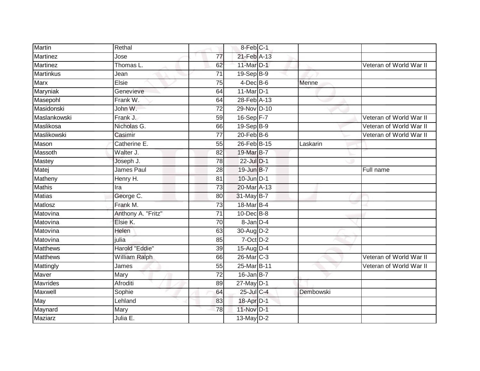| <b>Martin</b>   | Rethal             |                 | 8-Feb C-1        |           |                         |
|-----------------|--------------------|-----------------|------------------|-----------|-------------------------|
| Martinez        | Jose               | $\overline{77}$ | 21-Feb A-13      |           |                         |
| <b>Martinez</b> | Thomas L.          | 62              | 11-Mar D-1       |           | Veteran of World War II |
| Martinkus       | Jean               | $\overline{71}$ | 19-Sep B-9       |           |                         |
| <b>Marx</b>     | Elsie              | 75              | $4$ -Dec B-6     | Menne     |                         |
| Maryniak        | Genevieve          | 64              | 11-Mar D-1       |           |                         |
| Masepohl        | Frank W.           | 64              | 28-Feb A-13      |           |                         |
| Masidonski      | John W.            | 72              | 29-Nov D-10      |           |                         |
| Maslankowski    | Frank J.           | 59              | $16-Sep$ F-7     |           | Veteran of World War II |
| Maslikosa       | Nicholas G.        | 66              | 19-Sep B-9       |           | Veteran of World War II |
| Maslikowski     | Casimir            | $\overline{77}$ | $20$ -Feb $B$ -6 |           | Veteran of World War II |
| Mason           | Catherine E.       | 55              | 26-Feb B-15      | Laskarin  |                         |
| Massoth         | Walter J.          | 82              | 19-Mar B-7       |           |                         |
| Mastey          | Joseph J.          | 78              | 22-Jul D-1       |           |                         |
| Matej           | James Paul         | $\overline{28}$ | 19-Jun B-7       |           | Full name               |
| Matheny         | Henry H.           | 81              | $10$ -Jun $D-1$  |           |                         |
| <b>Mathis</b>   | Ira                | 73              | 20-Mar A-13      |           |                         |
| <b>Matias</b>   | George C.          | 80              | 31-May B-7       |           |                         |
| Matlosz         | Frank M.           | 73              | 18-Mar B-4       |           |                         |
| Matovina        | Anthony A. "Fritz" | $\overline{71}$ | 10-Dec B-8       |           |                         |
| Matovina        | Elsie K.           | 70              | $8$ -Jan $D-4$   |           |                         |
| Matovina        | Helen              | 63              | 30-Aug D-2       |           |                         |
| Matovina        | julia              | 85              | $7$ -Oct $D-2$   |           |                         |
| <b>Matthews</b> | Harold "Eddie"     | 39              | 15-Aug D-4       |           |                         |
| <b>Matthews</b> | William Ralph      | 66              | 26-Mar C-3       |           | Veteran of World War II |
| Mattingly       | James              | 55              | 25-Mar B-11      |           | Veteran of World War II |
| Maver           | Mary               | $\overline{72}$ | $16$ -Jan B-7    |           |                         |
| <b>Mavrides</b> | Afroditi           | 89              | 27-May D-1       |           |                         |
| Maxwell         | Sophie             | 64              | 25-Jul C-4       | Dembowski |                         |
| May             | Lehland            | 83              | 18-Apr D-1       |           |                         |
| Maynard         | Mary               | 78              | 11-Nov D-1       |           |                         |
| Maziarz         | Julia E.           |                 | $13$ -May $D-2$  |           |                         |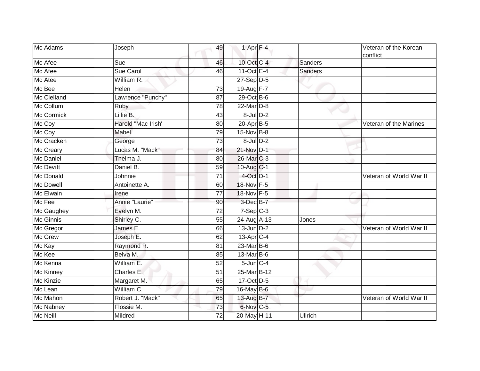| Mc Adams          | Joseph             | 49              | $1-Apr$ F-4     |                | Veteran of the Korean<br>conflict |
|-------------------|--------------------|-----------------|-----------------|----------------|-----------------------------------|
| Mc Afee           | Sue                | 46              | 10-Oct C-4      | Sanders        |                                   |
| Mc Afee           | Sue Carol          | 46              | 11-Oct $E-4$    | <b>Sanders</b> |                                   |
| Mc Atee           | William R.         |                 | $27-Sep$ $D-5$  |                |                                   |
| Mc Bee            | Helen              | 73              | 19-Aug F-7      |                |                                   |
| Mc Clelland       | Lawrence "Punchy"  | 87              | 29-Oct B-6      |                |                                   |
| Mc Collum         | Ruby               | 78              | 22-Mar D-8      |                |                                   |
| <b>Mc Cormick</b> | Lillie B.          | 43              | $8$ -Jul $D-2$  |                |                                   |
| Mc Coy            | Harold "Mac Irish" | 80              | 20-Apr B-5      |                | Veteran of the Marines            |
| Mc Coy            | Mabel              | 79              | 15-Nov B-8      |                |                                   |
| Mc Cracken        | George             | 73              | $8$ -Jul $D-2$  |                |                                   |
| Mc Creary         | Lucas M. "Mack"    | 84              | 21-Nov D-1      |                |                                   |
| <b>Mc Daniel</b>  | Thelma J.          | 80              | 26-Mar C-3      |                |                                   |
| <b>Mc Devitt</b>  | Daniel B.          | 59              | 10-Aug C-1      |                |                                   |
| Mc Donald         | Johnnie            | $\overline{71}$ | 4-Oct D-1       |                | Veteran of World War II           |
| Mc Dowell         | Antoinette A.      | 60              | 18-Nov F-5      |                |                                   |
| Mc Elwain         | Irene              | 77              | 18-Nov F-5      |                |                                   |
| Mc Fee            | Annie "Laurie"     | 90              | 3-Dec B-7       |                |                                   |
| Mc Gaughey        | Evelyn M.          | $\overline{72}$ | $7-Sep$ $C-3$   |                |                                   |
| Mc Ginnis         | Shirley C.         | 55              | 24-Aug A-13     | Jones          |                                   |
| Mc Gregor         | James E.           | 66              | $13$ -Jun $D-2$ |                | Veteran of World War II           |
| Mc Grew           | Joseph E.          | 62              | $13$ -Apr $C-4$ |                |                                   |
| Mc Kay            | Raymond R.         | 81              | $23$ -Mar $B-6$ |                |                                   |
| Mc Kee            | Belva M.           | 85              | 13-Mar B-6      |                |                                   |
| Mc Kenna          | William E.         | 52              | $5$ -Jun $C-4$  |                |                                   |
| <b>Mc Kinney</b>  | Charles E.         | 51              | 25-Mar B-12     |                |                                   |
| Mc Kinzie         | Margaret M.        | 65              | 17-Oct D-5      |                |                                   |
| Mc Lean           | William C.         | 79              | 16-May B-6      |                |                                   |
| Mc Mahon          | Robert J. "Mack"   | 65              | 13-Aug B-7      |                | Veteran of World War II           |
| Mc Nabney         | Flossie M.         | 73              | 6-Nov C-5       |                |                                   |
| Mc Neill          | Mildred            | 72              | 20-May H-11     | <b>Ullrich</b> |                                   |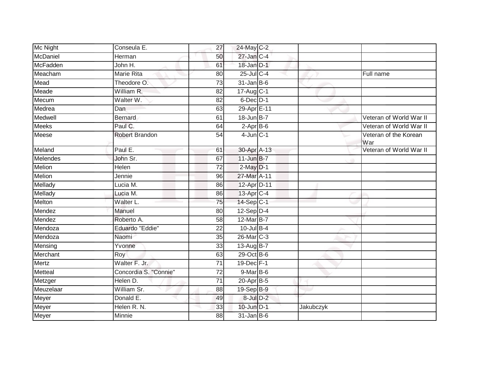| Mc Night       | Conseula E.           | 27              | 24-May C-2        |           |                              |
|----------------|-----------------------|-----------------|-------------------|-----------|------------------------------|
| McDaniel       | Herman                | 50              | 27-Jan C-4        |           |                              |
| McFadden       | John H.               | 61              | 18-Jan D-1        |           |                              |
| Meacham        | Marie Rita            | 80              | $25$ -Jul C-4     |           | Full name                    |
| Mead           | Theodore O.           | $\overline{73}$ | $31$ -Jan B-6     |           |                              |
| Meade          | William R.            | 82              | $17$ -Aug $C-1$   |           |                              |
| Mecum          | Walter W.             | 82              | 6-Dec D-1         |           |                              |
| Medrea         | Dan                   | 63              | 29-Apr E-11       |           |                              |
| Medwell        | <b>Bernard</b>        | 61              | 18-Jun B-7        |           | Veteran of World War II      |
| <b>Meeks</b>   | Paul C.               | 64              | $2$ -Apr $B$ -6   |           | Veteran of World War II      |
| Meese          | Robert Brandon        | 54              | $4$ -Jun $C-1$    |           | Veteran of the Korean<br>War |
| Meland         | Paul E.               | 61              | 30-Apr A-13       |           | Veteran of World War II      |
| Melendes       | John Sr.              | 67              | $11$ -Jun B-7     |           |                              |
| <b>Melion</b>  | Helen                 | 72              | $2$ -May $D-1$    |           |                              |
| <b>Melion</b>  | Jennie                | 96              | 27-Mar A-11       |           |                              |
| Mellady        | Lucia M.              | 86              | 12-Apr D-11       |           |                              |
| Mellady        | Lucia M.              | 86              | 13-Apr C-4        |           |                              |
| Melton         | Walter L.             | $\overline{75}$ | $14-Sep$ C-1      |           |                              |
| Mendez         | Manuel                | 80              | $12$ -Sep $D-4$   |           |                              |
| Mendez         | Roberto A.            | 58              | 12-Mar B-7        |           |                              |
| Mendoza        | Eduardo "Eddie"       | 22              | $10$ -Jul B-4     |           |                              |
| Mendoza        | Naomi                 | 35              | $26$ -Mar $ C-3 $ |           |                              |
| Mensing        | Yvonne                | 33              | 13-Aug B-7        |           |                              |
| Merchant       | Roy                   | 63              | 29-Oct B-6        |           |                              |
| Mertz          | Walter F. Jr.         | $\overline{71}$ | 19-Dec F-1        |           |                              |
| <b>Metteal</b> | Concordia S. "Connie" | 72              | $9$ -Mar $B$ -6   |           |                              |
| Metzger        | Helen D.              | 71              | $20$ -Apr $B$ -5  |           |                              |
| Meuzelaar      | William Sr.           | 88              | $19-Sep$ B-9      |           |                              |
| Meyer          | Donald E.             | 49              | $8$ -Jul $D-2$    |           |                              |
| Meyer          | Helen R. N.           | 33              | $10$ -Jun $D-1$   | Jakubczyk |                              |
| Meyer          | Minnie                | 88              | $31$ -Jan B-6     |           |                              |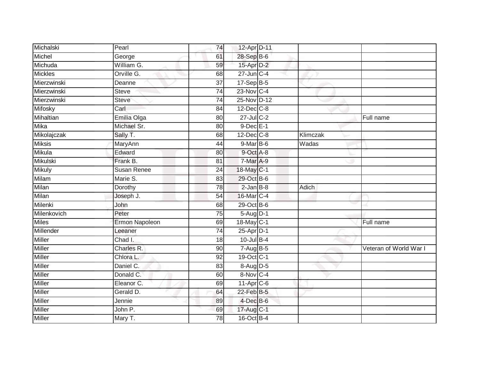| Michalski      | Pearl                 | 74              | 12-Apr D-11      |          |                        |
|----------------|-----------------------|-----------------|------------------|----------|------------------------|
| Michel         | George                | 61              | 28-Sep B-6       |          |                        |
| Michuda        | William G.            | 59              | 15-Apr D-2       |          |                        |
| <b>Mickles</b> | Orville G.            | 68              | $27$ -Jun $C-4$  |          |                        |
| Mierzwinski    | Deanne                | $\overline{37}$ | $17-SepB-5$      |          |                        |
| Mierzwinski    | <b>Steve</b>          | 74              | 23-Nov C-4       |          |                        |
| Mierzwinski    | <b>Steve</b>          | 74              | 25-Nov D-12      |          |                        |
| Mifosky        | Carl                  | 84              | $12$ -Dec $C$ -8 |          |                        |
| Mihaltian      | Emilia Olga           | 80              | $27$ -Jul $C-2$  |          | Full name              |
| Mika           | Michael Sr.           | 80              | $9$ -Dec $E-1$   |          |                        |
| Mikolajczak    | Sally T.              | 68              | $12$ -Dec $C-8$  | Klimczak |                        |
| <b>Miksis</b>  | MaryAnn               | 44              | $9-MarB-6$       | Wadas    |                        |
| Mikula         | Edward                | 80              | 9-Oct A-8        |          |                        |
| Mikulski       | Frank B.              | 81              | $7-MarA-9$       |          |                        |
| <b>Mikuly</b>  | <b>Susan Renee</b>    | 24              | 18-May C-1       |          |                        |
| Milam          | Marie S.              | 83              | 29-Oct B-6       |          |                        |
| Milan          | Dorothy               | 78              | $2$ -Jan $B-8$   | Adich    |                        |
| Milan          | Joseph J.             | 54              | 16-Mar C-4       |          |                        |
| Milenki        | John                  | 68              | 29-Oct B-6       |          |                        |
| Milenkovich    | Peter                 | 75              | $5-Aug$ D-1      |          |                        |
| <b>Miles</b>   | <b>Ermon Napoleon</b> | 69              | 18-May C-1       |          | Full name              |
| Millender      | Leeaner               | $\overline{74}$ | 25-Apr D-1       |          |                        |
| <b>Miller</b>  | Chad I.               | 18              | $10$ -Jul $B-4$  |          |                        |
| Miller         | Charles R.            | 90              | $7-AugB-5$       |          | Veteran of World War I |
| Miller         | Chlora L.             | 92              | 19-Oct C-1       |          |                        |
| Miller         | Daniel C.             | 83              | 8-Aug D-5        |          |                        |
| <b>Miller</b>  | Donald C.             | 60              | 8-Nov C-4        |          |                        |
| Miller         | Eleanor C.            | 69              | $11-Apr$ $C-6$   |          |                        |
| Miller         | Gerald D.             | 64              | $22$ -Feb B-5    |          |                        |
| Miller         | Jennie                | 89              | $4$ -Dec $B$ -6  |          |                        |
| Miller         | John P.               | 69              | 17-Aug C-1       |          |                        |
| Miller         | Mary T.               | $\overline{78}$ | 16-Oct B-4       |          |                        |
|                |                       |                 |                  |          |                        |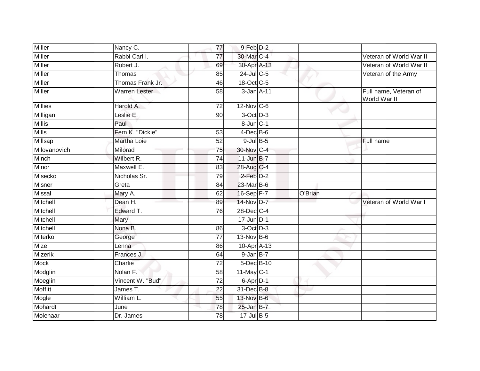| <b>Miller</b>  | Nancy C.             | 77              | $9$ -Feb $D-2$    |         |                                       |
|----------------|----------------------|-----------------|-------------------|---------|---------------------------------------|
| <b>Miller</b>  | Rabbi Carl I.        | $\overline{77}$ | 30-Mar C-4        |         | Veteran of World War II               |
| <b>Miller</b>  | Robert J.            | 69              | 30-Apr A-13       |         | Veteran of World War II               |
| Miller         | <b>Thomas</b>        | 85              | 24-Jul C-5        |         | Veteran of the Army                   |
| <b>Miller</b>  | Thomas Frank Jr.     | 46              | 18-Oct C-5        |         |                                       |
| Miller         | <b>Warren Lester</b> | 58              | 3-Jan A-11        |         | Full name, Veteran of<br>World War II |
| <b>Millies</b> | Harold A.            | $\overline{72}$ | $12$ -Nov $ C-6 $ |         |                                       |
| Milligan       | Leslie E.            | 90              | $3-Oct$ D-3       |         |                                       |
| <b>Millis</b>  | Paul                 |                 | 8-Jun C-1         |         |                                       |
| Mills          | Fern K. "Dickie"     | 53              | $4$ -Dec $B$ -6   |         |                                       |
| Millsap        | Martha Loie          | 52              | $9$ -Jul $B$ -5   |         | Full name                             |
| Milovanovich   | Milorad              | 75              | 30-Nov C-4        |         |                                       |
| Minch          | Wilbert R.           | 74              | $11$ -Jun $B-7$   |         |                                       |
| Minor          | Maxwell E.           | 83              | 28-Aug C-4        |         |                                       |
| Misecko        | Nicholas Sr.         | 79              | $2$ -Feb $D-2$    |         |                                       |
| Misner         | Greta                | 84              | 23-Mar B-6        |         |                                       |
| Missal         | Mary A.              | 62              | 16-Sep F-7        | O'Brian |                                       |
| Mitchell       | Dean H.              | 89              | 14-Nov D-7        |         | Veteran of World War I                |
| Mitchell       | Edward T.            | 76              | 28-Dec C-4        |         |                                       |
| Mitchell       | Mary                 |                 | $17$ -Jun $D-1$   |         |                                       |
| Mitchell       | Nona B.              | 86              | 3-Oct D-3         |         |                                       |
| Miterko        | George               | $\overline{77}$ | $13-Nov$ B-6      |         |                                       |
| Mize           | Lenna                | 86              | 10-Apr A-13       |         |                                       |
| Mizerik        | Frances J.           | 64              | $9$ -Jan $B-7$    |         |                                       |
| <b>Mock</b>    | Charlie              | $\overline{72}$ | 5-Dec B-10        |         |                                       |
| Modglin        | Nolan F.             | 58              | $11$ -May C-1     |         |                                       |
| Moeglin        | Vincent W. "Bud"     | 72              | 6-Apr D-1         |         |                                       |
| <b>Moffitt</b> | James T.             | $\overline{22}$ | 31-Dec B-8        |         |                                       |
| Mogle          | William L.           | 55              | 13-Nov B-6        |         |                                       |
| Mohardt        | June                 | 78              | $25$ -Jan B-7     |         |                                       |
| Molenaar       | Dr. James            | 78              | 17-Jul B-5        |         |                                       |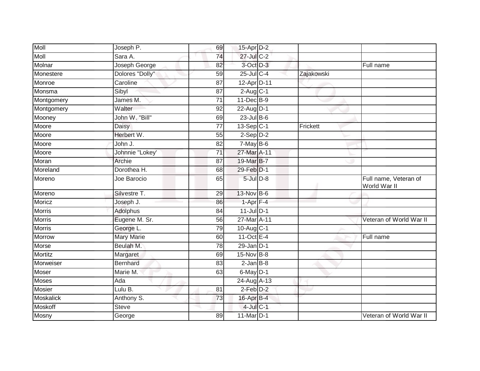| Moll             | Joseph P.         | 69              | 15-Apr D-2             |            |                                       |
|------------------|-------------------|-----------------|------------------------|------------|---------------------------------------|
| <b>Moll</b>      | Sara A.           | $\overline{74}$ | 27-Jul C-2             |            |                                       |
| Molnar           | Joseph George     | 82              | 3-Oct D-3              |            | Full name                             |
| Monestere        | Dolores "Dolly"   | 59              | 25-Jul C-4             | Zajakowski |                                       |
| Monroe           | Caroline          | $\overline{87}$ | 12-Apr D-11            |            |                                       |
| Monsma           | Sibyl             | 87              | $2-Aug$ <sub>C-1</sub> |            |                                       |
| Montgomery       | James M.          | 71              | 11-Dec B-9             |            |                                       |
| Montgomery       | Walter            | 92              | 22-Aug D-1             |            |                                       |
| Mooney           | John W. "Bill"    | 69              | $23$ -Jul B-6          |            |                                       |
| Moore            | <b>Daisy</b>      | $\overline{77}$ | $13-Sep$ C-1           | Frickett   |                                       |
| Moore            | Herbert W.        | 55              | $2-Sep$ $D-2$          |            |                                       |
| Moore            | John J.           | 82              | $7$ -May B-6           |            |                                       |
| Moore            | Johnnie "Lokey'   | 71              | 27-Mar A-11            |            |                                       |
| Moran            | Archie            | 87              | 19-Mar B-7             |            |                                       |
| Moreland         | Dorothea H.       | 68              | 29-Feb D-1             |            |                                       |
| Moreno           | Joe Barocio       | 65              | $5$ -Jul $D-8$         |            | Full name, Veteran of<br>World War II |
| Moreno           | Silvestre T.      | 29              | $13-Nov$ B-6           |            |                                       |
| Moricz           | Joseph J.         | 86              | $1-Apr$ F-4            |            |                                       |
| <b>Morris</b>    | Adolphus          | 84              | $11$ -Jul D-1          |            |                                       |
| <b>Morris</b>    | Eugene M. Sr.     | 56              | 27-Mar A-11            |            | Veteran of World War II               |
| <b>Morris</b>    | George L.         | 79              | 10-Aug C-1             |            |                                       |
| <b>Morrow</b>    | <b>Mary Marie</b> | 60              | 11-Oct $E-4$           |            | Full name                             |
| Morse            | Beulah M.         | 78              | $29$ -Jan D-1          |            |                                       |
| Mortitz          | Margaret          | 69              | 15-Nov B-8             |            |                                       |
| Morweiser        | <b>Bernhard</b>   | 83              | $2$ -Jan B-8           |            |                                       |
| Moser            | Marie M.          | 63              | $6$ -May $D-1$         |            |                                       |
| Moses            | Ada               |                 | 24-Aug A-13            |            |                                       |
| Mosier           | Lulu B.           | 81              | 2-Feb D-2              |            |                                       |
| <b>Moskalick</b> | Anthony S.        | 73              | 16-Apr B-4             |            |                                       |
| Moskoff          | <b>Steve</b>      |                 | $4$ -Jul $C-1$         |            |                                       |
| Mosny            | George            | 89              | 11-Mar D-1             |            | Veteran of World War II               |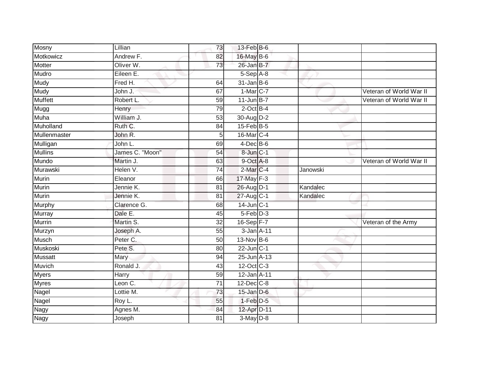| Mosny          | Lillian         | 73              | 13-Feb B-6           |          |                         |
|----------------|-----------------|-----------------|----------------------|----------|-------------------------|
| Motkowicz      | Andrew F.       | 82              | 16-May B-6           |          |                         |
| <b>Motter</b>  | Oliver W.       | 73              | 26-Jan B-7           |          |                         |
| Mudro          | Eileen E.       |                 | 5-Sep A-8            |          |                         |
| <b>Mudy</b>    | Fred H.         | 64              | $31$ -Jan B-6        |          |                         |
| <b>Mudy</b>    | John J.         | 67              | $1-Mar$ C-7          |          | Veteran of World War II |
| <b>Muffett</b> | Robert L.       | 59              | $11$ -Jun $B-7$      |          | Veteran of World War II |
| Mugg           | Henry           | 79              | $2$ -Oct B-4         |          |                         |
| Muha           | William J.      | 53              | 30-Aug D-2           |          |                         |
| Muholland      | Ruth C.         | 84              | $15$ -Feb $B$ -5     |          |                         |
| Mullenmaster   | John R.         | 5               | 16-Mar C-4           |          |                         |
| Mulligan       | John L.         | 69              | $4$ -Dec B-6         |          |                         |
| Mullins        | James C. "Moon" | 54              | 8-Jun C-1            |          |                         |
| Mundo          | Martin J.       | 63              | 9-Oct A-8            |          | Veteran of World War II |
| Murawski       | Helen V.        | 74              | 2-Mar <sub>C-4</sub> | Janowski |                         |
| <b>Murin</b>   | Eleanor         | 66              | $17$ -May $F-3$      |          |                         |
| Murin          | Jennie K.       | $\overline{81}$ | 26-Aug D-1           | Kandalec |                         |
| <b>Murin</b>   | Jennie K.       | 81              | 27-Aug C-1           | Kandalec |                         |
| Murphy         | Clarence G.     | 68              | $14$ -Jun $ C-1 $    |          |                         |
| <b>Murray</b>  | Dale E.         | 45              | $5-Feb$ $D-3$        |          |                         |
| <b>Murrin</b>  | Martin S.       | 32              | $16-Sep$ F-7         |          | Veteran of the Army     |
| Murzyn         | Joseph A.       | 55              | $3$ -Jan $A-11$      |          |                         |
| <b>Musch</b>   | Peter C.        | 50              | 13-Nov B-6           |          |                         |
| Muskoski       | Pete S.         | 80              | $22$ -Jun $C-1$      |          |                         |
| Mussatt        | Mary            | 94              | 25-Jun A-13          |          |                         |
| Muvich         | Ronald J.       | 43              | 12-Oct C-3           |          |                         |
| <b>Myers</b>   | <b>Harry</b>    | 59              | 12-Jan A-11          |          |                         |
| <b>Myres</b>   | Leon C.         | 71              | 12-Dec C-8           |          |                         |
| Nagel          | Lottie M.       | 73              | $15$ -Jan $D-6$      |          |                         |
| Nagel          | Roy L.          | 55              | $1-Feb$ $D-5$        |          |                         |
| Nagy           | Agnes M.        | 84              | 12-Apr D-11          |          |                         |
| Nagy           | Joseph          | $\overline{81}$ | $3-May$ $D-8$        |          |                         |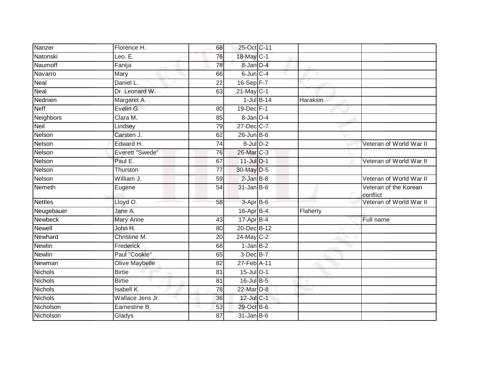| Nanzer         | Florence H.           | 68              | 25-Oct C-11      |                 |          |                                   |
|----------------|-----------------------|-----------------|------------------|-----------------|----------|-----------------------------------|
| Natonski       | Leo. $E$ .            | 76              | 18-May C-1       |                 |          |                                   |
| Naumoff        | Fanija                | $\overline{78}$ | 8-Jan D-4        |                 |          |                                   |
| Navarro        | Mary                  | 66              | $6$ -Jun $C-4$   |                 |          |                                   |
| Neal           | Daniel L.             | $\overline{22}$ | $16-Sep$ F-7     |                 |          |                                   |
| Neal           | Dr. Leonard W.        | 63              | $21$ -May C-1    |                 |          |                                   |
| Nednien        | Margaret A.           |                 |                  | $1$ -Jul $B-14$ | Haraksin |                                   |
| <b>Neff</b>    | Evelin G.             | 80              | 19-Dec F-1       |                 |          |                                   |
| Neighbors      | Clara M.              | 85              | 8-Jan D-4        |                 |          |                                   |
| Neil           | Lindsey               | 79              | 27-Dec C-7       |                 |          |                                   |
| Nelson         | Carsten J.            | 62              | $26$ -Jun $B$ -6 |                 |          |                                   |
| Nelson         | Edward H.             | 74              | $8$ -Jul $D-2$   |                 |          | Veteran of World War II           |
| Nelson         | Everett "Swede"       | 76              | 26-Mar C-3       |                 |          |                                   |
| Nelson         | Paul E.               | 67              | 11-Jul D-1       |                 |          | Veteran of World War II           |
| Nelson         | Thurston              | 77              | 30-May D-5       |                 |          |                                   |
| Nelson         | William J.            | 59              | $2$ -Jan $B-8$   |                 |          | Veteran of World War II           |
| Nemeth         | Eugene                | $\overline{54}$ | $31$ -Jan B-6    |                 |          | Veteran of the Korean<br>conflict |
| <b>Nettles</b> | Lloyd O.              | 58              | 3-Apr B-6        |                 |          | Veteran of World War II           |
| Neugebauer     | Jane A.               |                 | 16-Apr B-4       |                 | Flaherty |                                   |
| <b>Newbeck</b> | <b>Mary Anne</b>      | 43              | 17-Apr B-4       |                 |          | Full name                         |
| <b>Newell</b>  | John H.               | 80              | 20-Dec B-12      |                 |          |                                   |
| Newhard        | Christine M.          | 20              | 24-May C-2       |                 |          |                                   |
| <b>Newlin</b>  | Frederick             | 68              | $1$ -Jan $B-2$   |                 |          |                                   |
| <b>Newlin</b>  | Paul "Cookie"         | 65              | 3-Dec B-7        |                 |          |                                   |
| Newman         | <b>Olive Maybelle</b> | $\overline{82}$ | 27-Feb A-11      |                 |          |                                   |
| Nichols        | <b>Birtie</b>         | 81              | 15-Jul D-1       |                 |          |                                   |
| <b>Nichols</b> | <b>Birtie</b>         | 81              | $16$ -Jul B-5    |                 |          |                                   |
| <b>Nichols</b> | <b>Isabell K.</b>     | 78              | 22-Mar D-8       |                 |          |                                   |
| <b>Nichols</b> | Wallace Jens Jr.      | 36              | 12-Jul C-1       |                 |          |                                   |
| Nicholson      | Earnestine B.         | 53              | 29-Oct B-6       |                 |          |                                   |
| Nicholson      | Gladys                | 87              | $31$ -Jan B-6    |                 |          |                                   |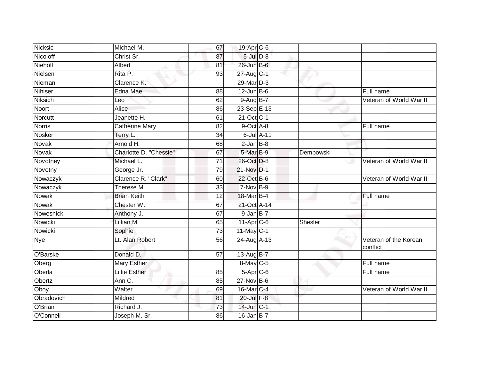| Nicksic       | Michael M.             | 67              | 19-Apr C-6        |           |                                   |
|---------------|------------------------|-----------------|-------------------|-----------|-----------------------------------|
| Nicoloff      | Christ Sr.             | 87              | $5$ -Jul $D-8$    |           |                                   |
| Niehoff       | Albert                 | 81              | 26-Jun B-6        |           |                                   |
| Nielsen       | Rita P.                | 93              | $27$ -Aug C-1     |           |                                   |
| Nieman        | Clarence K.            |                 | 29-Mar D-3        |           |                                   |
| Nihiser       | Edna Mae               | 88              | $12$ -Jun $B$ -6  |           | Full name                         |
| Niksich       | Leo                    | 62              | 9-Aug B-7         |           | Veteran of World War II           |
| Noort         | Alice                  | 86              | 23-Sep E-13       |           |                                   |
| Norcutt       | Jeanette H.            | 61              | 21-Oct C-1        |           |                                   |
| <b>Norris</b> | <b>Catherine Mary</b>  | 82              | 9-Oct A-8         |           | Full name                         |
| Nosker        | Terry L.               | 34              | 6-Jul A-11        |           |                                   |
| Novak         | Arnold H.              | 68              | $2$ -Jan $B-8$    |           |                                   |
| <b>Novak</b>  | Charlotte D. "Chessie" | 67              | 5-Mar B-9         | Dembowski |                                   |
| Novotney      | Michael L.             | 71              | 26-Oct D-8        |           | Veteran of World War II           |
| Novotny       | George Jr.             | 79              | 21-Nov D-1        |           |                                   |
| Nowaczyk      | Clarence R. "Clark"    | 60              | 22-Oct B-6        |           | Veteran of World War II           |
| Nowaczyk      | Therese M.             | $\overline{33}$ | $7-Nov$ B-9       |           |                                   |
| Nowak         | <b>Brian Keith</b>     | 12              | $18$ -Mar $ B-4 $ |           | Full name                         |
| <b>Nowak</b>  | Chester W.             | 67              | 21-Oct A-14       |           |                                   |
| Nowesnick     | Anthony J.             | 67              | 9-Jan B-7         |           |                                   |
| Nowicki       | Lillian M.             | 65              | $11-Apr$ $C-6$    | Shesler   |                                   |
| Nowicki       | Sophie                 | 73              | $11$ -May C-1     |           |                                   |
| <b>Nye</b>    | Lt. Alan Robert        | 56              | 24-Aug A-13       |           | Veteran of the Korean<br>conflict |
| O'Barske      | Donald D.              | 57              | 13-Aug B-7        |           |                                   |
| Oberg         | <b>Mary Esther</b>     |                 | 8-May C-5         |           | Full name                         |
| Oberla        | <b>Lillie Esther</b>   | 85              | $5-Apr$ $C-6$     |           | Full name                         |
| Obertz        | Ann C.                 | 85              | 27-Nov B-6        |           |                                   |
| Oboy          | Walter                 | 69              | 16-Mar C-4        |           | Veteran of World War II           |
| Obradovich    | Mildred                | 81              | 20-Jul F-8        |           |                                   |
| O'Brian       | Richard J.             | 73              | 14-Jun C-1        |           |                                   |
| O'Connell     | Joseph M. Sr.          | 86              | $16$ -Jan B-7     |           |                                   |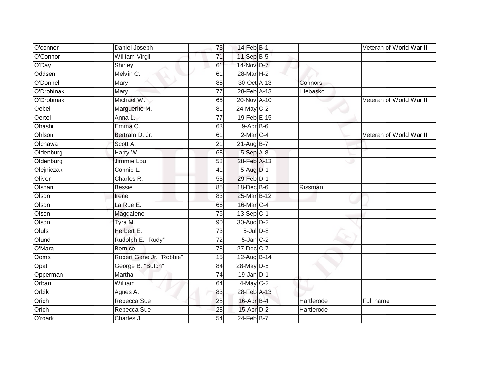| O'connor   | Daniel Joseph            | 73              | 14-Feb B-1            |            | Veteran of World War II |
|------------|--------------------------|-----------------|-----------------------|------------|-------------------------|
| O'Connor   | <b>William Virgil</b>    | 71              | 11-Sep B-5            |            |                         |
| O'Day      | Shirley                  | 61              | 14-Nov D-7            |            |                         |
| Oddsen     | Melvin C.                | 61              | 28-Mar <sub>H-2</sub> |            |                         |
| O'Donnell  | Mary                     | 85              | 30-Oct A-13           | Connors    |                         |
| O'Drobinak | Mary                     | 77              | 28-Feb A-13           | Hlebasko   |                         |
| O'Drobinak | Michael W.               | 65              | 20-Nov A-10           |            | Veteran of World War II |
| Oebel      | Marguerite M.            | 81              | 24-May C-2            |            |                         |
| Oertel     | Anna L.                  | 77              | 19-Feb E-15           |            |                         |
| Ohashi     | Emma C.                  | 63              | $9-AprB-6$            |            |                         |
| Ohlson     | Bertram D. Jr.           | 61              | $2$ -Mar $C-4$        |            | Veteran of World War II |
| Olchawa    | Scott A.                 | $\overline{21}$ | $21-AugB-7$           |            |                         |
| Oldenburg  | Harry W.                 | 68              | 5-Sep A-8             |            |                         |
| Oldenburg  | Jimmie Lou               | 58              | 28-Feb A-13           |            |                         |
| Olejniczak | Connie L.                | 41              | 5-Aug D-1             |            |                         |
| Oliver     | Charles R.               | 53              | 29-Feb D-1            |            |                         |
| Olshan     | <b>Bessie</b>            | 85              | 18-Dec B-6            | Rissman    |                         |
| Olson      | Irene                    | 83              | 25-Mar B-12           |            |                         |
| Olson      | La Rue E.                | 66              | 16-Mar C-4            |            |                         |
| Olson      | Magdalene                | 76              | $13-Sep C-1$          |            |                         |
| Olson      | Tyra M.                  | 90              | 30-Aug D-2            |            |                         |
| Olufs      | Herbert E.               | $\overline{73}$ | $5$ -Jul $D-8$        |            |                         |
| Olund      | Rudolph E. "Rudy"        | 72              | $5$ -Jan $C-2$        |            |                         |
| O'Mara     | <b>Bernice</b>           | 78              | 27-Dec C-7            |            |                         |
| Ooms       | Robert Gene Jr. "Robbie" | 15              | 12-Aug B-14           |            |                         |
| Opat       | George B. "Butch"        | 84              | 28-May D-5            |            |                         |
| Opperman   | Martha                   | 74              | $19$ -Jan $D-1$       |            |                         |
| Orban      | William                  | 64              | $4$ -May $C-2$        |            |                         |
| Orbik      | Agnes A.                 | 83              | 28-Feb A-13           |            |                         |
| Orich      | Rebecca Sue              | 28              | 16-Apr B-4            | Hartlerode | Full name               |
| Orich      | Rebecca Sue              | 28              | 15-Apr D-2            | Hartlerode |                         |
| O'roark    | Charles J.               | $\overline{54}$ | 24-Feb B-7            |            |                         |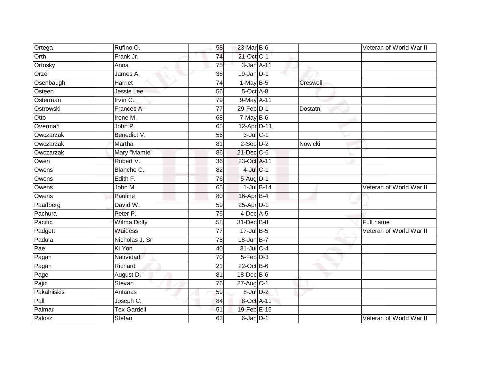| Ortega      | Rufino O.          | 58              | 23-Mar B-6      |          | Veteran of World War II |
|-------------|--------------------|-----------------|-----------------|----------|-------------------------|
| Orth        | Frank Jr.          | 74              | 21-Oct C-1      |          |                         |
| Ortosky     | Anna               | 75              | 3-Jan A-11      |          |                         |
| Orzel       | James A.           | 38              | $19$ -Jan $D-1$ |          |                         |
| Osenbaugh   | Harriet            | $\overline{74}$ | $1-May$ B-5     | Creswell |                         |
| Osteen      | Jessie Lee         | 56              | 5-Oct A-8       |          |                         |
| Osterman    | Irvin C.           | 79              | 9-May A-11      |          |                         |
| Ostrowski   | Frances A.         | $\overline{77}$ | $29$ -Feb $D-1$ | Dostatni |                         |
| Otto        | Irene M.           | 68              | $7-MayB-6$      |          |                         |
| Overman     | John P.            | 65              | 12-Apr D-11     |          |                         |
| Owczarzak   | Benedict V.        | 56              | $3$ -Jul $C-1$  |          |                         |
| Owczarzak   | Martha             | 81              | $2-$ Sep $D-2$  | Nowicki  |                         |
| Owczarzak   | Mary "Mamie"       | 86              | 21-Dec C-6      |          |                         |
| Owen        | Robert V.          | $\overline{36}$ | 23-Oct A-11     |          |                         |
| Owens       | Blanche C.         | 82              | $4$ -Jul $C-1$  |          |                         |
| Owens       | Edith F.           | 76              | $5-Auq$ D-1     |          |                         |
| Owens       | John M.            | 65              | $1$ -Jul $B-14$ |          | Veteran of World War II |
| Owens       | Pauline            | 80              | 16-Apr B-4      |          |                         |
| Paarlberg   | David W.           | 59              | 25-Apr D-1      |          |                         |
| Pachura     | Peter P.           | 75              | $4$ -Dec $A$ -5 |          |                         |
| Pacific     | <b>Wilma Dolly</b> | 58              | 31-Dec B-8      |          | Full name               |
| Padgett     | Waidess            | $\overline{77}$ | 17-Jul B-5      |          | Veteran of World War II |
| Padula      | Nicholas J. Sr.    | 75              | 18-Jun B-7      |          |                         |
| Pae         | Ki Yon             | 40              | 31-Jul C-4      |          |                         |
| Pagan       | Natividad          | 70              | 5-Feb D-3       |          |                         |
| Pagan       | Richard            | 21              | $22$ -Oct B-6   |          |                         |
| Page        | August D.          | $\overline{81}$ | 18-Dec B-6      |          |                         |
| Pajic       | Stevan             | 76              | $27$ -Aug C-1   |          |                         |
| Pakalniskis | Antanas            | 59              | 8-Jul D-2       |          |                         |
| Pall        | Joseph C.          | 84              | 8-Oct A-11      |          |                         |
| Palmar      | <b>Tex Gardell</b> | 51              | 19-Feb E-15     |          |                         |
| Palosz      | Stefan             | 63              | 6-Jan D-1       |          | Veteran of World War II |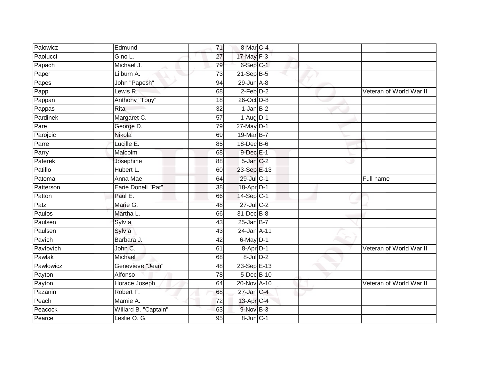| Palowicz  | Edmund                    | 71              | 8-Mar C-4                       |  |                         |
|-----------|---------------------------|-----------------|---------------------------------|--|-------------------------|
| Paolucci  | Gino L.                   | $\overline{27}$ | 17-May F-3                      |  |                         |
| Papach    | Michael J.                | 79              | 6-Sep C-1                       |  |                         |
| Paper     | Lilburn A.                | $\overline{73}$ | $21-Sep$ B-5                    |  |                         |
| Papes     | John "Papesh"             | $\overline{94}$ | $29$ -Jun $A-8$                 |  |                         |
| Papp      | Lewis R.                  | 68              | $2$ -Feb $D-2$                  |  | Veteran of World War II |
| Pappan    | Anthony "Tony"            | 18              | 26-Oct D-8                      |  |                         |
| Pappas    | <b>Rita</b>               | 32              | $1-Jan$ B-2                     |  |                         |
| Pardinek  | Margaret C.               | $\overline{57}$ | $1 - \text{Aug}$ <sub>D-1</sub> |  |                         |
| Pare      | George D.                 | 79              | $27$ -May $D-1$                 |  |                         |
| Parojcic  | Nikola                    | 69              | 19-Mar B-7                      |  |                         |
| Parre     | Lucille E.                | 85              | 18-Dec B-6                      |  |                         |
| Parry     | Malcolm                   | 68              | 9-Dec E-1                       |  |                         |
| Paterek   | Josephine                 | 88              | $5$ -Jan $C-2$                  |  |                         |
| Patillo   | Hubert L.                 | 60              | 23-Sep E-13                     |  |                         |
| Patoma    | Anna Mae                  | 64              | 29-Jul C-1                      |  | Full name               |
| Patterson | <b>Earie Donell "Pat"</b> | 38              | 18-Apr D-1                      |  |                         |
| Patton    | Paul E.                   | 66              | $14-Sep C-1$                    |  |                         |
| Patz      | Marie G.                  | 48              | 27-Jul C-2                      |  |                         |
| Paulos    | Martha L.                 | 66              | 31-Dec B-8                      |  |                         |
| Paulsen   | Sylvia                    | 43              | $25$ -Jan B-7                   |  |                         |
| Paulsen   | Sylvia                    | 43              | 24-Jan A-11                     |  |                         |
| Pavich    | Barbara J.                | 42              | $6$ -May $D-1$                  |  |                         |
| Pavlovich | John C.                   | 61              | $8 - Apr$ $D-1$                 |  | Veteran of World War II |
| Pawlak    | Michael                   | 68              | $8$ -Jul $D-2$                  |  |                         |
| Pawlowicz | Genevieve "Jean"          | 48              | 23-Sep E-13                     |  |                         |
| Payton    | Alfonso                   | 78              | 5-Dec B-10                      |  |                         |
| Payton    | Horace Joseph             | 64              | 20-Nov A-10                     |  | Veteran of World War II |
| Pazanin   | Robert F.                 | 68              | 27-Jan C-4                      |  |                         |
| Peach     | Mamie A.                  | 72              | 13-Apr C-4                      |  |                         |
| Peacock   | Willard B. "Captain"      | 63              | 9-Nov B-3                       |  |                         |
| Pearce    | Leslie O. G.              | 95              | $8 - Jun$ $C - 1$               |  |                         |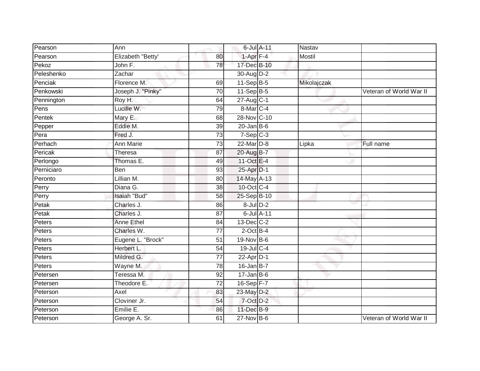| Pearson    | Ann               |                 | 6-Jul A-11       | Nastav        |                         |
|------------|-------------------|-----------------|------------------|---------------|-------------------------|
| Pearson    | Elizabeth "Betty' | 80              | $1 - Apr$ $F-4$  | <b>Mostil</b> |                         |
| Pekoz      | John F.           | 78              | 17-Dec B-10      |               |                         |
| Peleshenko | Zachar            |                 | 30-Aug D-2       |               |                         |
| Penciak    | Florence M.       | 69              | 11-Sep B-5       | Mikolajczak   |                         |
| Penkowski  | Joseph J. "Pinky" | 70              | 11-Sep B-5       |               | Veteran of World War II |
| Pennington | Roy H.            | 64              | $27$ -Aug $C-1$  |               |                         |
| Pens       | Lucille W.        | 79              | 8-Mar C-4        |               |                         |
| Pentek     | Mary E.           | 68              | 28-Nov C-10      |               |                         |
| Pepper     | Eddie M.          | 39              | $20$ -Jan B-6    |               |                         |
| Pera       | Fred J.           | 73              | $7-Sep$ $C-3$    |               |                         |
| Perhach    | <b>Ann Marie</b>  | $\overline{73}$ | 22-Mar D-8       | Lipka         | Full name               |
| Pericak    | Theresa           | 87              | 20-Aug B-7       |               |                         |
| Perlongo   | Thomas E.         | 49              | 11-Oct E-4       |               |                         |
| Perniciaro | Ben               | 93              | 25-Apr D-1       |               |                         |
| Peronto    | Lillian M.        | 80              | 14-May A-13      |               |                         |
| Perry      | Diana G.          | 38              | 10-Oct C-4       |               |                         |
| Perry      | Isaiah "Bud"      | 58              | 25-Sep B-10      |               |                         |
| Petak      | Charles J.        | 86              | $8$ -Jul $D-2$   |               |                         |
| Petak      | Charles J.        | 87              | 6-Jul A-11       |               |                         |
| Peters     | <b>Anne Ethel</b> | 84              | 13-Dec C-2       |               |                         |
| Peters     | Charles W.        | $\overline{77}$ | $2$ -Oct B-4     |               |                         |
| Peters     | Eugene L. "Brock" | 51              | 19-Nov B-6       |               |                         |
| Peters     | Herbert L.        | 54              | 19-Jul C-4       |               |                         |
| Peters     | Mildred G.        | 77              | $22$ -Apr $D-1$  |               |                         |
| Peters     | Wayne M.          | 78              | $16$ -Jan B-7    |               |                         |
| Petersen   | Teressa M.        | 92              | $17 - Jan$ $B-6$ |               |                         |
| Petersen   | Theodore E.       | 72              | 16-Sep F-7       |               |                         |
| Peterson   | Axel              | 83              | 23-May D-2       |               |                         |
| Peterson   | Cloviner Jr.      | 54              | 7-Oct D-2        |               |                         |
| Peterson   | Emilie E.         | 86              | 11-Dec B-9       |               |                         |
| Peterson   | George A. Sr.     | 61              | 27-Nov B-6       |               | Veteran of World War II |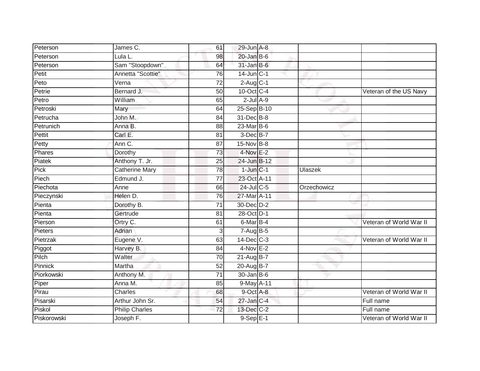| Peterson    | James C.              | 61              | 29-Jun A-8               |             |                         |
|-------------|-----------------------|-----------------|--------------------------|-------------|-------------------------|
| Peterson    | Lula L.               | 98              | $20$ -Jan B-6            |             |                         |
| Peterson    | Sam "Stoopdown"       | 64              | $31$ -Jan B-6            |             |                         |
| Petit       | Annetta "Scottie"     | 76              | $14$ -Jun $C-1$          |             |                         |
| Peto        | Verna                 | $\overline{72}$ | $2-Aug$ <sub>C-1</sub>   |             |                         |
| Petrie      | Bernard J.            | 50              | 10-Oct C-4               |             | Veteran of the US Navy  |
| Petro       | William               | 65              | $2$ -Jul $A-9$           |             |                         |
| Petroski    | Mary                  | 64              | 25-Sep B-10              |             |                         |
| Petrucha    | John M.               | 84              | 31-Dec B-8               |             |                         |
| Petrunich   | Anna B.               | 88              | 23-Mar B-6               |             |                         |
| Pettit      | Carl E.               | 81              | $3$ -Dec $B$ -7          |             |                         |
| Petty       | Ann C.                | 87              | 15-Nov B-8               |             |                         |
| Phares      | Dorothy               | 73              | $4$ -Nov $E-2$           |             |                         |
| Piatek      | Anthony T. Jr.        | 25              | 24-Jun B-12              |             |                         |
| Pick        | <b>Catherine Mary</b> | 78              | $1$ -Jun $C-1$           | Ulaszek     |                         |
| Piech       | Edmund J.             | $\overline{77}$ | 23-Oct A-11              |             |                         |
| Piechota    | Anne                  | 66              | 24-Jul C-5               | Orzechowicz |                         |
| Pieczynski  | Helen D.              | 76              | 27-Mar A-11              |             |                         |
| Pienta      | Dorothy B.            | $\overline{71}$ | 30-Dec D-2               |             |                         |
| Pienta      | Gertrude              | $\overline{81}$ | 28-Oct D-1               |             |                         |
| Pierson     | Ortry C.              | 61              | 6-Mar B-4                |             | Veteran of World War II |
| Pieters     | Adrian                | 3               | $7 - \overline{Aug}$ B-5 |             |                         |
| Pietrzak    | Eugene V.             | 63              | $14$ -Dec $C-3$          |             | Veteran of World War II |
| Piggot      | Harvey B.             | 84              | $4-Nov E-2$              |             |                         |
| Pilch       | Walter                | 70              | $21-AugB-7$              |             |                         |
| Pinnick     | Martha                | 52              | 20-Aug B-7               |             |                         |
| Piorkowski  | Anthony M.            | $\overline{71}$ | 30-Jan B-6               |             |                         |
| Piper       | Anna M.               | 85              | 9-May A-11               |             |                         |
| Pirau       | <b>Charles</b>        | 68              | 9-Oct A-8                |             | Veteran of World War II |
| Pisarski    | Arthur John Sr.       | 54              | 27-Jan C-4               |             | Full name               |
| Piskol      | <b>Philip Charles</b> | $\overline{72}$ | 13-Dec C-2               |             | Full name               |
| Piskorowski | Joseph F.             |                 | $9-SepE-1$               |             | Veteran of World War II |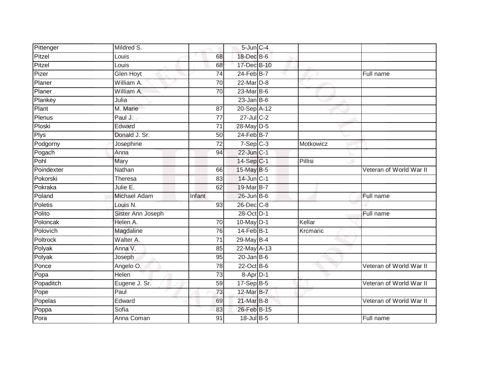| Pittenger   | Mildred S.          |                 | 5-Jun C-4               |           |                         |
|-------------|---------------------|-----------------|-------------------------|-----------|-------------------------|
| Pitzel      | Louis               | 68              | 18-Dec B-6              |           |                         |
| Pitzel      | Louis               | 68              | 17-Dec B-10             |           |                         |
| Pizer       | <b>Glen Hoyt</b>    | 74              | $24$ -Feb $B$ -7        |           | Full name               |
| Planer      | William A.          | 70              | $22$ -Mar $D-8$         |           |                         |
| Planer      | William A.          | 70              | 23-Mar B-6              |           |                         |
| Plankey     | Julia               |                 | $23$ -Jan B-6           |           |                         |
| Plant       | M. Marie            | 87              | 20-Sep A-12             |           |                         |
| Plenus      | Paul J.             | $\overline{77}$ | 27-Jul C-2              |           |                         |
| Ploski      | Edward              | $\overline{71}$ | 28-May D-5              |           |                         |
| <b>Plys</b> | Donald J. Sr.       | $\overline{50}$ | $24$ -Feb $B$ -7        |           |                         |
| Podgorny    | Josephine           | 72              | $7-Sep$ $C-3$           | Motkowicz |                         |
| Pogach      | Anna                | 94              | 22-Jun C-1              |           |                         |
| Pohl        | Mary                |                 | $14-Sep$ <sub>C-1</sub> | Pillisi   |                         |
| Poindexter  | Nathan              | 66              | 15-May B-5              |           | Veteran of World War II |
| Pokorski    | Theresa             | 83              | 14-Jun C-1              |           |                         |
| Pokraka     | Julie E.            | 62              | 19-Mar B-7              |           |                         |
| Poland      | <b>Michael Adam</b> | Infant          | $26$ -Jun $B$ -6        |           | Full name               |
| Poletis     | Louis N.            | 93              | 26-Dec C-8              |           |                         |
| Polito      | Sister Ann Joseph   |                 | 28-Oct D-1              |           | Full name               |
| Poloncak    | Helen A.            | 70              | 10-May D-1              | Kellar    |                         |
| Polovich    | Magdaline           | 76              | 14-Feb B-1              | Krcmaric  |                         |
| Poltrock    | Walter A.           | 71              | 29-May B-4              |           |                         |
| Polyak      | Anna V.             | 85              | 22-May A-13             |           |                         |
| Polyak      | Joseph              | 95              | $20$ -Jan B-6           |           |                         |
| Ponce       | Angelo O.           | 78              | $22$ -Oct B-6           |           | Veteran of World War II |
| Popa        | Helen               | 73              | 8-Apr D-1               |           |                         |
| Popaditch   | Eugene J. Sr.       | 59              | 17-Sep B-5              |           | Veteran of World War II |
| Pope        | Paul                | 73              | 12-Mar B-7              |           |                         |
| Popelas     | Edward              | 69              | 21-Mar B-8              |           | Veteran of World War II |
| Poppa       | Sofia               | 83              | 26-Feb B-15             |           |                         |
| Pora        | Anna Coman          | 91              | 18-Jul B-5              |           | Full name               |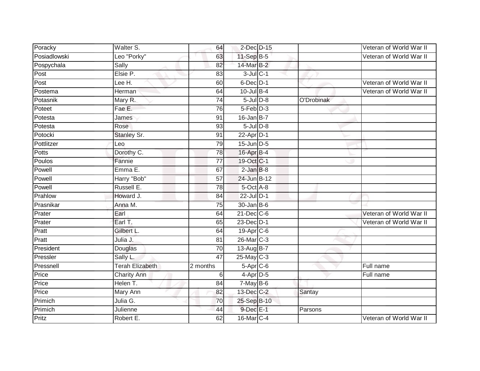| Poracky      | Walter S.              | 64              | 2-Dec D-15       |            | Veteran of World War II |
|--------------|------------------------|-----------------|------------------|------------|-------------------------|
| Posiadlowski | Leo "Porky"            | 63              | 11-Sep B-5       |            | Veteran of World War II |
| Pospychala   | Sally                  | 82              | 14-Mar B-2       |            |                         |
| Post         | Elsie P.               | 83              | $3$ -Jul $C-1$   |            |                         |
| Post         | Lee H.                 | 60              | 6-Dec D-1        |            | Veteran of World War II |
| Postema      | Herman                 | 64              | $10$ -Jul $B-4$  |            | Veteran of World War II |
| Potasnik     | Mary R.                | 74              | $5$ -Jul $D-8$   | O'Drobinak |                         |
| Poteet       | Fae E.                 | 76              | $5-Feb$ $D-3$    |            |                         |
| Potesta      | James                  | 91              | $16$ -Jan B-7    |            |                         |
| Potesta      | Rose                   | 93              | $5$ -Jul $D-8$   |            |                         |
| Potocki      | Stanley Sr.            | 91              | $22$ -Apr $D-1$  |            |                         |
| Pottlitzer   | Leo                    | 79              | 15-Jun D-5       |            |                         |
| Potts        | Dorothy C.             | 78              | 16-Apr B-4       |            |                         |
| Poulos       | Fannie                 | $\overline{77}$ | 19-Oct C-1       |            |                         |
| Powell       | Emma E.                | 67              | $2$ -Jan $B-8$   |            |                         |
| Powell       | Harry "Bob"            | 57              | 24-Jun B-12      |            |                         |
| Powell       | Russell E.             | $\overline{78}$ | $5$ -Oct $A$ -8  |            |                         |
| Prahlow      | Howard J.              | 84              | 22-Jul D-1       |            |                         |
| Prasnikar    | Anna M.                | 75              | 30-Jan B-6       |            |                         |
| Prater       | Earl                   | 64              | $21$ -Dec $C$ -6 |            | Veteran of World War II |
| Prater       | Earl T.                | 65              | 23-Dec D-1       |            | Veteran of World War II |
| Pratt        | Gilbert L.             | 64              | 19-Apr C-6       |            |                         |
| Pratt        | Julia J.               | 81              | 26-Mar C-3       |            |                         |
| President    | Douglas                | 70              | $13-AugB-7$      |            |                         |
| Pressler     | Sally L.               | $\overline{47}$ | $25$ -May C-3    |            |                         |
| Pressnell    | <b>Terah Elizabeth</b> | 2 months        | $5-Apr$ $C-6$    |            | Full name               |
| Price        | <b>Charity Ann</b>     | 6               | 4-Apr D-5        |            | Full name               |
| Price        | Helen T.               | 84              | $7$ -May B-6     |            |                         |
| Price        | Mary Ann               | 82              | 13-Dec C-2       | Santay     |                         |
| Primich      | Julia G.               | 70              | 25-Sep B-10      |            |                         |
| Primich      | Julienne               | 44              | 9-Dec E-1        | Parsons    |                         |
| Pritz        | Robert E.              | 62              | 16-Mar C-4       |            | Veteran of World War II |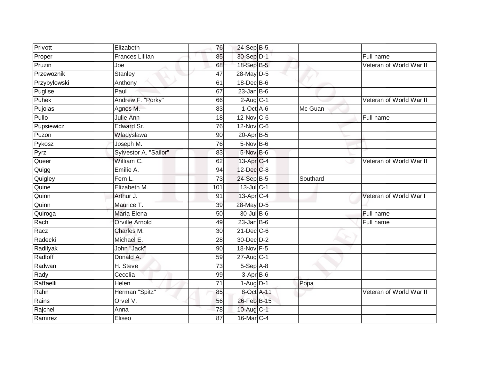| Privott      | Elizabeth              | 76              | 24-Sep B-5        |          |                         |
|--------------|------------------------|-----------------|-------------------|----------|-------------------------|
| Proper       | <b>Frances Lillian</b> | 85              | 30-Sep D-1        |          | Full name               |
| Pruzin       | Joe                    | 68              | 18-Sep B-5        |          | Veteran of World War II |
| Przewoznik   | <b>Stanley</b>         | 47              | 28-May D-5        |          |                         |
| Przybylowski | Anthony                | 61              | 18-Dec B-6        |          |                         |
| Puglise      | Paul                   | 67              | $23$ -Jan $ B-6 $ |          |                         |
| Puhek        | Andrew F. "Porky"      | 66              | $2$ -Aug $C-1$    |          | Veteran of World War II |
| Pujolas      | Agnes M.               | 83              | $1-Oct$ A-6       | Mc Guan  |                         |
| Pullo        | Julie Ann              | 18              | $12$ -Nov $ C-6 $ |          | Full name               |
| Pupsiewicz   | Edward Sr.             | 76              | 12-Nov C-6        |          |                         |
| Puzon        | Wladyslawa             | 90              | 20-Apr B-5        |          |                         |
| Pykosz       | Joseph M.              | 76              | 5-Nov B-6         |          |                         |
| Pyrz         | Sylvestor A. "Sailor"  | 83              | $5-Nov$ B-6       |          |                         |
| Queer        | William C.             | 62              | 13-Apr C-4        |          | Veteran of World War II |
| Quigg        | Emilie A.              | 94              | 12-Dec C-8        |          |                         |
| Quigley      | Fern L.                | 73              | 24-Sep B-5        | Southard |                         |
| Quine        | Elizabeth M.           | 101             | $13$ -Jul C-1     |          |                         |
| Quinn        | Arthur J.              | 91              | 13-Apr C-4        |          | Veteran of World War I  |
| Quinn        | Maurice T.             | 39              | 28-May D-5        |          |                         |
| Quiroga      | <b>Maria Elena</b>     | 50              | 30-Jul B-6        |          | Full name               |
| Rach         | <b>Orville Arnold</b>  | 49              | $23$ -Jan B-6     |          | Full name               |
| Racz         | Charles M.             | $\overline{30}$ | 21-Dec C-6        |          |                         |
| Radecki      | Michael E.             | 28              | 30-Dec D-2        |          |                         |
| Radilyak     | John "Jack"            | 90              | 18-Nov F-5        |          |                         |
| Radloff      | Donald A.              | 59              | $27$ -Aug $C-1$   |          |                         |
| Radwan       | H. Steve               | 73              | $5-SepA-8$        |          |                         |
| Rady         | Cecelia                | 99              | 3-Apr B-6         |          |                         |
| Raffaelli    | Helen                  | 71              | $1-Aug$ $D-1$     | Popa     |                         |
| Rahn         | Herman "Spitz"         | 85              | 8-Oct A-11        |          | Veteran of World War II |
| Rains        | Orvel V.               | 56              | 26-Feb B-15       |          |                         |
| Rajchel      | Anna                   | 78              | 10-Aug C-1        |          |                         |
| Ramirez      | Eliseo                 | $\overline{87}$ | 16-Mar C-4        |          |                         |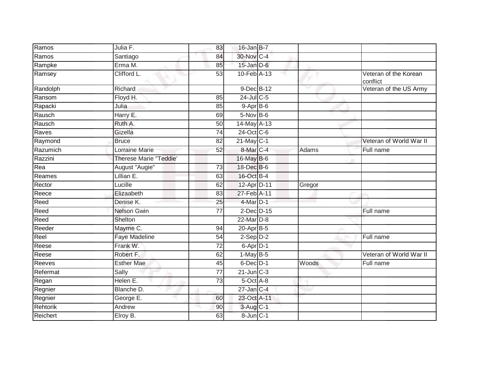| Ramos    | Julia F.                      | 83 | $16$ -Jan B-7            |        |                                   |
|----------|-------------------------------|----|--------------------------|--------|-----------------------------------|
| Ramos    | Santiago                      | 84 | 30-Nov C-4               |        |                                   |
| Rampke   | Erma M.                       | 85 | $15$ -Jan $D-6$          |        |                                   |
| Ramsey   | Clifford L.                   | 53 | $10$ -Feb $A$ -13        |        | Veteran of the Korean<br>conflict |
| Randolph | Richard                       |    | 9-Dec B-12               |        | Veteran of the US Army            |
| Ransom   | Floyd H.                      | 85 | $24$ -Jul C-5            |        |                                   |
| Rapacki  | Julia                         | 85 | $9-$ Apr $B-6$           |        |                                   |
| Rausch   | Harry E.                      | 69 | $5-Nov$ B-6              |        |                                   |
| Rausch   | Ruth A.                       | 50 | 14-May A-13              |        |                                   |
| Raves    | Gizella                       | 74 | 24-Oct C-6               |        |                                   |
| Raymond  | <b>Bruce</b>                  | 82 | $21$ -May C-1            |        | Veteran of World War II           |
| Razumich | Lorraine Marie                | 52 | 8-Mar C-4                | Adams  | Full name                         |
| Razzini  | <b>Therese Marie "Teddie"</b> |    | 16-May B-6               |        |                                   |
| Rea      | August "Augie"                | 73 | 18-Dec B-6               |        |                                   |
| Reames   | Lillian E.                    | 63 | 16-Oct B-4               |        |                                   |
| Rector   | Lucille                       | 62 | 12-Apr D-11              | Gregor |                                   |
| Reece    | Elizaabeth                    | 83 | $27 - Feb$ A-11          |        |                                   |
| Reed     | Denise K.                     | 25 | 4-Mar D-1                |        |                                   |
| Reed     | <b>Nelson Gwin</b>            | 77 | $2$ -Dec $D-15$          |        | Full name                         |
| Reed     | Shelton                       |    | 22-Mar D-8               |        |                                   |
| Reeder   | Mayme C.                      | 94 | 20-Apr B-5               |        |                                   |
| Reel     | <b>Faye Madeline</b>          | 54 | $2-Sep$ $D-2$            |        | Full name                         |
| Reese    | Frank W.                      | 72 | $6 - \overline{Apr}$ D-1 |        |                                   |
| Reese    | Robert F.                     | 62 | $1-MayB-5$               |        | Veteran of World War II           |
| Reeves   | <b>Esther Mae</b>             | 45 | 6-Dec D-1                | Woods  | Full name                         |
| Refermat | Sally                         | 77 | $21$ -Jun $C-3$          |        |                                   |
| Regan    | Helen E.                      | 73 | 5-Oct A-8                |        |                                   |
| Regnier  | Blanche D.                    |    | $27$ -Jan C-4            |        |                                   |
| Regnier  | George E.                     | 60 | 23-Oct A-11              |        |                                   |
| Rehtorik | Andrew                        | 90 | $3-Aug$ $C-1$            |        |                                   |
| Reichert | Elroy B.                      | 63 | 8-Jun C-1                |        |                                   |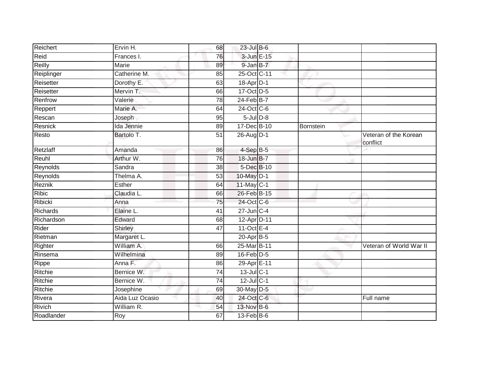| Reichert     | Ervin H.        | 68 | $23$ -Jul B-6          |           |                                   |
|--------------|-----------------|----|------------------------|-----------|-----------------------------------|
|              |                 |    |                        |           |                                   |
| Reid         | Frances I.      | 76 | 3-Jun E-15             |           |                                   |
| Reilly       | <b>Marie</b>    | 89 | 9-Jan B-7              |           |                                   |
| Reiplinger   | Catherine M.    | 85 | 25-Oct C-11            |           |                                   |
| Reisetter    | Dorothy E.      | 63 | 18-Apr D-1             |           |                                   |
| Reisetter    | Mervin T.       | 66 | 17-Oct D-5             |           |                                   |
| Renfrow      | Valerie         | 78 | $24$ -Feb $B$ -7       |           |                                   |
| Reppert      | Marie A.        | 64 | 24-Oct C-6             |           |                                   |
| Rescan       | Joseph          | 95 | $5$ -Jul $D-8$         |           |                                   |
| Resnick      | Ida Jennie      | 89 | 17-Dec B-10            | Bornstein |                                   |
| Resto        | Bartolo T.      | 51 | 26-Aug D-1             |           | Veteran of the Korean<br>conflict |
| Retzlaff     | Amanda          | 86 | $4-SepB-5$             |           |                                   |
| Reuhl        | Arthur W.       | 76 | 18-Jun B-7             |           |                                   |
| Reynolds     | Sandra          | 38 | 5-Dec B-10             |           |                                   |
| Reynolds     | Thelma A.       | 53 | 10-May D-1             |           |                                   |
| Reznik       | Esther          | 64 | $11$ -May C-1          |           |                                   |
| <b>Ribic</b> | Claudia L.      | 66 | 26-Feb B-15            |           |                                   |
| Ribicki      | Anna            | 75 | 24-Oct C-6             |           |                                   |
| Richards     | Elaine L.       | 41 | $27$ -Jun $C-4$        |           |                                   |
| Richardson   | Edward          | 68 | 12-Apr D-11            |           |                                   |
| Rider        | Shirley         | 47 | 11-Oct $E-4$           |           |                                   |
| Rietman      | Margaret L.     |    | $20-Apr$ B-5           |           |                                   |
| Righter      | William A.      | 66 | 25-Mar B-11            |           | Veteran of World War II           |
| Rinsema      | Wilhelmina      | 89 | $16$ -Feb $D-5$        |           |                                   |
| Rippe        | Anna F.         | 86 | 29-Apr <sub>E-11</sub> |           |                                   |
| Ritchie      | Bernice W.      | 74 | 13-Jul C-1             |           |                                   |
| Ritchie      | Bernice W.      | 74 | $12$ -Jul C-1          |           |                                   |
| Ritchie      | Josephine       | 69 | 30-May D-5             |           |                                   |
| Rivera       | Aida Luz Ocasio | 40 | 24-Oct C-6             |           | Full name                         |
| Rivich       | William R.      | 54 | 13-Nov B-6             |           |                                   |
| Roadlander   | Roy             | 67 | $13$ -Feb $B$ -6       |           |                                   |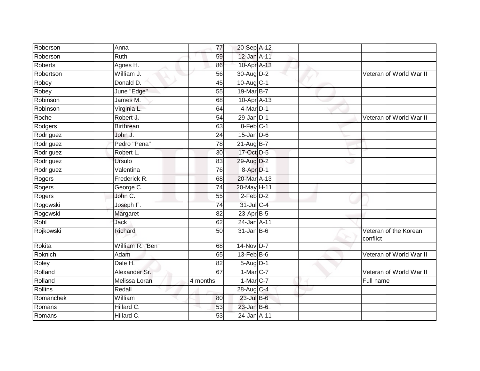| Roberson       | Anna             | 77              | 20-Sep A-12          |  |                                   |
|----------------|------------------|-----------------|----------------------|--|-----------------------------------|
| Roberson       | Ruth             | 59              | 12-Jan A-11          |  |                                   |
| <b>Roberts</b> | Agnes H.         | 86              | 10-Apr A-13          |  |                                   |
| Robertson      | William J.       | 56              | 30-Aug D-2           |  | Veteran of World War II           |
| Robey          | Donald D.        | $\overline{45}$ | 10-Aug C-1           |  |                                   |
| Robey          | June "Edge"      | 55              | 19-Mar B-7           |  |                                   |
| Robinson       | James M.         | 68              | 10-Apr A-13          |  |                                   |
| Robinson       | Virginia L.      | 64              | $4$ -Mar $D-1$       |  |                                   |
| Roche          | Robert J.        | 54              | $29$ -Jan $D-1$      |  | Veteran of World War II           |
| Rodgers        | <b>Birthrean</b> | 63              | 8-Feb C-1            |  |                                   |
| Rodriguez      | John J.          | 24              | $15$ -Jan $D-6$      |  |                                   |
| Rodriguez      | Pedro "Pena"     | 78              | 21-Aug B-7           |  |                                   |
| Rodriguez      | Robert L.        | 30              | 17-Oct D-5           |  |                                   |
| Rodriguez      | Ursulo           | 83              | 29-Aug D-2           |  |                                   |
| Rodriguez      | Valentina        | $\overline{76}$ | 8-Apr <sub>D-1</sub> |  |                                   |
| Rogers         | Frederick R.     | 68              | 20-Mar A-13          |  |                                   |
| Rogers         | George C.        | 74              | 20-May H-11          |  |                                   |
| Rogers         | John C.          | 55              | $2-Feb$ $D-2$        |  |                                   |
| Rogowski       | Joseph F.        | 74              | 31-Jul C-4           |  |                                   |
| Rogowski       | Margaret         | 82              | 23-Apr B-5           |  |                                   |
| Rohl           | Jack             | 62              | 24-Jan A-11          |  |                                   |
| Rojkowski      | Richard          | 50              | $31$ -Jan B-6        |  | Veteran of the Korean<br>conflict |
| Rokita         | William R. "Ben" | 68              | 14-Nov D-7           |  |                                   |
| Roknich        | Adam             | 65              | $13$ -Feb $B$ -6     |  | Veteran of World War II           |
| Roley          | Dale H.          | 82              | 5-Aug D-1            |  |                                   |
| Rolland        | Alexander Sr.    | 67              | $1-MarC-7$           |  | Veteran of World War II           |
| Rolland        | Melissa Loran    | 4 months        | $1-Mar$ C-7          |  | Full name                         |
| <b>Rollins</b> | Redall           |                 | 28-Aug C-4           |  |                                   |
| Romanchek      | William          | 80              | $23$ -Jul $B$ -6     |  |                                   |
| Romans         | Hillard C.       | 53              | $23$ -Jan B-6        |  |                                   |
| Romans         | Hillard C.       | 53              | 24-Jan A-11          |  |                                   |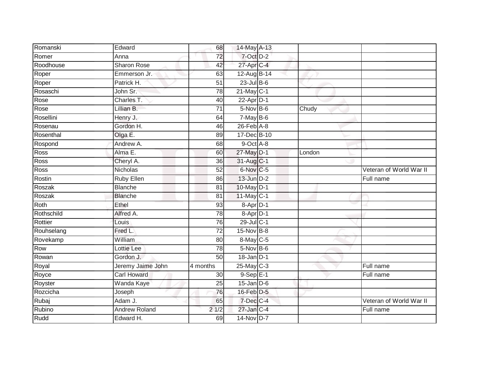| Romanski    | Edward               | 68              | 14-May A-13            |        |                         |
|-------------|----------------------|-----------------|------------------------|--------|-------------------------|
| Romer       | Anna                 | $\overline{72}$ | 7-Oct D-2              |        |                         |
| Roodhouse   | <b>Sharon Rose</b>   | 42              | 27-Apr C-4             |        |                         |
| Roper       | Emmerson Jr.         | 63              | 12-Aug B-14            |        |                         |
| Roper       | Patrick H.           | $\overline{51}$ | $23$ -Jul $B-6$        |        |                         |
| Rosaschi    | John Sr.             | 78              | 21-May C-1             |        |                         |
| Rose        | Charles T.           | 40              | $22-Apr\overline{D-1}$ |        |                         |
| Rose        | Lillian B.           | 71              | 5-Nov B-6              | Chudy  |                         |
| Rosellini   | Henry J.             | 64              | $7-MayB-6$             |        |                         |
| Rosenau     | Gordon H.            | 46              | $26$ -Feb $A$ -8       |        |                         |
| Rosenthal   | Olga E.              | 89              | 17-Dec B-10            |        |                         |
| Rospond     | Andrew A.            | 68              | 9-Oct A-8              |        |                         |
| <b>Ross</b> | Alma E.              | 60              | 27-May D-1             | London |                         |
| Ross        | Cheryl A.            | 36              | 31-Aug C-1             |        |                         |
| <b>Ross</b> | <b>Nicholas</b>      | 52              | 6-Nov C-5              |        | Veteran of World War II |
| Rostin      | <b>Ruby Ellen</b>    | 86              | $13$ -Jun $D-2$        |        | Full name               |
| Roszak      | <b>Blanche</b>       | $\overline{81}$ | 10-May D-1             |        |                         |
| Roszak      | <b>Blanche</b>       | 81              | 11-May C-1             |        |                         |
| Roth        | Ethel                | 93              | 8-Apr D-1              |        |                         |
| Rothschild  | Alfred A.            | 78              | 8-Apr D-1              |        |                         |
| Rottier     | Louis                | 76              | 29-Jul C-1             |        |                         |
| Rouhselang  | Fred L.              | $\overline{72}$ | 15-Nov B-8             |        |                         |
| Rovekamp    | William              | 80              | 8-May C-5              |        |                         |
| Row         | Lottie Lee           | 78              | $5-Nov$ B-6            |        |                         |
| Rowan       | Gordon J.            | 50              | $18$ -Jan $D-1$        |        |                         |
| Royal       | Jeremy Jaime John    | 4 months        | $25$ -May C-3          |        | Full name               |
| Royce       | <b>Carl Howard</b>   | 30 <sup>°</sup> | $9-$ Sep $E-1$         |        | Full name               |
| Royster     | Wanda Kaye           | 25              | $15$ -Jan $D-6$        |        |                         |
| Rozcicha    | Joseph               | 76              | 16-Feb D-5             |        |                         |
| Rubaj       | Adam J.              | 65              | 7-Dec C-4              |        | Veteran of World War II |
| Rubino      | <b>Andrew Roland</b> | 21/2            | 27-Jan C-4             |        | Full name               |
| Rudd        | Edward H.            | 69              | 14-Nov D-7             |        |                         |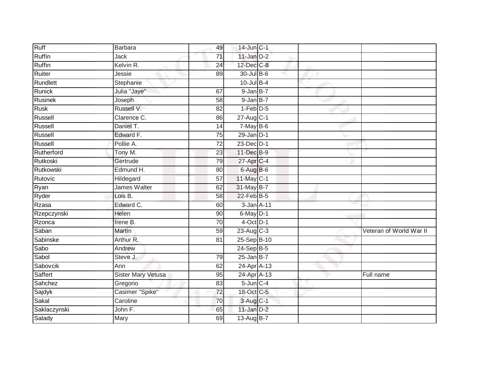| Ruff           | Barbara                   | 49              | 14-Jun C-1      |                         |
|----------------|---------------------------|-----------------|-----------------|-------------------------|
| Ruffin         | Jack                      | 71              | $11$ -Jan $D-2$ |                         |
| Ruffin         | Kelvin R.                 | 24              | 12-Dec C-8      |                         |
| Ruiter         | Jessie                    | 89              | 30-Jul B-6      |                         |
| Rundlett       | Stephanie                 |                 | $10$ -Jul B-4   |                         |
| Runick         | Julia "Jaye"              | 67              | $9$ -Jan $B-7$  |                         |
| Rusinek        | Joseph                    | 58              | 9-Jan B-7       |                         |
| <b>Rusk</b>    | Russell V.                | 82              | $1-Feb$ $D-5$   |                         |
| Russell        | Clarence C.               | 86              | 27-Aug C-1      |                         |
| Russell        | Daniel T.                 | 14              | $7$ -May $B$ -6 |                         |
| Russell        | Edward F.                 | 75              | $29$ -Jan $D-1$ |                         |
| Russell        | Pollie A.                 | $\overline{72}$ | 23-Dec D-1      |                         |
| Rutherford     | Tony M.                   | 23              | 11-Dec B-9      |                         |
| Rutkoski       | Gertrude                  | 79              | 27-Apr C-4      |                         |
| Rutkowski      | Edmund H.                 | 80              | $6$ -Aug $B$ -6 |                         |
| Rutovic        | Hildegard                 | 57              | 11-May C-1      |                         |
| Ryan           | James Walter              | 62              | 31-May B-7      |                         |
| Ryder          | Lois B.                   | 58              | 22-Feb B-5      |                         |
| Rzasa          | Edward C.                 | 60              | 3-Jan A-11      |                         |
| Rzepczynski    | Helen                     | 90              | $6$ -May $D-1$  |                         |
| Rzonca         | Irene B.                  | 70              | $4$ -Oct D-1    |                         |
| Saban          | Martin                    | 59              | 23-Aug C-3      | Veteran of World War II |
| Sabinske       | Arthur R.                 | 81              | 25-Sep B-10     |                         |
| Sabo           | Andrew                    |                 | 24-Sep B-5      |                         |
| Sabol          | Steve J.                  | 79              | $25$ -Jan B-7   |                         |
| Sabovcik       | Ann                       | 62              | 24-Apr A-13     |                         |
| <b>Saffert</b> | <b>Sister Mary Vetusa</b> | 95              | 24-Apr A-13     | Full name               |
| Sahchez        | Gregorio                  | 83              | $5$ -Jun $C-4$  |                         |
| Sajdyk         | Casimer "Spike"           | 72              | 18-Oct C-5      |                         |
| Sakal          | Caroline                  | 70              | 3-Aug C-1       |                         |
| Saklaczynski   | John F.                   | 65              | $11$ -Jan $D-2$ |                         |
| Salady         | Mary                      | 69              | 13-Aug B-7      |                         |
|                |                           |                 |                 |                         |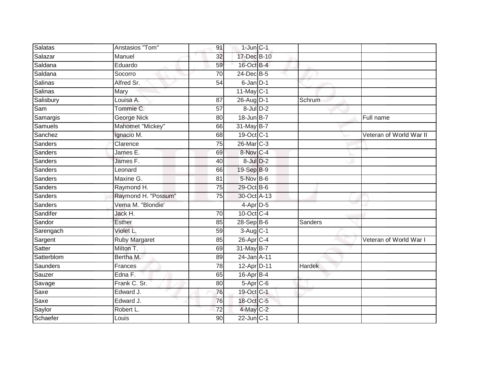| Salatas        | Anstasios "Tom"      | 91              | $1$ -Jun $C-1$  |               |                         |
|----------------|----------------------|-----------------|-----------------|---------------|-------------------------|
| Salazar        | Manuel               | 32              | 17-Dec B-10     |               |                         |
| Saldana        | Eduardo              | 59              | 16-Oct B-4      |               |                         |
| Saldana        | Socorro              | $\overline{70}$ | 24-Dec B-5      |               |                         |
| <b>Salinas</b> | Alfred Sr.           | 54              | 6-Jan D-1       |               |                         |
| <b>Salinas</b> | Mary                 |                 | 11-May C-1      |               |                         |
| Salisbury      | Louisa A.            | 87              | 26-Aug D-1      | Schrum        |                         |
| Sam            | Tommie C.            | 57              | $8$ -Jul $D-2$  |               |                         |
| Samargis       | <b>George Nick</b>   | 80              | 18-Jun B-7      |               | Full name               |
| Samuels        | Mahomet "Mickey"     | 66              | 31-May B-7      |               |                         |
| Sanchez        | Ignacio M.           | 68              | 19-Oct C-1      |               | Veteran of World War II |
| Sanders        | Clarence             | 75              | 26-Mar C-3      |               |                         |
| Sanders        | James E.             | 69              | 8-Nov C-4       |               |                         |
| Sanders        | James F.             | 40              | $8$ -Jul $D-2$  |               |                         |
| Sanders        | Leonard              | 66              | 19-Sep B-9      |               |                         |
| Sanders        | Maxine G.            | 81              | $5$ -Nov $B$ -6 |               |                         |
| Sanders        | Raymond H.           | $\overline{75}$ | 29-Oct B-6      |               |                         |
| Sanders        | Raymond H. "Possum"  | 75              | 30-Oct A-13     |               |                         |
| Sanders        | Verna M. "Blondie'   |                 | 4-Apr D-5       |               |                         |
| Sandifer       | Jack H.              | 70              | 10-Oct C-4      |               |                         |
| Sandor         | <b>Esther</b>        | 85              | $28-Sep B-6$    | Sanders       |                         |
| Sarengach      | Violet L.            | 59              | 3-Aug C-1       |               |                         |
| Sargent        | <b>Ruby Margaret</b> | 85              | 26-Apr C-4      |               | Veteran of World War I  |
| <b>Satter</b>  | Milton T.            | 69              | 31-May B-7      |               |                         |
| Satterblom     | Bertha M.            | 89              | 24-Jan A-11     |               |                         |
| Saunders       | Frances              | $\overline{78}$ | 12-Apr D-11     | <b>Hardek</b> |                         |
| Sauzer         | Edna F.              | 65              | 16-Apr B-4      |               |                         |
| Savage         | Frank C. Sr.         | 80              | $5-Apr$ $C-6$   |               |                         |
| Saxe           | Edward J.            | 76              | 19-Oct C-1      |               |                         |
| Saxe           | Edward J.            | 76              | 18-Oct C-5      |               |                         |
| Saylor         | Robert L.            | 72              | $4$ -May C-2    |               |                         |
| Schaefer       | Louis                | 90              | $22$ -Jun $C-1$ |               |                         |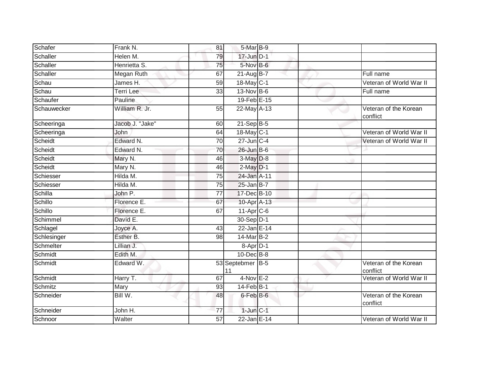| Schafer     | Frank N.         | 81              | 5-Mar B-9              |  |                                   |
|-------------|------------------|-----------------|------------------------|--|-----------------------------------|
| Schaller    | Helen M.         | 79              | $17$ -Jun $D-1$        |  |                                   |
| Schaller    | Henrietta S.     | 75              | $5-Nov$ B-6            |  |                                   |
| Schaller    | Megan Ruth       | 67              | $21-AugB-7$            |  | Full name                         |
| Schau       | James H.         | $\overline{59}$ | 18-May C-1             |  | Veteran of World War II           |
| Schau       | <b>Terri Lee</b> | 33              | $13-Nov$ B-6           |  | Full name                         |
| Schaufer    | Pauline          |                 | 19-Feb E-15            |  |                                   |
| Schauwecker | William R. Jr.   | 55              | 22-May A-13            |  | Veteran of the Korean<br>conflict |
| Scheeringa  | Jacob J. "Jake"  | 60              | $21 - SepB-5$          |  |                                   |
| Scheeringa  | John             | 64              | 18-May C-1             |  | Veteran of World War II           |
| Scheidt     | Edward N.        | 70              | 27-Jun C-4             |  | Veteran of World War II           |
| Scheidt     | Edward N.        | 70              | $26$ -Jun $B$ -6       |  |                                   |
| Scheidt     | Mary N.          | 46              | 3-May D-8              |  |                                   |
| Scheidt     | Mary N.          | 46              | $2-May$ $D-1$          |  |                                   |
| Schiesser   | Hilda M.         | 75              | 24-Jan A-11            |  |                                   |
| Schiesser   | Hilda M.         | 75              | $25$ -Jan B-7          |  |                                   |
| Schilla     | John P.          | 77              | 17-Dec B-10            |  |                                   |
| Schillo     | Florence E.      | 67              | 10-Apr A-13            |  |                                   |
| Schillo     | Florence E.      | 67              | $11$ -Apr $C$ -6       |  |                                   |
| Schimmel    | David E.         |                 | 30-Sep D-1             |  |                                   |
| Schlagel    | Joyce A.         | 43              | $22$ -Jan E-14         |  |                                   |
| Schlesinger | Esther B.        | 98              | 14-Mar B-2             |  |                                   |
| Schmelter   | Lillian J.       |                 | $8-Apr D-1$            |  |                                   |
| Schmidt     | Edith M.         |                 | 10-Dec B-8             |  |                                   |
| Schmidt     | Edward W.        |                 | 53 Septebmer B-5<br>11 |  | Veteran of the Korean<br>conflict |
| Schmidt     | Harry T.         | 67              | $4-Nov$ E-2            |  | Veteran of World War II           |
| Schmitz     | Mary             | 93              | $14$ -Feb $B-1$        |  |                                   |
| Schneider   | Bill W.          | 48              | 6-Feb B-6              |  | Veteran of the Korean<br>conflict |
| Schneider   | John H.          | 77              | $1$ -Jun $C-1$         |  |                                   |
| Schnoor     | Walter           | $\overline{57}$ | 22-Jan E-14            |  | Veteran of World War II           |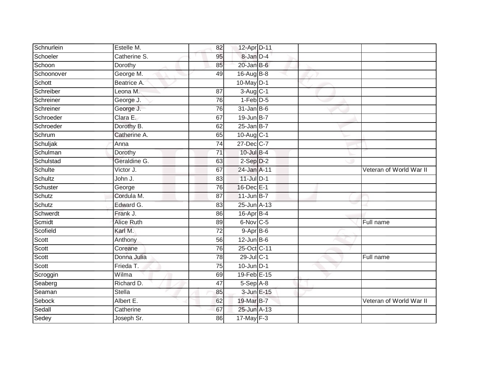| Schnurlein | Estelle M.        | 82              | 12-Apr D-11            |  |                         |
|------------|-------------------|-----------------|------------------------|--|-------------------------|
| Schoeler   | Catherine S.      | 95              | 8-Jan D-4              |  |                         |
| Schoon     | Dorothy           | 85              | $20$ -Jan B-6          |  |                         |
| Schoonover | George M.         | 49              | $16$ -Aug $B$ -8       |  |                         |
| Schott     | Beatrice A.       |                 | 10-May D-1             |  |                         |
| Schreiber  | Leona M.          | 87              | $3-Aug$ <sub>C-1</sub> |  |                         |
| Schreiner  | George J.         | 76              | 1-Feb D-5              |  |                         |
| Schreiner  | George J.         | 76              | $31$ -Jan B-6          |  |                         |
| Schroeder  | Clara E.          | 67              | 19-Jun B-7             |  |                         |
| Schroeder  | Dorothy B.        | 62              | $25$ -Jan B-7          |  |                         |
| Schrum     | Catherine A.      | 65              | 10-Aug C-1             |  |                         |
| Schuljak   | Anna              | 74              | 27-Dec C-7             |  |                         |
| Schulman   | Dorothy           | $\overline{71}$ | 10-Jul B-4             |  |                         |
| Schulstad  | Geraldine G.      | 63              | $2-Sep$ $D-2$          |  |                         |
| Schulte    | Victor J.         | 67              | 24-Jan A-11            |  | Veteran of World War II |
| Schultz    | John J.           | 83              | $11$ -Jul $D-1$        |  |                         |
| Schuster   | George            | 76              | 16-Dec E-1             |  |                         |
| Schutz     | Cordula M.        | 87              | $11$ -Jun B-7          |  |                         |
| Schutz     | Edward G.         | 83              | 25-Jun A-13            |  |                         |
| Schwerdt   | Frank J.          | 86              | 16-Apr B-4             |  |                         |
| Scmidt     | <b>Alice Ruth</b> | 89              | 6-Nov C-5              |  | Full name               |
| Scofield   | Karl M.           | $\overline{72}$ | $9-AprB-6$             |  |                         |
| Scott      | Anthony           | 56              | $12$ -Jun B-6          |  |                         |
| Scott      | Coreane           | 76              | 25-Oct C-11            |  |                         |
| Scott      | Donna Julia       | 78              | 29-Jul C-1             |  | Full name               |
| Scott      | Frieda T.         | 75              | $10$ -Jun $D-1$        |  |                         |
| Scroggin   | Wilma             | 69              | 19-Feb E-15            |  |                         |
| Seaberg    | Richard D.        | 47              | $5-Sep$ $A-8$          |  |                         |
| Seaman     | Stella            | 85              | 3-Jun E-15             |  |                         |
| Sebock     | Albert E.         | 62              | 19-Mar B-7             |  | Veteran of World War II |
| Sedall     | Catherine         | 67              | 25-Jun A-13            |  |                         |
| Sedey      | Joseph Sr.        | 86              | $17$ -May $F-3$        |  |                         |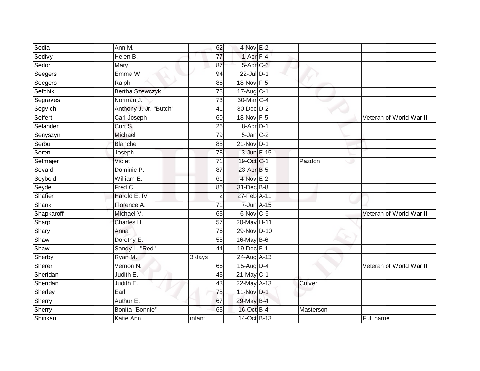| Sedia        | Ann M.                 | 62              | 4-Nov E-2                |            |           |                         |
|--------------|------------------------|-----------------|--------------------------|------------|-----------|-------------------------|
| Sedivy       | Helen B.               | 77              | $1 - Apr$ $F-4$          |            |           |                         |
| Sedor        | Mary                   | 87              | $5-Apr$ $C-6$            |            |           |                         |
| Seegers      | Emma W.                | 94              | $22$ -Jul $D-1$          |            |           |                         |
| Seegers      | Ralph                  | 86              | 18-Nov F-5               |            |           |                         |
| Sefchik      | <b>Bertha Szewczyk</b> | $\overline{78}$ | $17 - \overline{AugC-1}$ |            |           |                         |
| Segraves     | Norman J.              | 73              | 30-Mar C-4               |            |           |                         |
| Segvich      | Anthony J. Jr. "Butch" | 41              | 30-Dec D-2               |            |           |                         |
| Seifert      | Carl Joseph            | 60              | 18-Nov F-5               |            |           | Veteran of World War II |
| Selander     | Curt S.                | 26              | 8-Apr D-1                |            |           |                         |
| Senyszyn     | Michael                | 79              | $5$ -Jan $C-2$           |            |           |                         |
| Serbu        | Blanche                | $\overline{88}$ | 21-Nov D-1               |            |           |                         |
| Seren        | Joseph                 | 78              |                          | 3-Jun E-15 |           |                         |
| Setmajer     | Violet                 | $\overline{71}$ | 19-Oct C-1               |            | Pazdon    |                         |
| Sevald       | Dominic P.             | 87              | 23-Apr B-5               |            |           |                         |
| Seybold      | William E.             | 61              | 4-Nov E-2                |            |           |                         |
| Seydel       | Fred C.                | 86              | 31-Dec B-8               |            |           |                         |
| Shafier      | Harold E. IV           | $\overline{2}$  | 27-Feb A-11              |            |           |                         |
| <b>Shank</b> | Florence A.            | $\overline{71}$ | 7-Jun A-15               |            |           |                         |
| Shapkaroff   | Michael V.             | 63              | 6-Nov C-5                |            |           | Veteran of World War II |
| Sharp        | Charles H.             | 57              | 20-May H-11              |            |           |                         |
| Shary        | Anna                   | 76              | 29-Nov D-10              |            |           |                         |
| Shaw         | Dorothy E.             | 58              | 16-May B-6               |            |           |                         |
| Shaw         | Sandy L. "Red"         | 44              | 19-Dec F-1               |            |           |                         |
| Sherby       | Ryan M.                | 3 days          | 24-Aug A-13              |            |           |                         |
| Sherer       | Vernon N.              | 66              | 15-Aug D-4               |            |           | Veteran of World War II |
| Sheridan     | Judith E.              | 43              | $21$ -May C-1            |            |           |                         |
| Sheridan     | Judith E.              | 43              | $22$ -May $A-13$         |            | Culver    |                         |
| Sherley      | Earl                   | $\overline{78}$ | 11-Nov D-1               |            |           |                         |
| Sherry       | Authur E.              | 67              | 29-May B-4               |            |           |                         |
| Sherry       | Bonita "Bonnie"        | 63              | 16-Oct B-4               |            | Masterson |                         |
| Shinkan      | Katie Ann              | infant          | 14-Oct B-13              |            |           | Full name               |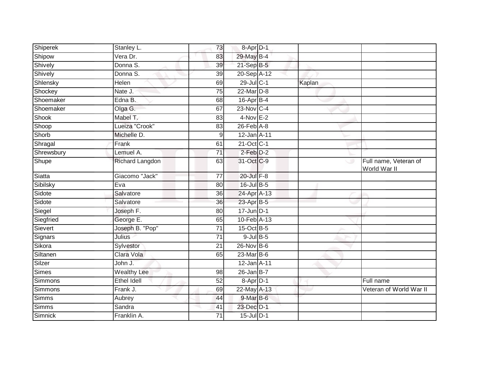| Shiperek     | Stanley L.         | 73              | 8-Apr D-1        |        |                                       |
|--------------|--------------------|-----------------|------------------|--------|---------------------------------------|
| Shipow       | Vera Dr.           | 83              | 29-May B-4       |        |                                       |
| Shively      | Donna S.           | 39              | $21-Sep$ B-5     |        |                                       |
| Shively      | Donna S.           | 39              | 20-Sep A-12      |        |                                       |
| Shlensky     | <b>Helen</b>       | 69              | 29-Jul C-1       | Kaplan |                                       |
| Shockey      | Nate J.            | 75              | $22$ -Mar $D-8$  |        |                                       |
| Shoemaker    | Edna B.            | 68              | $16$ -Apr $B$ -4 |        |                                       |
| Shoemaker    | Olga G.            | 67              | $23$ -Nov C-4    |        |                                       |
| Shook        | Mabel T.           | 83              | $4-Nov$ E-2      |        |                                       |
| Shoop        | Lueiza "Crook"     | 83              | $26$ -Feb $A-8$  |        |                                       |
| Shorb        | Michelle D.        | 9               | 12-Jan A-11      |        |                                       |
| Shragal      | Frank              | 61              | 21-Oct C-1       |        |                                       |
| Shrewsbury   | Lemuel A.          | 71              | $2$ -Feb $D-2$   |        |                                       |
| Shupe        | Richard Langdon    | 63              | 31-Oct C-9       | ی      | Full name, Veteran of<br>World War II |
| Siatta       | Giacomo "Jack"     | $\overline{77}$ | 20-Jul F-8       |        |                                       |
| Sibilsky     | Eva                | 80              | 16-Jul B-5       |        |                                       |
| Sidote       | Salvatore          | 36              | 24-Apr A-13      |        |                                       |
| Sidote       | Salvatore          | 36              | 23-Apr B-5       |        |                                       |
| Siegel       | Joseph F.          | 80              | $17$ -Jun D-1    |        |                                       |
| Siegfried    | George E.          | 65              | 10-Feb A-13      |        |                                       |
| Sievert      | Joseph B. "Pop"    | 71              | 15-Oct B-5       |        |                                       |
| Signars      | <b>Julius</b>      | 71              | $9$ -Jul $B$ -5  |        |                                       |
| Sikora       | Sylvestor          | 21              | 26-Nov B-6       |        |                                       |
| Siltanen     | Clara Vola         | 65              | 23-Mar B-6       |        |                                       |
| Silzer       | John J.            |                 | 12-Jan A-11      |        |                                       |
| <b>Simes</b> | <b>Wealthy Lee</b> | 98              | $26$ -Jan B-7    |        |                                       |
| Simmons      | <b>Ethel Idell</b> | 52              | 8-Apr D-1        |        | Full name                             |
| Simmons      | Frank J.           | 69              | $22$ -May A-13   |        | Veteran of World War II               |
| Simms        | Aubrey             | 44              | 9-Mar B-6        |        |                                       |
| Simms        | Sandra             | 41              | 23-Dec D-1       |        |                                       |
| Simnick      | Franklin A.        | 71              | 15-Jul D-1       |        |                                       |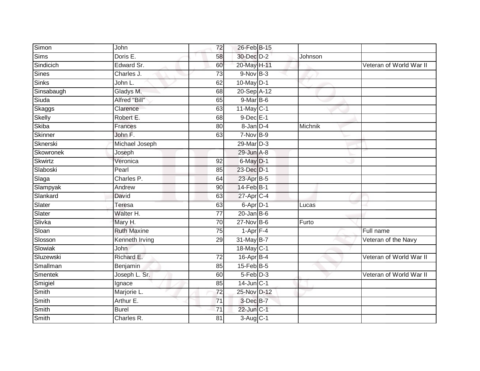| Simon          | John               | 72              | 26-Feb B-15      |         |                         |
|----------------|--------------------|-----------------|------------------|---------|-------------------------|
| Sims           | Doris E.           | 58              | 30-Dec D-2       | Johnson |                         |
| Sindicich      | Edward Sr.         | 60              | 20-May H-11      |         | Veteran of World War II |
| <b>Sines</b>   | Charles J.         | 73              | $9-Nov$ B-3      |         |                         |
| Sinks          | John L.            | 62              | $10$ -May $D-1$  |         |                         |
| Sinsabaugh     | Gladys M.          | 68              | 20-Sep A-12      |         |                         |
| Siuda          | Alfred "Bill"      | 65              | $9$ -Mar $B$ -6  |         |                         |
| Skaggs         | Clarence           | 63              | $11$ -May C-1    |         |                         |
| Skelly         | Robert E.          | 68              | $9$ -Dec $E-1$   |         |                         |
| <b>Skiba</b>   | Frances            | 80              | 8-Jan D-4        | Michnik |                         |
| Skinner        | John F.            | 63              | 7-Nov B-9        |         |                         |
| Sknerski       | Michael Joseph     |                 | 29-Mar D-3       |         |                         |
| Skowronek      | Joseph             |                 | 29-Jun A-8       |         |                         |
| <b>Skwirtz</b> | Veronica           | 92              | 6-May D-1        |         |                         |
| Slaboski       | Pearl              | 85              | 23-Dec D-1       |         |                         |
| Slaga          | Charles P.         | 64              | 23-Apr B-5       |         |                         |
| Slampyak       | Andrew             | 90              | $14$ -Feb $B-1$  |         |                         |
| Slankard       | David              | 63              | 27-Apr C-4       |         |                         |
| Slater         | Teresa             | 63              | 6-Apr D-1        | Lucas   |                         |
| Slater         | Walter H.          | 77              | $20$ -Jan B-6    |         |                         |
| Slivka         | Mary H.            | 70              | 27-Nov B-6       | Furto   |                         |
| Sloan          | <b>Ruth Maxine</b> | $\overline{75}$ | $1$ -Apr $F-4$   |         | Full name               |
| Slosson        | Kenneth Irving     | 29              | 31-May B-7       |         | Veteran of the Navy     |
| Slowiak        | <b>John</b>        |                 | 18-May C-1       |         |                         |
| Sluzewski      | Richard E.         | 72              | $16$ -Apr $B$ -4 |         | Veteran of World War II |
| Smallman       | Benjamin           | 85              | $15$ -Feb $B$ -5 |         |                         |
| Smentek        | Joseph L. Sr.      | 60              | $5-Feb$ $D-3$    |         | Veteran of World War II |
| Smigiel        | Ignace             | 85              | $14$ -Jun $C-1$  |         |                         |
| Smith          | Marjorie L.        | 72              | 25-Nov D-12      |         |                         |
| Smith          | Arthur E.          | $\overline{71}$ | 3-Dec B-7        |         |                         |
| Smith          | <b>Burel</b>       | $\overline{71}$ | 22-Jun C-1       |         |                         |
| Smith          | Charles R.         | $\overline{81}$ | 3-Aug C-1        |         |                         |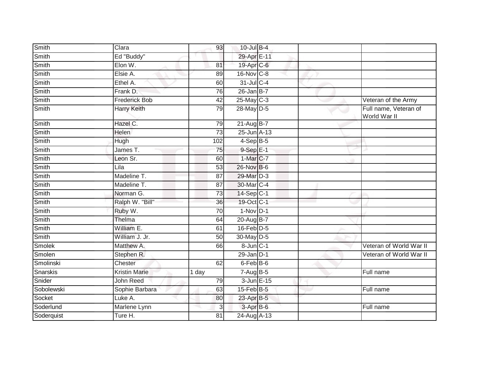| Smith         | Clara                | 93              | 10-Jul B-4               |  |                                       |
|---------------|----------------------|-----------------|--------------------------|--|---------------------------------------|
| Smith         | Ed "Buddy"           |                 | 29-Apr E-11              |  |                                       |
| Smith         | Elon W.              | 81              | 19-Apr C-6               |  |                                       |
| Smith         | Elsie A.             | 89              | 16-Nov C-8               |  |                                       |
| Smith         | Ethel A.             | 60              | $31$ -Jul C-4            |  |                                       |
| Smith         | Frank D.             | 76              | $26$ -Jan B-7            |  |                                       |
| Smith         | <b>Frederick Bob</b> | 42              | $25$ -May C-3            |  | Veteran of the Army                   |
| Smith         | Harry Keith          | 79              | 28-May D-5               |  | Full name, Veteran of<br>World War II |
| Smith         | Hazel C.             | 79              | 21-Aug B-7               |  |                                       |
| Smith         | Helen                | 73              | 25-Jun A-13              |  |                                       |
| Smith         | Hugh                 | 102             | $4-SepB-5$               |  |                                       |
| Smith         | James T.             | 75              | $9-SepE-1$               |  |                                       |
| Smith         | Leon Sr.             | 60              | 1-Mar C-7                |  |                                       |
| Smith         | Lila                 | 53              | 26-Nov B-6               |  |                                       |
| Smith         | Madeline T.          | 87              | 29-Mar D-3               |  |                                       |
| Smith         | Madeline T.          | 87              | 30-Mar C-4               |  |                                       |
| Smith         | Norman G.            | 73              | $14-Sep C-1$             |  |                                       |
| Smith         | Ralph W. "Bill"      | 36              | 19-Oct C-1               |  |                                       |
| Smith         | Ruby W.              | 70              | $1-Nov$ D-1              |  |                                       |
| <b>Smith</b>  | Thelma               | 64              | 20-Aug B-7               |  |                                       |
| Smith         | William E.           | 61              | $16$ -Feb $D-5$          |  |                                       |
| Smith         | William J. Jr.       | $\overline{50}$ | 30-May D-5               |  |                                       |
| <b>Smolek</b> | Matthew A.           | 66              | 8-Jun C-1                |  | Veteran of World War II               |
| Smolen        | Stephen R.           |                 | $29$ -Jan $D-1$          |  | Veteran of World War II               |
| Smolinski     | Chester              | 62              | $6$ -Feb $B$ -6          |  |                                       |
| Snarskis      | <b>Kristin Marie</b> | 1 day           | $7 - \overline{Aug}$ B-5 |  | Full name                             |
| Snider        | John Reed            | 79              | 3-Jun E-15               |  |                                       |
| Sobolewski    | Sophie Barbara       | 63              | $15$ -Feb $B$ -5         |  | Full name                             |
| Socket        | Luke A.              | 80              | 23-Apr B-5               |  |                                       |
| Soderlund     | Marlene Lynn         | 3               | 3-Apr B-6                |  | Full name                             |
| Soderquist    | Ture H.              | 81              | $24-Aug$ A-13            |  |                                       |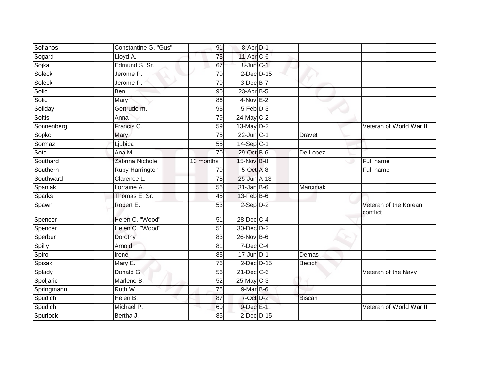| Sofianos      | Constantine G. "Gus" | 91              | 8-Apr D-1        |               |                                   |
|---------------|----------------------|-----------------|------------------|---------------|-----------------------------------|
| Sogard        | Lloyd A.             | 73              | 11-Apr C-6       |               |                                   |
| Sojka         | Edmund S. Sr.        | 67              | 8-Jun C-1        |               |                                   |
| Solecki       | Jerome P.            | 70              | $2$ -Dec $D-15$  |               |                                   |
| Solecki       | Jerome P.            | $\overline{70}$ | $3$ -Dec $B-7$   |               |                                   |
| Solic         | Ben                  | 90              | $23$ -Apr $B-5$  |               |                                   |
| Solic         | Mary                 | 86              | $4-Nov$ E-2      |               |                                   |
| Soliday       | Gertrude m.          | 93              | $5-Feb$ D-3      |               |                                   |
| <b>Soltis</b> | Anna                 | 79              | 24-May C-2       |               |                                   |
| Sonnenberg    | Francis C.           | 59              | $13$ -May $D-2$  |               | Veteran of World War II           |
| Sopko         | Mary                 | 75              | $22$ -Jun $C-1$  | <b>Dravet</b> |                                   |
| Sormaz        | Ljubica              | 55              | $14-Sep C-1$     |               |                                   |
| Soto          | Ana M.               | 70              | 29-Oct B-6       | De Lopez      |                                   |
| Southard      | Zabrina Nichole      | 10 months       | 15-Nov B-8       |               | Full name                         |
| Southern      | Ruby Harrington      | 70              | 5-Oct A-8        |               | Full name                         |
| Southward     | Clarence L.          | 78              | 25-Jun A-13      |               |                                   |
| Spaniak       | Lorraine A.          | 56              | $31$ -Jan B-6    | Marciniak     |                                   |
| Sparks        | Thomas E. Sr.        | 45              | 13-Feb B-6       |               |                                   |
| Spawn         | Robert E.            | 53              | $2-Sep$ $D-2$    |               | Veteran of the Korean<br>conflict |
| Spencer       | Helen C. "Wood"      | 51              | 28-Dec C-4       |               |                                   |
| Spencer       | Helen C. "Wood"      | 51              | 30-Dec D-2       |               |                                   |
| Sperber       | Dorothy              | 83              | $26$ -Nov B-6    |               |                                   |
| Spilly        | Arnold               | 81              | $7$ -Dec $C$ -4  |               |                                   |
| Spiro         | Irene                | 83              | $17$ -Jun D-1    | Demas         |                                   |
| Spisak        | Mary E.              | $\overline{76}$ | $2$ -Dec D-15    | <b>Becich</b> |                                   |
| Splady        | Donald G.            | 56              | $21$ -Dec $C$ -6 |               | Veteran of the Navy               |
| Spoljaric     | Marlene B.           | 52              | 25-May C-3       |               |                                   |
| Springmann    | Ruth W.              | 75              | $9$ -Mar $B$ -6  |               |                                   |
| Spudich       | Helen B.             | 87              | 7-Oct D-2        | <b>Biscan</b> |                                   |
| Spudich       | Michael P.           | 60              | 9-Dec E-1        |               | Veteran of World War II           |
| Spurlock      | Bertha J.            | 85              | 2-Dec D-15       |               |                                   |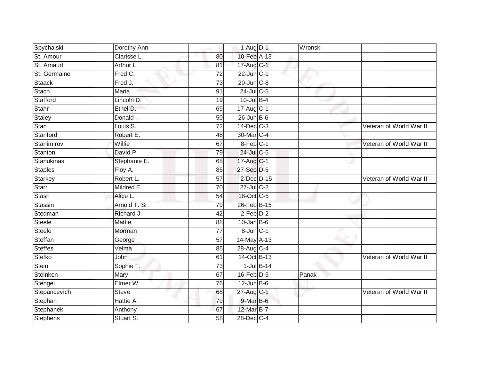| Spychalski      | Dorothy Ann   |                 | $1-Aug$ D-1      | Wronski |                         |
|-----------------|---------------|-----------------|------------------|---------|-------------------------|
| St. Amour       | Clarisse L.   | 80              | 10-Feb A-13      |         |                         |
| St. Arnaud      | Arthur L.     | 81              | 17-Aug C-1       |         |                         |
| St. Germaine    | Fred C.       | 72              | $22$ -Jun $C-1$  |         |                         |
| <b>Staack</b>   | Fred J.       | $\overline{73}$ | $20$ -Jun $C-8$  |         |                         |
| Stach           | Maria         | 91              | 24-Jul C-5       |         |                         |
| Stafford        | Lincoln D.    | 19              | $10$ -Jul B-4    |         |                         |
| Stahr           | Ethel D.      | 69              | 17-Aug C-1       |         |                         |
| <b>Staley</b>   | Donald        | 50              | $26$ -Jun $B$ -6 |         |                         |
| Stan            | Louis S.      | 72              | 14-Dec C-3       |         | Veteran of World War II |
| Stanford        | Robert E.     | 48              | 30-Mar C-4       |         |                         |
| Stanimirov      | Willie        | 67              | 8-Feb C-1        |         | Veteran of World War II |
| Stanton         | David P.      | 79              | 24-Jul C-5       |         |                         |
| Stanukinas      | Stephanie E.  | 68              | 17-Aug C-1       |         |                         |
| <b>Staples</b>  | Floy A.       | 85              | 27-Sep D-5       |         |                         |
| Starkey         | Robert L.     | 57              | 2-Dec D-15       |         | Veteran of World War II |
| <b>Starr</b>    | Mildred E.    | $\overline{70}$ | $27$ -Jul C-2    |         |                         |
| <b>Stash</b>    | Alice L.      | 54              | 18-Oct C-5       |         |                         |
| Stassin         | Arnold T. Sr. | 79              | 26-Feb B-15      |         |                         |
| Stedman         | Richard J.    | $\overline{42}$ | $2$ -Feb $D-2$   |         |                         |
| Steele          | <b>Mattie</b> | 88              | $10$ -Jan B-6    |         |                         |
| <b>Steele</b>   | Morman        | 77              | 8-Jun C-1        |         |                         |
| Steffan         | George        | 57              | 14-May A-13      |         |                         |
| <b>Steffes</b>  | Velma         | 85              | 28-Aug C-4       |         |                         |
| Stefko          | John          | 61              | 14-Oct B-13      |         | Veteran of World War II |
| Stein           | Sophie T.     | 73              | $1$ -Jul $B-14$  |         |                         |
| Steinken        | Mary          | 67              | 16-Feb D-5       | Panak   |                         |
| Stengel         | Elmer W.      | 76              | $12$ -Jun $B$ -6 |         |                         |
| Stepancevich    | <b>Steve</b>  | 68              | 27-Aug C-1       |         | Veteran of World War II |
| Stephan         | Hattie A.     | 79              | 9-Mar B-6        |         |                         |
| Stephanek       | Anthony       | 67              | 12-Mar B-7       |         |                         |
| <b>Stephens</b> | Stuart S.     | $\overline{58}$ | 28-Dec C-4       |         |                         |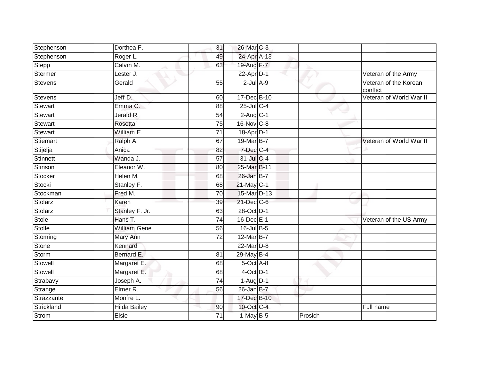| Stephenson      | Dorthea F.          | 31              | 26-Mar C-3             |         |                                   |
|-----------------|---------------------|-----------------|------------------------|---------|-----------------------------------|
| Stephenson      | Roger L.            | 49              | 24-Apr A-13            |         |                                   |
| Stepp           | Calvin M.           | 63              | 19-Aug F-7             |         |                                   |
| Stermer         | Lester J.           |                 | $22$ -Apr $D-1$        |         | Veteran of the Army               |
| <b>Stevens</b>  | Gerald              | 55              | $2$ -Jul $A-9$         |         | Veteran of the Korean<br>conflict |
| <b>Stevens</b>  | Jeff D.             | 60              | 17-Dec B-10            |         | Veteran of World War II           |
| <b>Stewart</b>  | Emma C.             | 88              | $25$ -Jul C-4          |         |                                   |
| <b>Stewart</b>  | Jerald R.           | 54              | $2-Aug$ <sub>C-1</sub> |         |                                   |
| <b>Stewart</b>  | Rosetta             | 75              | 16-Nov C-8             |         |                                   |
| Stewart         | William E.          | $\overline{71}$ | 18-Apr D-1             |         |                                   |
| Stiemart        | Ralph A.            | 67              | 19-Mar B-7             |         | Veteran of World War II           |
| Stijelja        | Anica               | 82              | 7-Dec C-4              |         |                                   |
| <b>Stinnett</b> | Wanda J.            | 57              | 31-Jul C-4             |         |                                   |
| Stinson         | Eleanor W.          | 80              | 25-Mar B-11            |         |                                   |
| Stocker         | Helen M.            | 68              | 26-Jan B-7             |         |                                   |
| Stocki          | Stanley F.          | 68              | $21$ -May C-1          |         |                                   |
| Stockman        | Fred M.             | 70              | 15-Mar D-13            |         |                                   |
| Stolarz         | Karen               | 39              | 21-Dec C-6             |         |                                   |
| Stolarz         | Stanley F. Jr.      | 63              | 28-Oct D-1             |         |                                   |
| <b>Stole</b>    | Hans T.             | $\overline{74}$ | 16-Dec E-1             |         | Veteran of the US Army            |
| Stolle          | <b>William Gene</b> | 56              | 16-Jul B-5             |         |                                   |
| Stoming         | Mary Ann            | 72              | 12-Mar B-7             |         |                                   |
| Stone           | Kennard             |                 | 22-Mar D-8             |         |                                   |
| Storm           | Bernard E.          | 81              | 29-May B-4             |         |                                   |
| Stowell         | Margaret E.         | 68              | $5$ -Oct $A$ -8        |         |                                   |
| Stowell         | Margaret E.         | 68              | $4$ -Oct $D-1$         |         |                                   |
| Strabavy        | Joseph A.           | 74              | $1-Aug$ D-1            |         |                                   |
| Strange         | Elmer R.            | 56              | $26$ -Jan B-7          |         |                                   |
| Strazzante      | Monfre L.           |                 | 17-Dec B-10            |         |                                   |
| Strickland      | Hilda Bailey        | 90              | 10-Oct C-4             |         | Full name                         |
| <b>Strom</b>    | Elsie               | 71              | $1-MayB-5$             | Prosich |                                   |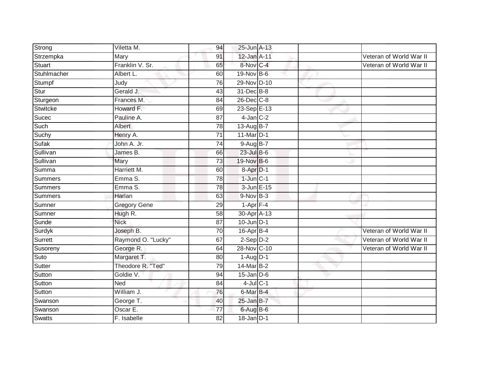| Strong        | Viletta M.          | 94              | 25-Jun A-13              |  |                         |
|---------------|---------------------|-----------------|--------------------------|--|-------------------------|
| Strzempka     | Mary                | 91              | 12-Jan A-11              |  | Veteran of World War II |
| Stuart        | Franklin V. Sr.     | 65              | 8-Nov C-4                |  | Veteran of World War II |
| Stuhlmacher   | Albert L.           | 60              | 19-Nov B-6               |  |                         |
| Stumpf        | Judy                | $\overline{76}$ | 29-Nov D-10              |  |                         |
| Stur          | Gerald J.           | 43              | 31-Dec B-8               |  |                         |
| Sturgeon      | Frances M.          | 84              | $26$ -Dec $C$ -8         |  |                         |
| Stwitcke      | Howard F.           | 69              | $23-Sep \overline{E-13}$ |  |                         |
| Sucec         | Pauline A.          | 87              | $4$ -Jan $C-2$           |  |                         |
| Such          | Albert              | 78              | 13-Aug B-7               |  |                         |
| Suchy         | Henry A.            | 71              | $11$ -Mar $D-1$          |  |                         |
| Sufak         | John A. Jr.         | $\overline{74}$ | 9-Aug B-7                |  |                         |
| Sullivan      | James B.            | 66              | $23$ -Jul B-6            |  |                         |
| Sullivan      | Mary                | 73              | 19-Nov B-6               |  |                         |
| Summa         | Harriett M.         | 60              | 8-Apr D-1                |  |                         |
| Summers       | Emma S.             | 78              | $1$ -Jun $C-1$           |  |                         |
| Summers       | Emma S.             | $\overline{78}$ | 3-Jun E-15               |  |                         |
| Summers       | Harlan              | 63              | $9-NovB-3$               |  |                         |
| Sumner        | <b>Gregory Gene</b> | 29              | $1-Apr$ F-4              |  |                         |
| Sumner        | Hugh R.             | 58              | 30-Apr A-13              |  |                         |
| Sunde         | <b>Nick</b>         | 87              | $10$ -Jun $D-1$          |  |                         |
| Surdyk        | Joseph B.           | 70              | $16$ -Apr $B$ -4         |  | Veteran of World War II |
| Surrett       | Raymond O. "Lucky"  | 67              | $2-Sep$ $D-2$            |  | Veteran of World War II |
| Susoreny      | George R.           | 64              | 28-Nov C-10              |  | Veteran of World War II |
| Suto          | Margaret T.         | 80              | $1-Aug$ D-1              |  |                         |
| Sutter        | Theodore R. "Ted"   | 79              | 14-Mar B-2               |  |                         |
| Sutton        | Goldie V.           | 94              | $15$ -Jan $D-6$          |  |                         |
| Sutton        | Ned                 | 84              | $4$ -Jul $C-1$           |  |                         |
| Sutton        | William J.          | 76              | 6-Mar B-4                |  |                         |
| Swanson       | George T.           | 40              | $25$ -Jan B-7            |  |                         |
| Swanson       | Oscar E.            | 77              | $6$ -Aug B-6             |  |                         |
| <b>Swatts</b> | F. Isabelle         | $\overline{82}$ | $18$ -Jan $D-1$          |  |                         |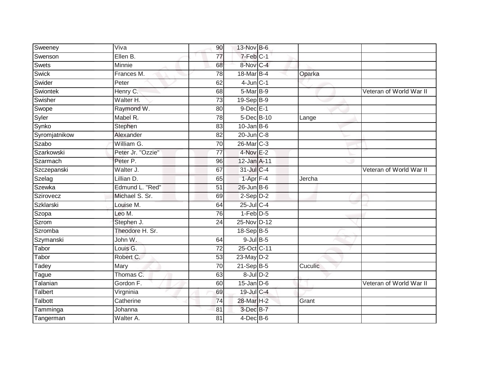| Sweeney       | Viva              | 90              | 13-Nov B-6       |         |                         |
|---------------|-------------------|-----------------|------------------|---------|-------------------------|
| Swenson       | Ellen B.          | 77              | 7-Feb C-1        |         |                         |
| Swets         | Minnie            | 68              | 8-Nov C-4        |         |                         |
| <b>Swick</b>  | Frances M.        | 78              | 18-Mar B-4       | Oparka  |                         |
| Swider        | Peter             | 62              | $4$ -Jun $C-1$   |         |                         |
| Swiontek      | Henry C.          | 68              | $5-MarB-9$       |         | Veteran of World War II |
| Swisher       | Walter H.         | 73              | 19-Sep B-9       |         |                         |
| Swope         | Raymond W.        | 80              | $9$ -Dec $E-1$   |         |                         |
| Syler         | Mabel R.          | 78              | 5-Dec B-10       | Lange   |                         |
| Synko         | Stephen           | 83              | $10$ -Jan B-6    |         |                         |
| Syromjatnikow | Alexander         | 82              | $20$ -Jun $C-8$  |         |                         |
| Szabo         | William G.        | 70              | 26-Mar C-3       |         |                         |
| Szarkowski    | Peter Jr. "Ozzie" | 77              | $4$ -Nov $E-2$   |         |                         |
| Szarmach      | Peter P.          | 96              | 12-Jan A-11      |         |                         |
| Szczepanski   | Walter J.         | 67              | 31-Jul C-4       |         | Veteran of World War II |
| Szelag        | Lillian D.        | 65              | $1-Apr$ F-4      | Jercha  |                         |
| Szewka        | Edmund L. "Red"   | $\overline{51}$ | $26$ -Jun $B$ -6 |         |                         |
| Szirovecz     | Michael S. Sr.    | 69              | $2-Sep$ $D-2$    |         |                         |
| Szklarski     | Louise M.         | 64              | 25-Jul C-4       |         |                         |
| Szopa         | Leo M.            | 76              | $1-Feb$ $D-5$    |         |                         |
| Szrom         | Stephen J.        | 24              | 25-Nov D-12      |         |                         |
| Szromba       | Theodore H. Sr.   |                 | 18-Sep B-5       |         |                         |
| Szymanski     | John W.           | 64              | $9$ -Jul $B$ -5  |         |                         |
| Tabor         | Louis G.          | $\overline{72}$ | 25-Oct C-11      |         |                         |
| Tabor         | Robert C.         | 53              | 23-May D-2       |         |                         |
| Tadey         | Mary              | 70              | $21-Sep$ B-5     | Cuculic |                         |
| <b>Tague</b>  | Thomas C.         | 63              | $8$ -Jul $D-2$   |         |                         |
| Talanian      | Gordon F.         | 60              | $15$ -Jan $D-6$  |         | Veteran of World War II |
| Talbert       | Virgninia         | 69              | 19-Jul C-4       |         |                         |
| Talbott       | Catherine         | 74              | 28-Mar H-2       | Grant   |                         |
| Tamminga      | Johanna           | 81              | 3-Dec B-7        |         |                         |
| Tangerman     | Walter A.         | 81              | $4$ -Dec B-6     |         |                         |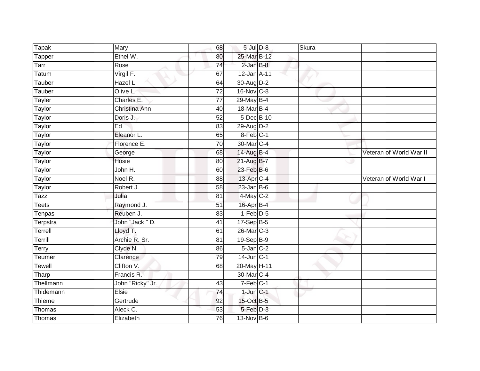| Tapak         | Mary             | 68              | $5$ -Jul $D-8$  | <b>Skura</b> |                         |
|---------------|------------------|-----------------|-----------------|--------------|-------------------------|
| <b>Tapper</b> | Ethel W.         | 80              | 25-Mar B-12     |              |                         |
| Tarr          | Rose             | 74              | $2$ -Jan $B-8$  |              |                         |
| Tatum         | Virgil F.        | 67              | 12-Jan A-11     |              |                         |
| Tauber        | Hazel L.         | 64              | 30-Aug D-2      |              |                         |
| Tauber        | Olive L.         | $\overline{72}$ | 16-Nov C-8      |              |                         |
| Tayler        | Charles E.       | 77              | 29-May B-4      |              |                         |
| Taylor        | Christina Ann    | 40              | 18-Mar B-4      |              |                         |
| Taylor        | Doris J.         | 52              | 5-Dec B-10      |              |                         |
| Taylor        | Ed               | 83              | 29-Aug D-2      |              |                         |
| Taylor        | Eleanor L.       | 65              | 8-Feb C-1       |              |                         |
| Taylor        | Florence E.      | $\overline{70}$ | 30-Mar C-4      |              |                         |
| Taylor        | George           | 68              | 14-Aug B-4      |              | Veteran of World War II |
| Taylor        | Hosie            | 80              | 21-Aug B-7      |              |                         |
| <b>Taylor</b> | John H.          | 60              | 23-Feb B-6      |              |                         |
| Taylor        | Noel R.          | 88              | 13-Apr C-4      |              | Veteran of World War I  |
| Taylor        | Robert J.        | 58              | $23$ -Jan B-6   |              |                         |
| Tazzi         | Julia            | 81              | $4$ -May C-2    |              |                         |
| Teets         | Raymond J.       | 51              | 16-Apr B-4      |              |                         |
| Tenpas        | Reuben J.        | 83              | $1-Feb$ D-5     |              |                         |
| Terpstra      | John "Jack " D.  | 41              | $17-Sep$ B-5    |              |                         |
| Terrell       | Lloyd T.         | 61              | 26-Mar C-3      |              |                         |
| Terrill       | Archie R. Sr.    | 81              | 19-Sep B-9      |              |                         |
| Terry         | Clyde N.         | 86              | $5$ -Jan $C-2$  |              |                         |
| Teumer        | Clarence         | 79              | $14$ -Jun $C-1$ |              |                         |
| Tewell        | Clifton V.       | 68              | 20-May H-11     |              |                         |
| Tharp         | Francis R.       |                 | 30-Mar C-4      |              |                         |
| Thellmann     | John "Ricky" Jr. | 43              | $7-Feb$ C-1     |              |                         |
| Thidemann     | Elsie            | 74              | $1$ -Jun $C-1$  |              |                         |
| Thieme        | Gertrude         | 92              | 15-Oct B-5      |              |                         |
| Thomas        | Aleck C.         | 53              | $5-Feb$ $D-3$   |              |                         |
| Thomas        | Elizabeth        | 76              | 13-Nov B-6      |              |                         |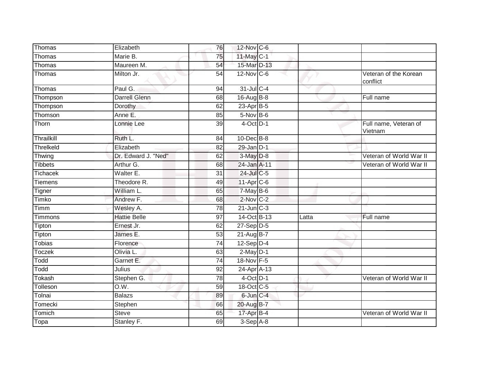| Thomas         | Elizabeth            | 76              | 12-Nov C-6       |       |                                   |
|----------------|----------------------|-----------------|------------------|-------|-----------------------------------|
| Thomas         | Marie B.             | 75              | 11-May C-1       |       |                                   |
| Thomas         | Maureen M.           | $\overline{54}$ | 15-Mar D-13      |       |                                   |
| Thomas         | Milton Jr.           | 54              | 12-Nov C-6       |       | Veteran of the Korean<br>conflict |
| Thomas         | Paul G.              | 94              | 31-Jul C-4       |       |                                   |
| Thompson       | <b>Darrell Glenn</b> | 68              | 16-Aug B-8       |       | Full name                         |
| Thompson       | Dorothy              | 62              | $23$ -Apr $B$ -5 |       |                                   |
| Thomson        | Anne E.              | 85              | 5-Nov B-6        |       |                                   |
| Thorn          | Lonnie Lee           | 39              | $4$ -Oct $D-1$   |       | Full name, Veteran of<br>Vietnam  |
| Thrailkill     | Ruth L.              | 84              | 10-Dec B-8       |       |                                   |
| Threlkeld      | Elizabeth            | 82              | $29$ -Jan $D-1$  |       |                                   |
| Thwing         | Dr. Edward J. "Ned"  | 62              | 3-May D-8        |       | Veteran of World War II           |
| <b>Tibbets</b> | Arthur G.            | 68              | 24-Jan A-11      |       | Veteran of World War II           |
| Tichacek       | Walter E.            | 31              | 24-Jul C-5       |       |                                   |
| Tiemens        | Theodore R.          | 49              | 11-Apr C-6       |       |                                   |
| Tigner         | William L.           | 65              | 7-May B-6        |       |                                   |
| Timko          | Andrew F.            | 68              | 2-Nov C-2        |       |                                   |
| Timm           | Wesley A.            | 78              | $21$ -Jun $C-3$  |       |                                   |
| Timmons        | <b>Hattie Belle</b>  | 97              | 14-Oct B-13      | Latta | Full name                         |
| Tipton         | Ernest Jr.           | 62              | $27-Sep$ D-5     |       |                                   |
| Tipton         | James E.             | $\overline{53}$ | 21-Aug B-7       |       |                                   |
| <b>Tobias</b>  | Florence             | 74              | $12-Sep$ D-4     |       |                                   |
| Toczek         | Olivia L.            | 63              | $2$ -May $D-1$   |       |                                   |
| Todd           | Garnet E.            | 74              | 18-Nov F-5       |       |                                   |
| Todd           | Julius               | 92              | 24-Apr A-13      |       |                                   |
| Tokash         | Stephen G.           | 78              | $4$ -Oct $D-1$   |       | Veteran of World War II           |
| Tolleson       | O.W.                 | 59              | 18-Oct C-5       |       |                                   |
| Tolnai         | <b>Balazs</b>        | 89              | 6-Jun C-4        |       |                                   |
| Tomecki        | Stephen              | 66              | 20-Aug B-7       |       |                                   |
| Tomich         | <b>Steve</b>         | 65              | 17-Apr B-4       |       | Veteran of World War II           |
| Topa           | Stanley F.           | 69              | $3-Sep$ $A-8$    |       |                                   |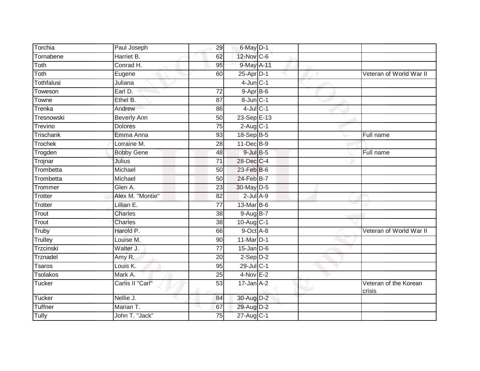| Torchia         | Paul Joseph        | 29              | 6-May D-1               |  |                                 |
|-----------------|--------------------|-----------------|-------------------------|--|---------------------------------|
| Tornabene       | Harriet B.         | 62              | 12-Nov C-6              |  |                                 |
| Toth            | Conrad H.          | 95              | 9-May A-11              |  |                                 |
| Toth            | Eugene             | 60              | $25$ -Apr $D-1$         |  | Veteran of World War II         |
| Tothfalusi      | Juliana            |                 | $4$ -Jun $C-1$          |  |                                 |
| Toweson         | Earl D.            | $\overline{72}$ | $9-AprB-6$              |  |                                 |
| Towne           | Ethel B.           | 87              | $8$ -Jun $C-1$          |  |                                 |
| Trenka          | Andrew             | 86              | $4$ -Jul $C-1$          |  |                                 |
| Tresnowski      | <b>Beverly Ann</b> | 50              | 23-Sep E-13             |  |                                 |
| Trevino         | <b>Dolores</b>     | 75              | $2$ -Aug C-1            |  |                                 |
| Trischank       | Emma Anna          | 93              | 18-Sep B-5              |  | Full name                       |
| Trochek         | Lorraine M.        | 28              | 11-Dec B-9              |  |                                 |
| Trogden         | <b>Bobby Gene</b>  | 48              | $9$ -Jul $B$ -5         |  | Full name                       |
| Trojnar         | Julius             | 71              | 28-Dec C-4              |  |                                 |
| Trombetta       | Michael            | 50              | 23-Feb B-6              |  |                                 |
| Trombetta       | Michael            | 50              | 24-Feb B-7              |  |                                 |
| Trommer         | Glen A.            | 23              | 30-May D-5              |  |                                 |
| Trotter         | Alex M. "Montie"   | 82              | $2$ -Jul $A-9$          |  |                                 |
| Trotter         | Lillian E.         | $\overline{77}$ | 13-Mar B-6              |  |                                 |
| Trout           | Charles            | 38              | $9-AugB-7$              |  |                                 |
| Trout           | Charles            | 38              | $10-Aug$ <sub>C-1</sub> |  |                                 |
| Truby           | Harold P.          | 66              | 9-Oct A-8               |  | Veteran of World War II         |
| Trulley         | Louise M.          | 90              | 11-Mar D-1              |  |                                 |
| Trzcinski       | Walter J.          | $\overline{77}$ | $15$ -Jan $D-6$         |  |                                 |
| Trznadel        | Amy R.             | 20              | $2-Sep$ $D-2$           |  |                                 |
| Tsaros          | Louis K.           | 95              | 29-Jul C-1              |  |                                 |
| <b>Tsolakos</b> | Mark A.            | 25              | $4-Nov$ E-2             |  |                                 |
| Tucker          | Carlis II "Carl"   | 53              | $17 - Jan A - 2$        |  | Veteran of the Korean<br>crisis |
| Tucker          | Nellie J.          | 84              | 30-Aug D-2              |  |                                 |
| Tuffner         | Marian T.          | 67              | 29-Aug D-2              |  |                                 |
| Tully           | John T. "Jack"     | 75              | 27-Aug C-1              |  |                                 |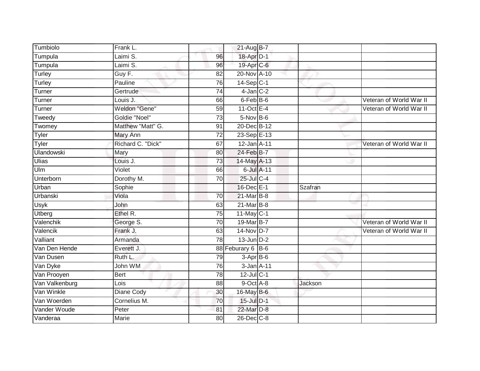| Tumbiolo                 | Frank L.              |                 | 21-Aug B-7               |                |                         |
|--------------------------|-----------------------|-----------------|--------------------------|----------------|-------------------------|
| Tumpula                  | Laimi S.              | 96              | 18-Apr D-1               |                |                         |
| Tumpula                  | Laimi S.              | 96              | 19-Apr C-6               |                |                         |
| Turley                   | Guy F.                | 82              | 20-Nov A-10              |                |                         |
| Turley                   | Pauline               | $\overline{76}$ | $14-Sep C-1$             |                |                         |
| Turner                   | Gertrude              | 74              | $4$ -Jan $C-2$           |                |                         |
| Turner                   | Louis J.              | 66              | 6-Feb B-6                |                | Veteran of World War II |
| Turner                   | Weldon "Gene"         | 59              | $11-Oct$ E-4             |                | Veteran of World War II |
| Tweedy                   | Goldie "Noel"         | 73              | $5-Nov$ B-6              |                |                         |
| Twomey                   | Matthew "Matt" G.     | 91              | 20-Dec B-12              |                |                         |
| Tyler                    | Mary Ann              | $\overline{72}$ | 23-Sep E-13              |                |                         |
| Tyler                    | Richard C. "Dick"     | 67              | 12-Jan A-11              |                | Veteran of World War II |
| <b>Ulandowski</b>        | Mary                  | 80              | 24-Feb B-7               |                |                         |
| <b>Ulias</b>             | Louis J.              | 73              | 14-May A-13              |                |                         |
| $U \mid m$               | Violet                | 66              | 6-Jul A-11               |                |                         |
| Unterborn                | Dorothy M.            | 70              | 25-Jul C-4               |                |                         |
| Urban                    | Sophie                |                 | 16-Dec E-1               | <b>Szafran</b> |                         |
| Urbanski                 | Viola                 | 70              | 21-Mar B-8               |                |                         |
| Usyk                     | John                  | 63              | 21-Mar B-8               |                |                         |
| <b>Utberg</b>            | Ethel R.              | 75              | 11-May C-1               |                |                         |
| Valenchik                | George S.             | 70              | 19-Mar B-7               |                | Veteran of World War II |
| Valencik                 | Frank J.              | 63              | 14-Nov D-7               |                | Veteran of World War II |
| Valliant                 | Armanda               | 78              | $13$ -Jun $D-2$          |                |                         |
| Van Den Hende            | Everett J.            |                 | 88 Feburary 6 B-6        |                |                         |
| Van Dusen                | Ruth L.               | 79              | $3-Apr$ B-6              |                |                         |
|                          |                       |                 |                          |                |                         |
| Van Dyke                 | John WM               | 76              | 3-Jan A-11               |                |                         |
| Van Prooyen              | <b>Bert</b>           | 78              | $12$ -Jul C-1            |                |                         |
| Van Valkenburg           | Lois                  | 88              | 9-Oct A-8                | Jackson        |                         |
| Van Winkle               | Diane Cody            | 30              | 16-May B-6               |                |                         |
| Van Woerden              | Cornelius M.          | 70              | 15-Jul D-1               |                |                         |
| Vander Woude<br>Vanderaa | Peter<br><b>Marie</b> | 81              | 22-Mar D-8<br>26-Dec C-8 |                |                         |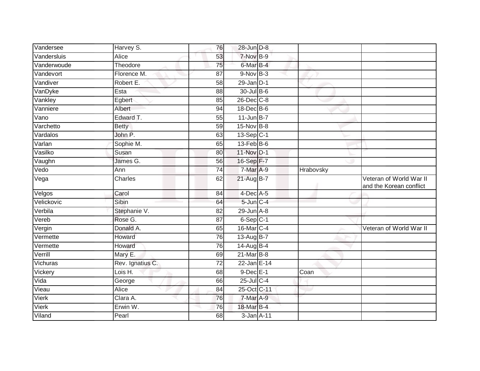| Vandersee   | Harvey S.        | 76              | 28-Jun D-8               |           |                                                    |
|-------------|------------------|-----------------|--------------------------|-----------|----------------------------------------------------|
| Vandersluis | <b>Alice</b>     | 53              | 7-Nov B-9                |           |                                                    |
| Vanderwoude | Theodore         | 75              | 6-Mar B-4                |           |                                                    |
| Vandevort   | Florence M.      | 87              | $9-Nov$ B-3              |           |                                                    |
| Vandiver    | Robert E.        | 58              | $29$ -Jan $D-1$          |           |                                                    |
| VanDyke     | Esta             | 88              | 30-Jul B-6               |           |                                                    |
| Vankley     | Egbert           | 85              | 26-Dec C-8               |           |                                                    |
| Vanniere    | Albert           | 94              | 18-Dec B-6               |           |                                                    |
| Vano        | Edward T.        | 55              | $11$ -Jun B-7            |           |                                                    |
| Varchetto   | <b>Betty</b>     | 59              | 15-Nov B-8               |           |                                                    |
| Vardalos    | John P.          | 63              | 13-Sep C-1               |           |                                                    |
| Varlan      | Sophie M.        | 65              | $13$ -Feb $B$ -6         |           |                                                    |
| Vasilko     | Susan            | 80              | 11-Nov D-1               |           |                                                    |
| Vaughn      | James G.         | 56              | 16-Sep F-7               |           |                                                    |
| Vedo        | Ann              | $\overline{74}$ | $7-MarA-9$               | Hrabovsky |                                                    |
| Vega        | Charles          | 62              | 21-Aug B-7               |           | Veteran of World War II<br>and the Korean conflict |
| Velgos      | Carol            | 84              | $4$ -Dec A-5             |           |                                                    |
| Velickovic  | Sibin            | 64              | $5 - Jun$ <sub>C-4</sub> |           |                                                    |
| Verbila     | Stephanie V.     | 82              | $29$ -Jun $A-8$          |           |                                                    |
| Vereb       | Rose G.          | 87              | 6-Sep C-1                |           |                                                    |
| Vergin      | Donald A.        | 65              | 16-Mar C-4               |           | Veteran of World War II                            |
| Vermette    | Howard           | 76              | 13-Aug $B-7$             |           |                                                    |
| Vermette    | Howard           | 76              | 14-Aug B-4               |           |                                                    |
| Verrill     | Mary E.          | 69              | $21$ -Mar $B$ -8         |           |                                                    |
| Vichuras    | Rev. Ignatius C. | $\overline{72}$ | $22$ -Jan E-14           |           |                                                    |
| Vickery     | Lois H.          | 68              | $9$ -Dec $E-1$           | Coan      |                                                    |
| Vida        | George           | 66              | $25$ -Jul C-4            |           |                                                    |
| Vieau       | Alice            | 84              | 25-Oct C-11              |           |                                                    |
| Vierk       | Clara A.         | 76              | 7-Mar A-9                |           |                                                    |
| Vierk       | Erwin W.         | 76              | 18-Mar B-4               |           |                                                    |
| Viland      | Pearl            | 68              | 3-Jan A-11               |           |                                                    |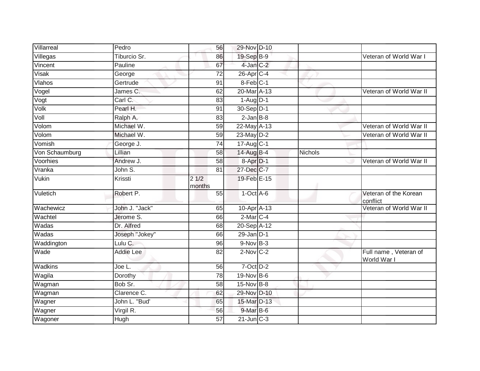| Villarreal     | Pedro          | 56              | 29-Nov D-10                   |         |                                      |
|----------------|----------------|-----------------|-------------------------------|---------|--------------------------------------|
| Villegas       | Tiburcio Sr.   | 86              | 19-Sep B-9                    |         | Veteran of World War I               |
| Vincent        | Pauline        | 67              | 4-Jan C-2                     |         |                                      |
| Visak          | George         | 72              | $26$ -Apr $C-4$               |         |                                      |
| Vlahos         | Gertrude       | 91              | 8-Feb C-1                     |         |                                      |
| Vogel          | James C.       | 62              | 20-Mar A-13                   |         | Veteran of World War II              |
| Vogt           | Carl C.        | 83              | $1-Aug$ D-1                   |         |                                      |
| Volk           | Pearl H.       | 91              | 30-Sep D-1                    |         |                                      |
| Voll           | Ralph A.       | 83              | $2$ -Jan $B-8$                |         |                                      |
| Volom          | Michael W.     | 59              | 22-May A-13                   |         | Veteran of World War II              |
| Volom          | Michael W.     | 59              | 23-May D-2                    |         | Veteran of World War II              |
| Vomish         | George J.      | $\overline{74}$ | $17 - \text{Aug } \text{C-1}$ |         |                                      |
| Von Schaumburg | Lillian        | 58              | 14-Aug B-4                    | Nichols |                                      |
| Voorhies       | Andrew J.      | 58              | 8-Apr D-1                     |         | Veteran of World War II              |
| Vranka         | John S.        | $\overline{81}$ | 27-Dec C-7                    |         |                                      |
| Vukin          | Krissti        | 21/2<br>months  | 19-Feb E-15                   |         |                                      |
| Vuletich       | Robert P.      | 55              | $1-Oct$ A-6                   |         | Veteran of the Korean<br>conflict    |
| Wachewicz      | John J. "Jack" | 65              | 10-Apr A-13                   |         | Veteran of World War II              |
| Wachtel        | Jerome S.      | 66              | $2$ -Mar $C-4$                |         |                                      |
| Wadas          | Dr. Alfred     | 68              | 20-Sep A-12                   |         |                                      |
| Wadas          | Joseph "Jokey" | 66              | $29$ -Jan D-1                 |         |                                      |
| Waddington     | Lulu C.        | 96              | $9-Nov$ B-3                   |         |                                      |
| Wade           | Addie Lee      | 82              | $2-Nov$ C-2                   |         | Full name, Veteran of<br>World War I |
| Wadkins        | Joe L.         | 56              | $7$ -Oct $D-2$                |         |                                      |
| Wagila         | Dorothy        | 78              | 19-Nov B-6                    |         |                                      |
| Wagman         | Bob Sr.        | 58              | $15$ -Nov B-8                 |         |                                      |
| Wagman         | Clarence C.    | 62              | 29-Nov D-10                   |         |                                      |
| Wagner         | John L. "Bud"  | 65              | 15-Mar D-13                   |         |                                      |
| Wagner         | Virgil R.      | 56              | $9$ -Mar B-6                  |         |                                      |
| Wagoner        | Hugh           | $\overline{57}$ | $21$ -Jun $C-3$               |         |                                      |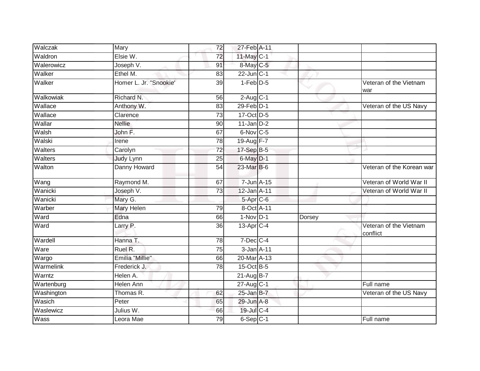| Walczak    | Mary                   | 72              | 27-Feb A-11              |        |                                    |
|------------|------------------------|-----------------|--------------------------|--------|------------------------------------|
| Waldron    | Elsie W.               | 72              | 11-May C-1               |        |                                    |
| Walerowicz | Joseph V.              | 91              | 8-May C-5                |        |                                    |
| Walker     | Ethel M.               | 83              | $22$ -Jun $C-1$          |        |                                    |
| Walker     | Homer L. Jr. "Snookie' | $\overline{39}$ | $1-Feb$ $D-5$            |        | Veteran of the Vietnam<br>war      |
| Walkowiak  | Richard N.             | 56              | $2-Aug$ $C-1$            |        |                                    |
| Wallace    | Anthony W.             | 83              | $29$ -Feb $D-1$          |        | Veteran of the US Navy             |
| Wallace    | Clarence               | $\overline{73}$ | 17-Oct D-5               |        |                                    |
| Wallar     | <b>Nellie</b>          | 90              | $11$ -Jan D-2            |        |                                    |
| Walsh      | John F.                | 67              | 6-Nov C-5                |        |                                    |
| Walski     | Irene                  | 78              | 19-Aug F-7               |        |                                    |
| Walters    | Carolyn                | $\overline{72}$ | $17-SepB-5$              |        |                                    |
| Walters    | <b>Judy Lynn</b>       | 25              | 6-May D-1                |        |                                    |
| Walton     | Danny Howard           | $\overline{54}$ | 23-Mar B-6               |        | Veteran of the Korean war          |
| Wang       | Raymond M.             | 67              | 7-Jun A-15               |        | Veteran of World War II            |
| Wanicki    | Joseph V.              | 73              | 12-Jan A-11              |        | Veteran of World War II            |
| Wanicki    | Mary G.                |                 | $5-Apr$ $C-6$            |        |                                    |
| Warber     | <b>Mary Helen</b>      | 79              | 8-Oct A-11               |        |                                    |
| Ward       | Edna                   | 66              | $1-Nov$ D-1              | Dorsey |                                    |
| Ward       | Larry P.               | $\overline{36}$ | $13$ -Apr $C-4$          |        | Veteran of the Vietnam<br>conflict |
| Wardell    | Hanna T.               | 78              | $7$ -Dec $C$ -4          |        |                                    |
| Ware       | Ruel R.                | 75              | 3-Jan A-11               |        |                                    |
| Wargo      | Emilia "Millie"        | 66              | 20-Mar A-13              |        |                                    |
| Warmelink  | Frederick J.           | 78              | 15-Oct B-5               |        |                                    |
| Warntz     | Helen A.               |                 | $21 - \overline{AugB-7}$ |        |                                    |
| Wartenburg | Helen Ann              |                 | 27-Aug C-1               |        | Full name                          |
| Washington | Thomas R.              | 62              | $25$ -Jan B-7            |        | Veteran of the US Navy             |
| Wasich     | Peter                  | 65              | 29-Jun A-8               |        |                                    |
| Waslewicz  | Julius W.              | 66              | 19-Jul C-4               |        |                                    |
| Wass       | Leora Mae              | 79              | $6-Sep$ $C-1$            |        | Full name                          |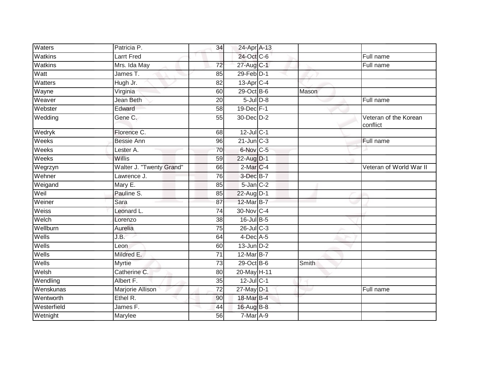| Waters      | Patricia P.              | 34              | 24-Apr A-13     |       |                                   |
|-------------|--------------------------|-----------------|-----------------|-------|-----------------------------------|
| Watkins     | <b>Larrt Fred</b>        |                 | 24-Oct C-6      |       | Full name                         |
| Watkins     | Mrs. Ida May             | 72              | 27-Aug C-1      |       | Full name                         |
| Watt        | James T.                 | 85              | 29-Feb D-1      |       |                                   |
| Watters     | Hugh Jr.                 | $\overline{82}$ | $13$ -Apr $C-4$ |       |                                   |
| Wayne       | Virginia                 | 60              | $29$ -Oct B-6   | Mason |                                   |
| Weaver      | Jean Beth                | 20              | $5$ -Jul $D-8$  |       | Full name                         |
| Webster     | Edward                   | 58              | 19-Dec F-1      |       |                                   |
| Wedding     | Gene C.                  | 55              | 30-Dec D-2      |       | Veteran of the Korean<br>conflict |
| Wedryk      | Florence C.              | 68              | $12$ -Jul C-1   |       |                                   |
| Weeks       | <b>Bessie Ann</b>        | 96              | $21$ -Jun $C-3$ |       | Full name                         |
| Weeks       | Lester A.                | 70              | 6-Nov C-5       |       |                                   |
| Weeks       | Willis                   | 59              | 22-Aug D-1      |       |                                   |
| Wegrzyn     | Walter J. "Twenty Grand" | 66              | 2-Mar C-4       |       | Veteran of World War II           |
| Wehner      | Lawrence J.              | 76              | 3-Dec B-7       |       |                                   |
| Weigand     | Mary E.                  | 85              | $5$ -Jan $C-2$  |       |                                   |
| Weil        | Pauline S.               | 85              | 22-Aug D-1      |       |                                   |
| Weiner      | Sara                     | 87              | 12-Mar B-7      |       |                                   |
| Weiss       | Leonard L.               | 74              | 30-Nov C-4      |       |                                   |
| Welch       | Lorenzo                  | $\overline{38}$ | 16-Jul B-5      |       |                                   |
| Wellburn    | Aurelia                  | 75              | $26$ -Jul C-3   |       |                                   |
| Wells       | J.B.                     | 64              | $4$ -Dec $A$ -5 |       |                                   |
| Wells       | Leon                     | 60              | $13$ -Jun $D-2$ |       |                                   |
| Wells       | Mildred E.               | 71              | 12-Mar B-7      |       |                                   |
| Wells       | <b>Myrtie</b>            | $\overline{73}$ | 29-Oct B-6      | Smith |                                   |
| Welsh       | Catherine C.             | 80              | 20-May H-11     |       |                                   |
| Wendling    | Albert F.                | 35              | $12$ -Jul C-1   |       |                                   |
| Wenskunas   | Marjorie Allison         | $\overline{72}$ | 27-May D-1      |       | Full name                         |
| Wentworth   | Ethel R.                 | 90              | 18-Mar B-4      |       |                                   |
| Westerfield | James F.                 | 44              | 16-Aug B-8      |       |                                   |
| Wetnight    | Marylee                  | 56              | 7-Mar A-9       |       |                                   |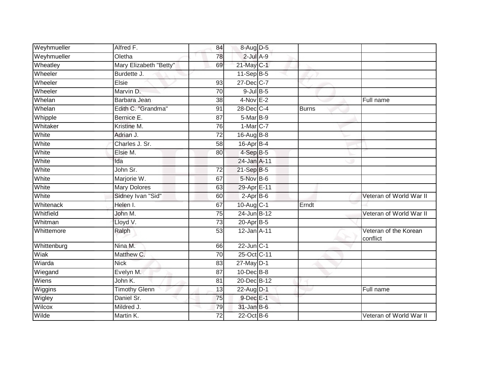| Weyhmueller | Alfred F.              | 84              | 8-Aug D-5        |              |                                   |
|-------------|------------------------|-----------------|------------------|--------------|-----------------------------------|
| Weyhmueller | Oletha                 | 78              | $2$ -Jul $A-9$   |              |                                   |
| Wheatley    | Mary Elizabeth "Betty" | 69              | 21-May C-1       |              |                                   |
| Wheeler     | Burdette J.            |                 | $11-Sep B-5$     |              |                                   |
| Wheeler     | Elsie                  | $\overline{93}$ | 27-Dec C-7       |              |                                   |
| Wheeler     | Marvin D.              | $\overline{70}$ | $9$ -Jul $B$ -5  |              |                                   |
| Whelan      | Barbara Jean           | 38              | $4-Nov$ E-2      |              | Full name                         |
| Whelan      | Edith C. "Grandma"     | 91              | 28-Dec C-4       | <b>Burns</b> |                                   |
| Whipple     | Bernice E.             | 87              | $5-Mar$ B-9      |              |                                   |
| Whitaker    | Kristine M.            | $\overline{76}$ | 1-Mar C-7        |              |                                   |
| White       | Adrian J.              | $\overline{72}$ | 16-Aug B-8       |              |                                   |
| White       | Charles J. Sr.         | 58              | 16-Apr B-4       |              |                                   |
| White       | Elsie M.               | 80              | $4-SepB-5$       |              |                                   |
| White       | Ida                    |                 | 24-Jan A-11      |              |                                   |
| White       | John Sr.               | $\overline{72}$ | 21-Sep B-5       |              |                                   |
| White       | Marjorie W.            | 67              | 5-Nov B-6        |              |                                   |
| White       | <b>Mary Dolores</b>    | 63              | 29-Apr E-11      |              |                                   |
| White       | Sidney Ivan "Sid"      | 60              | $2-AprB-6$       |              | Veteran of World War II           |
| Whitenack   | Helen I.               | 67              | 10-Aug C-1       | Erndt        |                                   |
| Whitfield   | John M.                | 75              | 24-Jun B-12      |              | Veteran of World War II           |
| Whitman     | Lloyd V.               | 73              | $20-Apr$ B-5     |              |                                   |
| Whittemore  | Ralph                  | 53              | 12-Jan A-11      |              | Veteran of the Korean<br>conflict |
| Whittenburg | Nina M.                | 66              | $22$ -Jun $C-1$  |              |                                   |
| Wiak        | Matthew C.             | 70              | 25-Oct C-11      |              |                                   |
| Wiarda      | <b>Nick</b>            | 83              | $27$ -May $D-1$  |              |                                   |
| Wiegand     | Evelyn M.              | 87              | $10$ -Dec $B$ -8 |              |                                   |
| Wiens       | John K.                | 81              | 20-Dec B-12      |              |                                   |
| Wiggins     | <b>Timothy Glenn</b>   | 13              | 22-Aug D-1       |              | Full name                         |
| Wigley      | Daniel Sr.             | 75              | 9-Dec E-1        |              |                                   |
| Wilcox      | Mildred J.             | 79              | $31$ -Jan $B$ -6 |              |                                   |
| Wilde       | Martin K.              | 72              | $22$ -Oct B-6    |              | Veteran of World War II           |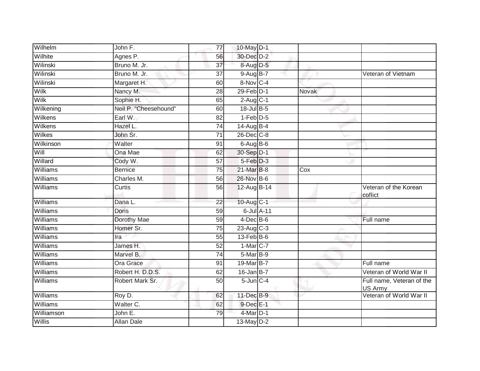| Wilhelm         | John F.               | 77              | 10-May D-1             |              |                                      |
|-----------------|-----------------------|-----------------|------------------------|--------------|--------------------------------------|
| Wilhite         | Agnes P.              | 56              | 30-Dec D-2             |              |                                      |
| Wilinski        | Bruno M. Jr.          | $\overline{37}$ | 8-Aug D-5              |              |                                      |
| Wilinski        | Bruno M. Jr.          | 37              | $9-Aug$ B-7            |              | Veteran of Vietnam                   |
| Wilinski        | Margaret H.           | 60              | 8-Nov C-4              |              |                                      |
| Wilk            | Nancy M.              | $\overline{28}$ | $29$ -Feb $D-1$        | <b>Novak</b> |                                      |
| Wilk            | Sophie H.             | 65              | $2$ -Aug C-1           |              |                                      |
| Wilkening       | Neil P. "Cheesehound" | 60              | 18-Jul B-5             |              |                                      |
| Wilkens         | Earl W.               | 82              | $1-Feb$ $D-5$          |              |                                      |
| Wilkens         | Hazel L.              | 74              | 14-Aug B-4             |              |                                      |
| Wilkes          | John Sr.              | 71              | 26-Dec C-8             |              |                                      |
| Wilkinson       | Walter                | 91              | $6$ -Aug $B$ -6        |              |                                      |
| Will            | Ona Mae               | 62              | 30-Sep D-1             |              |                                      |
| Willard         | Cody W.               | $\overline{57}$ | 5-Feb <sup>D-3</sup>   |              |                                      |
| Williams        | <b>Bernice</b>        | $\overline{75}$ | 21-Mar B-8             | Cox          |                                      |
| Williams        | Charles M.            | 56              | 26-Nov B-6             |              |                                      |
| Williams        | Curtis                | 56              | 12-Aug B-14            |              | Veteran of the Korean<br>coflict     |
| Williams        | Dana L.               | 22              | 10-Aug C-1             |              |                                      |
| Williams        | <b>Doris</b>          | 59              | 6-Jul A-11             |              |                                      |
| <b>Williams</b> | Dorothy Mae           | 59              | $4$ -Dec B-6           |              | Full name                            |
| Williams        | Homer Sr.             | $\overline{75}$ | $23-Aug$ C-3           |              |                                      |
| Williams        | Ira                   | 55              | $13$ -Feb $B$ -6       |              |                                      |
| Williams        | James H.              | 52              | $1-Mar$ <sub>C-7</sub> |              |                                      |
| Williams        | Marvel B.             | 74              | 5-Mar B-9              |              |                                      |
| Williams        | <b>Ora Grace</b>      | 91              | 19-Mar B-7             |              | Full name                            |
| Williams        | Robert H. D.D.S.      | 62              | $16$ -Jan B-7          |              | Veteran of World War II              |
| Williams        | Robert Mark Sr.       | 50              | $5$ -Jun $C-4$         |              | Full name, Veteran of the<br>US Army |
| Williams        | Roy D.                | 62              | 11-Dec B-9             |              | Veteran of World War II              |
| Williams        | Walter C.             | 62              | 9-Dec E-1              |              |                                      |
| Williamson      | John E.               | 79              | 4-Mar D-1              |              |                                      |
| Willis          | <b>Allan Dale</b>     |                 | 13-May $D-2$           |              |                                      |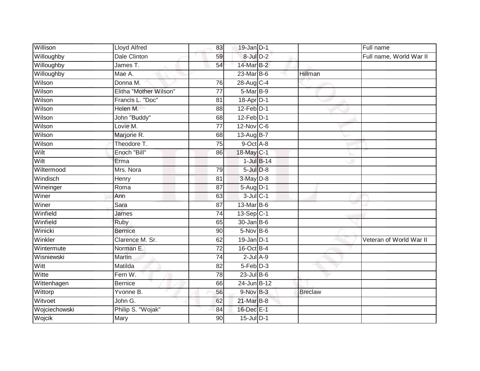| Willison      | <b>Lloyd Alfred</b>    | 83              | $19$ -Jan $D-1$  |                 |                | Full name               |
|---------------|------------------------|-----------------|------------------|-----------------|----------------|-------------------------|
| Willoughby    | <b>Dale Clinton</b>    | 59              | $8$ -Jul $D-2$   |                 |                | Full name, World War II |
| Willoughby    | James T.               | 54              | 14-Mar B-2       |                 |                |                         |
| Willoughby    | Mae A.                 |                 | 23-Mar B-6       |                 | Hillman        |                         |
| Wilson        | Donna M.               | $\overline{76}$ | 28-Aug C-4       |                 |                |                         |
| Wilson        | Elitha "Mother Wilson" | 77              | 5-Mar B-9        |                 |                |                         |
| Wilson        | Francis L. "Doc"       | 81              | $18$ -Apr $D-1$  |                 |                |                         |
| Wilson        | Helen M.               | 88              | 12-Feb D-1       |                 |                |                         |
| Wilson        | John "Buddy"           | 68              | $12$ -Feb $D-1$  |                 |                |                         |
| Wilson        | Lovie M.               | $\overline{77}$ | 12-Nov C-6       |                 |                |                         |
| Wilson        | Marjorie R.            | 68              | 13-Aug B-7       |                 |                |                         |
| Wilson        | Theodore T.            | $\overline{75}$ | 9-Oct A-8        |                 |                |                         |
| Wilt          | Enoch "Bill"           | 86              | $18$ -May $C-1$  |                 |                |                         |
| Wilt          | Erma                   |                 |                  | $1$ -Jul $B-14$ |                |                         |
| Wiltermood    | Mrs. Nora              | 79              | $5$ -Jul $D-8$   |                 |                |                         |
| Windisch      | Henry                  | 81              | $3$ -May $D-8$   |                 |                |                         |
| Wineinger     | Roma                   | $\overline{87}$ | $5-Aug$ D-1      |                 |                |                         |
| Winer         | Ann                    | 63              | $3$ -Jul $C-1$   |                 |                |                         |
| Winer         | Sara                   | 87              | 13-Mar B-6       |                 |                |                         |
| Winfield      | James                  | 74              | $13-Sep C-1$     |                 |                |                         |
| Winfield      | Ruby                   | 65              | $30 - Jan$ $B-6$ |                 |                |                         |
| Winicki       | <b>Bernice</b>         | 90              | $5-Nov$ B-6      |                 |                |                         |
| Winkler       | Clarence M. Sr.        | 62              | $19$ -Jan D-1    |                 |                | Veteran of World War II |
| Wintermute    | Norman E.              | $\overline{72}$ | 16-Oct B-4       |                 |                |                         |
| Wisniewski    | <b>Martin</b>          | 74              | $2$ -Jul $A-9$   |                 |                |                         |
| Witt          | Matilda                | 82              | $5-Feb$ $D-3$    |                 |                |                         |
| Witte         | Fern W.                | 78              | $23$ -Jul B-6    |                 |                |                         |
| Wittenhagen   | <b>Bernice</b>         | 66              | 24-Jun B-12      |                 |                |                         |
| Wittorp       | Yvonne B.              | 56              | 9-Nov B-3        |                 | <b>Breclaw</b> |                         |
| Witvoet       | John G.                | 62              | 21-Mar B-8       |                 |                |                         |
| Wojciechowski | Philip S. "Wojak"      | 84              | 16-Dec E-1       |                 |                |                         |
| Wojcik        | Mary                   | 90              | 15-Jul D-1       |                 |                |                         |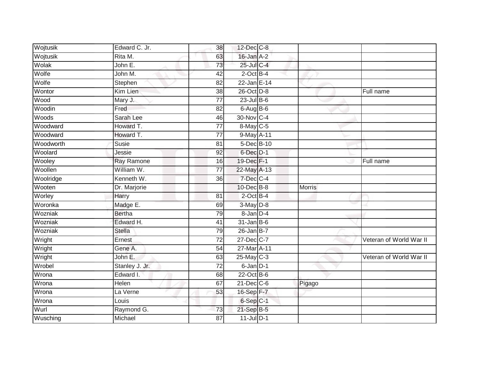| Wojtusik  | Edward C. Jr.  | 38              | 12-Dec C-8        |               |                         |
|-----------|----------------|-----------------|-------------------|---------------|-------------------------|
| Wojtusik  | Rita M.        | 63              | 16-Jan A-2        |               |                         |
| Wolak     | John E.        | 73              | 25-Jul C-4        |               |                         |
| Wolfe     | John M.        | 42              | $2$ -Oct B-4      |               |                         |
| Wolfe     | Stephen        | $\overline{82}$ | 22-Jan E-14       |               |                         |
| Wontor    | Kim Lien       | 38              | 26-Oct D-8        |               | Full name               |
| Wood      | Mary J.        | 77              | $23$ -Jul B-6     |               |                         |
| Woodin    | Fred           | 82              | $6$ -Aug $B$ -6   |               |                         |
| Woods     | Sarah Lee      | 46              | 30-Nov C-4        |               |                         |
| Woodward  | Howard T.      | $\overline{77}$ | 8-May C-5         |               |                         |
| Woodward  | Howard T.      | 77              | 9-May A-11        |               |                         |
| Woodworth | Susie          | 81              | 5-Dec B-10        |               |                         |
| Woolard   | Jessie         | 92              | 6-Dec D-1         |               |                         |
| Wooley    | Ray Ramone     | 16              | 19-Dec F-1        |               | Full name               |
| Woollen   | William W.     | $\overline{77}$ | 22-May A-13       |               |                         |
| Woolridge | Kenneth W.     | 36              | 7-Dec C-4         |               |                         |
| Wooten    | Dr. Marjorie   |                 | 10-Dec B-8        | <b>Morris</b> |                         |
| Worley    | Harry          | $\overline{81}$ | $2$ -Oct B-4      |               |                         |
| Woronka   | Madge E.       | 69              | 3-May D-8         |               |                         |
| Wozniak   | <b>Bertha</b>  | 79              | $8 - Jan$ $D-4$   |               |                         |
| Wozniak   | Edward H.      | 41              | $31$ -Jan B-6     |               |                         |
| Wozniak   | <b>Stella</b>  | 79              | $26$ -Jan B-7     |               |                         |
| Wright    | Ernest         | 72              | 27-Dec C-7        |               | Veteran of World War II |
| Wright    | Gene A.        | 54              | 27-Mar A-11       |               |                         |
| Wright    | John E.        | 63              | 25-May C-3        |               | Veteran of World War II |
| Wrobel    | Stanley J. Jr. | 72              | $6$ -Jan $D-1$    |               |                         |
| Wrona     | Edward I.      | 68              | $22$ -Oct B-6     |               |                         |
| Wrona     | Helen          | 67              | $21$ -Dec $ C$ -6 | Pigago        |                         |
| Wrona     | La Verne       | 53              | 16-Sep F-7        |               |                         |
| Wrona     | Louis          |                 | 6-Sep C-1         |               |                         |
| Wurl      | Raymond G.     | 73              | 21-Sep B-5        |               |                         |
| Wusching  | Michael        | $\overline{87}$ | $11$ -Jul $D-1$   |               |                         |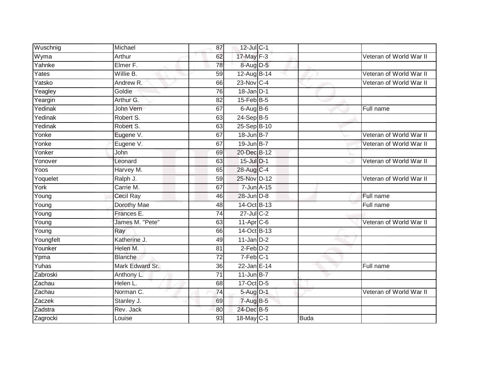| Wuschnig  | Michael             | 87              | 12-Jul C-1       |      |                         |
|-----------|---------------------|-----------------|------------------|------|-------------------------|
| Wyma      | Arthur              | 62              | 17-May F-3       |      | Veteran of World War II |
| Yahnke    | Elmer <sub>F.</sub> | $\overline{78}$ | 8-Aug D-5        |      |                         |
| Yates     | Willie B.           | 59              | 12-Aug B-14      |      | Veteran of World War II |
| Yatsko    | Andrew R.           | 66              | 23-Nov C-4       |      | Veteran of World War II |
| Yeagley   | Goldie              | 76              | $18 - Jan$ $D-1$ |      |                         |
| Yeargin   | Arthur G.           | 82              | 15-Feb B-5       |      |                         |
| Yedinak   | John Vern           | 67              | $6$ -Aug $B$ -6  |      | Full name               |
| Yedinak   | Robert S.           | 63              | $24-Sep$ B-5     |      |                         |
| Yedinak   | Robert S.           | 63              | 25-Sep B-10      |      |                         |
| Yonke     | Eugene V.           | 67              | 18-Jun B-7       |      | Veteran of World War II |
| Yonke     | Eugene V.           | 67              | 19-Jun B-7       |      | Veteran of World War II |
| Yonker    | <b>John</b>         | 69              | 20-Dec B-12      |      |                         |
| Yonover   | Leonard             | 63              | 15-Jul D-1       |      | Veteran of World War II |
| Yoos      | Harvey M.           | 65              | 28-Aug C-4       |      |                         |
| Yoquelet  | Ralph J.            | 59              | 25-Nov D-12      |      | Veteran of World War II |
| York      | Carrie M.           | 67              | 7-Jun A-15       |      |                         |
| Young     | <b>Cecil Ray</b>    | 46              | 28-Jun D-8       |      | Full name               |
| Young     | Dorothy Mae         | 48              | 14-Oct B-13      |      | Full name               |
| Young     | Frances E.          | 74              | $27$ -Jul C-2    |      |                         |
| Young     | James M. "Pete"     | 63              | 11-Apr C-6       |      | Veteran of World War II |
| Young     | Ray                 | 66              | 14-Oct B-13      |      |                         |
| Youngfelt | Katherine J.        | 49              | $11$ -Jan D-2    |      |                         |
| Younker   | Helen M.            | 81              | $2$ -Feb $D-2$   |      |                         |
| Ypma      | <b>Blanche</b>      | $\overline{72}$ | $7-Feb$ C-1      |      |                         |
| Yuhas     | Mark Edward Sr.     | 36              | 22-Jan E-14      |      | Full name               |
| Zabroski  | Anthony L.          | $\overline{71}$ | $11$ -Jun B-7    |      |                         |
| Zachau    | Helen L.            | 68              | 17-Oct D-5       |      |                         |
| Zachau    | Norman C.           | 74              | $5-Aug$ D-1      |      | Veteran of World War II |
| Zaczek    | Stanley J.          | 69              | 7-Aug B-5        |      |                         |
| Zadstra   | Rev. Jack           | 80              | 24-Dec B-5       |      |                         |
| Zagrocki  | Louise              | 93              | 18-May C-1       | Buda |                         |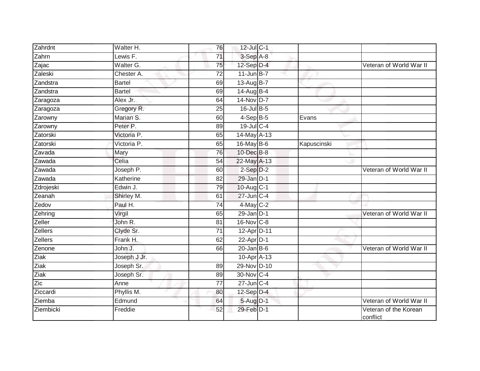| Zahrdnt        | Walter H.     | 76              | 12-Jul C-1        |             |                                   |
|----------------|---------------|-----------------|-------------------|-------------|-----------------------------------|
| Zahrn          | Lewis F.      | $\overline{71}$ | $3-Sep$ A-8       |             |                                   |
| Zajac          | Walter G.     | 75              | 12-Sep D-4        |             | Veteran of World War II           |
| Zaleski        | Chester A.    | $\overline{72}$ | $11$ -Jun B-7     |             |                                   |
| Zandstra       | <b>Bartel</b> | 69              | 13-Aug B-7        |             |                                   |
| Zandstra       | <b>Bartel</b> | 69              | 14-Aug B-4        |             |                                   |
| Zaragoza       | Alex Jr.      | 64              | $14$ -Nov D-7     |             |                                   |
| Zaragoza       | Gregory R.    | 25              | 16-Jul B-5        |             |                                   |
| Zarowny        | Marian S.     | 60              | $4-Sep$ B-5       | Evans       |                                   |
| Zarowny        | Peter P.      | 89              | $19$ -Jul C-4     |             |                                   |
| Zatorski       | Victoria P.   | 65              | 14-May A-13       |             |                                   |
| Zatorski       | Victoria P.   | 65              | 16-May $B-6$      | Kapuscinski |                                   |
| Zavada         | Mary          | 76              | 10-Dec B-8        |             |                                   |
| Zawada         | Celia         | 54              | 22-May A-13       |             |                                   |
| Zawada         | Joseph P.     | 60              | $2-Sep$ $D-2$     |             | Veteran of World War II           |
| Zawada         | Katherine     | 82              | $29$ -Jan $D-1$   |             |                                   |
| Zdrojeski      | Edwin J.      | 79              | 10-Aug C-1        |             |                                   |
| Zeanah         | Shirley M.    | 61              | 27-Jun C-4        |             |                                   |
| Zedov          | Paul H.       | $\overline{74}$ | 4-May C-2         |             |                                   |
| Zehring        | Virgil        | 65              | $29$ -Jan $D-1$   |             | Veteran of World War II           |
| Zeller         | John R.       | 81              | $16$ -Nov $ C-8 $ |             |                                   |
| <b>Zellers</b> | Clyde Sr.     | $\overline{71}$ | 12-Apr D-11       |             |                                   |
| Zellers        | Frank H.      | 62              | $22$ -Apr $D-1$   |             |                                   |
| Zenone         | John J.       | 66              | $20$ -Jan B-6     |             | Veteran of World War II           |
| Ziak           | Joseph J Jr.  |                 | 10-Apr A-13       |             |                                   |
| Ziak           | Joseph Sr.    | 89              | 29-Nov D-10       |             |                                   |
| <b>Ziak</b>    | Joseph Sr.    | 89              | 30-Nov C-4        |             |                                   |
| Zic            | Anne          | 77              | $27$ -Jun $C-4$   |             |                                   |
| Ziccardi       | Phyllis M.    | 80              | 12-Sep D-4        |             |                                   |
| Ziemba         | Edmund        | 64              | 5-Aug D-1         |             | Veteran of World War II           |
| Ziembicki      | Freddie       | 52              | 29-Feb D-1        |             | Veteran of the Korean<br>conflict |